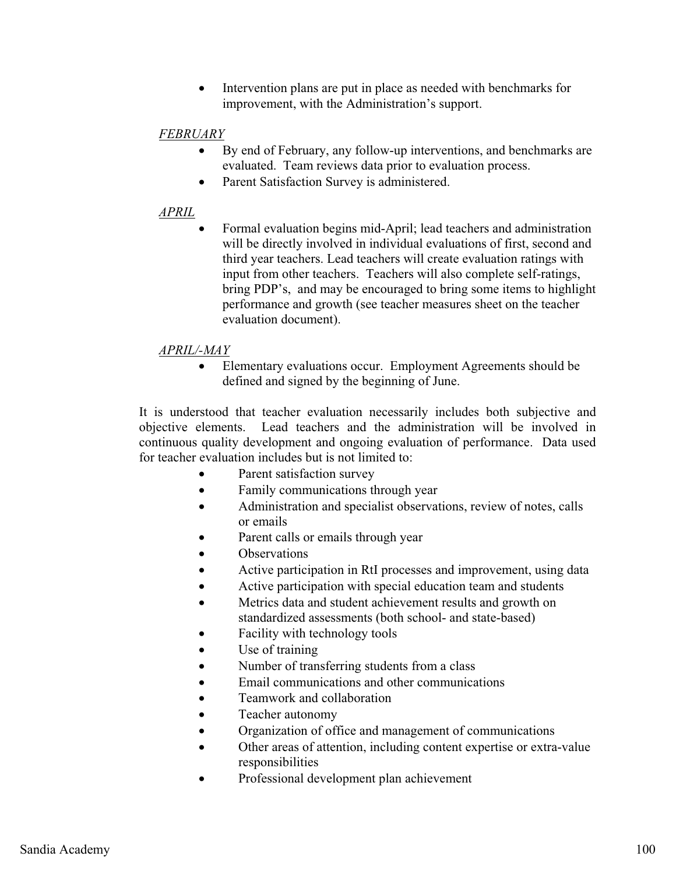$\bullet$  Intervention plans are put in place as needed with benchmarks for improvement, with the Administration's support.

### *FEBRUARY*

- - By end of February, any follow-up interventions, and benchmarks are evaluated. Team reviews data prior to evaluation process.
- $\bullet$ Parent Satisfaction Survey is administered.

#### *APRIL*

- Formal evaluation begins mid-April; lead teachers and administration will be directly involved in individual evaluations of first, second and third year teachers. Lead teachers will create evaluation ratings with input from other teachers. Teachers will also complete self-ratings, bring PDP's, and may be encouraged to bring some items to highlight performance and growth (see teacher measures sheet on the teacher evaluation document).

## *APRIL/-MAY*

 $\bullet$  Elementary evaluations occur. Employment Agreements should be defined and signed by the beginning of June.

It is understood that teacher evaluation necessarily includes both subjective and objective elements. Lead teachers and the administration will be involved in continuous quality development and ongoing evaluation of performance. Data used for teacher evaluation includes but is not limited to:

- -Parent satisfaction survey
- -Family communications through year
- $\bullet$  Administration and specialist observations, review of notes, calls or emails
- -Parent calls or emails through year
- $\bullet$ **Observations**
- -Active participation in RtI processes and improvement, using data
- -Active participation with special education team and students
- $\bullet$  Metrics data and student achievement results and growth on standardized assessments (both school- and state-based)
- -Facility with technology tools
- -Use of training
- -Number of transferring students from a class
- $\bullet$ Email communications and other communications
- $\bullet$ Teamwork and collaboration
- -Teacher autonomy
- $\bullet$ Organization of office and management of communications
- $\bullet$  Other areas of attention, including content expertise or extra-value responsibilities
- -Professional development plan achievement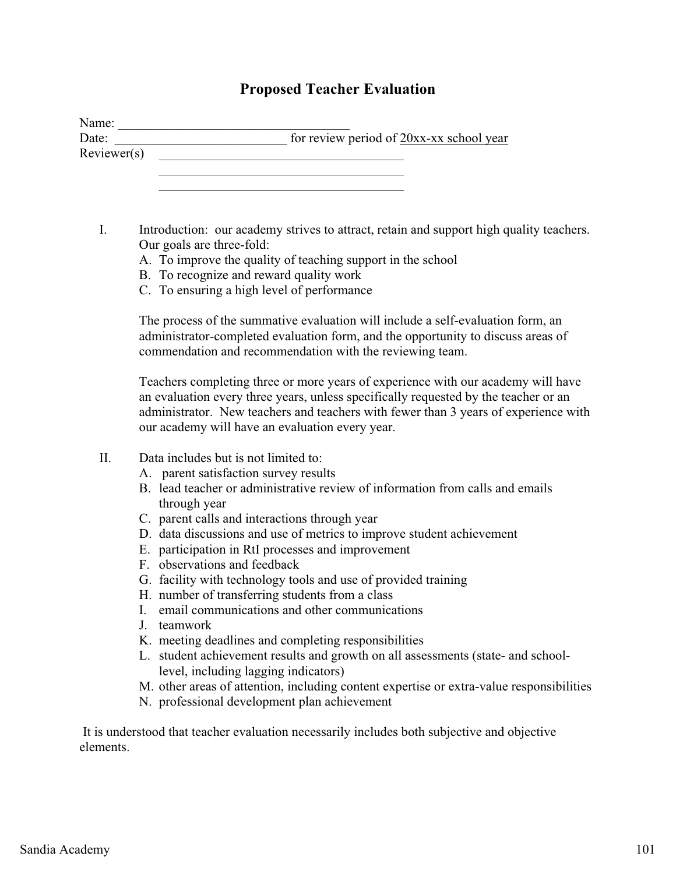## **Proposed Teacher Evaluation**

| Date:       | for review period of $20xx$ -xx school year |
|-------------|---------------------------------------------|
| Reviewer(s) |                                             |
|             |                                             |
|             |                                             |

- I. Introduction: our academy strives to attract, retain and support high quality teachers. Our goals are three-fold:
	- A. To improve the quality of teaching support in the school
	- B. To recognize and reward quality work
	- C. To ensuring a high level of performance

The process of the summative evaluation will include a self-evaluation form, an administrator-completed evaluation form, and the opportunity to discuss areas of commendation and recommendation with the reviewing team.

Teachers completing three or more years of experience with our academy will have an evaluation every three years, unless specifically requested by the teacher or an administrator. New teachers and teachers with fewer than 3 years of experience with our academy will have an evaluation every year.

- II. Data includes but is not limited to:
	- A. parent satisfaction survey results
	- B. lead teacher or administrative review of information from calls and emails through year
	- C. parent calls and interactions through year
	- D. data discussions and use of metrics to improve student achievement
	- E. participation in RtI processes and improvement
	- F. observations and feedback
	- G. facility with technology tools and use of provided training
	- H. number of transferring students from a class
	- I. email communications and other communications
	- J. teamwork
	- K. meeting deadlines and completing responsibilities
	- L. student achievement results and growth on all assessments (state- and schoollevel, including lagging indicators)
	- M. other areas of attention, including content expertise or extra-value responsibilities
	- N. professional development plan achievement

 It is understood that teacher evaluation necessarily includes both subjective and objective elements.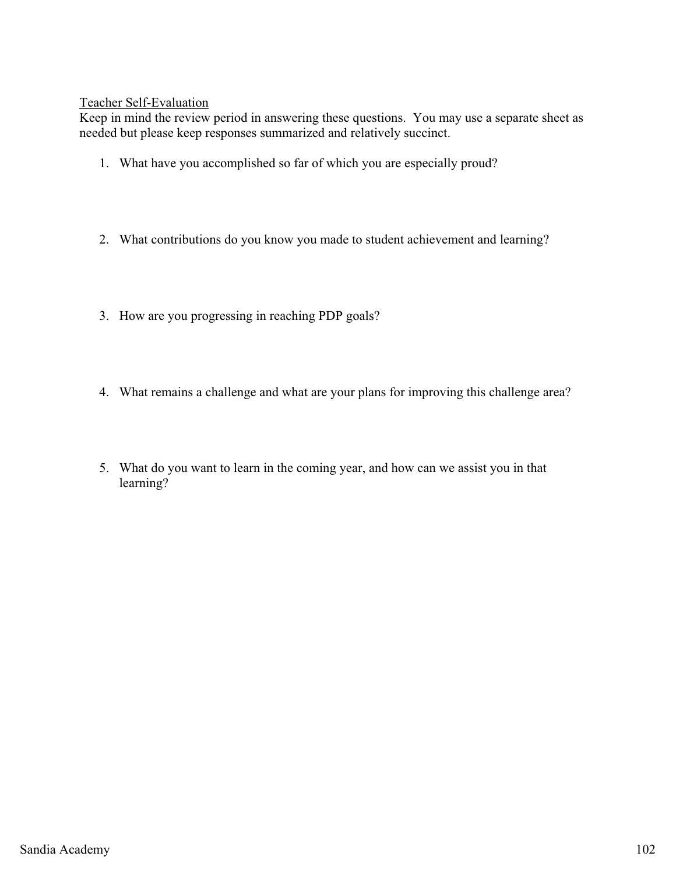#### Teacher Self-Evaluation

Keep in mind the review period in answering these questions. You may use a separate sheet as needed but please keep responses summarized and relatively succinct.

- 1. What have you accomplished so far of which you are especially proud?
- 2. What contributions do you know you made to student achievement and learning?
- 3. How are you progressing in reaching PDP goals?
- 4. What remains a challenge and what are your plans for improving this challenge area?
- 5. What do you want to learn in the coming year, and how can we assist you in that learning?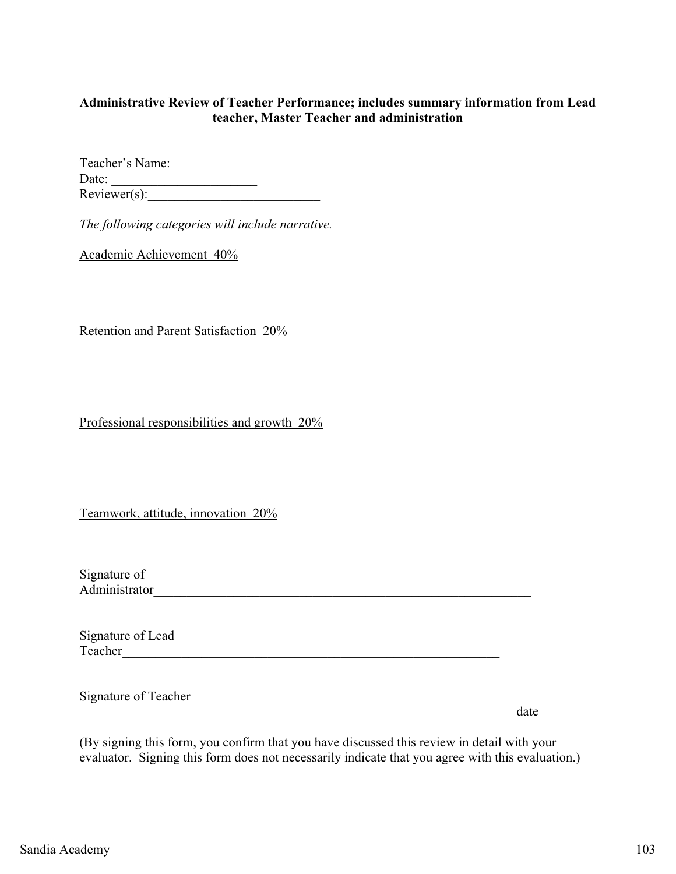#### **Administrative Review of Teacher Performance; includes summary information from Lead teacher, Master Teacher and administration**

Teacher's Name: Date: \_\_\_\_\_\_\_\_\_\_\_\_\_\_\_\_\_\_\_\_\_\_  $Reviewer(s):$ 

\_\_\_\_\_\_\_\_\_\_\_\_\_\_\_\_\_\_\_\_\_\_\_\_\_\_\_\_\_\_\_\_\_\_\_\_ *The following categories will include narrative.* 

Academic Achievement 40%

Retention and Parent Satisfaction 20%

Professional responsibilities and growth  $20\%$ 

Teamwork, attitude, innovation 20%

| Signature of  |  |  |
|---------------|--|--|
| Administrator |  |  |

Signature of Lead Teacher\_\_\_\_\_\_\_\_\_\_\_\_\_\_\_\_\_\_\_\_\_\_\_\_\_\_\_\_\_\_\_\_\_\_\_\_\_\_\_\_\_\_\_\_\_\_\_\_\_\_\_\_\_\_\_\_\_

Signature of Teacher\_\_\_\_\_\_\_\_\_\_\_\_\_\_\_\_\_\_\_\_\_\_\_\_\_\_\_\_\_\_\_\_\_\_\_\_\_\_\_\_\_\_\_\_\_\_\_\_ \_\_\_\_\_\_

date and the state of the state of the state of the state of the state of the state of the state of the state of the state of the state of the state of the state of the state of the state of the state of the state of the s

(By signing this form, you confirm that you have discussed this review in detail with your evaluator. Signing this form does not necessarily indicate that you agree with this evaluation.)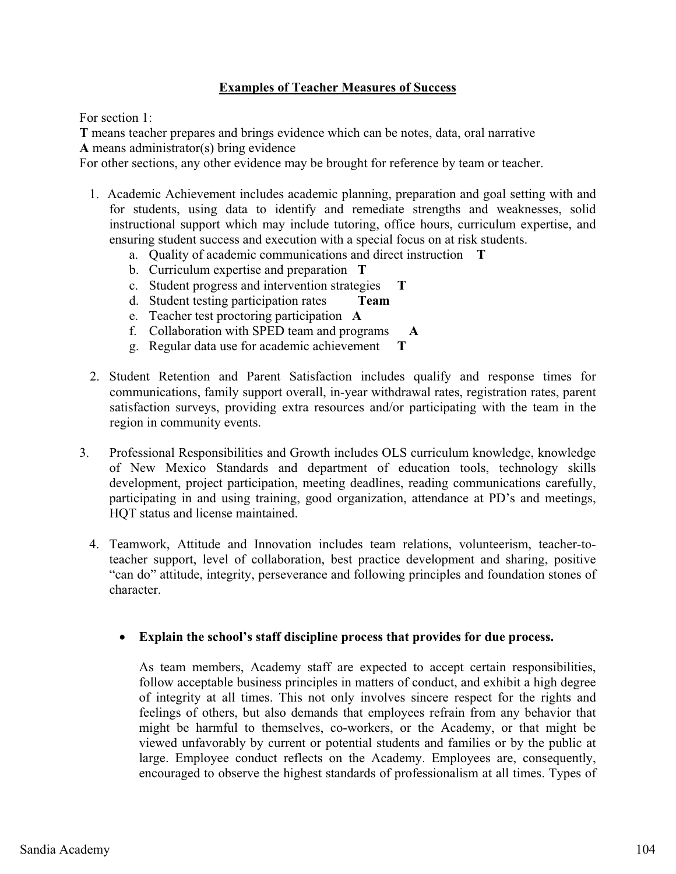#### **Examples of Teacher Measures of Success**

For section 1:

**T** means teacher prepares and brings evidence which can be notes, data, oral narrative **A** means administrator(s) bring evidence

For other sections, any other evidence may be brought for reference by team or teacher.

- 1. Academic Achievement includes academic planning, preparation and goal setting with and for students, using data to identify and remediate strengths and weaknesses, solid instructional support which may include tutoring, office hours, curriculum expertise, and ensuring student success and execution with a special focus on at risk students.
	- a. Quality of academic communications and direct instruction **T**
	- b. Curriculum expertise and preparation **T**
	- c. Student progress and intervention strategies **T**
	- d. Student testing participation rates **Team**
	- e. Teacher test proctoring participation **A**
	- f. Collaboration with SPED team and programs **A**
	- g. Regular data use for academic achievement **T**
- 2. Student Retention and Parent Satisfaction includes qualify and response times for communications, family support overall, in-year withdrawal rates, registration rates, parent satisfaction surveys, providing extra resources and/or participating with the team in the region in community events.
- 3. Professional Responsibilities and Growth includes OLS curriculum knowledge, knowledge of New Mexico Standards and department of education tools, technology skills development, project participation, meeting deadlines, reading communications carefully, participating in and using training, good organization, attendance at PD's and meetings, HQT status and license maintained.
	- 4. Teamwork, Attitude and Innovation includes team relations, volunteerism, teacher-toteacher support, level of collaboration, best practice development and sharing, positive "can do" attitude, integrity, perseverance and following principles and foundation stones of character.

## - **Explain the school's staff discipline process that provides for due process.**

As team members, Academy staff are expected to accept certain responsibilities, follow acceptable business principles in matters of conduct, and exhibit a high degree of integrity at all times. This not only involves sincere respect for the rights and feelings of others, but also demands that employees refrain from any behavior that might be harmful to themselves, co-workers, or the Academy, or that might be viewed unfavorably by current or potential students and families or by the public at large. Employee conduct reflects on the Academy. Employees are, consequently, encouraged to observe the highest standards of professionalism at all times. Types of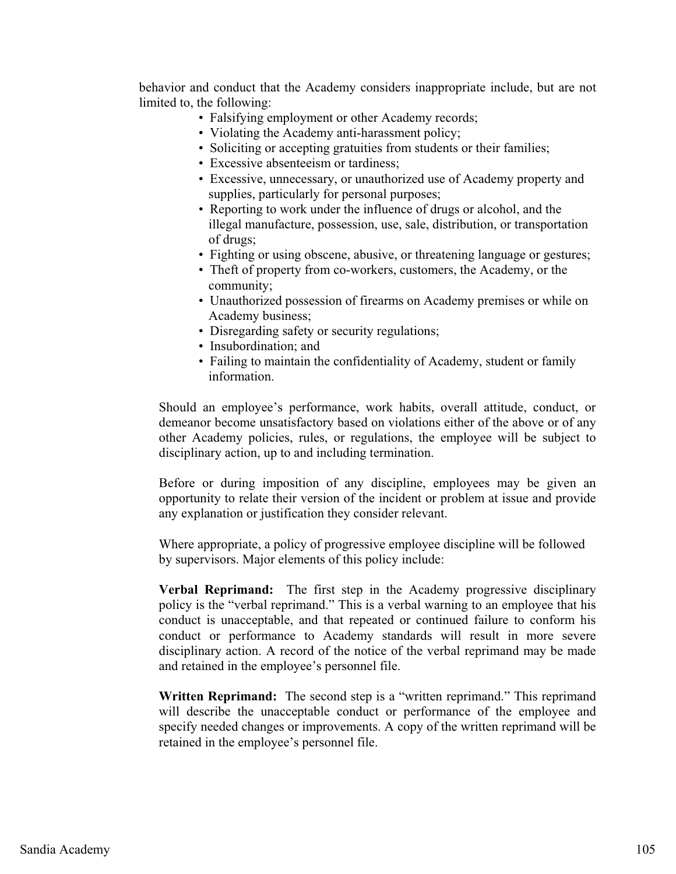behavior and conduct that the Academy considers inappropriate include, but are not limited to, the following:

- Falsifying employment or other Academy records;
- Violating the Academy anti-harassment policy;
- Soliciting or accepting gratuities from students or their families;
- Excessive absenteeism or tardiness;
- Excessive, unnecessary, or unauthorized use of Academy property and supplies, particularly for personal purposes;
- Reporting to work under the influence of drugs or alcohol, and the illegal manufacture, possession, use, sale, distribution, or transportation of drugs;
- Fighting or using obscene, abusive, or threatening language or gestures;
- Theft of property from co-workers, customers, the Academy, or the community;
- Unauthorized possession of firearms on Academy premises or while on Academy business;
- Disregarding safety or security regulations;
- Insubordination; and
- Failing to maintain the confidentiality of Academy, student or family information.

Should an employee's performance, work habits, overall attitude, conduct, or demeanor become unsatisfactory based on violations either of the above or of any other Academy policies, rules, or regulations, the employee will be subject to disciplinary action, up to and including termination.

Before or during imposition of any discipline, employees may be given an opportunity to relate their version of the incident or problem at issue and provide any explanation or justification they consider relevant.

Where appropriate, a policy of progressive employee discipline will be followed by supervisors. Major elements of this policy include:

**Verbal Reprimand:** The first step in the Academy progressive disciplinary policy is the "verbal reprimand." This is a verbal warning to an employee that his conduct is unacceptable, and that repeated or continued failure to conform his conduct or performance to Academy standards will result in more severe disciplinary action. A record of the notice of the verbal reprimand may be made and retained in the employee's personnel file.

**Written Reprimand:** The second step is a "written reprimand." This reprimand will describe the unacceptable conduct or performance of the employee and specify needed changes or improvements. A copy of the written reprimand will be retained in the employee's personnel file.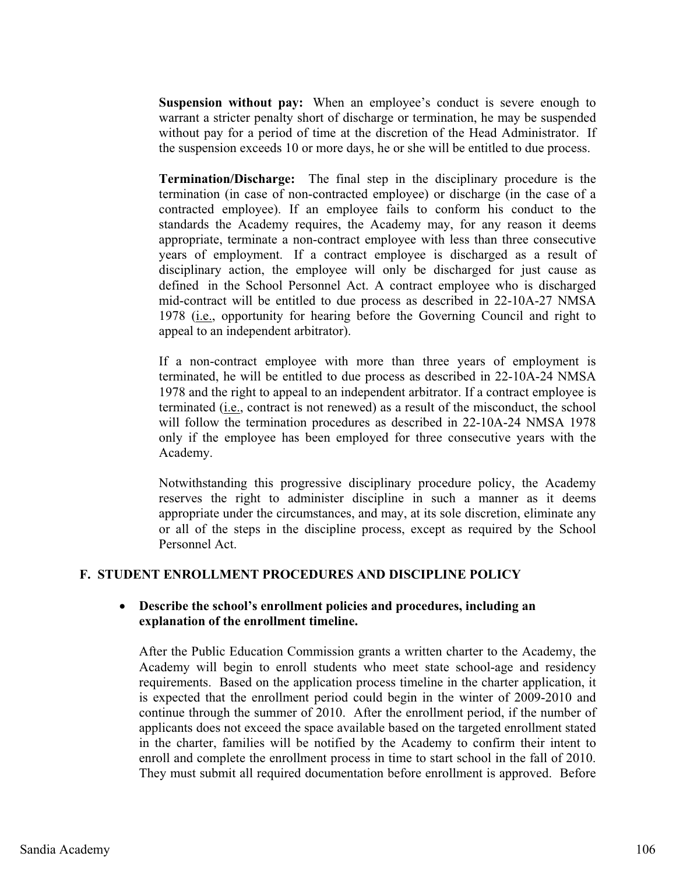**Suspension without pay:** When an employee's conduct is severe enough to warrant a stricter penalty short of discharge or termination, he may be suspended without pay for a period of time at the discretion of the Head Administrator. If the suspension exceeds 10 or more days, he or she will be entitled to due process.

**Termination/Discharge:** The final step in the disciplinary procedure is the termination (in case of non-contracted employee) or discharge (in the case of a contracted employee). If an employee fails to conform his conduct to the standards the Academy requires, the Academy may, for any reason it deems appropriate, terminate a non-contract employee with less than three consecutive years of employment. If a contract employee is discharged as a result of disciplinary action, the employee will only be discharged for just cause as defined in the School Personnel Act. A contract employee who is discharged mid-contract will be entitled to due process as described in 22-10A-27 NMSA 1978 (i.e., opportunity for hearing before the Governing Council and right to appeal to an independent arbitrator).

If a non-contract employee with more than three years of employment is terminated, he will be entitled to due process as described in 22-10A-24 NMSA 1978 and the right to appeal to an independent arbitrator. If a contract employee is terminated (i.e., contract is not renewed) as a result of the misconduct, the school will follow the termination procedures as described in 22-10A-24 NMSA 1978 only if the employee has been employed for three consecutive years with the Academy.

Notwithstanding this progressive disciplinary procedure policy, the Academy reserves the right to administer discipline in such a manner as it deems appropriate under the circumstances, and may, at its sole discretion, eliminate any or all of the steps in the discipline process, except as required by the School Personnel Act.

#### **F. STUDENT ENROLLMENT PROCEDURES AND DISCIPLINE POLICY**

#### - **Describe the school's enrollment policies and procedures, including an explanation of the enrollment timeline.**

After the Public Education Commission grants a written charter to the Academy, the Academy will begin to enroll students who meet state school-age and residency requirements. Based on the application process timeline in the charter application, it is expected that the enrollment period could begin in the winter of 2009-2010 and continue through the summer of 2010. After the enrollment period, if the number of applicants does not exceed the space available based on the targeted enrollment stated in the charter, families will be notified by the Academy to confirm their intent to enroll and complete the enrollment process in time to start school in the fall of 2010. They must submit all required documentation before enrollment is approved. Before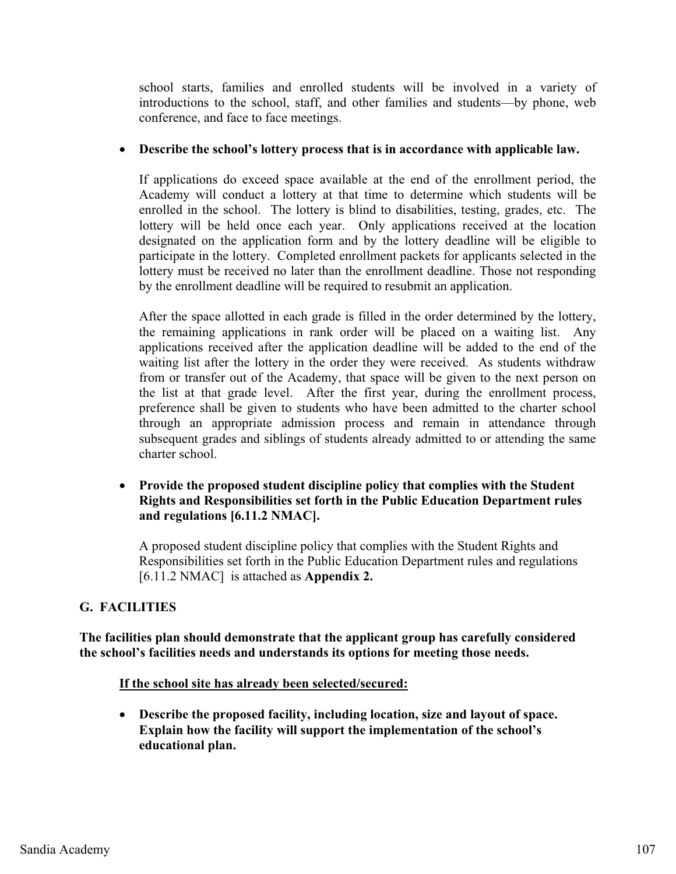school starts, families and enrolled students will be involved in a variety of introductions to the school, staff, and other families and students—by phone, web conference, and face to face meetings.

## - **Describe the school's lottery process that is in accordance with applicable law.**

If applications do exceed space available at the end of the enrollment period, the Academy will conduct a lottery at that time to determine which students will be enrolled in the school. The lottery is blind to disabilities, testing, grades, etc. The lottery will be held once each year. Only applications received at the location designated on the application form and by the lottery deadline will be eligible to participate in the lottery. Completed enrollment packets for applicants selected in the lottery must be received no later than the enrollment deadline. Those not responding by the enrollment deadline will be required to resubmit an application.

After the space allotted in each grade is filled in the order determined by the lottery, the remaining applications in rank order will be placed on a waiting list. Any applications received after the application deadline will be added to the end of the waiting list after the lottery in the order they were received. As students withdraw from or transfer out of the Academy, that space will be given to the next person on the list at that grade level. After the first year, during the enrollment process, preference shall be given to students who have been admitted to the charter school through an appropriate admission process and remain in attendance through subsequent grades and siblings of students already admitted to or attending the same charter school.

**•** Provide the proposed student discipline policy that complies with the Student **Rights and Responsibilities set forth in the Public Education Department rules and regulations [6.11.2 NMAC].** 

A proposed student discipline policy that complies with the Student Rights and Responsibilities set forth in the Public Education Department rules and regulations [6.11.2 NMAC] is attached as **Appendix 2.**

## **G. FACILITIES**

**The facilities plan should demonstrate that the applicant group has carefully considered the school's facilities needs and understands its options for meeting those needs.** 

#### **If the school site has already been selected/secured:**

- **Describe the proposed facility, including location, size and layout of space. Explain how the facility will support the implementation of the school's educational plan.**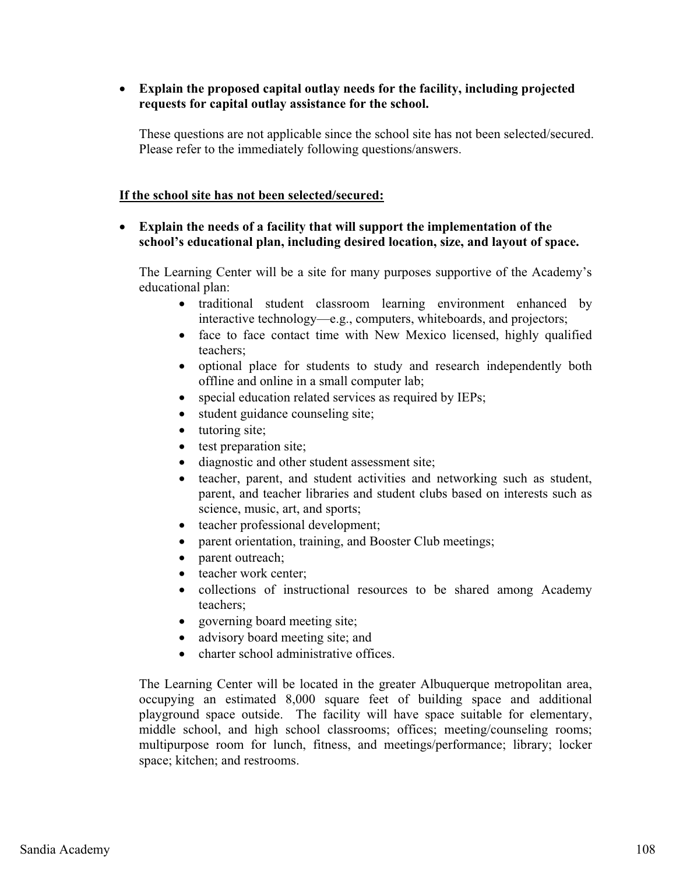#### - **Explain the proposed capital outlay needs for the facility, including projected requests for capital outlay assistance for the school.**

These questions are not applicable since the school site has not been selected/secured. Please refer to the immediately following questions/answers.

#### **If the school site has not been selected/secured:**

#### - **Explain the needs of a facility that will support the implementation of the school's educational plan, including desired location, size, and layout of space.**

The Learning Center will be a site for many purposes supportive of the Academy's educational plan:

- traditional student classroom learning environment enhanced by interactive technology—e.g., computers, whiteboards, and projectors;
- face to face contact time with New Mexico licensed, highly qualified teachers;
- optional place for students to study and research independently both offline and online in a small computer lab;
- $\bullet$ special education related services as required by IEPs;
- $\bullet$ student guidance counseling site;
- tutoring site;
- $\bullet$ test preparation site;
- $\bullet$ diagnostic and other student assessment site;
- $\bullet$  teacher, parent, and student activities and networking such as student, parent, and teacher libraries and student clubs based on interests such as science, music, art, and sports;
- teacher professional development;
- parent orientation, training, and Booster Club meetings;
- $\bullet$ parent outreach;
- $\bullet$ teacher work center;
- $\bullet$  collections of instructional resources to be shared among Academy teachers;
- governing board meeting site;
- $\bullet$ advisory board meeting site; and
- $\bullet$ charter school administrative offices.

The Learning Center will be located in the greater Albuquerque metropolitan area, occupying an estimated 8,000 square feet of building space and additional playground space outside. The facility will have space suitable for elementary, middle school, and high school classrooms; offices; meeting/counseling rooms; multipurpose room for lunch, fitness, and meetings/performance; library; locker space; kitchen; and restrooms.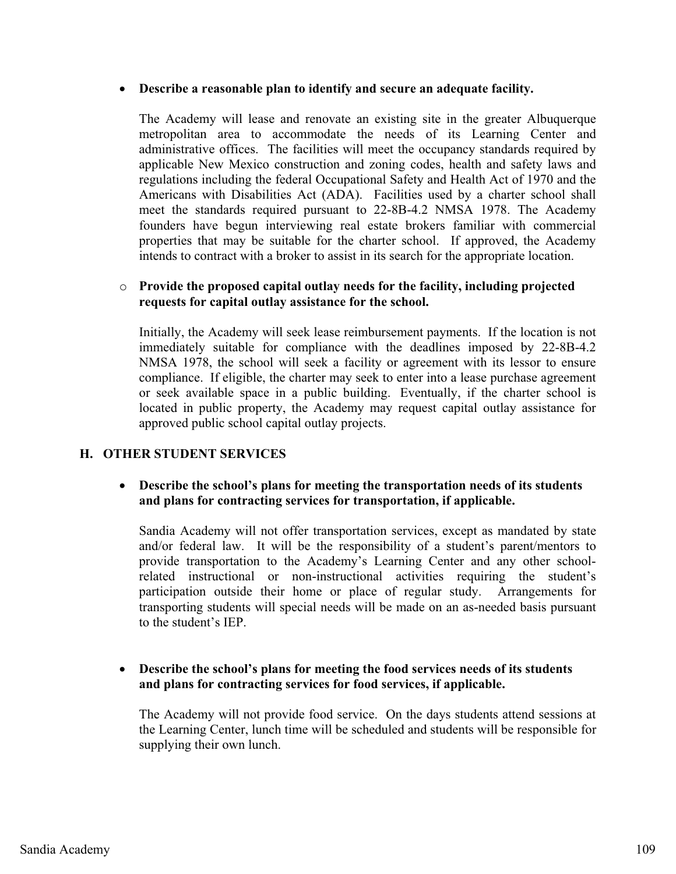## - **Describe a reasonable plan to identify and secure an adequate facility.**

The Academy will lease and renovate an existing site in the greater Albuquerque metropolitan area to accommodate the needs of its Learning Center and administrative offices. The facilities will meet the occupancy standards required by applicable New Mexico construction and zoning codes, health and safety laws and regulations including the federal Occupational Safety and Health Act of 1970 and the Americans with Disabilities Act (ADA). Facilities used by a charter school shall meet the standards required pursuant to 22-8B-4.2 NMSA 1978. The Academy founders have begun interviewing real estate brokers familiar with commercial properties that may be suitable for the charter school. If approved, the Academy intends to contract with a broker to assist in its search for the appropriate location.

#### o **Provide the proposed capital outlay needs for the facility, including projected requests for capital outlay assistance for the school.**

Initially, the Academy will seek lease reimbursement payments. If the location is not immediately suitable for compliance with the deadlines imposed by 22-8B-4.2 NMSA 1978, the school will seek a facility or agreement with its lessor to ensure compliance. If eligible, the charter may seek to enter into a lease purchase agreement or seek available space in a public building. Eventually, if the charter school is located in public property, the Academy may request capital outlay assistance for approved public school capital outlay projects.

#### **H. OTHER STUDENT SERVICES**

### - **Describe the school's plans for meeting the transportation needs of its students and plans for contracting services for transportation, if applicable.**

Sandia Academy will not offer transportation services, except as mandated by state and/or federal law. It will be the responsibility of a student's parent/mentors to provide transportation to the Academy's Learning Center and any other schoolrelated instructional or non-instructional activities requiring the student's participation outside their home or place of regular study. Arrangements for transporting students will special needs will be made on an as-needed basis pursuant to the student's IEP.

#### - **Describe the school's plans for meeting the food services needs of its students and plans for contracting services for food services, if applicable.**

The Academy will not provide food service. On the days students attend sessions at the Learning Center, lunch time will be scheduled and students will be responsible for supplying their own lunch.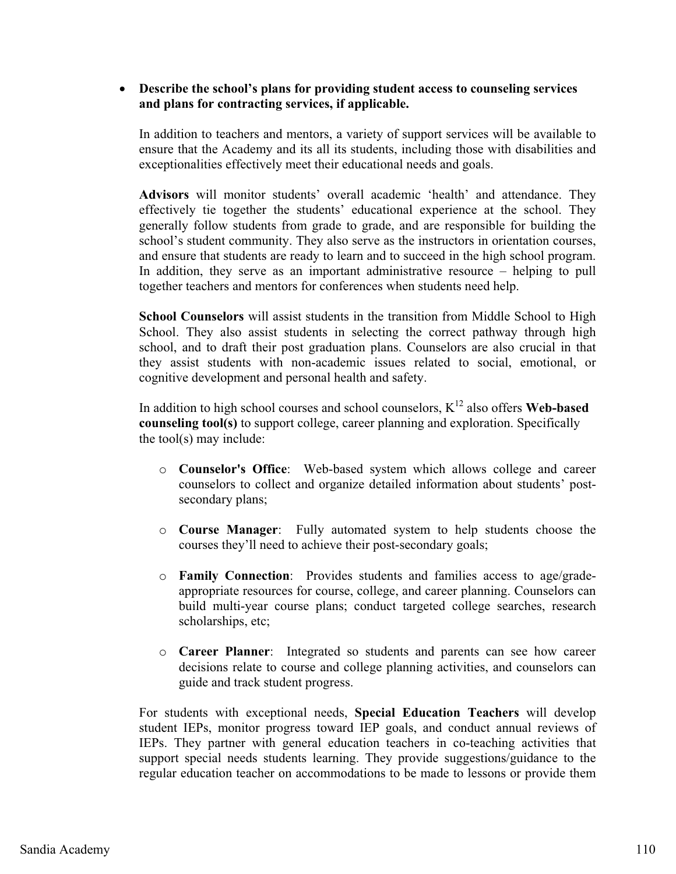#### - **Describe the school's plans for providing student access to counseling services and plans for contracting services, if applicable.**

In addition to teachers and mentors, a variety of support services will be available to ensure that the Academy and its all its students, including those with disabilities and exceptionalities effectively meet their educational needs and goals.

**Advisors** will monitor students' overall academic 'health' and attendance. They effectively tie together the students' educational experience at the school. They generally follow students from grade to grade, and are responsible for building the school's student community. They also serve as the instructors in orientation courses, and ensure that students are ready to learn and to succeed in the high school program. In addition, they serve as an important administrative resource – helping to pull together teachers and mentors for conferences when students need help.

**School Counselors** will assist students in the transition from Middle School to High School. They also assist students in selecting the correct pathway through high school, and to draft their post graduation plans. Counselors are also crucial in that they assist students with non-academic issues related to social, emotional, or cognitive development and personal health and safety.

In addition to high school courses and school counselors,  $K^{12}$  also offers **Web-based counseling tool(s)** to support college, career planning and exploration. Specifically the tool(s) may include:

- o **Counselor's Office**: Web-based system which allows college and career counselors to collect and organize detailed information about students' postsecondary plans;
- o **Course Manager**: Fully automated system to help students choose the courses they'll need to achieve their post-secondary goals;
- o **Family Connection**: Provides students and families access to age/gradeappropriate resources for course, college, and career planning. Counselors can build multi-year course plans; conduct targeted college searches, research scholarships, etc;
- o **Career Planner**: Integrated so students and parents can see how career decisions relate to course and college planning activities, and counselors can guide and track student progress.

For students with exceptional needs, **Special Education Teachers** will develop student IEPs, monitor progress toward IEP goals, and conduct annual reviews of IEPs. They partner with general education teachers in co-teaching activities that support special needs students learning. They provide suggestions/guidance to the regular education teacher on accommodations to be made to lessons or provide them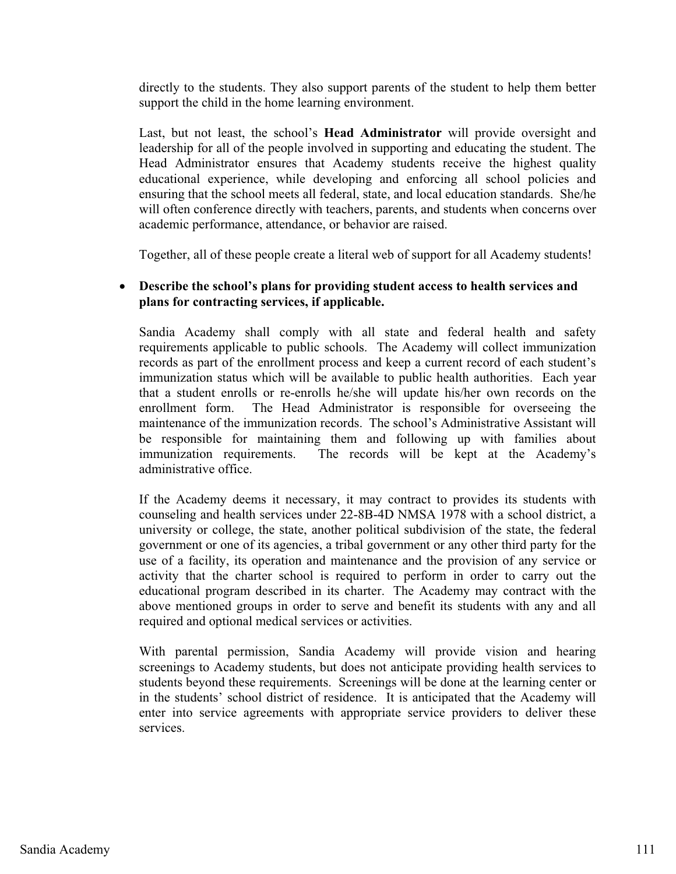directly to the students. They also support parents of the student to help them better support the child in the home learning environment.

Last, but not least, the school's **Head Administrator** will provide oversight and leadership for all of the people involved in supporting and educating the student. The Head Administrator ensures that Academy students receive the highest quality educational experience, while developing and enforcing all school policies and ensuring that the school meets all federal, state, and local education standards. She/he will often conference directly with teachers, parents, and students when concerns over academic performance, attendance, or behavior are raised.

Together, all of these people create a literal web of support for all Academy students!

#### $\bullet$  **Describe the school's plans for providing student access to health services and plans for contracting services, if applicable.**

Sandia Academy shall comply with all state and federal health and safety requirements applicable to public schools. The Academy will collect immunization records as part of the enrollment process and keep a current record of each student's immunization status which will be available to public health authorities. Each year that a student enrolls or re-enrolls he/she will update his/her own records on the enrollment form. The Head Administrator is responsible for overseeing the maintenance of the immunization records. The school's Administrative Assistant will be responsible for maintaining them and following up with families about immunization requirements. The records will be kept at the Academy's administrative office.

If the Academy deems it necessary, it may contract to provides its students with counseling and health services under 22-8B-4D NMSA 1978 with a school district, a university or college, the state, another political subdivision of the state, the federal government or one of its agencies, a tribal government or any other third party for the use of a facility, its operation and maintenance and the provision of any service or activity that the charter school is required to perform in order to carry out the educational program described in its charter. The Academy may contract with the above mentioned groups in order to serve and benefit its students with any and all required and optional medical services or activities.

With parental permission, Sandia Academy will provide vision and hearing screenings to Academy students, but does not anticipate providing health services to students beyond these requirements. Screenings will be done at the learning center or in the students' school district of residence. It is anticipated that the Academy will enter into service agreements with appropriate service providers to deliver these services.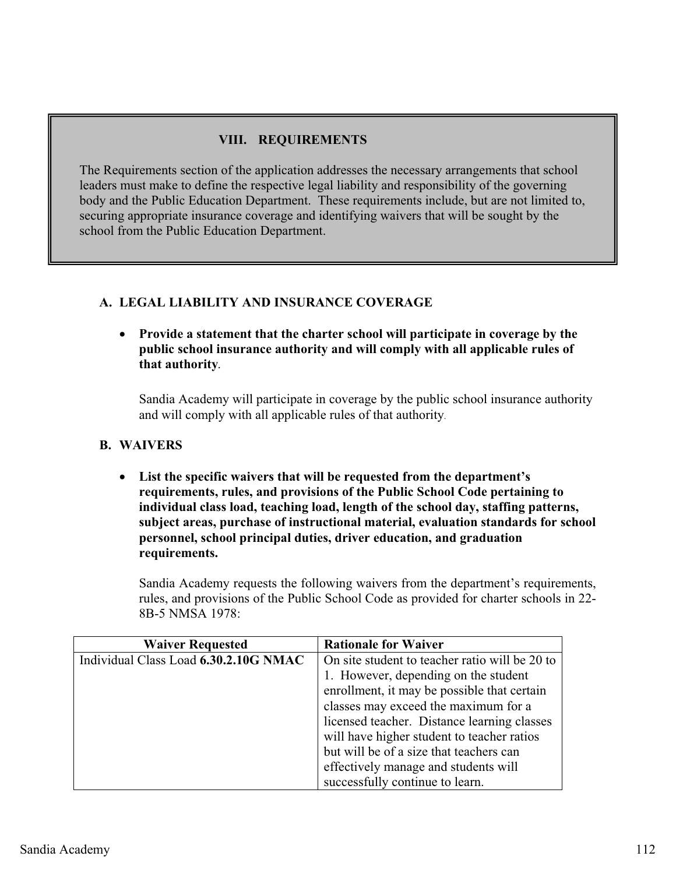## **VIII. REQUIREMENTS**

The Requirements section of the application addresses the necessary arrangements that school leaders must make to define the respective legal liability and responsibility of the governing body and the Public Education Department. These requirements include, but are not limited to, securing appropriate insurance coverage and identifying waivers that will be sought by the school from the Public Education Department.

### **A. LEGAL LIABILITY AND INSURANCE COVERAGE**

- **Provide a statement that the charter school will participate in coverage by the public school insurance authority and will comply with all applicable rules of that authority.**

Sandia Academy will participate in coverage by the public school insurance authority and will comply with all applicable rules of that authority.

#### **B. WAIVERS**

- **List the specific waivers that will be requested from the department's requirements, rules, and provisions of the Public School Code pertaining to individual class load, teaching load, length of the school day, staffing patterns, subject areas, purchase of instructional material, evaluation standards for school personnel, school principal duties, driver education, and graduation requirements.**

Sandia Academy requests the following waivers from the department's requirements, rules, and provisions of the Public School Code as provided for charter schools in 22- 8B-5 NMSA 1978:

| <b>Waiver Requested</b>               | <b>Rationale for Waiver</b>                    |  |
|---------------------------------------|------------------------------------------------|--|
| Individual Class Load 6.30.2.10G NMAC | On site student to teacher ratio will be 20 to |  |
|                                       | 1. However, depending on the student           |  |
|                                       | enrollment, it may be possible that certain    |  |
|                                       | classes may exceed the maximum for a           |  |
|                                       | licensed teacher. Distance learning classes    |  |
|                                       | will have higher student to teacher ratios     |  |
|                                       | but will be of a size that teachers can        |  |
|                                       | effectively manage and students will           |  |
|                                       | successfully continue to learn.                |  |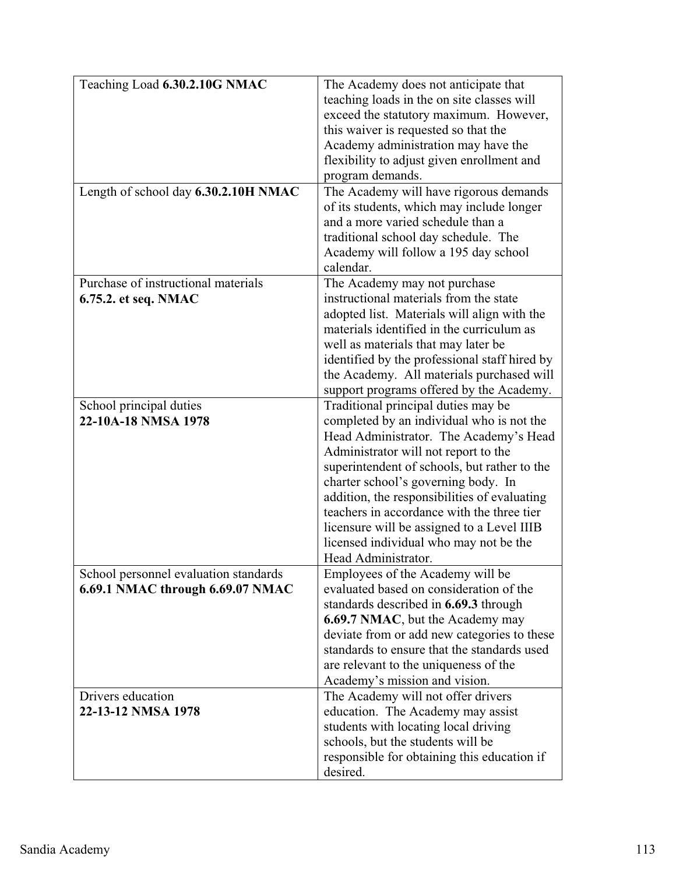| Teaching Load 6.30.2.10G NMAC         | The Academy does not anticipate that          |
|---------------------------------------|-----------------------------------------------|
|                                       | teaching loads in the on site classes will    |
|                                       | exceed the statutory maximum. However,        |
|                                       | this waiver is requested so that the          |
|                                       | Academy administration may have the           |
|                                       | flexibility to adjust given enrollment and    |
|                                       | program demands.                              |
| Length of school day 6.30.2.10H NMAC  | The Academy will have rigorous demands        |
|                                       | of its students, which may include longer     |
|                                       | and a more varied schedule than a             |
|                                       | traditional school day schedule. The          |
|                                       | Academy will follow a 195 day school          |
|                                       | calendar.                                     |
| Purchase of instructional materials   | The Academy may not purchase                  |
| 6.75.2. et seq. NMAC                  | instructional materials from the state        |
|                                       | adopted list. Materials will align with the   |
|                                       | materials identified in the curriculum as     |
|                                       | well as materials that may later be           |
|                                       | identified by the professional staff hired by |
|                                       | the Academy. All materials purchased will     |
|                                       | support programs offered by the Academy.      |
| School principal duties               | Traditional principal duties may be           |
| 22-10A-18 NMSA 1978                   | completed by an individual who is not the     |
|                                       | Head Administrator. The Academy's Head        |
|                                       | Administrator will not report to the          |
|                                       | superintendent of schools, but rather to the  |
|                                       | charter school's governing body. In           |
|                                       | addition, the responsibilities of evaluating  |
|                                       | teachers in accordance with the three tier    |
|                                       | licensure will be assigned to a Level IIIB    |
|                                       | licensed individual who may not be the        |
|                                       | Head Administrator.                           |
| School personnel evaluation standards | Employees of the Academy will be              |
| 6.69.1 NMAC through 6.69.07 NMAC      | evaluated based on consideration of the       |
|                                       | standards described in 6.69.3 through         |
|                                       | 6.69.7 NMAC, but the Academy may              |
|                                       | deviate from or add new categories to these   |
|                                       | standards to ensure that the standards used   |
|                                       | are relevant to the uniqueness of the         |
|                                       | Academy's mission and vision.                 |
| Drivers education                     | The Academy will not offer drivers            |
| 22-13-12 NMSA 1978                    | education. The Academy may assist             |
|                                       | students with locating local driving          |
|                                       | schools, but the students will be             |
|                                       | responsible for obtaining this education if   |
|                                       | desired.                                      |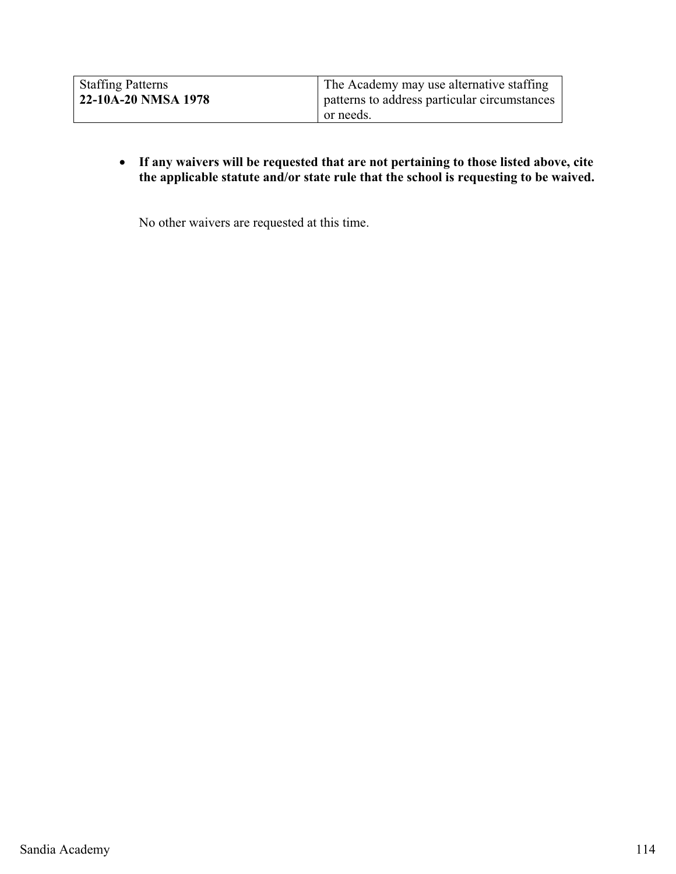| <b>Staffing Patterns</b><br>22-10A-20 NMSA 1978 | The Academy may use alternative staffing<br>patterns to address particular circumstances<br>or needs. |
|-------------------------------------------------|-------------------------------------------------------------------------------------------------------|
|-------------------------------------------------|-------------------------------------------------------------------------------------------------------|

- **If any waivers will be requested that are not pertaining to those listed above, cite the applicable statute and/or state rule that the school is requesting to be waived.** 

No other waivers are requested at this time.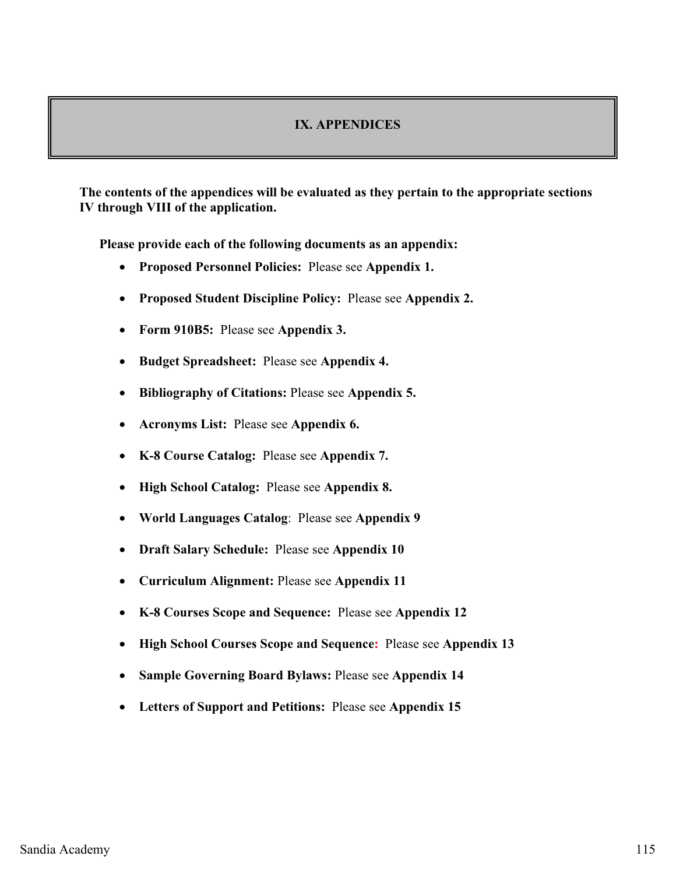#### **IX. APPENDICES**

**The contents of the appendices will be evaluated as they pertain to the appropriate sections IV through VIII of the application.** 

**Please provide each of the following documents as an appendix:** 

- **Proposed Personnel Policies:** Please see **Appendix 1.**
- $\bullet$ **Proposed Student Discipline Policy:** Please see **Appendix 2.**
- **Form 910B5:** Please see **Appendix 3.**
- $\bullet$ **Budget Spreadsheet:** Please see **Appendix 4.**
- $\bullet$ **Bibliography of Citations:** Please see **Appendix 5.**
- $\bullet$ **Acronyms List:** Please see **Appendix 6.**
- $\bullet$ **K-8 Course Catalog:** Please see **Appendix 7.**
- -**High School Catalog:** Please see **Appendix 8.**
- $\bullet$ **World Languages Catalog**: Please see **Appendix 9**
- $\bullet$ **Draft Salary Schedule:** Please see **Appendix 10**
- $\bullet$ **Curriculum Alignment:** Please see **Appendix 11**
- $\bullet$ **K-8 Courses Scope and Sequence:** Please see **Appendix 12**
- $\bullet$ **High School Courses Scope and Sequence:** Please see **Appendix 13**
- $\bullet$ **Sample Governing Board Bylaws:** Please see **Appendix 14**
- **Letters of Support and Petitions:** Please see **Appendix 15**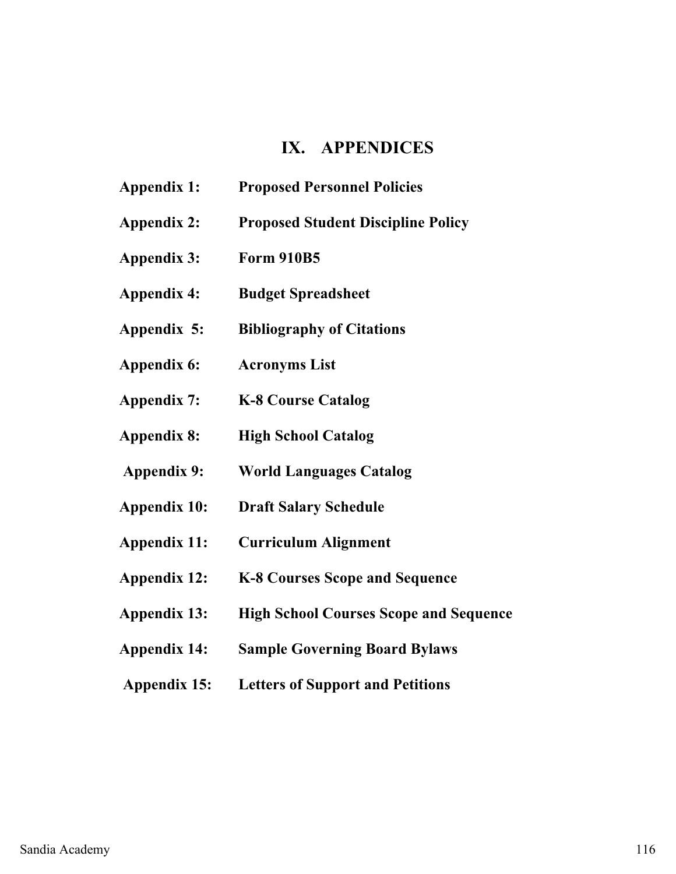# **IX. APPENDICES**

- **Appendix 1: Proposed Personnel Policies**
- **Appendix 2: Proposed Student Discipline Policy**
- **Appendix 3: Form 910B5**
- **Appendix 4: Budget Spreadsheet**
- **Appendix 5: Bibliography of Citations**
- **Appendix 6: Acronyms List**
- **Appendix 7: K-8 Course Catalog**
- **Appendix 8: High School Catalog**
- **Appendix 9: World Languages Catalog**
- **Appendix 10: Draft Salary Schedule**
- **Appendix 11: Curriculum Alignment**
- **Appendix 12: K-8 Courses Scope and Sequence**
- **Appendix 13: High School Courses Scope and Sequence**
- **Appendix 14: Sample Governing Board Bylaws**
- **Appendix 15: Letters of Support and Petitions**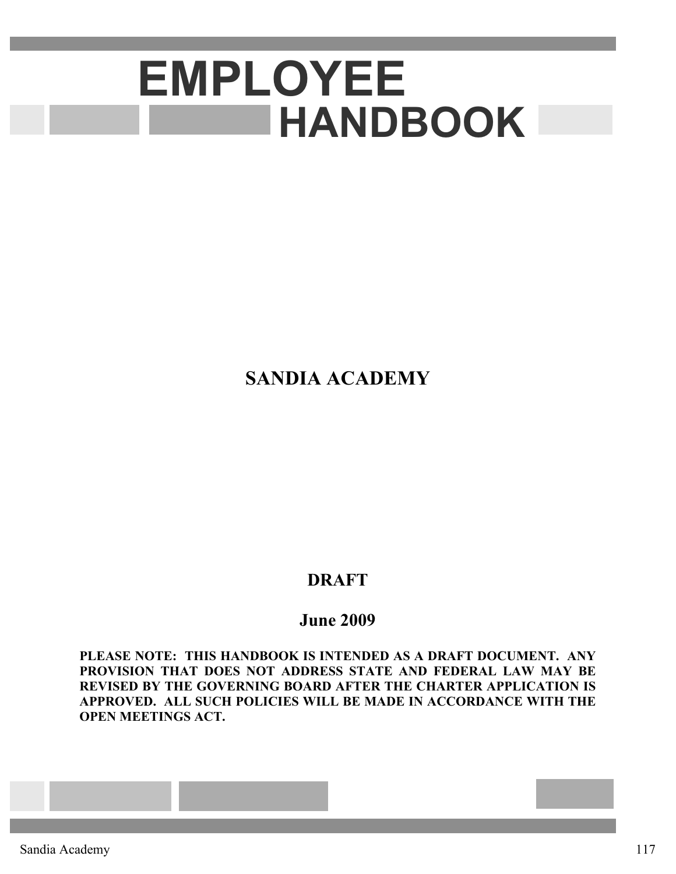# **EMPLOYEE HANDBOOK**

# **SANDIA ACADEMY**

# **DRAFT**

# **June 2009**

**PLEASE NOTE: THIS HANDBOOK IS INTENDED AS A DRAFT DOCUMENT. ANY PROVISION THAT DOES NOT ADDRESS STATE AND FEDERAL LAW MAY BE REVISED BY THE GOVERNING BOARD AFTER THE CHARTER APPLICATION IS APPROVED. ALL SUCH POLICIES WILL BE MADE IN ACCORDANCE WITH THE OPEN MEETINGS ACT.**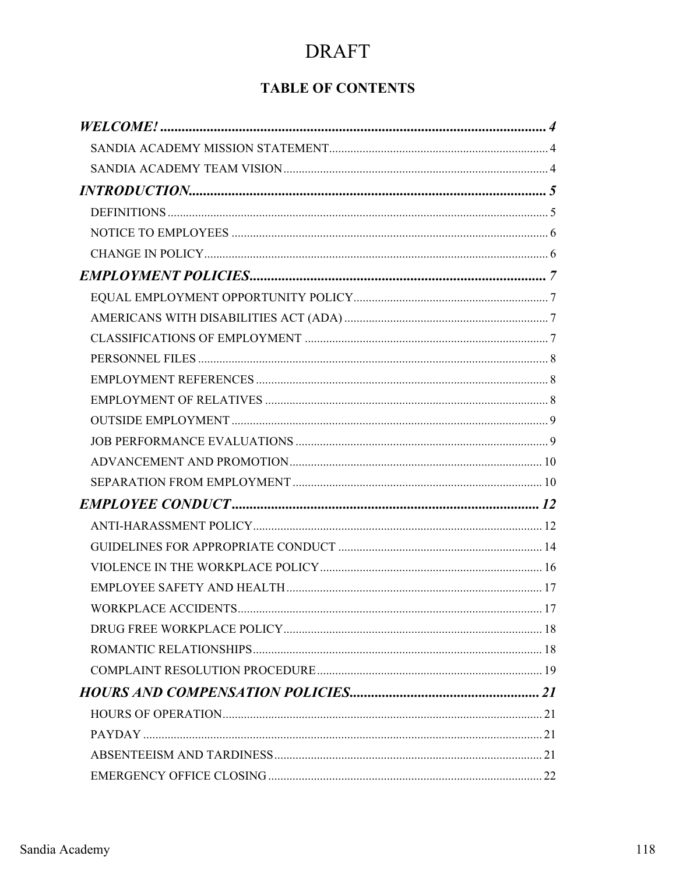# **TABLE OF CONTENTS**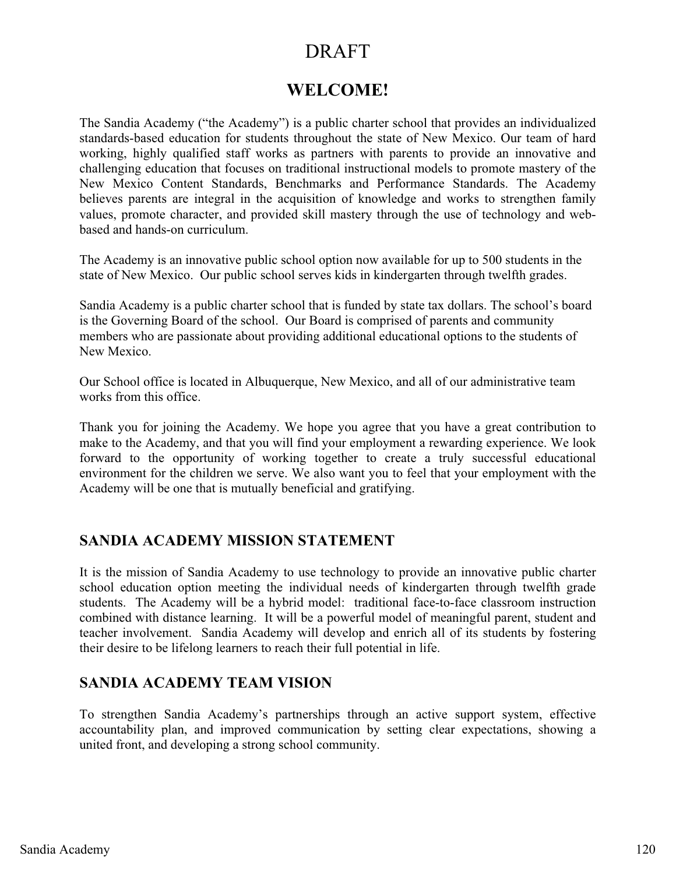# **WELCOME!**

The Sandia Academy ("the Academy") is a public charter school that provides an individualized standards-based education for students throughout the state of New Mexico. Our team of hard working, highly qualified staff works as partners with parents to provide an innovative and challenging education that focuses on traditional instructional models to promote mastery of the New Mexico Content Standards, Benchmarks and Performance Standards. The Academy believes parents are integral in the acquisition of knowledge and works to strengthen family values, promote character, and provided skill mastery through the use of technology and webbased and hands-on curriculum.

The Academy is an innovative public school option now available for up to 500 students in the state of New Mexico. Our public school serves kids in kindergarten through twelfth grades.

Sandia Academy is a public charter school that is funded by state tax dollars. The school's board is the Governing Board of the school. Our Board is comprised of parents and community members who are passionate about providing additional educational options to the students of New Mexico.

Our School office is located in Albuquerque, New Mexico, and all of our administrative team works from this office.

Thank you for joining the Academy. We hope you agree that you have a great contribution to make to the Academy, and that you will find your employment a rewarding experience. We look forward to the opportunity of working together to create a truly successful educational environment for the children we serve. We also want you to feel that your employment with the Academy will be one that is mutually beneficial and gratifying.

## **SANDIA ACADEMY MISSION STATEMENT**

It is the mission of Sandia Academy to use technology to provide an innovative public charter school education option meeting the individual needs of kindergarten through twelfth grade students. The Academy will be a hybrid model: traditional face-to-face classroom instruction combined with distance learning. It will be a powerful model of meaningful parent, student and teacher involvement. Sandia Academy will develop and enrich all of its students by fostering their desire to be lifelong learners to reach their full potential in life.

## **SANDIA ACADEMY TEAM VISION**

To strengthen Sandia Academy's partnerships through an active support system, effective accountability plan, and improved communication by setting clear expectations, showing a united front, and developing a strong school community.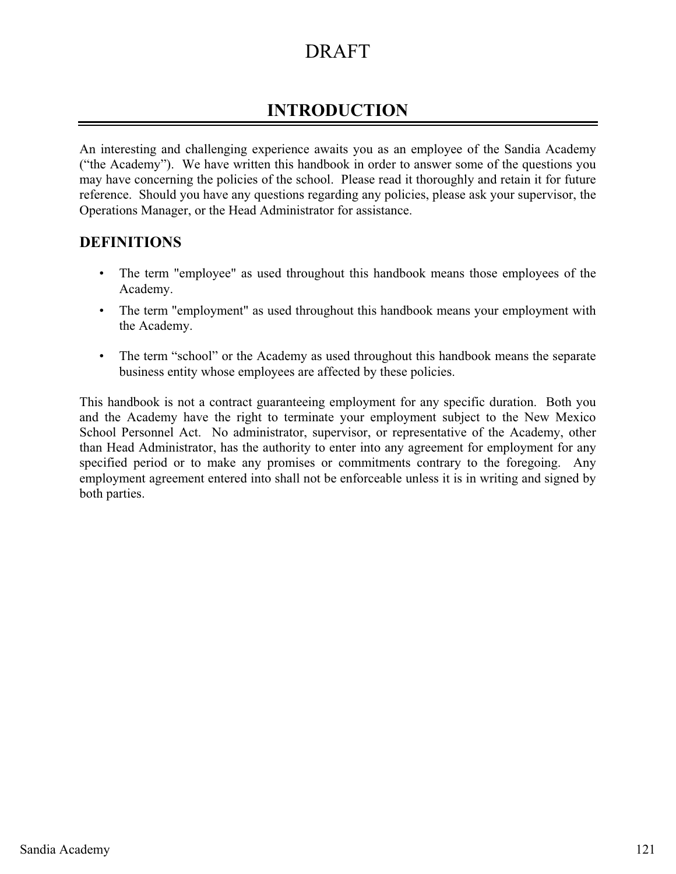# **INTRODUCTION**

An interesting and challenging experience awaits you as an employee of the Sandia Academy ("the Academy"). We have written this handbook in order to answer some of the questions you may have concerning the policies of the school. Please read it thoroughly and retain it for future reference. Should you have any questions regarding any policies, please ask your supervisor, the Operations Manager, or the Head Administrator for assistance.

## **DEFINITIONS**

- The term "employee" as used throughout this handbook means those employees of the Academy.
- The term "employment" as used throughout this handbook means your employment with the Academy.
- The term "school" or the Academy as used throughout this handbook means the separate business entity whose employees are affected by these policies.

This handbook is not a contract guaranteeing employment for any specific duration. Both you and the Academy have the right to terminate your employment subject to the New Mexico School Personnel Act. No administrator, supervisor, or representative of the Academy, other than Head Administrator, has the authority to enter into any agreement for employment for any specified period or to make any promises or commitments contrary to the foregoing. Any employment agreement entered into shall not be enforceable unless it is in writing and signed by both parties.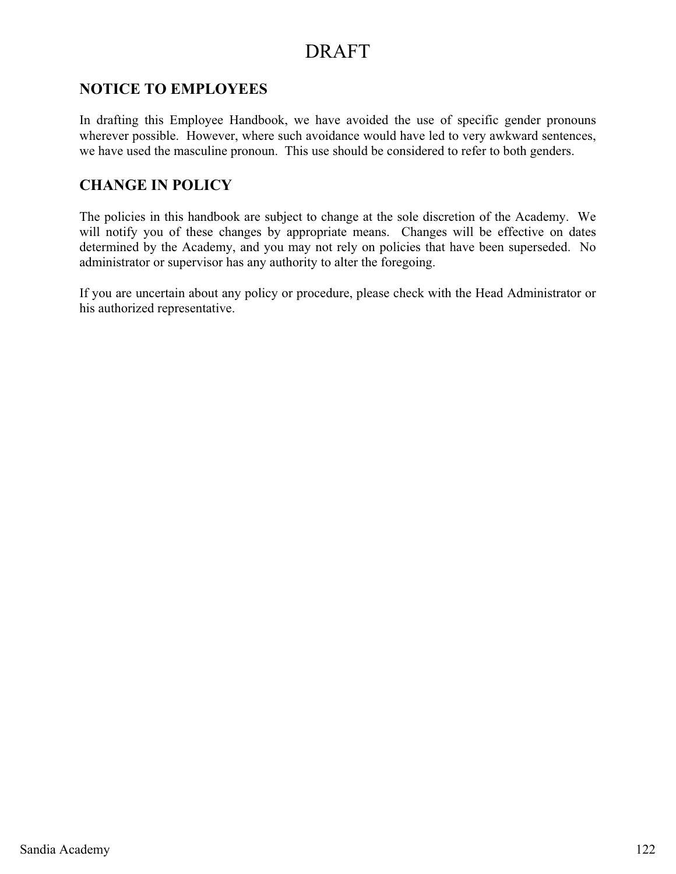## **NOTICE TO EMPLOYEES**

In drafting this Employee Handbook, we have avoided the use of specific gender pronouns wherever possible. However, where such avoidance would have led to very awkward sentences, we have used the masculine pronoun. This use should be considered to refer to both genders.

## **CHANGE IN POLICY**

The policies in this handbook are subject to change at the sole discretion of the Academy. We will notify you of these changes by appropriate means. Changes will be effective on dates determined by the Academy, and you may not rely on policies that have been superseded. No administrator or supervisor has any authority to alter the foregoing.

If you are uncertain about any policy or procedure, please check with the Head Administrator or his authorized representative.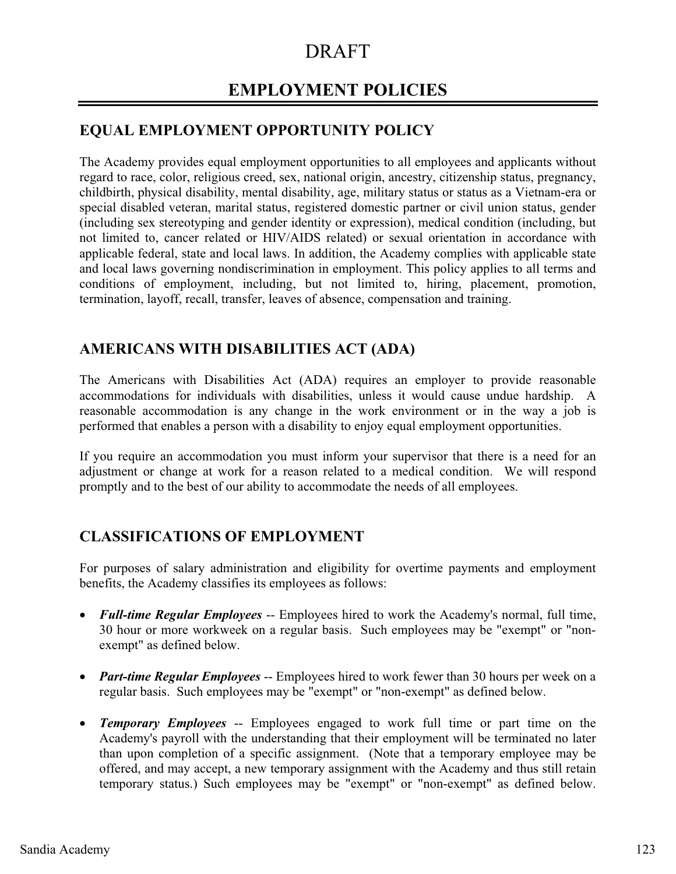# **EMPLOYMENT POLICIES**

# **EQUAL EMPLOYMENT OPPORTUNITY POLICY**

The Academy provides equal employment opportunities to all employees and applicants without regard to race, color, religious creed, sex, national origin, ancestry, citizenship status, pregnancy, childbirth, physical disability, mental disability, age, military status or status as a Vietnam-era or special disabled veteran, marital status, registered domestic partner or civil union status, gender (including sex stereotyping and gender identity or expression), medical condition (including, but not limited to, cancer related or HIV/AIDS related) or sexual orientation in accordance with applicable federal, state and local laws. In addition, the Academy complies with applicable state and local laws governing nondiscrimination in employment. This policy applies to all terms and conditions of employment, including, but not limited to, hiring, placement, promotion, termination, layoff, recall, transfer, leaves of absence, compensation and training.

# **AMERICANS WITH DISABILITIES ACT (ADA)**

The Americans with Disabilities Act (ADA) requires an employer to provide reasonable accommodations for individuals with disabilities, unless it would cause undue hardship. A reasonable accommodation is any change in the work environment or in the way a job is performed that enables a person with a disability to enjoy equal employment opportunities.

If you require an accommodation you must inform your supervisor that there is a need for an adjustment or change at work for a reason related to a medical condition. We will respond promptly and to the best of our ability to accommodate the needs of all employees.

# **CLASSIFICATIONS OF EMPLOYMENT**

For purposes of salary administration and eligibility for overtime payments and employment benefits, the Academy classifies its employees as follows:

- *Full-time Regular Employees* -- Employees hired to work the Academy's normal, full time, 30 hour or more workweek on a regular basis. Such employees may be "exempt" or "nonexempt" as defined below.
- *Part-time Regular Employees* -- Employees hired to work fewer than 30 hours per week on a regular basis. Such employees may be "exempt" or "non-exempt" as defined below.
- *Temporary Employees* -- Employees engaged to work full time or part time on the Academy's payroll with the understanding that their employment will be terminated no later than upon completion of a specific assignment. (Note that a temporary employee may be offered, and may accept, a new temporary assignment with the Academy and thus still retain temporary status.) Such employees may be "exempt" or "non-exempt" as defined below.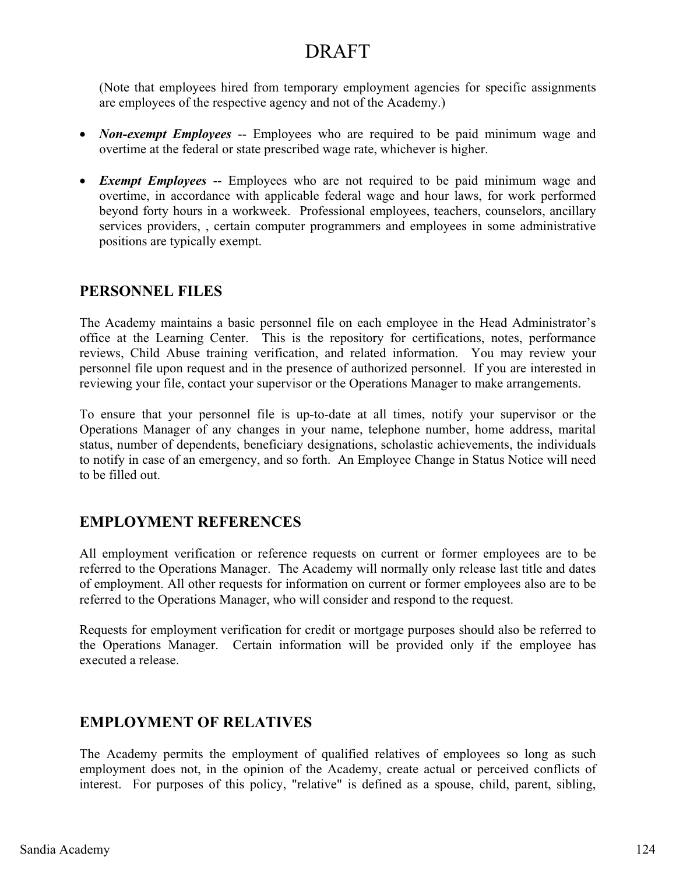(Note that employees hired from temporary employment agencies for specific assignments are employees of the respective agency and not of the Academy.)

- *Non-exempt Employees* -- Employees who are required to be paid minimum wage and overtime at the federal or state prescribed wage rate, whichever is higher.
- *Exempt Employees* -- Employees who are not required to be paid minimum wage and overtime, in accordance with applicable federal wage and hour laws, for work performed beyond forty hours in a workweek. Professional employees, teachers, counselors, ancillary services providers, , certain computer programmers and employees in some administrative positions are typically exempt.

## **PERSONNEL FILES**

The Academy maintains a basic personnel file on each employee in the Head Administrator's office at the Learning Center. This is the repository for certifications, notes, performance reviews, Child Abuse training verification, and related information. You may review your personnel file upon request and in the presence of authorized personnel. If you are interested in reviewing your file, contact your supervisor or the Operations Manager to make arrangements.

To ensure that your personnel file is up-to-date at all times, notify your supervisor or the Operations Manager of any changes in your name, telephone number, home address, marital status, number of dependents, beneficiary designations, scholastic achievements, the individuals to notify in case of an emergency, and so forth. An Employee Change in Status Notice will need to be filled out.

## **EMPLOYMENT REFERENCES**

All employment verification or reference requests on current or former employees are to be referred to the Operations Manager. The Academy will normally only release last title and dates of employment. All other requests for information on current or former employees also are to be referred to the Operations Manager, who will consider and respond to the request.

Requests for employment verification for credit or mortgage purposes should also be referred to the Operations Manager. Certain information will be provided only if the employee has executed a release.

## **EMPLOYMENT OF RELATIVES**

The Academy permits the employment of qualified relatives of employees so long as such employment does not, in the opinion of the Academy, create actual or perceived conflicts of interest. For purposes of this policy, "relative" is defined as a spouse, child, parent, sibling,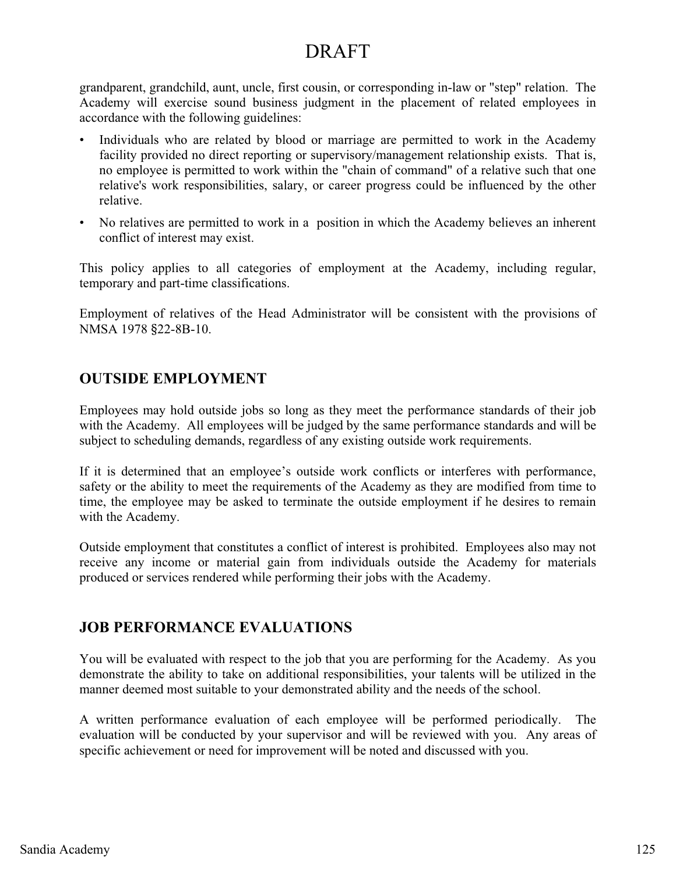grandparent, grandchild, aunt, uncle, first cousin, or corresponding in-law or "step" relation. The Academy will exercise sound business judgment in the placement of related employees in accordance with the following guidelines:

- Individuals who are related by blood or marriage are permitted to work in the Academy facility provided no direct reporting or supervisory/management relationship exists. That is, no employee is permitted to work within the "chain of command" of a relative such that one relative's work responsibilities, salary, or career progress could be influenced by the other relative.
- No relatives are permitted to work in a position in which the Academy believes an inherent conflict of interest may exist.

This policy applies to all categories of employment at the Academy, including regular, temporary and part-time classifications.

Employment of relatives of the Head Administrator will be consistent with the provisions of NMSA 1978 §22-8B-10.

# **OUTSIDE EMPLOYMENT**

Employees may hold outside jobs so long as they meet the performance standards of their job with the Academy. All employees will be judged by the same performance standards and will be subject to scheduling demands, regardless of any existing outside work requirements.

If it is determined that an employee's outside work conflicts or interferes with performance, safety or the ability to meet the requirements of the Academy as they are modified from time to time, the employee may be asked to terminate the outside employment if he desires to remain with the Academy.

Outside employment that constitutes a conflict of interest is prohibited. Employees also may not receive any income or material gain from individuals outside the Academy for materials produced or services rendered while performing their jobs with the Academy.

# **JOB PERFORMANCE EVALUATIONS**

You will be evaluated with respect to the job that you are performing for the Academy. As you demonstrate the ability to take on additional responsibilities, your talents will be utilized in the manner deemed most suitable to your demonstrated ability and the needs of the school.

A written performance evaluation of each employee will be performed periodically. The evaluation will be conducted by your supervisor and will be reviewed with you. Any areas of specific achievement or need for improvement will be noted and discussed with you.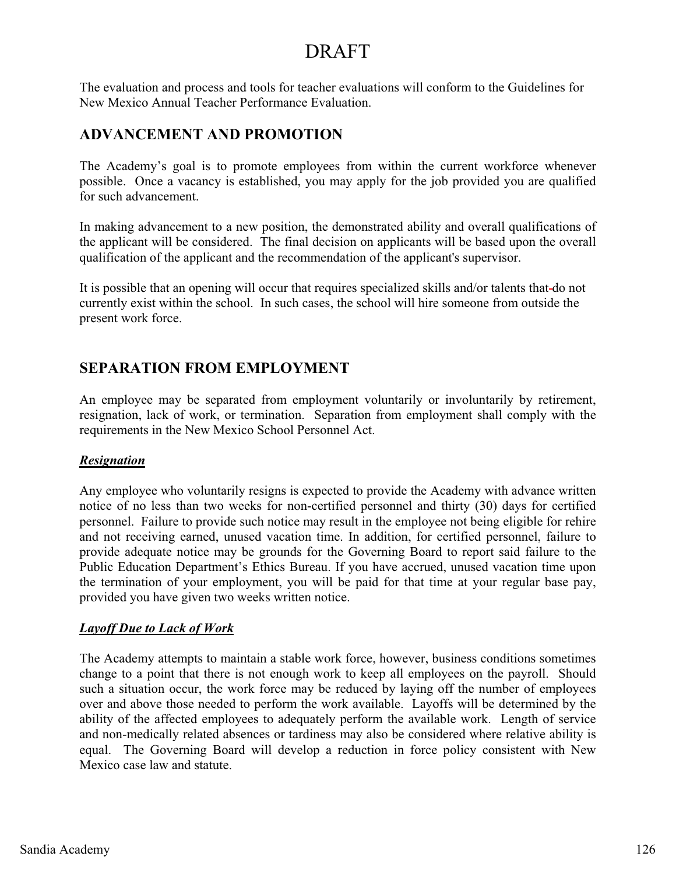The evaluation and process and tools for teacher evaluations will conform to the Guidelines for New Mexico Annual Teacher Performance Evaluation.

## **ADVANCEMENT AND PROMOTION**

The Academy's goal is to promote employees from within the current workforce whenever possible. Once a vacancy is established, you may apply for the job provided you are qualified for such advancement.

In making advancement to a new position, the demonstrated ability and overall qualifications of the applicant will be considered. The final decision on applicants will be based upon the overall qualification of the applicant and the recommendation of the applicant's supervisor.

It is possible that an opening will occur that requires specialized skills and/or talents that do not currently exist within the school. In such cases, the school will hire someone from outside the present work force.

# **SEPARATION FROM EMPLOYMENT**

An employee may be separated from employment voluntarily or involuntarily by retirement, resignation, lack of work, or termination. Separation from employment shall comply with the requirements in the New Mexico School Personnel Act.

## *Resignation*

Any employee who voluntarily resigns is expected to provide the Academy with advance written notice of no less than two weeks for non-certified personnel and thirty (30) days for certified personnel. Failure to provide such notice may result in the employee not being eligible for rehire and not receiving earned, unused vacation time. In addition, for certified personnel, failure to provide adequate notice may be grounds for the Governing Board to report said failure to the Public Education Department's Ethics Bureau. If you have accrued, unused vacation time upon the termination of your employment, you will be paid for that time at your regular base pay, provided you have given two weeks written notice.

## *Layoff Due to Lack of Work*

The Academy attempts to maintain a stable work force, however, business conditions sometimes change to a point that there is not enough work to keep all employees on the payroll. Should such a situation occur, the work force may be reduced by laying off the number of employees over and above those needed to perform the work available. Layoffs will be determined by the ability of the affected employees to adequately perform the available work. Length of service and non-medically related absences or tardiness may also be considered where relative ability is equal. The Governing Board will develop a reduction in force policy consistent with New Mexico case law and statute.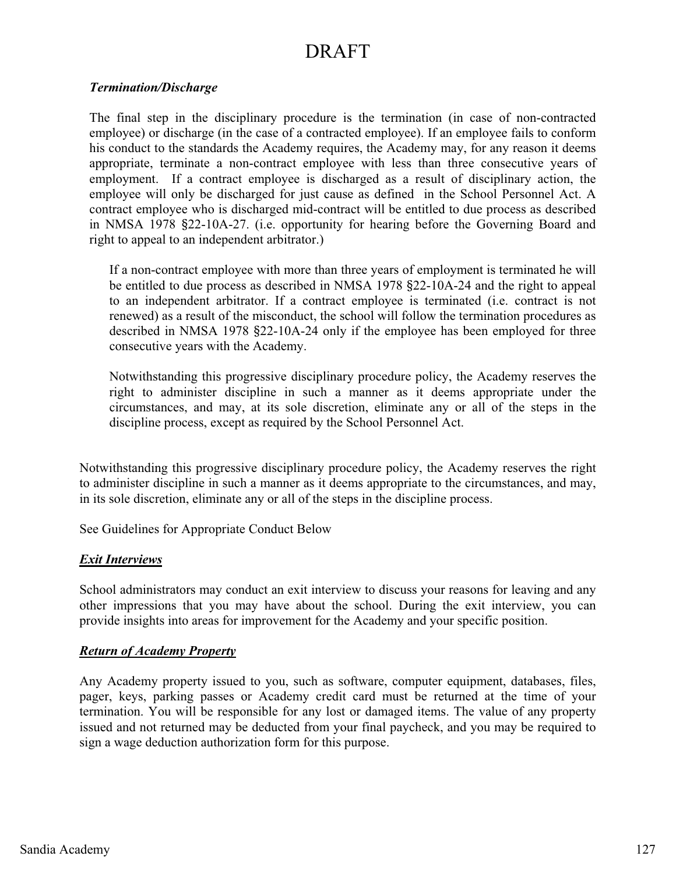#### *Termination/Discharge*

The final step in the disciplinary procedure is the termination (in case of non-contracted employee) or discharge (in the case of a contracted employee). If an employee fails to conform his conduct to the standards the Academy requires, the Academy may, for any reason it deems appropriate, terminate a non-contract employee with less than three consecutive years of employment. If a contract employee is discharged as a result of disciplinary action, the employee will only be discharged for just cause as defined in the School Personnel Act. A contract employee who is discharged mid-contract will be entitled to due process as described in NMSA 1978 §22-10A-27. (i.e. opportunity for hearing before the Governing Board and right to appeal to an independent arbitrator.)

If a non-contract employee with more than three years of employment is terminated he will be entitled to due process as described in NMSA 1978 §22-10A-24 and the right to appeal to an independent arbitrator. If a contract employee is terminated (i.e. contract is not renewed) as a result of the misconduct, the school will follow the termination procedures as described in NMSA 1978 §22-10A-24 only if the employee has been employed for three consecutive years with the Academy.

Notwithstanding this progressive disciplinary procedure policy, the Academy reserves the right to administer discipline in such a manner as it deems appropriate under the circumstances, and may, at its sole discretion, eliminate any or all of the steps in the discipline process, except as required by the School Personnel Act.

Notwithstanding this progressive disciplinary procedure policy, the Academy reserves the right to administer discipline in such a manner as it deems appropriate to the circumstances, and may, in its sole discretion, eliminate any or all of the steps in the discipline process.

See Guidelines for Appropriate Conduct Below

#### *Exit Interviews*

School administrators may conduct an exit interview to discuss your reasons for leaving and any other impressions that you may have about the school. During the exit interview, you can provide insights into areas for improvement for the Academy and your specific position.

#### *Return of Academy Property*

Any Academy property issued to you, such as software, computer equipment, databases, files, pager, keys, parking passes or Academy credit card must be returned at the time of your termination. You will be responsible for any lost or damaged items. The value of any property issued and not returned may be deducted from your final paycheck, and you may be required to sign a wage deduction authorization form for this purpose.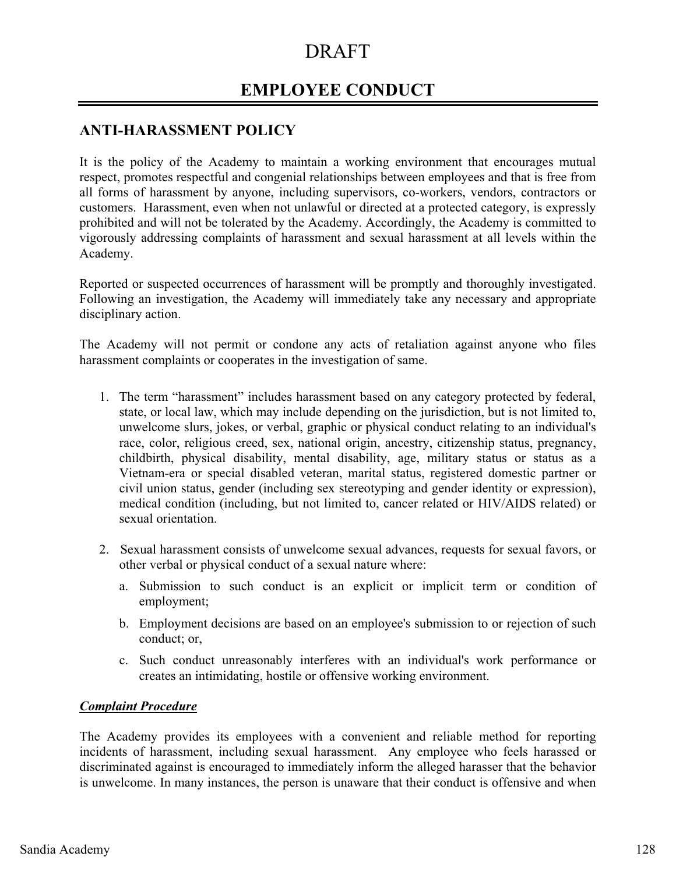# **EMPLOYEE CONDUCT**

## **ANTI-HARASSMENT POLICY**

It is the policy of the Academy to maintain a working environment that encourages mutual respect, promotes respectful and congenial relationships between employees and that is free from all forms of harassment by anyone, including supervisors, co-workers, vendors, contractors or customers. Harassment, even when not unlawful or directed at a protected category, is expressly prohibited and will not be tolerated by the Academy. Accordingly, the Academy is committed to vigorously addressing complaints of harassment and sexual harassment at all levels within the Academy.

Reported or suspected occurrences of harassment will be promptly and thoroughly investigated. Following an investigation, the Academy will immediately take any necessary and appropriate disciplinary action.

The Academy will not permit or condone any acts of retaliation against anyone who files harassment complaints or cooperates in the investigation of same.

- 1. The term "harassment" includes harassment based on any category protected by federal, state, or local law, which may include depending on the jurisdiction, but is not limited to, unwelcome slurs, jokes, or verbal, graphic or physical conduct relating to an individual's race, color, religious creed, sex, national origin, ancestry, citizenship status, pregnancy, childbirth, physical disability, mental disability, age, military status or status as a Vietnam-era or special disabled veteran, marital status, registered domestic partner or civil union status, gender (including sex stereotyping and gender identity or expression), medical condition (including, but not limited to, cancer related or HIV/AIDS related) or sexual orientation.
- 2. Sexual harassment consists of unwelcome sexual advances, requests for sexual favors, or other verbal or physical conduct of a sexual nature where:
	- a. Submission to such conduct is an explicit or implicit term or condition of employment;
	- b. Employment decisions are based on an employee's submission to or rejection of such conduct; or,
	- c. Such conduct unreasonably interferes with an individual's work performance or creates an intimidating, hostile or offensive working environment.

#### *Complaint Procedure*

The Academy provides its employees with a convenient and reliable method for reporting incidents of harassment, including sexual harassment. Any employee who feels harassed or discriminated against is encouraged to immediately inform the alleged harasser that the behavior is unwelcome. In many instances, the person is unaware that their conduct is offensive and when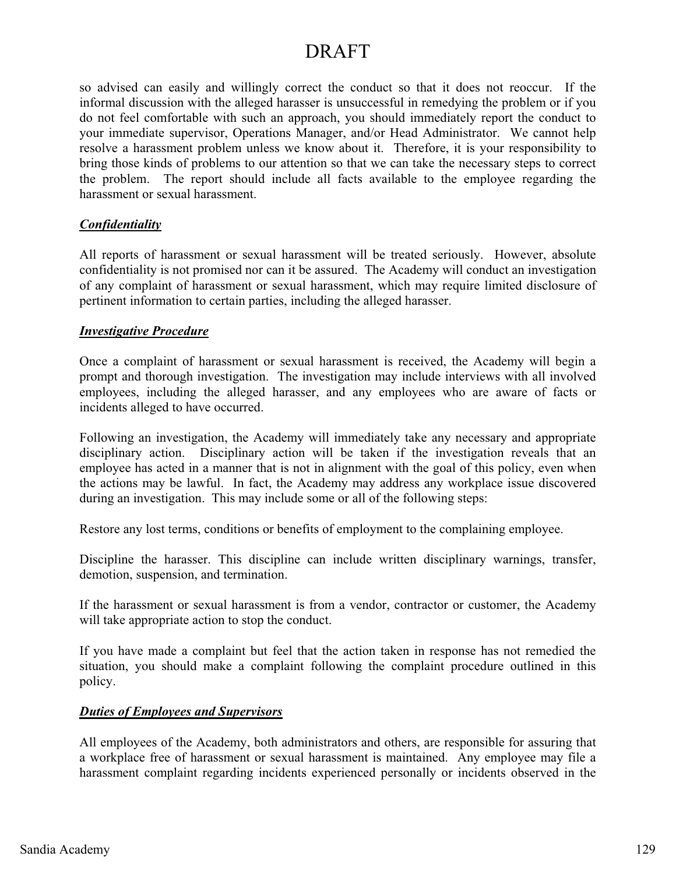so advised can easily and willingly correct the conduct so that it does not reoccur. If the informal discussion with the alleged harasser is unsuccessful in remedying the problem or if you do not feel comfortable with such an approach, you should immediately report the conduct to your immediate supervisor, Operations Manager, and/or Head Administrator. We cannot help resolve a harassment problem unless we know about it. Therefore, it is your responsibility to bring those kinds of problems to our attention so that we can take the necessary steps to correct the problem. The report should include all facts available to the employee regarding the harassment or sexual harassment.

#### *Confidentiality*

All reports of harassment or sexual harassment will be treated seriously. However, absolute confidentiality is not promised nor can it be assured. The Academy will conduct an investigation of any complaint of harassment or sexual harassment, which may require limited disclosure of pertinent information to certain parties, including the alleged harasser.

#### *Investigative Procedure*

Once a complaint of harassment or sexual harassment is received, the Academy will begin a prompt and thorough investigation. The investigation may include interviews with all involved employees, including the alleged harasser, and any employees who are aware of facts or incidents alleged to have occurred.

Following an investigation, the Academy will immediately take any necessary and appropriate disciplinary action. Disciplinary action will be taken if the investigation reveals that an employee has acted in a manner that is not in alignment with the goal of this policy, even when the actions may be lawful. In fact, the Academy may address any workplace issue discovered during an investigation. This may include some or all of the following steps:

Restore any lost terms, conditions or benefits of employment to the complaining employee.

Discipline the harasser. This discipline can include written disciplinary warnings, transfer, demotion, suspension, and termination.

If the harassment or sexual harassment is from a vendor, contractor or customer, the Academy will take appropriate action to stop the conduct.

If you have made a complaint but feel that the action taken in response has not remedied the situation, you should make a complaint following the complaint procedure outlined in this policy.

#### *Duties of Employees and Supervisors*

All employees of the Academy, both administrators and others, are responsible for assuring that a workplace free of harassment or sexual harassment is maintained. Any employee may file a harassment complaint regarding incidents experienced personally or incidents observed in the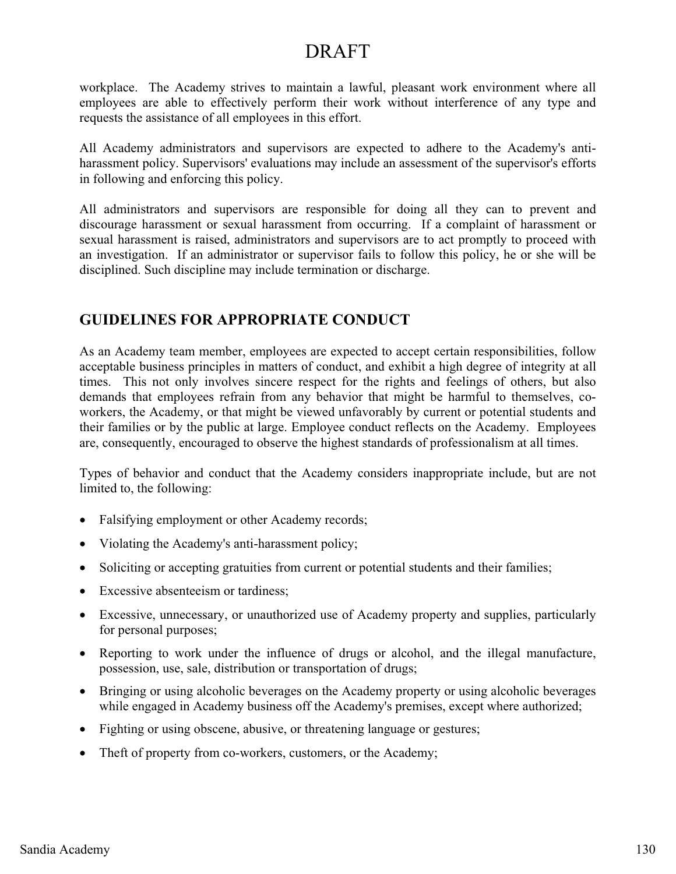workplace. The Academy strives to maintain a lawful, pleasant work environment where all employees are able to effectively perform their work without interference of any type and requests the assistance of all employees in this effort.

All Academy administrators and supervisors are expected to adhere to the Academy's antiharassment policy. Supervisors' evaluations may include an assessment of the supervisor's efforts in following and enforcing this policy.

All administrators and supervisors are responsible for doing all they can to prevent and discourage harassment or sexual harassment from occurring. If a complaint of harassment or sexual harassment is raised, administrators and supervisors are to act promptly to proceed with an investigation. If an administrator or supervisor fails to follow this policy, he or she will be disciplined. Such discipline may include termination or discharge.

# **GUIDELINES FOR APPROPRIATE CONDUCT**

As an Academy team member, employees are expected to accept certain responsibilities, follow acceptable business principles in matters of conduct, and exhibit a high degree of integrity at all times. This not only involves sincere respect for the rights and feelings of others, but also demands that employees refrain from any behavior that might be harmful to themselves, coworkers, the Academy, or that might be viewed unfavorably by current or potential students and their families or by the public at large. Employee conduct reflects on the Academy. Employees are, consequently, encouraged to observe the highest standards of professionalism at all times.

Types of behavior and conduct that the Academy considers inappropriate include, but are not limited to, the following:

- $\bullet$ Falsifying employment or other Academy records;
- Violating the Academy's anti-harassment policy;
- Soliciting or accepting gratuities from current or potential students and their families;
- Excessive absenteeism or tardiness;
- Excessive, unnecessary, or unauthorized use of Academy property and supplies, particularly for personal purposes;
- - Reporting to work under the influence of drugs or alcohol, and the illegal manufacture, possession, use, sale, distribution or transportation of drugs;
- Bringing or using alcoholic beverages on the Academy property or using alcoholic beverages while engaged in Academy business off the Academy's premises, except where authorized;
- Fighting or using obscene, abusive, or threatening language or gestures;
- Theft of property from co-workers, customers, or the Academy;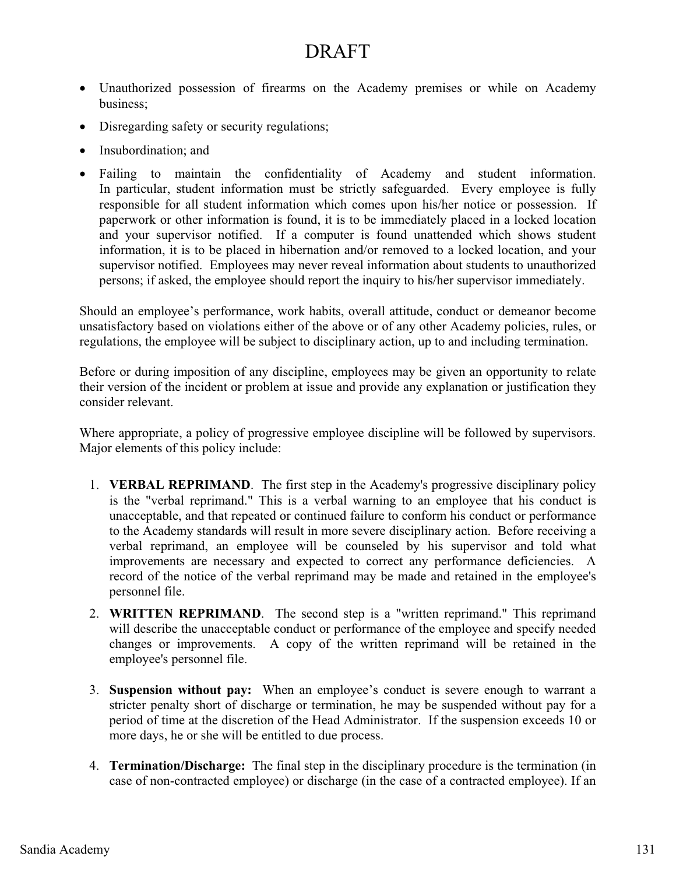- Unauthorized possession of firearms on the Academy premises or while on Academy business;
- Disregarding safety or security regulations;
- Insubordination; and
- Failing to maintain the confidentiality of Academy and student information. In particular, student information must be strictly safeguarded. Every employee is fully responsible for all student information which comes upon his/her notice or possession. If paperwork or other information is found, it is to be immediately placed in a locked location and your supervisor notified. If a computer is found unattended which shows student information, it is to be placed in hibernation and/or removed to a locked location, and your supervisor notified. Employees may never reveal information about students to unauthorized persons; if asked, the employee should report the inquiry to his/her supervisor immediately.

Should an employee's performance, work habits, overall attitude, conduct or demeanor become unsatisfactory based on violations either of the above or of any other Academy policies, rules, or regulations, the employee will be subject to disciplinary action, up to and including termination.

Before or during imposition of any discipline, employees may be given an opportunity to relate their version of the incident or problem at issue and provide any explanation or justification they consider relevant.

Where appropriate, a policy of progressive employee discipline will be followed by supervisors. Major elements of this policy include:

- 1. **VERBAL REPRIMAND**. The first step in the Academy's progressive disciplinary policy is the "verbal reprimand." This is a verbal warning to an employee that his conduct is unacceptable, and that repeated or continued failure to conform his conduct or performance to the Academy standards will result in more severe disciplinary action. Before receiving a verbal reprimand, an employee will be counseled by his supervisor and told what improvements are necessary and expected to correct any performance deficiencies. A record of the notice of the verbal reprimand may be made and retained in the employee's personnel file.
- 2. **WRITTEN REPRIMAND**. The second step is a "written reprimand." This reprimand will describe the unacceptable conduct or performance of the employee and specify needed changes or improvements. A copy of the written reprimand will be retained in the employee's personnel file.
- 3. **Suspension without pay:** When an employee's conduct is severe enough to warrant a stricter penalty short of discharge or termination, he may be suspended without pay for a period of time at the discretion of the Head Administrator. If the suspension exceeds 10 or more days, he or she will be entitled to due process.
- 4. **Termination/Discharge:** The final step in the disciplinary procedure is the termination (in case of non-contracted employee) or discharge (in the case of a contracted employee). If an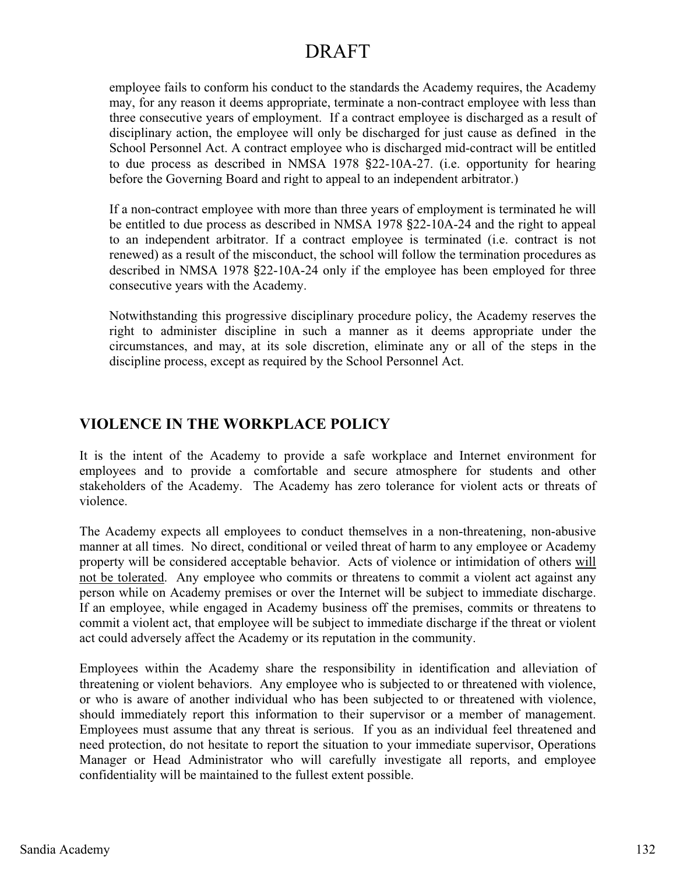employee fails to conform his conduct to the standards the Academy requires, the Academy may, for any reason it deems appropriate, terminate a non-contract employee with less than three consecutive years of employment. If a contract employee is discharged as a result of disciplinary action, the employee will only be discharged for just cause as defined in the School Personnel Act. A contract employee who is discharged mid-contract will be entitled to due process as described in NMSA 1978 §22-10A-27. (i.e. opportunity for hearing before the Governing Board and right to appeal to an independent arbitrator.)

If a non-contract employee with more than three years of employment is terminated he will be entitled to due process as described in NMSA 1978 §22-10A-24 and the right to appeal to an independent arbitrator. If a contract employee is terminated (i.e. contract is not renewed) as a result of the misconduct, the school will follow the termination procedures as described in NMSA 1978 §22-10A-24 only if the employee has been employed for three consecutive years with the Academy.

Notwithstanding this progressive disciplinary procedure policy, the Academy reserves the right to administer discipline in such a manner as it deems appropriate under the circumstances, and may, at its sole discretion, eliminate any or all of the steps in the discipline process, except as required by the School Personnel Act.

# **VIOLENCE IN THE WORKPLACE POLICY**

It is the intent of the Academy to provide a safe workplace and Internet environment for employees and to provide a comfortable and secure atmosphere for students and other stakeholders of the Academy. The Academy has zero tolerance for violent acts or threats of violence.

The Academy expects all employees to conduct themselves in a non-threatening, non-abusive manner at all times. No direct, conditional or veiled threat of harm to any employee or Academy property will be considered acceptable behavior. Acts of violence or intimidation of others will not be tolerated. Any employee who commits or threatens to commit a violent act against any person while on Academy premises or over the Internet will be subject to immediate discharge. If an employee, while engaged in Academy business off the premises, commits or threatens to commit a violent act, that employee will be subject to immediate discharge if the threat or violent act could adversely affect the Academy or its reputation in the community.

Employees within the Academy share the responsibility in identification and alleviation of threatening or violent behaviors. Any employee who is subjected to or threatened with violence, or who is aware of another individual who has been subjected to or threatened with violence, should immediately report this information to their supervisor or a member of management. Employees must assume that any threat is serious. If you as an individual feel threatened and need protection, do not hesitate to report the situation to your immediate supervisor, Operations Manager or Head Administrator who will carefully investigate all reports, and employee confidentiality will be maintained to the fullest extent possible.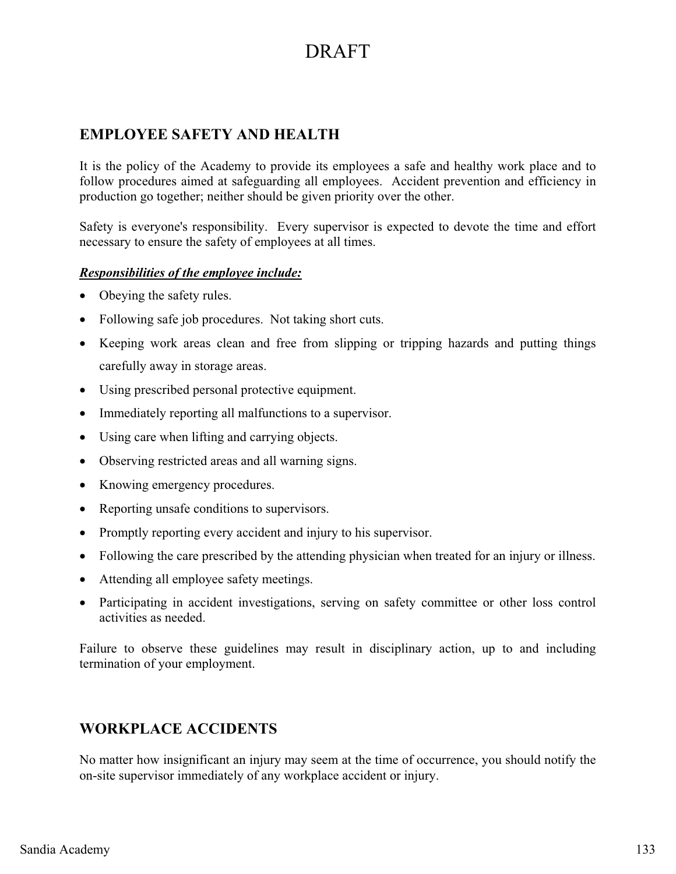# **EMPLOYEE SAFETY AND HEALTH**

It is the policy of the Academy to provide its employees a safe and healthy work place and to follow procedures aimed at safeguarding all employees. Accident prevention and efficiency in production go together; neither should be given priority over the other.

Safety is everyone's responsibility. Every supervisor is expected to devote the time and effort necessary to ensure the safety of employees at all times.

### *Responsibilities of the employee include:*

- -Obeying the safety rules.
- Following safe job procedures. Not taking short cuts.
- Keeping work areas clean and free from slipping or tripping hazards and putting things carefully away in storage areas.
- Using prescribed personal protective equipment.
- $\bullet$ Immediately reporting all malfunctions to a supervisor.
- Using care when lifting and carrying objects.
- Observing restricted areas and all warning signs.
- Knowing emergency procedures.
- Reporting unsafe conditions to supervisors.
- $\bullet$ Promptly reporting every accident and injury to his supervisor.
- $\bullet$ Following the care prescribed by the attending physician when treated for an injury or illness.
- Attending all employee safety meetings.
- $\bullet$  Participating in accident investigations, serving on safety committee or other loss control activities as needed.

Failure to observe these guidelines may result in disciplinary action, up to and including termination of your employment.

# **WORKPLACE ACCIDENTS**

No matter how insignificant an injury may seem at the time of occurrence, you should notify the on-site supervisor immediately of any workplace accident or injury.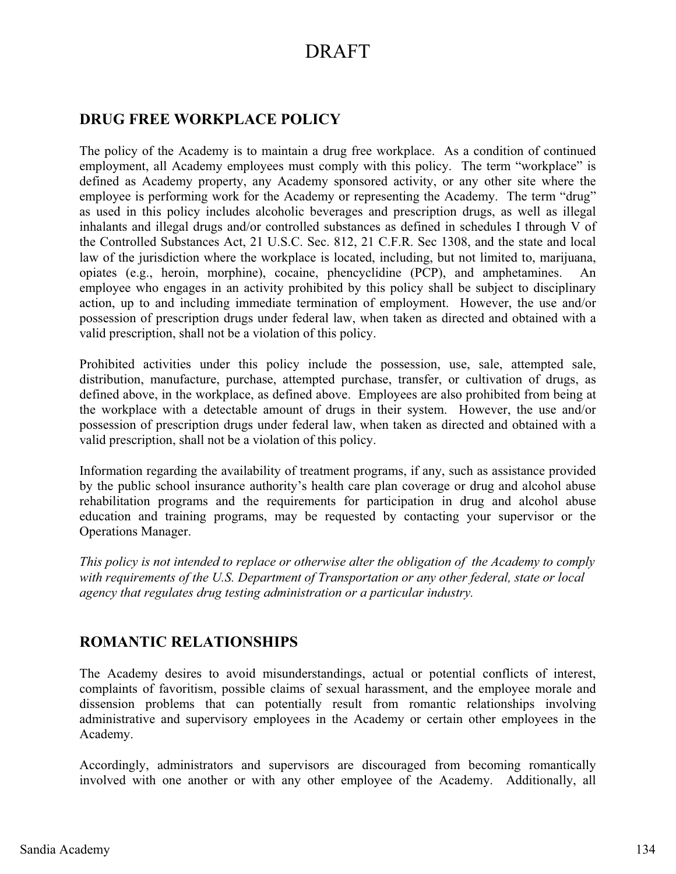## **DRUG FREE WORKPLACE POLICY**

The policy of the Academy is to maintain a drug free workplace. As a condition of continued employment, all Academy employees must comply with this policy. The term "workplace" is defined as Academy property, any Academy sponsored activity, or any other site where the employee is performing work for the Academy or representing the Academy. The term "drug" as used in this policy includes alcoholic beverages and prescription drugs, as well as illegal inhalants and illegal drugs and/or controlled substances as defined in schedules I through V of the Controlled Substances Act, 21 U.S.C. Sec. 812, 21 C.F.R. Sec 1308, and the state and local law of the jurisdiction where the workplace is located, including, but not limited to, marijuana, opiates (e.g., heroin, morphine), cocaine, phencyclidine (PCP), and amphetamines. An employee who engages in an activity prohibited by this policy shall be subject to disciplinary action, up to and including immediate termination of employment. However, the use and/or possession of prescription drugs under federal law, when taken as directed and obtained with a valid prescription, shall not be a violation of this policy.

Prohibited activities under this policy include the possession, use, sale, attempted sale, distribution, manufacture, purchase, attempted purchase, transfer, or cultivation of drugs, as defined above, in the workplace, as defined above. Employees are also prohibited from being at the workplace with a detectable amount of drugs in their system. However, the use and/or possession of prescription drugs under federal law, when taken as directed and obtained with a valid prescription, shall not be a violation of this policy.

Information regarding the availability of treatment programs, if any, such as assistance provided by the public school insurance authority's health care plan coverage or drug and alcohol abuse rehabilitation programs and the requirements for participation in drug and alcohol abuse education and training programs, may be requested by contacting your supervisor or the Operations Manager.

*This policy is not intended to replace or otherwise alter the obligation of the Academy to comply with requirements of the U.S. Department of Transportation or any other federal, state or local agency that regulates drug testing administration or a particular industry.* 

## **ROMANTIC RELATIONSHIPS**

The Academy desires to avoid misunderstandings, actual or potential conflicts of interest, complaints of favoritism, possible claims of sexual harassment, and the employee morale and dissension problems that can potentially result from romantic relationships involving administrative and supervisory employees in the Academy or certain other employees in the Academy.

Accordingly, administrators and supervisors are discouraged from becoming romantically involved with one another or with any other employee of the Academy. Additionally, all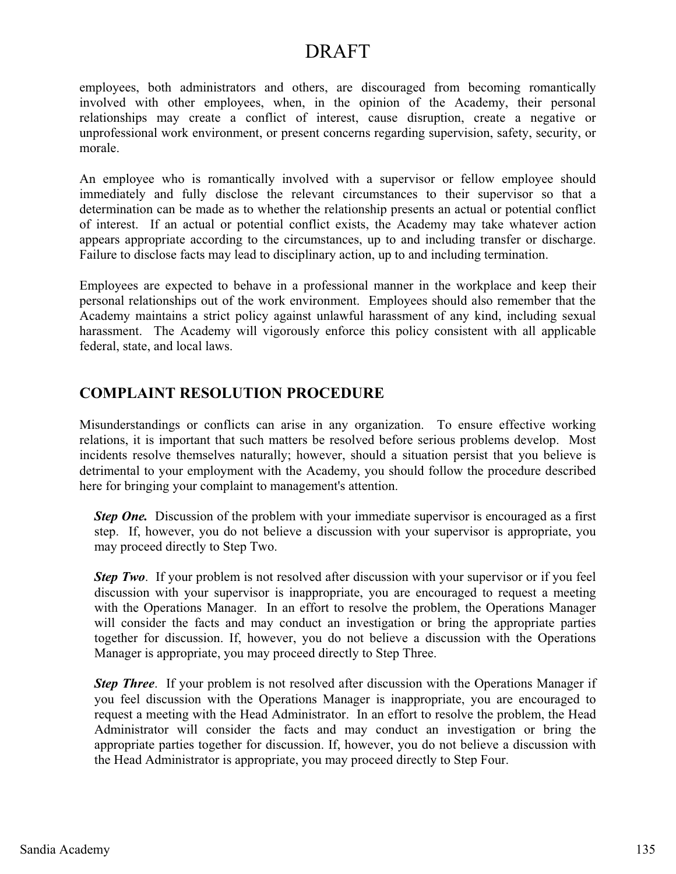employees, both administrators and others, are discouraged from becoming romantically involved with other employees, when, in the opinion of the Academy, their personal relationships may create a conflict of interest, cause disruption, create a negative or unprofessional work environment, or present concerns regarding supervision, safety, security, or morale.

An employee who is romantically involved with a supervisor or fellow employee should immediately and fully disclose the relevant circumstances to their supervisor so that a determination can be made as to whether the relationship presents an actual or potential conflict of interest. If an actual or potential conflict exists, the Academy may take whatever action appears appropriate according to the circumstances, up to and including transfer or discharge. Failure to disclose facts may lead to disciplinary action, up to and including termination.

Employees are expected to behave in a professional manner in the workplace and keep their personal relationships out of the work environment. Employees should also remember that the Academy maintains a strict policy against unlawful harassment of any kind, including sexual harassment. The Academy will vigorously enforce this policy consistent with all applicable federal, state, and local laws.

## **COMPLAINT RESOLUTION PROCEDURE**

Misunderstandings or conflicts can arise in any organization. To ensure effective working relations, it is important that such matters be resolved before serious problems develop. Most incidents resolve themselves naturally; however, should a situation persist that you believe is detrimental to your employment with the Academy, you should follow the procedure described here for bringing your complaint to management's attention.

*Step One.* Discussion of the problem with your immediate supervisor is encouraged as a first step. If, however, you do not believe a discussion with your supervisor is appropriate, you may proceed directly to Step Two.

*Step Two.* If your problem is not resolved after discussion with your supervisor or if you feel discussion with your supervisor is inappropriate, you are encouraged to request a meeting with the Operations Manager. In an effort to resolve the problem, the Operations Manager will consider the facts and may conduct an investigation or bring the appropriate parties together for discussion. If, however, you do not believe a discussion with the Operations Manager is appropriate, you may proceed directly to Step Three.

*Step Three.* If your problem is not resolved after discussion with the Operations Manager if you feel discussion with the Operations Manager is inappropriate, you are encouraged to request a meeting with the Head Administrator. In an effort to resolve the problem, the Head Administrator will consider the facts and may conduct an investigation or bring the appropriate parties together for discussion. If, however, you do not believe a discussion with the Head Administrator is appropriate, you may proceed directly to Step Four.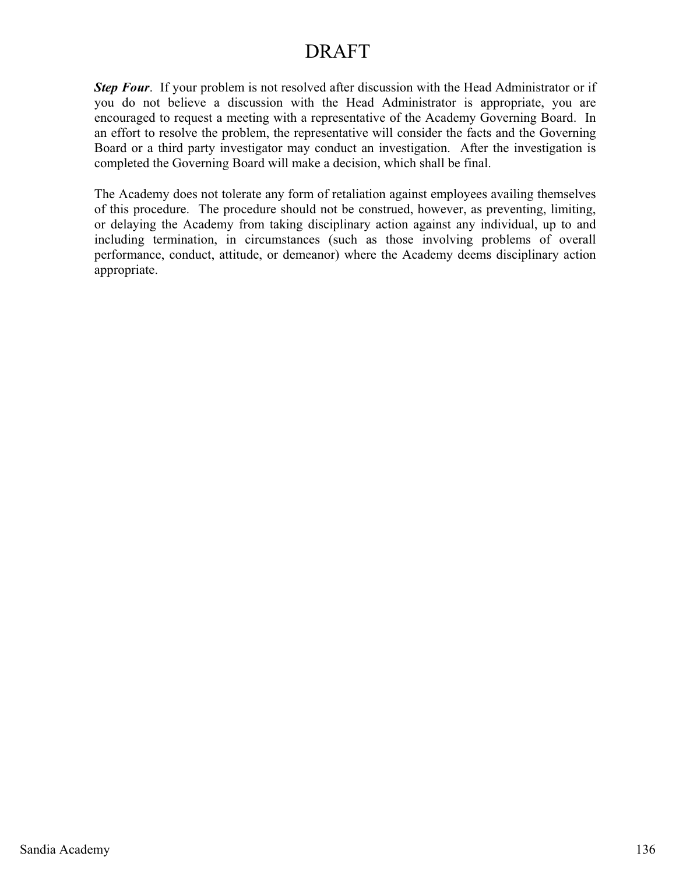**Step Four.** If your problem is not resolved after discussion with the Head Administrator or if you do not believe a discussion with the Head Administrator is appropriate, you are encouraged to request a meeting with a representative of the Academy Governing Board. In an effort to resolve the problem, the representative will consider the facts and the Governing Board or a third party investigator may conduct an investigation. After the investigation is completed the Governing Board will make a decision, which shall be final.

The Academy does not tolerate any form of retaliation against employees availing themselves of this procedure. The procedure should not be construed, however, as preventing, limiting, or delaying the Academy from taking disciplinary action against any individual, up to and including termination, in circumstances (such as those involving problems of overall performance, conduct, attitude, or demeanor) where the Academy deems disciplinary action appropriate.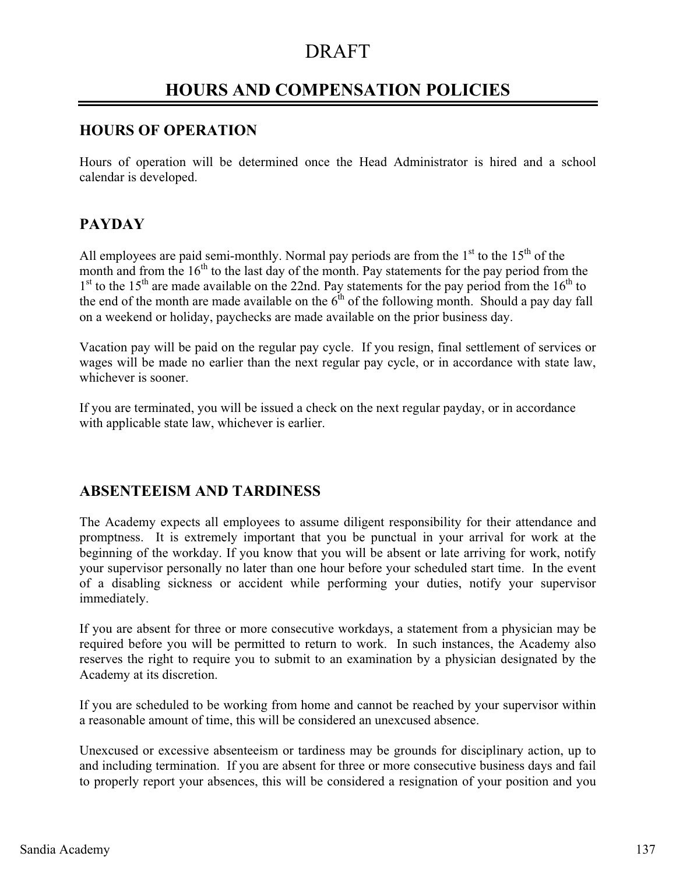## **HOURS AND COMPENSATION POLICIES**

### **HOURS OF OPERATION**

Hours of operation will be determined once the Head Administrator is hired and a school calendar is developed.

### **PAYDAY**

All employees are paid semi-monthly. Normal pay periods are from the  $1<sup>st</sup>$  to the  $15<sup>th</sup>$  of the month and from the  $16<sup>th</sup>$  to the last day of the month. Pay statements for the pay period from the  $1<sup>st</sup>$  to the 15<sup>th</sup> are made available on the 22nd. Pay statements for the pay period from the 16<sup>th</sup> to the end of the month are made available on the  $6<sup>th</sup>$  of the following month. Should a pay day fall on a weekend or holiday, paychecks are made available on the prior business day.

Vacation pay will be paid on the regular pay cycle. If you resign, final settlement of services or wages will be made no earlier than the next regular pay cycle, or in accordance with state law, whichever is sooner.

If you are terminated, you will be issued a check on the next regular payday, or in accordance with applicable state law, whichever is earlier.

### **ABSENTEEISM AND TARDINESS**

The Academy expects all employees to assume diligent responsibility for their attendance and promptness. It is extremely important that you be punctual in your arrival for work at the beginning of the workday. If you know that you will be absent or late arriving for work, notify your supervisor personally no later than one hour before your scheduled start time. In the event of a disabling sickness or accident while performing your duties, notify your supervisor immediately.

If you are absent for three or more consecutive workdays, a statement from a physician may be required before you will be permitted to return to work. In such instances, the Academy also reserves the right to require you to submit to an examination by a physician designated by the Academy at its discretion.

If you are scheduled to be working from home and cannot be reached by your supervisor within a reasonable amount of time, this will be considered an unexcused absence.

Unexcused or excessive absenteeism or tardiness may be grounds for disciplinary action, up to and including termination. If you are absent for three or more consecutive business days and fail to properly report your absences, this will be considered a resignation of your position and you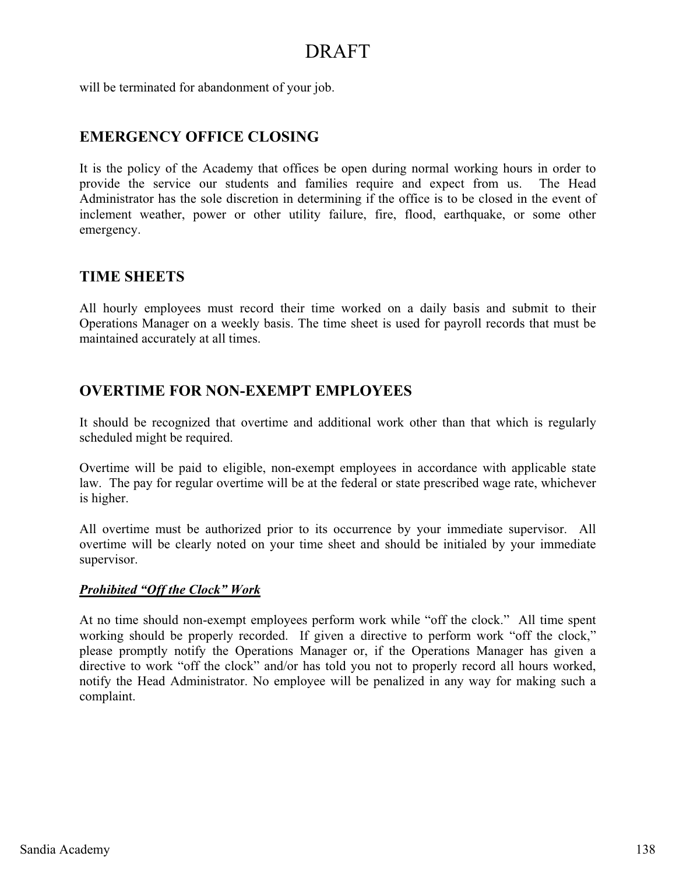will be terminated for abandonment of your job.

### **EMERGENCY OFFICE CLOSING**

It is the policy of the Academy that offices be open during normal working hours in order to provide the service our students and families require and expect from us. The Head Administrator has the sole discretion in determining if the office is to be closed in the event of inclement weather, power or other utility failure, fire, flood, earthquake, or some other emergency.

### **TIME SHEETS**

All hourly employees must record their time worked on a daily basis and submit to their Operations Manager on a weekly basis. The time sheet is used for payroll records that must be maintained accurately at all times.

### **OVERTIME FOR NON-EXEMPT EMPLOYEES**

It should be recognized that overtime and additional work other than that which is regularly scheduled might be required.

Overtime will be paid to eligible, non-exempt employees in accordance with applicable state law. The pay for regular overtime will be at the federal or state prescribed wage rate, whichever is higher.

All overtime must be authorized prior to its occurrence by your immediate supervisor. All overtime will be clearly noted on your time sheet and should be initialed by your immediate supervisor.

#### *Prohibited "Off the Clock" Work*

At no time should non-exempt employees perform work while "off the clock." All time spent working should be properly recorded. If given a directive to perform work "off the clock," please promptly notify the Operations Manager or, if the Operations Manager has given a directive to work "off the clock" and/or has told you not to properly record all hours worked, notify the Head Administrator. No employee will be penalized in any way for making such a complaint.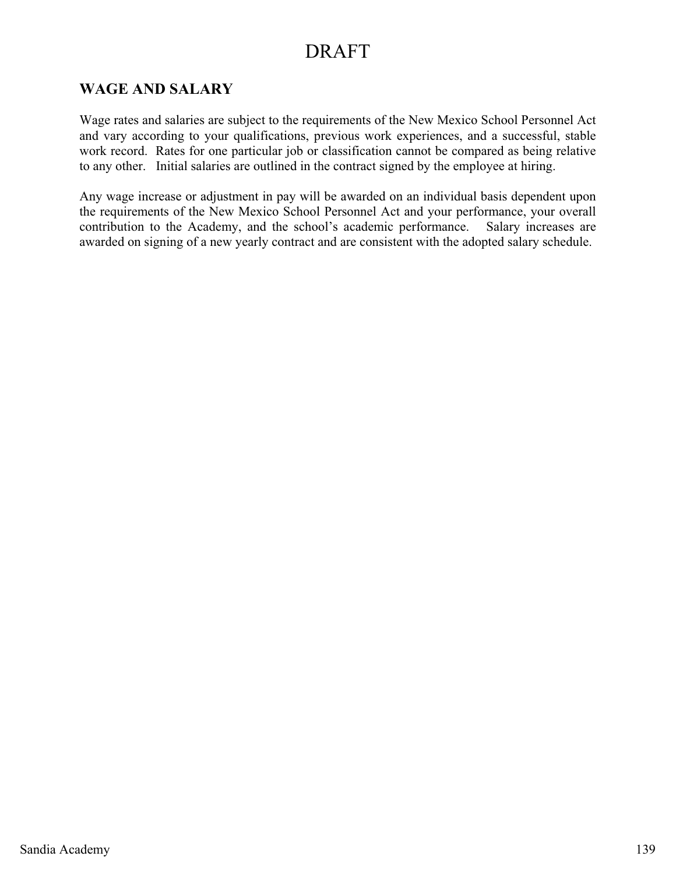## **WAGE AND SALARY**

Wage rates and salaries are subject to the requirements of the New Mexico School Personnel Act and vary according to your qualifications, previous work experiences, and a successful, stable work record. Rates for one particular job or classification cannot be compared as being relative to any other. Initial salaries are outlined in the contract signed by the employee at hiring.

Any wage increase or adjustment in pay will be awarded on an individual basis dependent upon the requirements of the New Mexico School Personnel Act and your performance, your overall contribution to the Academy, and the school's academic performance. Salary increases are awarded on signing of a new yearly contract and are consistent with the adopted salary schedule.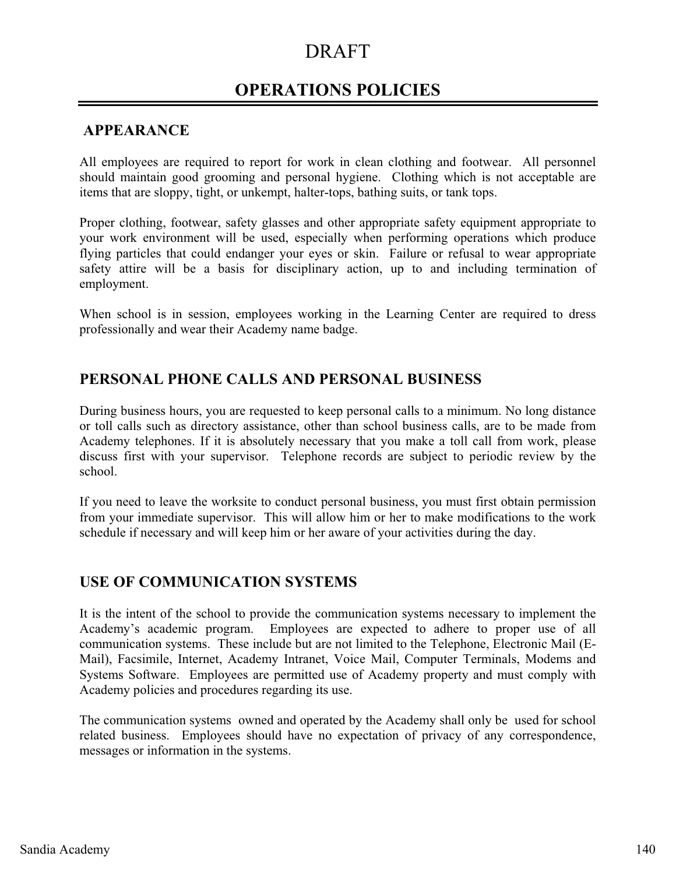## **OPERATIONS POLICIES**

### **APPEARANCE**

All employees are required to report for work in clean clothing and footwear. All personnel should maintain good grooming and personal hygiene. Clothing which is not acceptable are items that are sloppy, tight, or unkempt, halter-tops, bathing suits, or tank tops.

Proper clothing, footwear, safety glasses and other appropriate safety equipment appropriate to your work environment will be used, especially when performing operations which produce flying particles that could endanger your eyes or skin. Failure or refusal to wear appropriate safety attire will be a basis for disciplinary action, up to and including termination of employment.

When school is in session, employees working in the Learning Center are required to dress professionally and wear their Academy name badge.

### **PERSONAL PHONE CALLS AND PERSONAL BUSINESS**

During business hours, you are requested to keep personal calls to a minimum. No long distance or toll calls such as directory assistance, other than school business calls, are to be made from Academy telephones. If it is absolutely necessary that you make a toll call from work, please discuss first with your supervisor. Telephone records are subject to periodic review by the school.

If you need to leave the worksite to conduct personal business, you must first obtain permission from your immediate supervisor. This will allow him or her to make modifications to the work schedule if necessary and will keep him or her aware of your activities during the day.

### **USE OF COMMUNICATION SYSTEMS**

It is the intent of the school to provide the communication systems necessary to implement the Academy's academic program. Employees are expected to adhere to proper use of all communication systems. These include but are not limited to the Telephone, Electronic Mail (E-Mail), Facsimile, Internet, Academy Intranet, Voice Mail, Computer Terminals, Modems and Systems Software. Employees are permitted use of Academy property and must comply with Academy policies and procedures regarding its use.

The communication systems owned and operated by the Academy shall only be used for school related business. Employees should have no expectation of privacy of any correspondence, messages or information in the systems.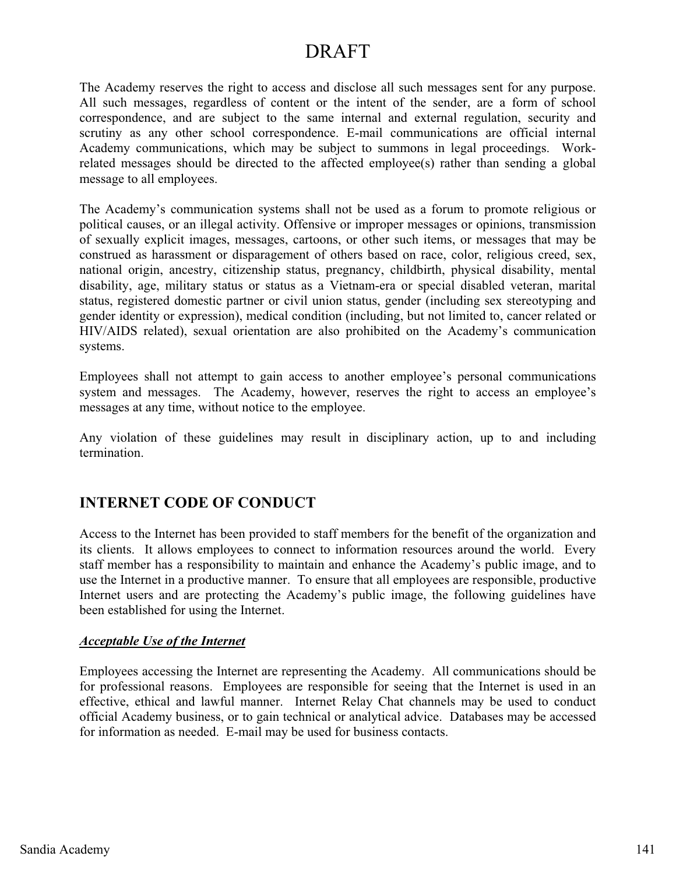The Academy reserves the right to access and disclose all such messages sent for any purpose. All such messages, regardless of content or the intent of the sender, are a form of school correspondence, and are subject to the same internal and external regulation, security and scrutiny as any other school correspondence. E-mail communications are official internal Academy communications, which may be subject to summons in legal proceedings. Workrelated messages should be directed to the affected employee(s) rather than sending a global message to all employees.

The Academy's communication systems shall not be used as a forum to promote religious or political causes, or an illegal activity. Offensive or improper messages or opinions, transmission of sexually explicit images, messages, cartoons, or other such items, or messages that may be construed as harassment or disparagement of others based on race, color, religious creed, sex, national origin, ancestry, citizenship status, pregnancy, childbirth, physical disability, mental disability, age, military status or status as a Vietnam-era or special disabled veteran, marital status, registered domestic partner or civil union status, gender (including sex stereotyping and gender identity or expression), medical condition (including, but not limited to, cancer related or HIV/AIDS related), sexual orientation are also prohibited on the Academy's communication systems.

Employees shall not attempt to gain access to another employee's personal communications system and messages. The Academy, however, reserves the right to access an employee's messages at any time, without notice to the employee.

Any violation of these guidelines may result in disciplinary action, up to and including termination.

## **INTERNET CODE OF CONDUCT**

Access to the Internet has been provided to staff members for the benefit of the organization and its clients. It allows employees to connect to information resources around the world. Every staff member has a responsibility to maintain and enhance the Academy's public image, and to use the Internet in a productive manner. To ensure that all employees are responsible, productive Internet users and are protecting the Academy's public image, the following guidelines have been established for using the Internet.

#### *Acceptable Use of the Internet*

Employees accessing the Internet are representing the Academy. All communications should be for professional reasons. Employees are responsible for seeing that the Internet is used in an effective, ethical and lawful manner. Internet Relay Chat channels may be used to conduct official Academy business, or to gain technical or analytical advice. Databases may be accessed for information as needed. E-mail may be used for business contacts.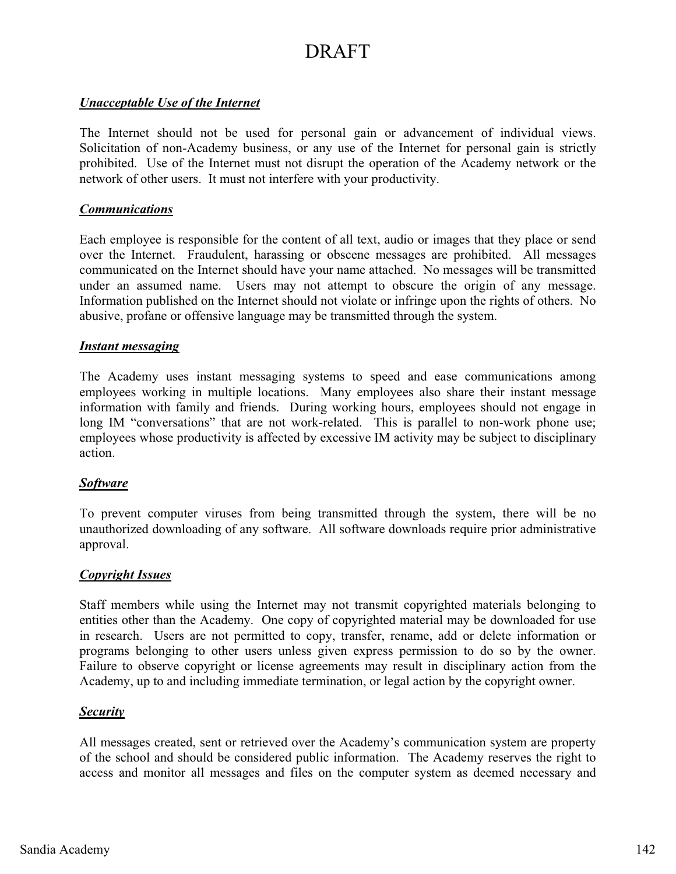#### *Unacceptable Use of the Internet*

The Internet should not be used for personal gain or advancement of individual views. Solicitation of non-Academy business, or any use of the Internet for personal gain is strictly prohibited. Use of the Internet must not disrupt the operation of the Academy network or the network of other users. It must not interfere with your productivity.

#### *Communications*

Each employee is responsible for the content of all text, audio or images that they place or send over the Internet. Fraudulent, harassing or obscene messages are prohibited. All messages communicated on the Internet should have your name attached. No messages will be transmitted under an assumed name. Users may not attempt to obscure the origin of any message. Information published on the Internet should not violate or infringe upon the rights of others. No abusive, profane or offensive language may be transmitted through the system.

#### *Instant messaging*

The Academy uses instant messaging systems to speed and ease communications among employees working in multiple locations. Many employees also share their instant message information with family and friends. During working hours, employees should not engage in long IM "conversations" that are not work-related. This is parallel to non-work phone use; employees whose productivity is affected by excessive IM activity may be subject to disciplinary action.

#### *Software*

To prevent computer viruses from being transmitted through the system, there will be no unauthorized downloading of any software. All software downloads require prior administrative approval.

#### *Copyright Issues*

Staff members while using the Internet may not transmit copyrighted materials belonging to entities other than the Academy. One copy of copyrighted material may be downloaded for use in research. Users are not permitted to copy, transfer, rename, add or delete information or programs belonging to other users unless given express permission to do so by the owner. Failure to observe copyright or license agreements may result in disciplinary action from the Academy, up to and including immediate termination, or legal action by the copyright owner.

#### *Security*

All messages created, sent or retrieved over the Academy's communication system are property of the school and should be considered public information. The Academy reserves the right to access and monitor all messages and files on the computer system as deemed necessary and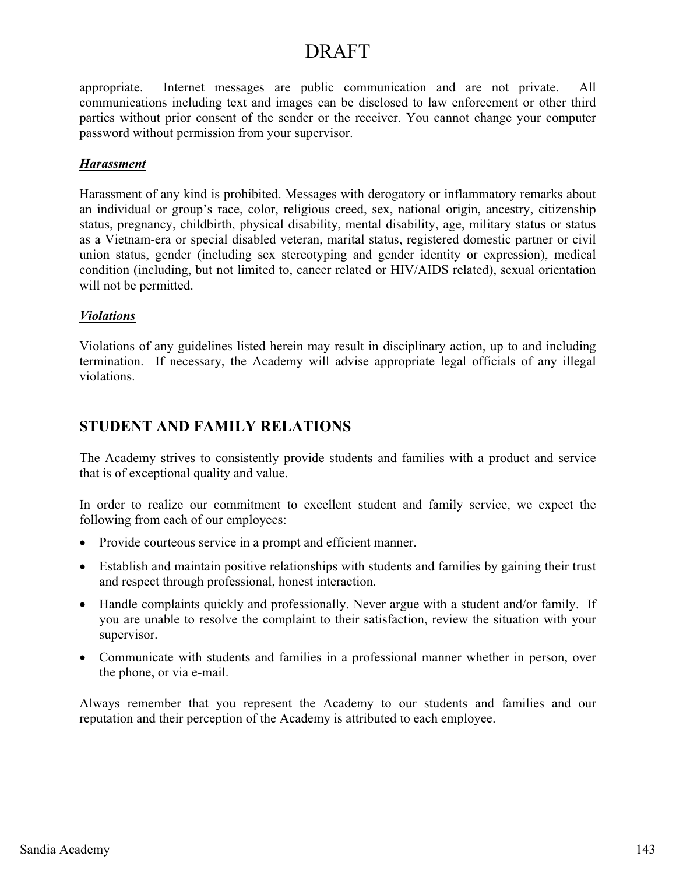appropriate. Internet messages are public communication and are not private. All communications including text and images can be disclosed to law enforcement or other third parties without prior consent of the sender or the receiver. You cannot change your computer password without permission from your supervisor.

#### *Harassment*

Harassment of any kind is prohibited. Messages with derogatory or inflammatory remarks about an individual or group's race, color, religious creed, sex, national origin, ancestry, citizenship status, pregnancy, childbirth, physical disability, mental disability, age, military status or status as a Vietnam-era or special disabled veteran, marital status, registered domestic partner or civil union status, gender (including sex stereotyping and gender identity or expression), medical condition (including, but not limited to, cancer related or HIV/AIDS related), sexual orientation will not be permitted.

#### *Violations*

Violations of any guidelines listed herein may result in disciplinary action, up to and including termination. If necessary, the Academy will advise appropriate legal officials of any illegal violations.

### **STUDENT AND FAMILY RELATIONS**

The Academy strives to consistently provide students and families with a product and service that is of exceptional quality and value.

In order to realize our commitment to excellent student and family service, we expect the following from each of our employees:

- Provide courteous service in a prompt and efficient manner.
- Establish and maintain positive relationships with students and families by gaining their trust and respect through professional, honest interaction.
- - Handle complaints quickly and professionally. Never argue with a student and/or family. If you are unable to resolve the complaint to their satisfaction, review the situation with your supervisor.
- Communicate with students and families in a professional manner whether in person, over the phone, or via e-mail.

Always remember that you represent the Academy to our students and families and our reputation and their perception of the Academy is attributed to each employee.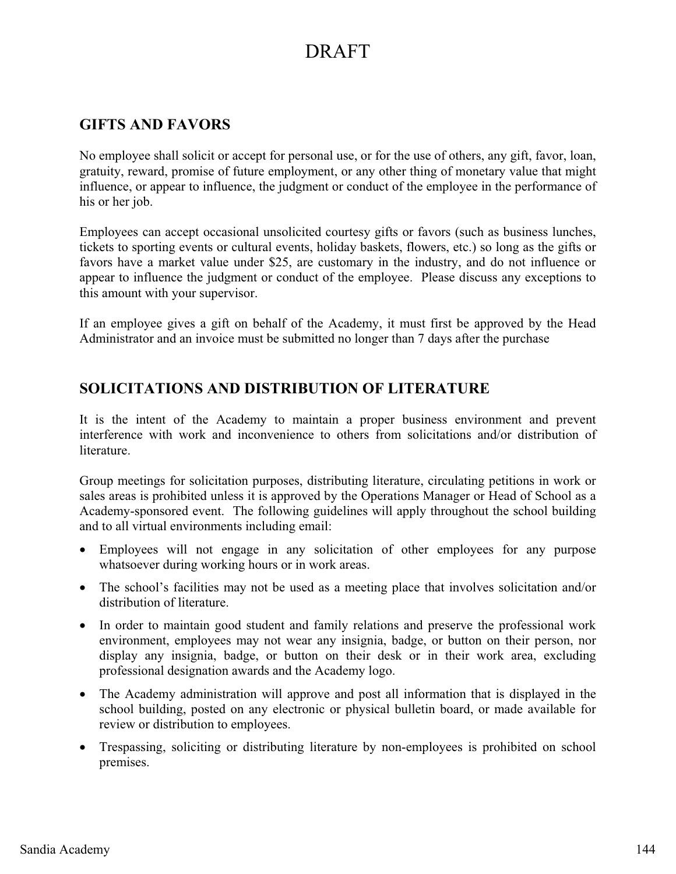## **GIFTS AND FAVORS**

No employee shall solicit or accept for personal use, or for the use of others, any gift, favor, loan, gratuity, reward, promise of future employment, or any other thing of monetary value that might influence, or appear to influence, the judgment or conduct of the employee in the performance of his or her job.

Employees can accept occasional unsolicited courtesy gifts or favors (such as business lunches, tickets to sporting events or cultural events, holiday baskets, flowers, etc.) so long as the gifts or favors have a market value under \$25, are customary in the industry, and do not influence or appear to influence the judgment or conduct of the employee. Please discuss any exceptions to this amount with your supervisor.

If an employee gives a gift on behalf of the Academy, it must first be approved by the Head Administrator and an invoice must be submitted no longer than 7 days after the purchase

### **SOLICITATIONS AND DISTRIBUTION OF LITERATURE**

It is the intent of the Academy to maintain a proper business environment and prevent interference with work and inconvenience to others from solicitations and/or distribution of literature.

Group meetings for solicitation purposes, distributing literature, circulating petitions in work or sales areas is prohibited unless it is approved by the Operations Manager or Head of School as a Academy-sponsored event. The following guidelines will apply throughout the school building and to all virtual environments including email:

- Employees will not engage in any solicitation of other employees for any purpose whatsoever during working hours or in work areas.
- The school's facilities may not be used as a meeting place that involves solicitation and/or distribution of literature.
- In order to maintain good student and family relations and preserve the professional work environment, employees may not wear any insignia, badge, or button on their person, nor display any insignia, badge, or button on their desk or in their work area, excluding professional designation awards and the Academy logo.
- The Academy administration will approve and post all information that is displayed in the school building, posted on any electronic or physical bulletin board, or made available for review or distribution to employees.
- - Trespassing, soliciting or distributing literature by non-employees is prohibited on school premises.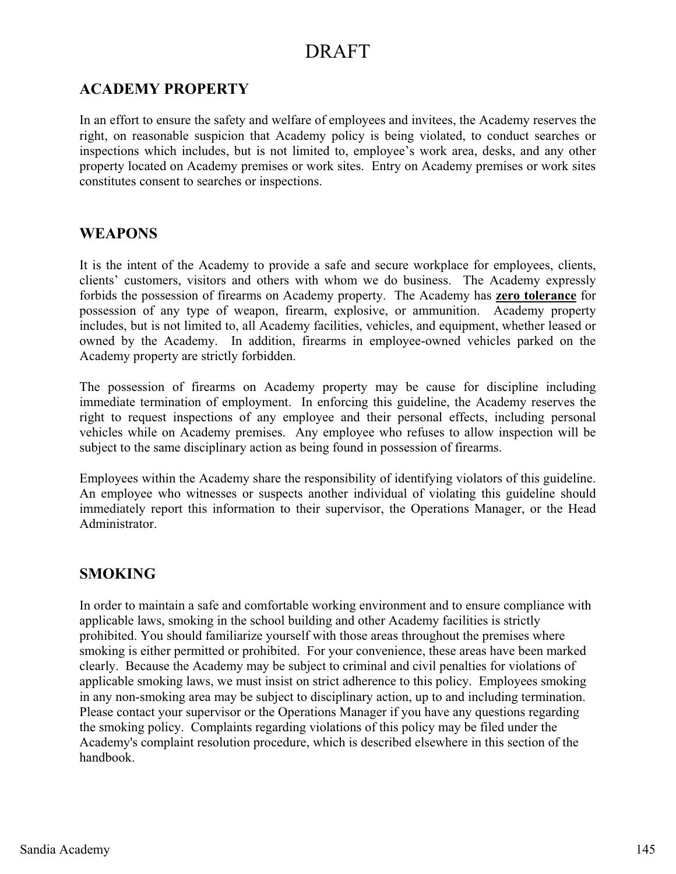### **ACADEMY PROPERTY**

In an effort to ensure the safety and welfare of employees and invitees, the Academy reserves the right, on reasonable suspicion that Academy policy is being violated, to conduct searches or inspections which includes, but is not limited to, employee's work area, desks, and any other property located on Academy premises or work sites. Entry on Academy premises or work sites constitutes consent to searches or inspections.

#### **WEAPONS**

It is the intent of the Academy to provide a safe and secure workplace for employees, clients, clients' customers, visitors and others with whom we do business. The Academy expressly forbids the possession of firearms on Academy property. The Academy has **zero tolerance** for possession of any type of weapon, firearm, explosive, or ammunition. Academy property includes, but is not limited to, all Academy facilities, vehicles, and equipment, whether leased or owned by the Academy. In addition, firearms in employee-owned vehicles parked on the Academy property are strictly forbidden.

The possession of firearms on Academy property may be cause for discipline including immediate termination of employment. In enforcing this guideline, the Academy reserves the right to request inspections of any employee and their personal effects, including personal vehicles while on Academy premises. Any employee who refuses to allow inspection will be subject to the same disciplinary action as being found in possession of firearms.

Employees within the Academy share the responsibility of identifying violators of this guideline. An employee who witnesses or suspects another individual of violating this guideline should immediately report this information to their supervisor, the Operations Manager, or the Head Administrator.

#### **SMOKING**

In order to maintain a safe and comfortable working environment and to ensure compliance with applicable laws, smoking in the school building and other Academy facilities is strictly prohibited. You should familiarize yourself with those areas throughout the premises where smoking is either permitted or prohibited. For your convenience, these areas have been marked clearly. Because the Academy may be subject to criminal and civil penalties for violations of applicable smoking laws, we must insist on strict adherence to this policy. Employees smoking in any non-smoking area may be subject to disciplinary action, up to and including termination. Please contact your supervisor or the Operations Manager if you have any questions regarding the smoking policy. Complaints regarding violations of this policy may be filed under the Academy's complaint resolution procedure, which is described elsewhere in this section of the handbook.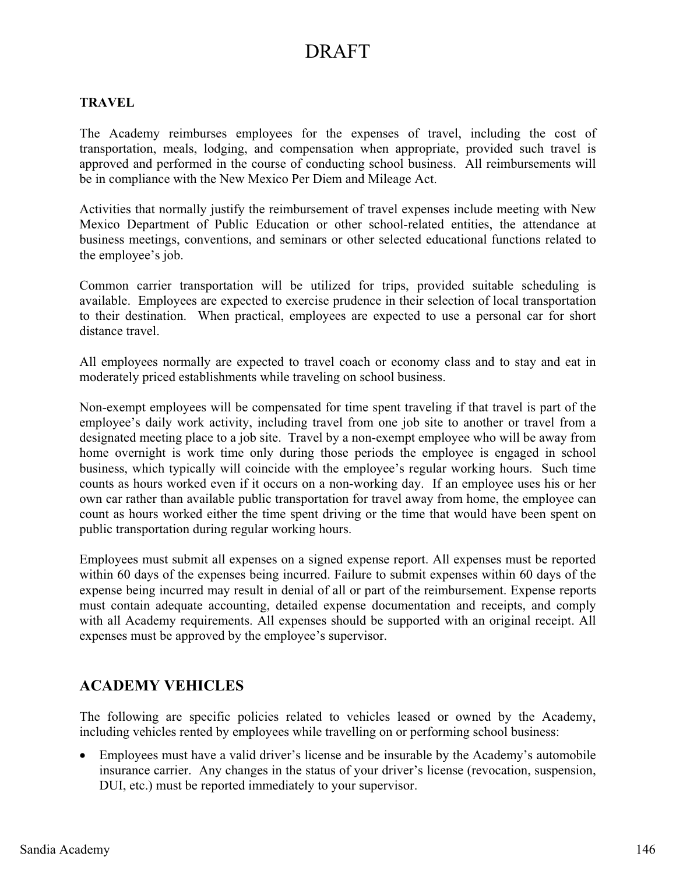#### **TRAVEL**

The Academy reimburses employees for the expenses of travel, including the cost of transportation, meals, lodging, and compensation when appropriate, provided such travel is approved and performed in the course of conducting school business. All reimbursements will be in compliance with the New Mexico Per Diem and Mileage Act.

Activities that normally justify the reimbursement of travel expenses include meeting with New Mexico Department of Public Education or other school-related entities, the attendance at business meetings, conventions, and seminars or other selected educational functions related to the employee's job.

Common carrier transportation will be utilized for trips, provided suitable scheduling is available. Employees are expected to exercise prudence in their selection of local transportation to their destination. When practical, employees are expected to use a personal car for short distance travel.

All employees normally are expected to travel coach or economy class and to stay and eat in moderately priced establishments while traveling on school business.

Non-exempt employees will be compensated for time spent traveling if that travel is part of the employee's daily work activity, including travel from one job site to another or travel from a designated meeting place to a job site. Travel by a non-exempt employee who will be away from home overnight is work time only during those periods the employee is engaged in school business, which typically will coincide with the employee's regular working hours. Such time counts as hours worked even if it occurs on a non-working day. If an employee uses his or her own car rather than available public transportation for travel away from home, the employee can count as hours worked either the time spent driving or the time that would have been spent on public transportation during regular working hours.

Employees must submit all expenses on a signed expense report. All expenses must be reported within 60 days of the expenses being incurred. Failure to submit expenses within 60 days of the expense being incurred may result in denial of all or part of the reimbursement. Expense reports must contain adequate accounting, detailed expense documentation and receipts, and comply with all Academy requirements. All expenses should be supported with an original receipt. All expenses must be approved by the employee's supervisor.

### **ACADEMY VEHICLES**

The following are specific policies related to vehicles leased or owned by the Academy, including vehicles rented by employees while travelling on or performing school business:

- Employees must have a valid driver's license and be insurable by the Academy's automobile insurance carrier. Any changes in the status of your driver's license (revocation, suspension, DUI, etc.) must be reported immediately to your supervisor.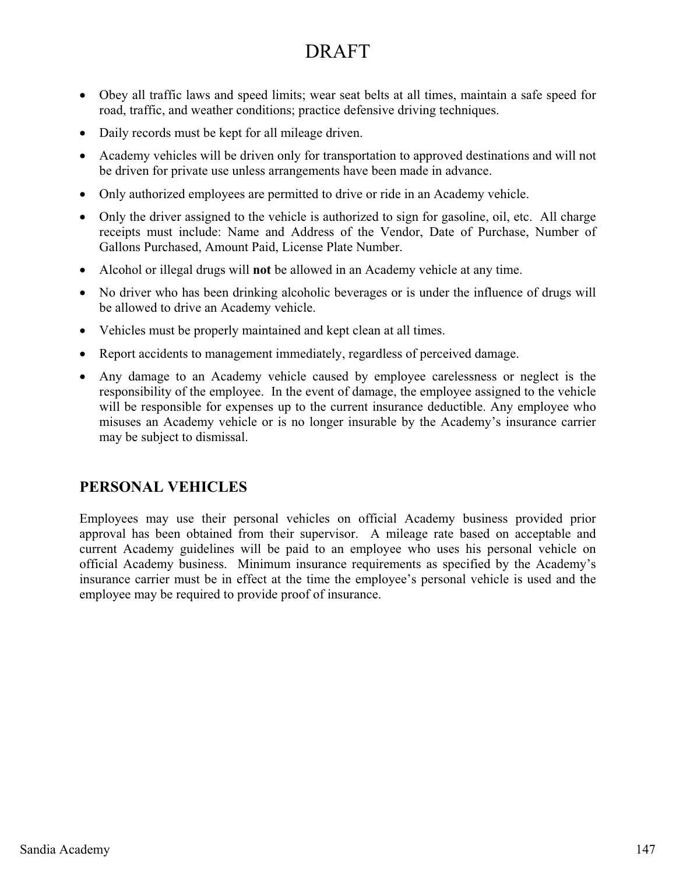- Obey all traffic laws and speed limits; wear seat belts at all times, maintain a safe speed for road, traffic, and weather conditions; practice defensive driving techniques.
- Daily records must be kept for all mileage driven.
- Academy vehicles will be driven only for transportation to approved destinations and will not be driven for private use unless arrangements have been made in advance.
- Only authorized employees are permitted to drive or ride in an Academy vehicle.
- Only the driver assigned to the vehicle is authorized to sign for gasoline, oil, etc. All charge receipts must include: Name and Address of the Vendor, Date of Purchase, Number of Gallons Purchased, Amount Paid, License Plate Number.
- $\bullet$ Alcohol or illegal drugs will **not** be allowed in an Academy vehicle at any time.
- No driver who has been drinking alcoholic beverages or is under the influence of drugs will be allowed to drive an Academy vehicle.
- Vehicles must be properly maintained and kept clean at all times.
- Report accidents to management immediately, regardless of perceived damage.
- Any damage to an Academy vehicle caused by employee carelessness or neglect is the responsibility of the employee. In the event of damage, the employee assigned to the vehicle will be responsible for expenses up to the current insurance deductible. Any employee who misuses an Academy vehicle or is no longer insurable by the Academy's insurance carrier may be subject to dismissal.

#### **PERSONAL VEHICLES**

Employees may use their personal vehicles on official Academy business provided prior approval has been obtained from their supervisor. A mileage rate based on acceptable and current Academy guidelines will be paid to an employee who uses his personal vehicle on official Academy business. Minimum insurance requirements as specified by the Academy's insurance carrier must be in effect at the time the employee's personal vehicle is used and the employee may be required to provide proof of insurance.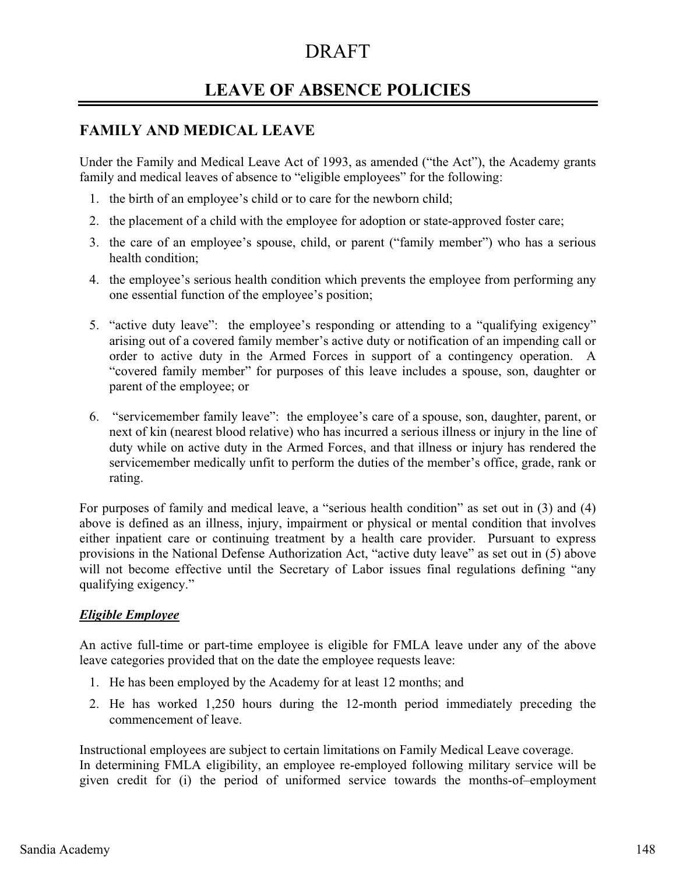## **LEAVE OF ABSENCE POLICIES**

### **FAMILY AND MEDICAL LEAVE**

Under the Family and Medical Leave Act of 1993, as amended ("the Act"), the Academy grants family and medical leaves of absence to "eligible employees" for the following:

- 1. the birth of an employee's child or to care for the newborn child;
- 2. the placement of a child with the employee for adoption or state-approved foster care;
- 3. the care of an employee's spouse, child, or parent ("family member") who has a serious health condition;
- 4. the employee's serious health condition which prevents the employee from performing any one essential function of the employee's position;
- 5. "active duty leave": the employee's responding or attending to a "qualifying exigency" arising out of a covered family member's active duty or notification of an impending call or order to active duty in the Armed Forces in support of a contingency operation. A "covered family member" for purposes of this leave includes a spouse, son, daughter or parent of the employee; or
- 6. "servicemember family leave": the employee's care of a spouse, son, daughter, parent, or next of kin (nearest blood relative) who has incurred a serious illness or injury in the line of duty while on active duty in the Armed Forces, and that illness or injury has rendered the servicemember medically unfit to perform the duties of the member's office, grade, rank or rating.

For purposes of family and medical leave, a "serious health condition" as set out in (3) and (4) above is defined as an illness, injury, impairment or physical or mental condition that involves either inpatient care or continuing treatment by a health care provider. Pursuant to express provisions in the National Defense Authorization Act, "active duty leave" as set out in (5) above will not become effective until the Secretary of Labor issues final regulations defining "any qualifying exigency."

#### *Eligible Employee*

An active full-time or part-time employee is eligible for FMLA leave under any of the above leave categories provided that on the date the employee requests leave:

- 1. He has been employed by the Academy for at least 12 months; and
- 2. He has worked 1,250 hours during the 12-month period immediately preceding the commencement of leave.

Instructional employees are subject to certain limitations on Family Medical Leave coverage. In determining FMLA eligibility, an employee re-employed following military service will be given credit for (i) the period of uniformed service towards the months-of–employment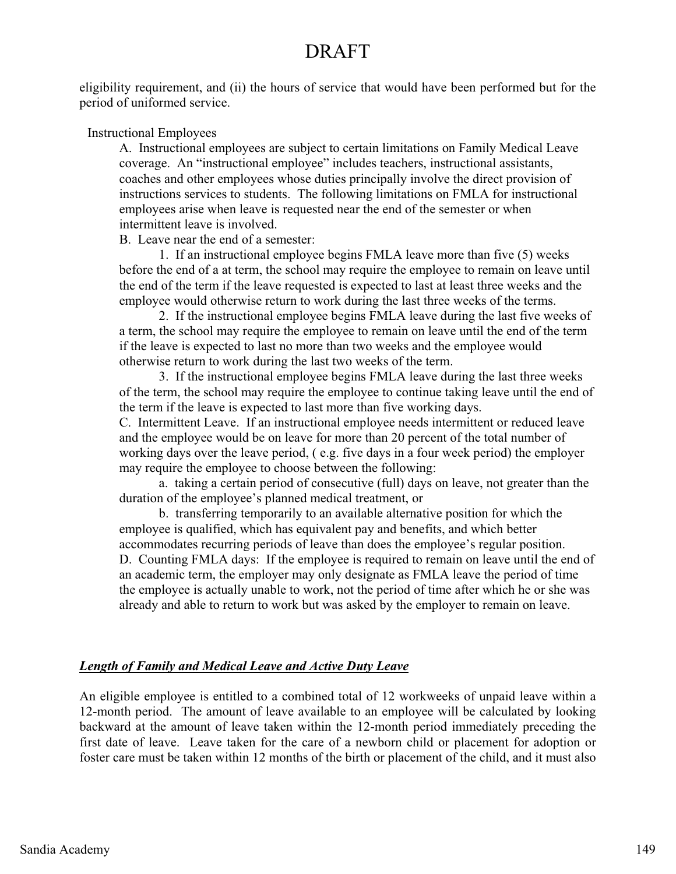eligibility requirement, and (ii) the hours of service that would have been performed but for the period of uniformed service.

#### Instructional Employees

 A. Instructional employees are subject to certain limitations on Family Medical Leave coverage. An "instructional employee" includes teachers, instructional assistants, coaches and other employees whose duties principally involve the direct provision of instructions services to students. The following limitations on FMLA for instructional employees arise when leave is requested near the end of the semester or when intermittent leave is involved.

B. Leave near the end of a semester:

 1. If an instructional employee begins FMLA leave more than five (5) weeks before the end of a at term, the school may require the employee to remain on leave until the end of the term if the leave requested is expected to last at least three weeks and the employee would otherwise return to work during the last three weeks of the terms.

 2. If the instructional employee begins FMLA leave during the last five weeks of a term, the school may require the employee to remain on leave until the end of the term if the leave is expected to last no more than two weeks and the employee would otherwise return to work during the last two weeks of the term.

 3. If the instructional employee begins FMLA leave during the last three weeks of the term, the school may require the employee to continue taking leave until the end of the term if the leave is expected to last more than five working days. C. Intermittent Leave. If an instructional employee needs intermittent or reduced leave and the employee would be on leave for more than 20 percent of the total number of working days over the leave period, ( e.g. five days in a four week period) the employer

may require the employee to choose between the following:

 a. taking a certain period of consecutive (full) days on leave, not greater than the duration of the employee's planned medical treatment, or

 b. transferring temporarily to an available alternative position for which the employee is qualified, which has equivalent pay and benefits, and which better accommodates recurring periods of leave than does the employee's regular position. D. Counting FMLA days: If the employee is required to remain on leave until the end of an academic term, the employer may only designate as FMLA leave the period of time the employee is actually unable to work, not the period of time after which he or she was already and able to return to work but was asked by the employer to remain on leave.

#### *Length of Family and Medical Leave and Active Duty Leave*

An eligible employee is entitled to a combined total of 12 workweeks of unpaid leave within a 12-month period. The amount of leave available to an employee will be calculated by looking backward at the amount of leave taken within the 12-month period immediately preceding the first date of leave. Leave taken for the care of a newborn child or placement for adoption or foster care must be taken within 12 months of the birth or placement of the child, and it must also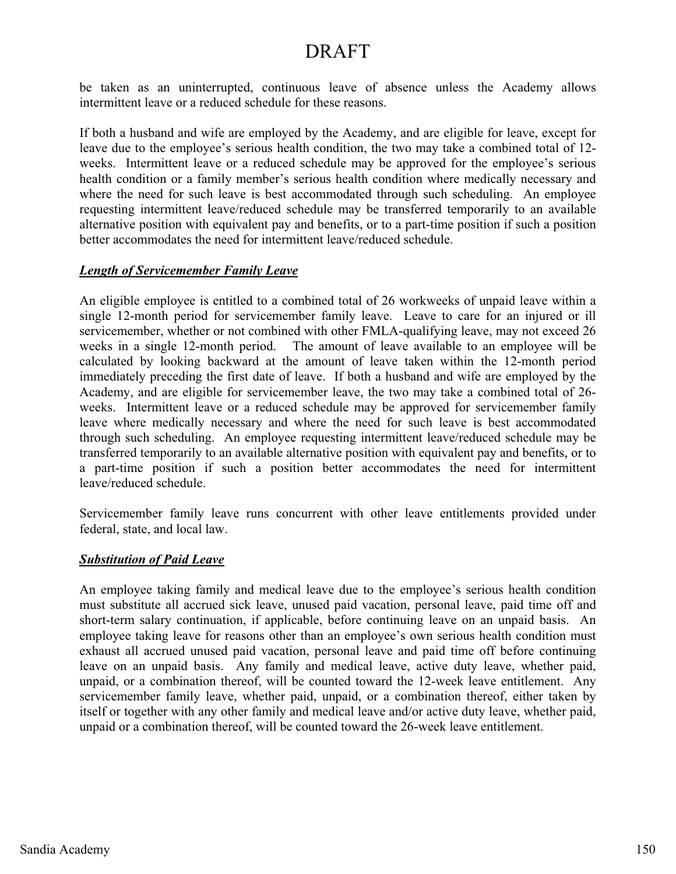be taken as an uninterrupted, continuous leave of absence unless the Academy allows intermittent leave or a reduced schedule for these reasons.

If both a husband and wife are employed by the Academy, and are eligible for leave, except for leave due to the employee's serious health condition, the two may take a combined total of 12 weeks. Intermittent leave or a reduced schedule may be approved for the employee's serious health condition or a family member's serious health condition where medically necessary and where the need for such leave is best accommodated through such scheduling. An employee requesting intermittent leave/reduced schedule may be transferred temporarily to an available alternative position with equivalent pay and benefits, or to a part-time position if such a position better accommodates the need for intermittent leave/reduced schedule.

#### *Length of Servicemember Family Leave*

An eligible employee is entitled to a combined total of 26 workweeks of unpaid leave within a single 12-month period for servicemember family leave. Leave to care for an injured or ill servicemember, whether or not combined with other FMLA-qualifying leave, may not exceed 26 weeks in a single 12-month period. The amount of leave available to an employee will be calculated by looking backward at the amount of leave taken within the 12-month period immediately preceding the first date of leave. If both a husband and wife are employed by the Academy, and are eligible for servicemember leave, the two may take a combined total of 26 weeks. Intermittent leave or a reduced schedule may be approved for servicemember family leave where medically necessary and where the need for such leave is best accommodated through such scheduling. An employee requesting intermittent leave/reduced schedule may be transferred temporarily to an available alternative position with equivalent pay and benefits, or to a part-time position if such a position better accommodates the need for intermittent leave/reduced schedule.

Servicemember family leave runs concurrent with other leave entitlements provided under federal, state, and local law.

#### *Substitution of Paid Leave*

An employee taking family and medical leave due to the employee's serious health condition must substitute all accrued sick leave, unused paid vacation, personal leave, paid time off and short-term salary continuation, if applicable, before continuing leave on an unpaid basis. An employee taking leave for reasons other than an employee's own serious health condition must exhaust all accrued unused paid vacation, personal leave and paid time off before continuing leave on an unpaid basis. Any family and medical leave, active duty leave, whether paid, unpaid, or a combination thereof, will be counted toward the 12-week leave entitlement. Any servicemember family leave, whether paid, unpaid, or a combination thereof, either taken by itself or together with any other family and medical leave and/or active duty leave, whether paid, unpaid or a combination thereof, will be counted toward the 26-week leave entitlement.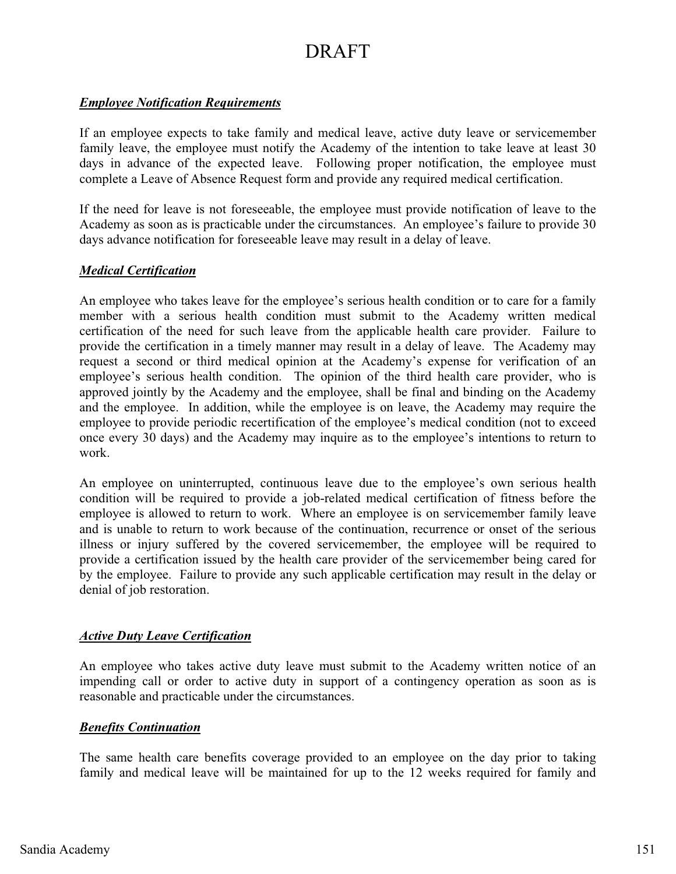#### *Employee Notification Requirements*

If an employee expects to take family and medical leave, active duty leave or servicemember family leave, the employee must notify the Academy of the intention to take leave at least 30 days in advance of the expected leave. Following proper notification, the employee must complete a Leave of Absence Request form and provide any required medical certification.

If the need for leave is not foreseeable, the employee must provide notification of leave to the Academy as soon as is practicable under the circumstances. An employee's failure to provide 30 days advance notification for foreseeable leave may result in a delay of leave.

#### *Medical Certification*

An employee who takes leave for the employee's serious health condition or to care for a family member with a serious health condition must submit to the Academy written medical certification of the need for such leave from the applicable health care provider. Failure to provide the certification in a timely manner may result in a delay of leave. The Academy may request a second or third medical opinion at the Academy's expense for verification of an employee's serious health condition. The opinion of the third health care provider, who is approved jointly by the Academy and the employee, shall be final and binding on the Academy and the employee. In addition, while the employee is on leave, the Academy may require the employee to provide periodic recertification of the employee's medical condition (not to exceed once every 30 days) and the Academy may inquire as to the employee's intentions to return to work.

An employee on uninterrupted, continuous leave due to the employee's own serious health condition will be required to provide a job-related medical certification of fitness before the employee is allowed to return to work. Where an employee is on servicemember family leave and is unable to return to work because of the continuation, recurrence or onset of the serious illness or injury suffered by the covered servicemember, the employee will be required to provide a certification issued by the health care provider of the servicemember being cared for by the employee. Failure to provide any such applicable certification may result in the delay or denial of job restoration.

#### *Active Duty Leave Certification*

An employee who takes active duty leave must submit to the Academy written notice of an impending call or order to active duty in support of a contingency operation as soon as is reasonable and practicable under the circumstances.

#### *Benefits Continuation*

The same health care benefits coverage provided to an employee on the day prior to taking family and medical leave will be maintained for up to the 12 weeks required for family and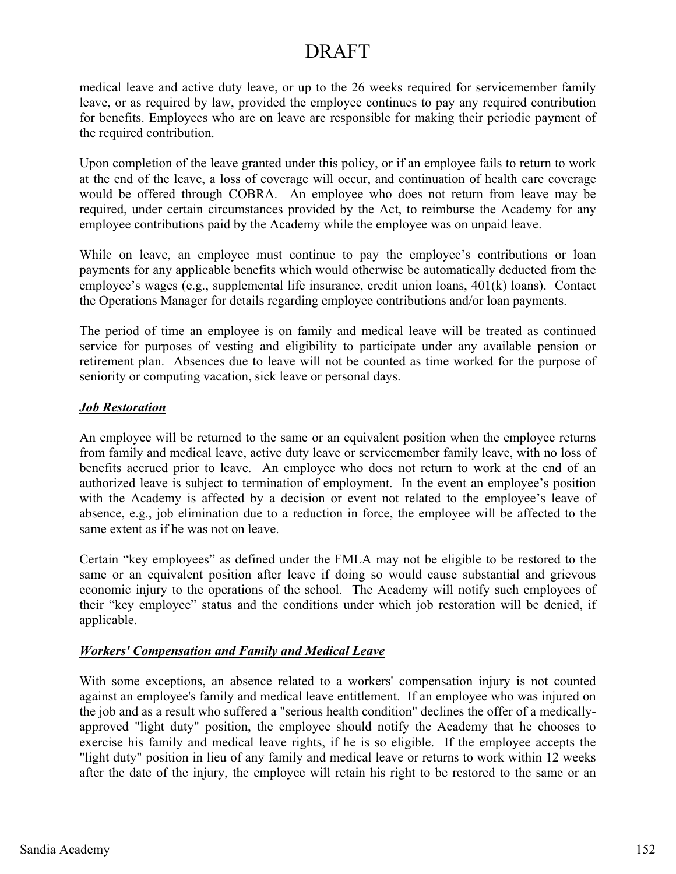medical leave and active duty leave, or up to the 26 weeks required for servicemember family leave, or as required by law, provided the employee continues to pay any required contribution for benefits. Employees who are on leave are responsible for making their periodic payment of the required contribution.

Upon completion of the leave granted under this policy, or if an employee fails to return to work at the end of the leave, a loss of coverage will occur, and continuation of health care coverage would be offered through COBRA. An employee who does not return from leave may be required, under certain circumstances provided by the Act, to reimburse the Academy for any employee contributions paid by the Academy while the employee was on unpaid leave.

While on leave, an employee must continue to pay the employee's contributions or loan payments for any applicable benefits which would otherwise be automatically deducted from the employee's wages (e.g., supplemental life insurance, credit union loans, 401(k) loans). Contact the Operations Manager for details regarding employee contributions and/or loan payments.

The period of time an employee is on family and medical leave will be treated as continued service for purposes of vesting and eligibility to participate under any available pension or retirement plan. Absences due to leave will not be counted as time worked for the purpose of seniority or computing vacation, sick leave or personal days.

#### *Job Restoration*

An employee will be returned to the same or an equivalent position when the employee returns from family and medical leave, active duty leave or servicemember family leave, with no loss of benefits accrued prior to leave. An employee who does not return to work at the end of an authorized leave is subject to termination of employment. In the event an employee's position with the Academy is affected by a decision or event not related to the employee's leave of absence, e.g., job elimination due to a reduction in force, the employee will be affected to the same extent as if he was not on leave.

Certain "key employees" as defined under the FMLA may not be eligible to be restored to the same or an equivalent position after leave if doing so would cause substantial and grievous economic injury to the operations of the school. The Academy will notify such employees of their "key employee" status and the conditions under which job restoration will be denied, if applicable.

#### *Workers' Compensation and Family and Medical Leave*

With some exceptions, an absence related to a workers' compensation injury is not counted against an employee's family and medical leave entitlement. If an employee who was injured on the job and as a result who suffered a "serious health condition" declines the offer of a medicallyapproved "light duty" position, the employee should notify the Academy that he chooses to exercise his family and medical leave rights, if he is so eligible. If the employee accepts the "light duty" position in lieu of any family and medical leave or returns to work within 12 weeks after the date of the injury, the employee will retain his right to be restored to the same or an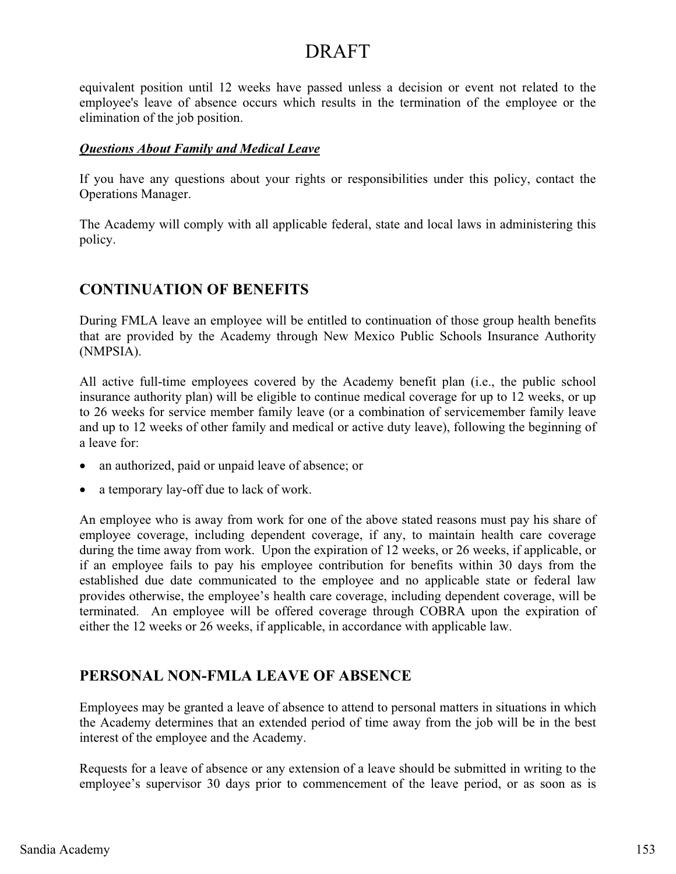equivalent position until 12 weeks have passed unless a decision or event not related to the employee's leave of absence occurs which results in the termination of the employee or the elimination of the job position.

#### *Questions About Family and Medical Leave*

If you have any questions about your rights or responsibilities under this policy, contact the Operations Manager.

The Academy will comply with all applicable federal, state and local laws in administering this policy.

### **CONTINUATION OF BENEFITS**

During FMLA leave an employee will be entitled to continuation of those group health benefits that are provided by the Academy through New Mexico Public Schools Insurance Authority (NMPSIA).

All active full-time employees covered by the Academy benefit plan (i.e., the public school insurance authority plan) will be eligible to continue medical coverage for up to 12 weeks, or up to 26 weeks for service member family leave (or a combination of servicemember family leave and up to 12 weeks of other family and medical or active duty leave), following the beginning of a leave for:

- an authorized, paid or unpaid leave of absence; or
- a temporary lay-off due to lack of work.

An employee who is away from work for one of the above stated reasons must pay his share of employee coverage, including dependent coverage, if any, to maintain health care coverage during the time away from work. Upon the expiration of 12 weeks, or 26 weeks, if applicable, or if an employee fails to pay his employee contribution for benefits within 30 days from the established due date communicated to the employee and no applicable state or federal law provides otherwise, the employee's health care coverage, including dependent coverage, will be terminated. An employee will be offered coverage through COBRA upon the expiration of either the 12 weeks or 26 weeks, if applicable, in accordance with applicable law.

### **PERSONAL NON-FMLA LEAVE OF ABSENCE**

Employees may be granted a leave of absence to attend to personal matters in situations in which the Academy determines that an extended period of time away from the job will be in the best interest of the employee and the Academy.

Requests for a leave of absence or any extension of a leave should be submitted in writing to the employee's supervisor 30 days prior to commencement of the leave period, or as soon as is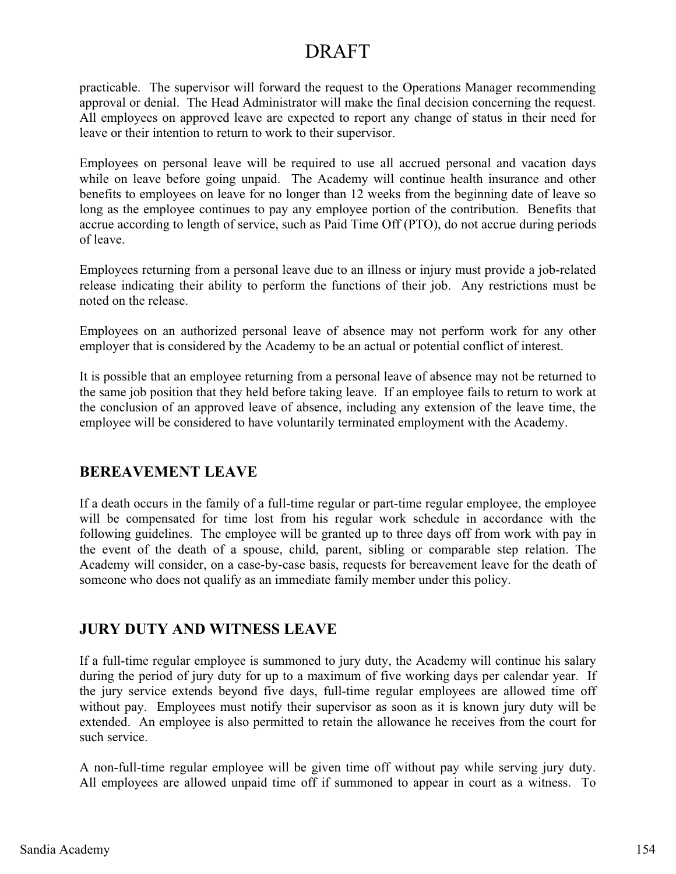practicable. The supervisor will forward the request to the Operations Manager recommending approval or denial. The Head Administrator will make the final decision concerning the request. All employees on approved leave are expected to report any change of status in their need for leave or their intention to return to work to their supervisor.

Employees on personal leave will be required to use all accrued personal and vacation days while on leave before going unpaid. The Academy will continue health insurance and other benefits to employees on leave for no longer than 12 weeks from the beginning date of leave so long as the employee continues to pay any employee portion of the contribution. Benefits that accrue according to length of service, such as Paid Time Off (PTO), do not accrue during periods of leave.

Employees returning from a personal leave due to an illness or injury must provide a job-related release indicating their ability to perform the functions of their job. Any restrictions must be noted on the release.

Employees on an authorized personal leave of absence may not perform work for any other employer that is considered by the Academy to be an actual or potential conflict of interest.

It is possible that an employee returning from a personal leave of absence may not be returned to the same job position that they held before taking leave. If an employee fails to return to work at the conclusion of an approved leave of absence, including any extension of the leave time, the employee will be considered to have voluntarily terminated employment with the Academy.

### **BEREAVEMENT LEAVE**

If a death occurs in the family of a full-time regular or part-time regular employee, the employee will be compensated for time lost from his regular work schedule in accordance with the following guidelines. The employee will be granted up to three days off from work with pay in the event of the death of a spouse, child, parent, sibling or comparable step relation. The Academy will consider, on a case-by-case basis, requests for bereavement leave for the death of someone who does not qualify as an immediate family member under this policy.

### **JURY DUTY AND WITNESS LEAVE**

If a full-time regular employee is summoned to jury duty, the Academy will continue his salary during the period of jury duty for up to a maximum of five working days per calendar year. If the jury service extends beyond five days, full-time regular employees are allowed time off without pay. Employees must notify their supervisor as soon as it is known jury duty will be extended. An employee is also permitted to retain the allowance he receives from the court for such service.

A non-full-time regular employee will be given time off without pay while serving jury duty. All employees are allowed unpaid time off if summoned to appear in court as a witness. To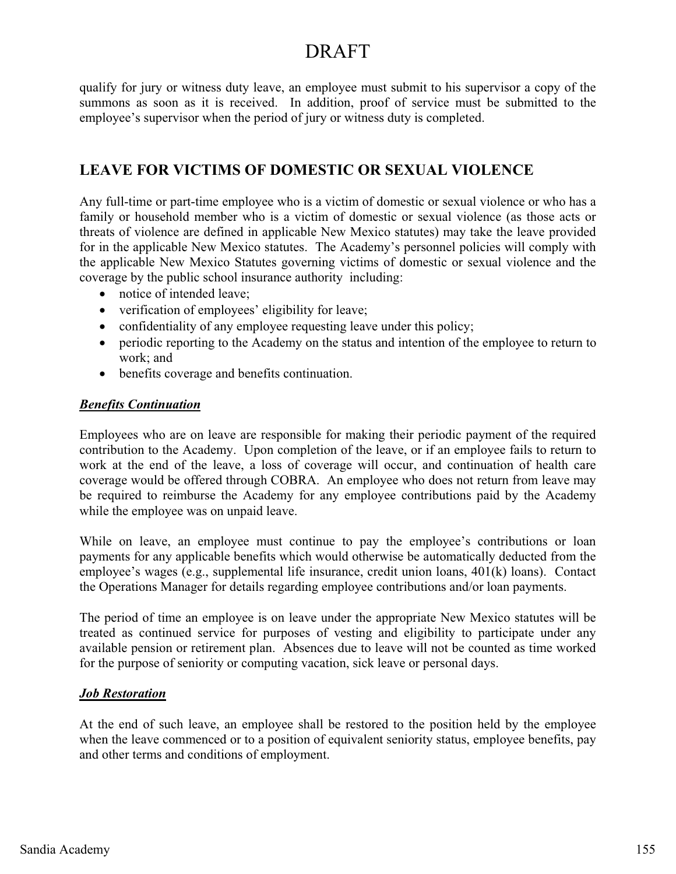qualify for jury or witness duty leave, an employee must submit to his supervisor a copy of the summons as soon as it is received. In addition, proof of service must be submitted to the employee's supervisor when the period of jury or witness duty is completed.

### **LEAVE FOR VICTIMS OF DOMESTIC OR SEXUAL VIOLENCE**

Any full-time or part-time employee who is a victim of domestic or sexual violence or who has a family or household member who is a victim of domestic or sexual violence (as those acts or threats of violence are defined in applicable New Mexico statutes) may take the leave provided for in the applicable New Mexico statutes. The Academy's personnel policies will comply with the applicable New Mexico Statutes governing victims of domestic or sexual violence and the coverage by the public school insurance authority including:

- notice of intended leave;
- verification of employees' eligibility for leave;
- confidentiality of any employee requesting leave under this policy;
- periodic reporting to the Academy on the status and intention of the employee to return to work; and
- benefits coverage and benefits continuation.

#### *Benefits Continuation*

Employees who are on leave are responsible for making their periodic payment of the required contribution to the Academy. Upon completion of the leave, or if an employee fails to return to work at the end of the leave, a loss of coverage will occur, and continuation of health care coverage would be offered through COBRA. An employee who does not return from leave may be required to reimburse the Academy for any employee contributions paid by the Academy while the employee was on unpaid leave.

While on leave, an employee must continue to pay the employee's contributions or loan payments for any applicable benefits which would otherwise be automatically deducted from the employee's wages (e.g., supplemental life insurance, credit union loans, 401(k) loans). Contact the Operations Manager for details regarding employee contributions and/or loan payments.

The period of time an employee is on leave under the appropriate New Mexico statutes will be treated as continued service for purposes of vesting and eligibility to participate under any available pension or retirement plan. Absences due to leave will not be counted as time worked for the purpose of seniority or computing vacation, sick leave or personal days.

#### *Job Restoration*

At the end of such leave, an employee shall be restored to the position held by the employee when the leave commenced or to a position of equivalent seniority status, employee benefits, pay and other terms and conditions of employment.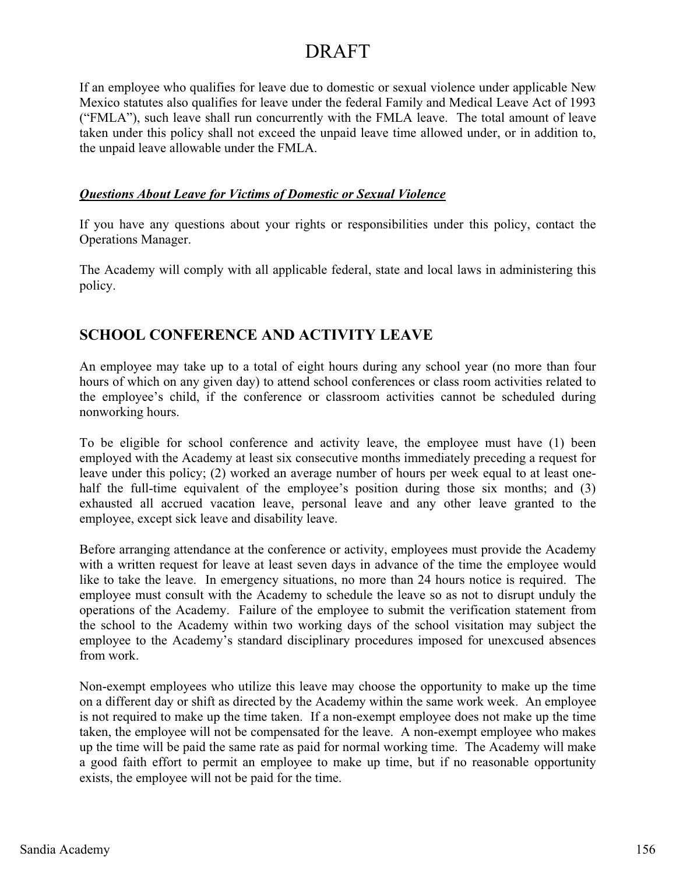If an employee who qualifies for leave due to domestic or sexual violence under applicable New Mexico statutes also qualifies for leave under the federal Family and Medical Leave Act of 1993 ("FMLA"), such leave shall run concurrently with the FMLA leave. The total amount of leave taken under this policy shall not exceed the unpaid leave time allowed under, or in addition to, the unpaid leave allowable under the FMLA.

#### *Questions About Leave for Victims of Domestic or Sexual Violence*

If you have any questions about your rights or responsibilities under this policy, contact the Operations Manager.

The Academy will comply with all applicable federal, state and local laws in administering this policy.

## **SCHOOL CONFERENCE AND ACTIVITY LEAVE**

An employee may take up to a total of eight hours during any school year (no more than four hours of which on any given day) to attend school conferences or class room activities related to the employee's child, if the conference or classroom activities cannot be scheduled during nonworking hours.

To be eligible for school conference and activity leave, the employee must have (1) been employed with the Academy at least six consecutive months immediately preceding a request for leave under this policy; (2) worked an average number of hours per week equal to at least onehalf the full-time equivalent of the employee's position during those six months; and (3) exhausted all accrued vacation leave, personal leave and any other leave granted to the employee, except sick leave and disability leave.

Before arranging attendance at the conference or activity, employees must provide the Academy with a written request for leave at least seven days in advance of the time the employee would like to take the leave. In emergency situations, no more than 24 hours notice is required. The employee must consult with the Academy to schedule the leave so as not to disrupt unduly the operations of the Academy. Failure of the employee to submit the verification statement from the school to the Academy within two working days of the school visitation may subject the employee to the Academy's standard disciplinary procedures imposed for unexcused absences from work.

Non-exempt employees who utilize this leave may choose the opportunity to make up the time on a different day or shift as directed by the Academy within the same work week. An employee is not required to make up the time taken. If a non-exempt employee does not make up the time taken, the employee will not be compensated for the leave. A non-exempt employee who makes up the time will be paid the same rate as paid for normal working time. The Academy will make a good faith effort to permit an employee to make up time, but if no reasonable opportunity exists, the employee will not be paid for the time.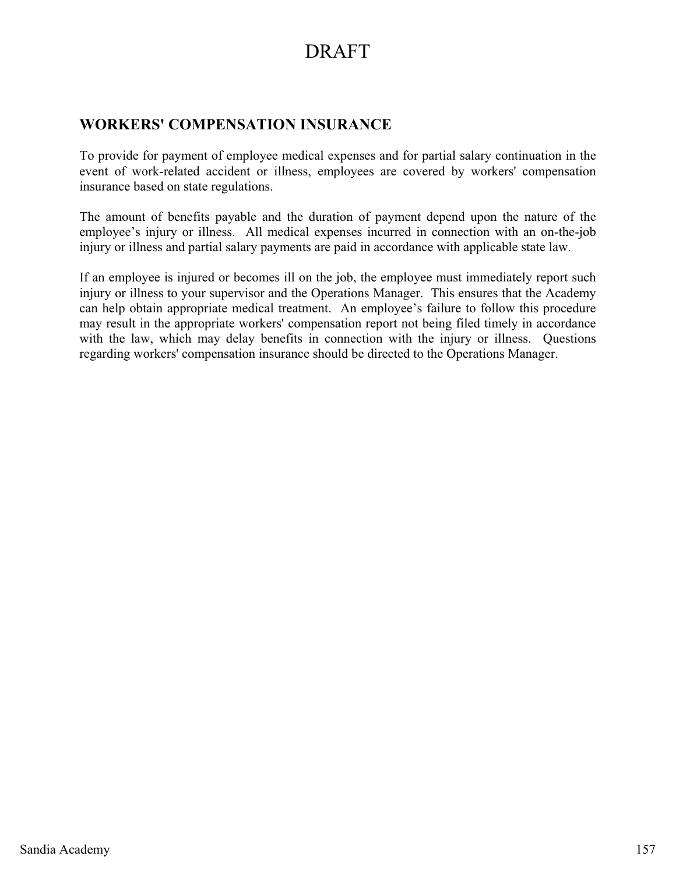### **WORKERS' COMPENSATION INSURANCE**

To provide for payment of employee medical expenses and for partial salary continuation in the event of work-related accident or illness, employees are covered by workers' compensation insurance based on state regulations.

The amount of benefits payable and the duration of payment depend upon the nature of the employee's injury or illness. All medical expenses incurred in connection with an on-the-job injury or illness and partial salary payments are paid in accordance with applicable state law.

If an employee is injured or becomes ill on the job, the employee must immediately report such injury or illness to your supervisor and the Operations Manager. This ensures that the Academy can help obtain appropriate medical treatment. An employee's failure to follow this procedure may result in the appropriate workers' compensation report not being filed timely in accordance with the law, which may delay benefits in connection with the injury or illness. Questions regarding workers' compensation insurance should be directed to the Operations Manager.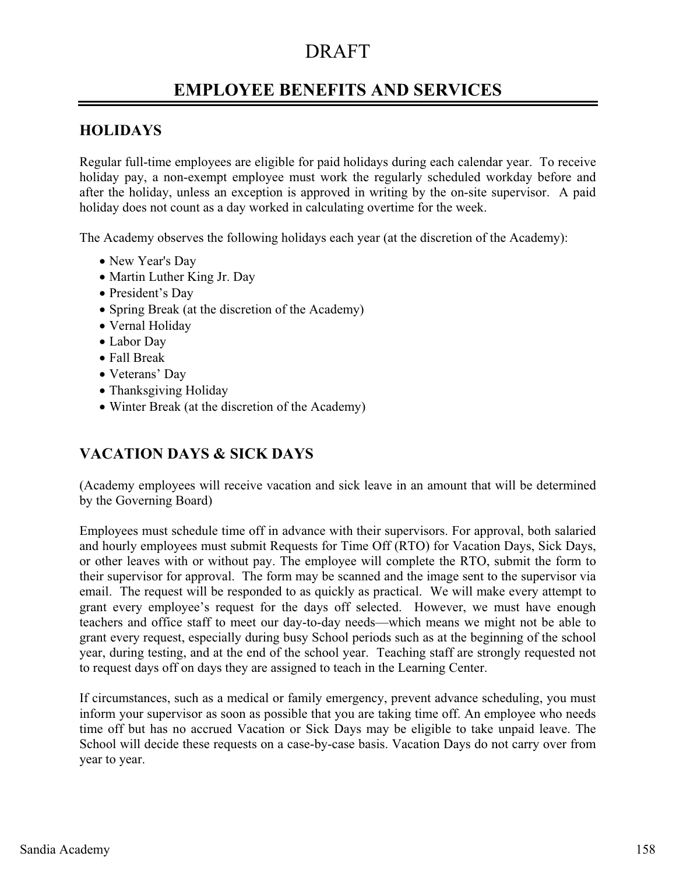## **EMPLOYEE BENEFITS AND SERVICES**

### **HOLIDAYS**

Regular full-time employees are eligible for paid holidays during each calendar year. To receive holiday pay, a non-exempt employee must work the regularly scheduled workday before and after the holiday, unless an exception is approved in writing by the on-site supervisor. A paid holiday does not count as a day worked in calculating overtime for the week.

The Academy observes the following holidays each year (at the discretion of the Academy):

- New Year's Day
- Martin Luther King Jr. Day
- President's Day
- Spring Break (at the discretion of the Academy)
- · Vernal Holiday
- Labor Day
- Fall Break
- Veterans' Day
- Thanksgiving Holiday
- Winter Break (at the discretion of the Academy)

## **VACATION DAYS & SICK DAYS**

(Academy employees will receive vacation and sick leave in an amount that will be determined by the Governing Board)

Employees must schedule time off in advance with their supervisors. For approval, both salaried and hourly employees must submit Requests for Time Off (RTO) for Vacation Days, Sick Days, or other leaves with or without pay. The employee will complete the RTO, submit the form to their supervisor for approval. The form may be scanned and the image sent to the supervisor via email. The request will be responded to as quickly as practical. We will make every attempt to grant every employee's request for the days off selected. However, we must have enough teachers and office staff to meet our day-to-day needs—which means we might not be able to grant every request, especially during busy School periods such as at the beginning of the school year, during testing, and at the end of the school year. Teaching staff are strongly requested not to request days off on days they are assigned to teach in the Learning Center.

If circumstances, such as a medical or family emergency, prevent advance scheduling, you must inform your supervisor as soon as possible that you are taking time off. An employee who needs time off but has no accrued Vacation or Sick Days may be eligible to take unpaid leave. The School will decide these requests on a case-by-case basis. Vacation Days do not carry over from year to year.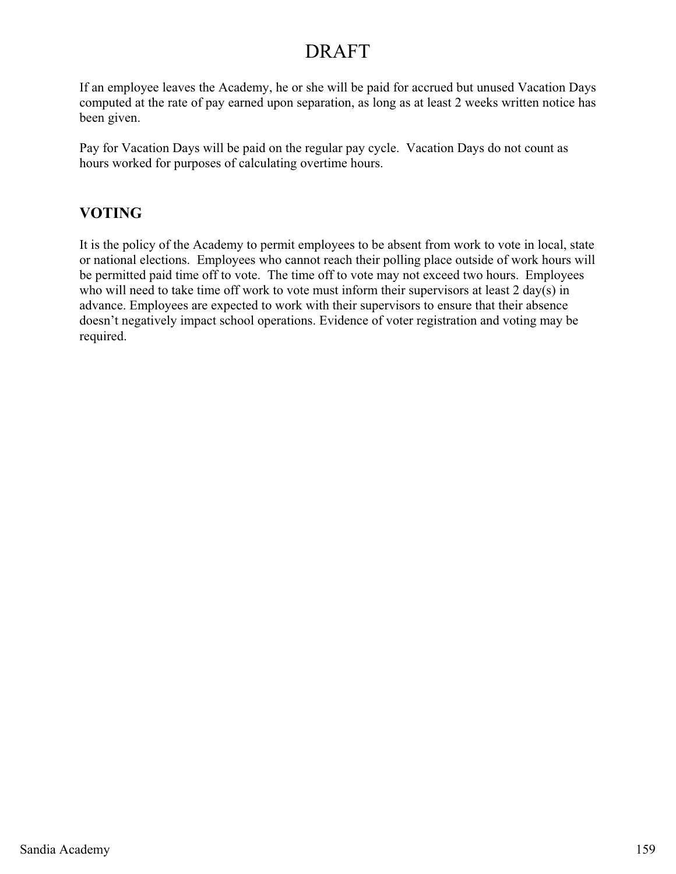If an employee leaves the Academy, he or she will be paid for accrued but unused Vacation Days computed at the rate of pay earned upon separation, as long as at least 2 weeks written notice has been given.

Pay for Vacation Days will be paid on the regular pay cycle. Vacation Days do not count as hours worked for purposes of calculating overtime hours.

## **VOTING**

It is the policy of the Academy to permit employees to be absent from work to vote in local, state or national elections. Employees who cannot reach their polling place outside of work hours will be permitted paid time off to vote. The time off to vote may not exceed two hours. Employees who will need to take time off work to vote must inform their supervisors at least 2 day(s) in advance. Employees are expected to work with their supervisors to ensure that their absence doesn't negatively impact school operations. Evidence of voter registration and voting may be required.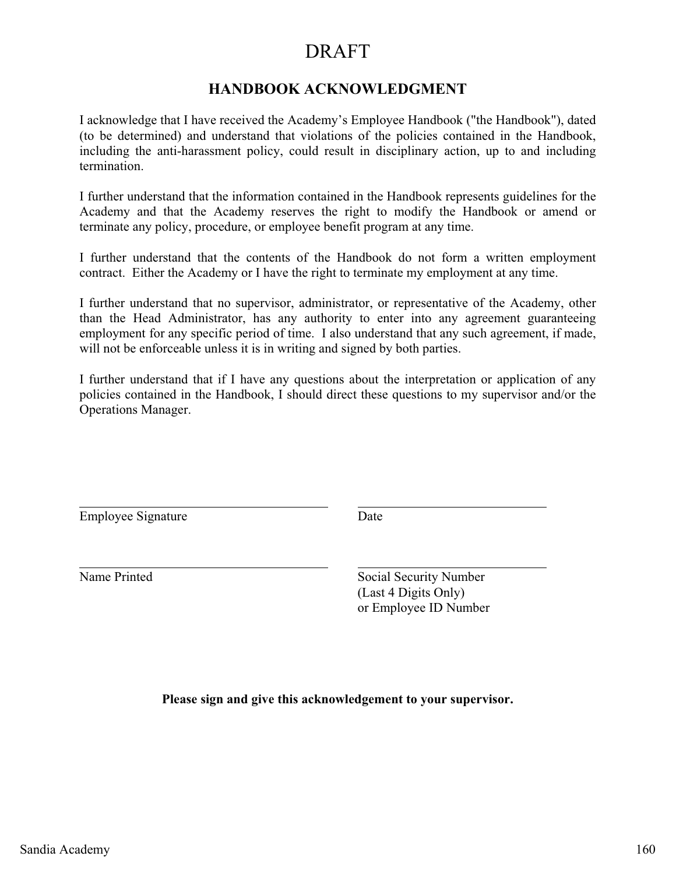### **HANDBOOK ACKNOWLEDGMENT**

I acknowledge that I have received the Academy's Employee Handbook ("the Handbook"), dated (to be determined) and understand that violations of the policies contained in the Handbook, including the anti-harassment policy, could result in disciplinary action, up to and including termination.

I further understand that the information contained in the Handbook represents guidelines for the Academy and that the Academy reserves the right to modify the Handbook or amend or terminate any policy, procedure, or employee benefit program at any time.

I further understand that the contents of the Handbook do not form a written employment contract. Either the Academy or I have the right to terminate my employment at any time.

I further understand that no supervisor, administrator, or representative of the Academy, other than the Head Administrator, has any authority to enter into any agreement guaranteeing employment for any specific period of time. I also understand that any such agreement, if made, will not be enforceable unless it is in writing and signed by both parties.

I further understand that if I have any questions about the interpretation or application of any policies contained in the Handbook, I should direct these questions to my supervisor and/or the Operations Manager.

Employee Signature Date

Name Printed Social Security Number (Last 4 Digits Only) or Employee ID Number

**Please sign and give this acknowledgement to your supervisor.**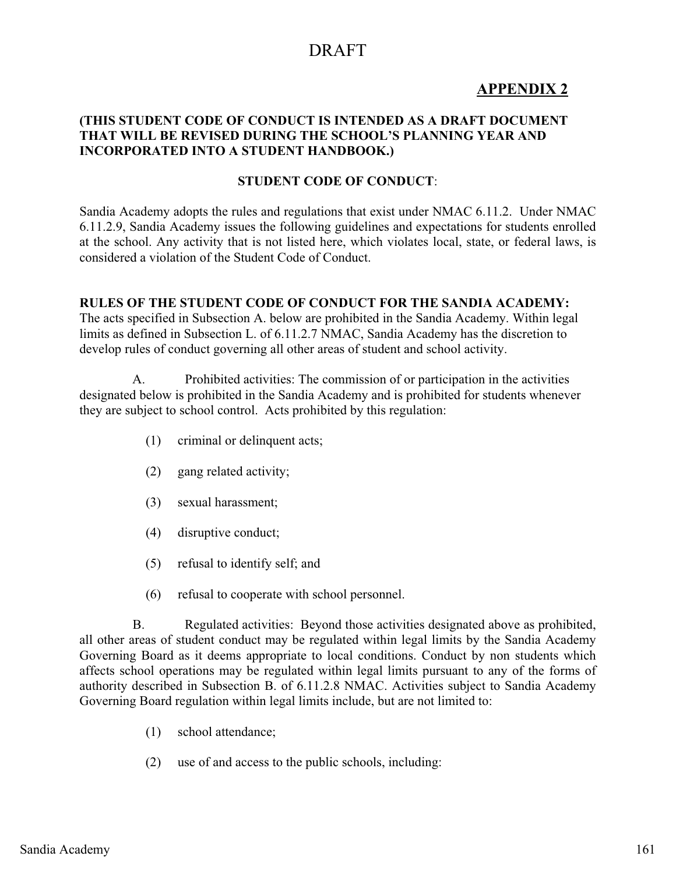## **APPENDIX 2**

#### **(THIS STUDENT CODE OF CONDUCT IS INTENDED AS A DRAFT DOCUMENT THAT WILL BE REVISED DURING THE SCHOOL'S PLANNING YEAR AND INCORPORATED INTO A STUDENT HANDBOOK.)**

#### **STUDENT CODE OF CONDUCT**:

Sandia Academy adopts the rules and regulations that exist under NMAC 6.11.2. Under NMAC 6.11.2.9, Sandia Academy issues the following guidelines and expectations for students enrolled at the school. Any activity that is not listed here, which violates local, state, or federal laws, is considered a violation of the Student Code of Conduct.

#### **RULES OF THE STUDENT CODE OF CONDUCT FOR THE SANDIA ACADEMY:**

The acts specified in Subsection A. below are prohibited in the Sandia Academy. Within legal limits as defined in Subsection L. of 6.11.2.7 NMAC, Sandia Academy has the discretion to develop rules of conduct governing all other areas of student and school activity.

 A. Prohibited activities: The commission of or participation in the activities designated below is prohibited in the Sandia Academy and is prohibited for students whenever they are subject to school control. Acts prohibited by this regulation:

- (1) criminal or delinquent acts;
- (2) gang related activity;
- (3) sexual harassment;
- (4) disruptive conduct;
- (5) refusal to identify self; and
- (6) refusal to cooperate with school personnel.

 B. Regulated activities: Beyond those activities designated above as prohibited, all other areas of student conduct may be regulated within legal limits by the Sandia Academy Governing Board as it deems appropriate to local conditions. Conduct by non students which affects school operations may be regulated within legal limits pursuant to any of the forms of authority described in Subsection B. of 6.11.2.8 NMAC. Activities subject to Sandia Academy Governing Board regulation within legal limits include, but are not limited to:

- (1) school attendance;
- (2) use of and access to the public schools, including: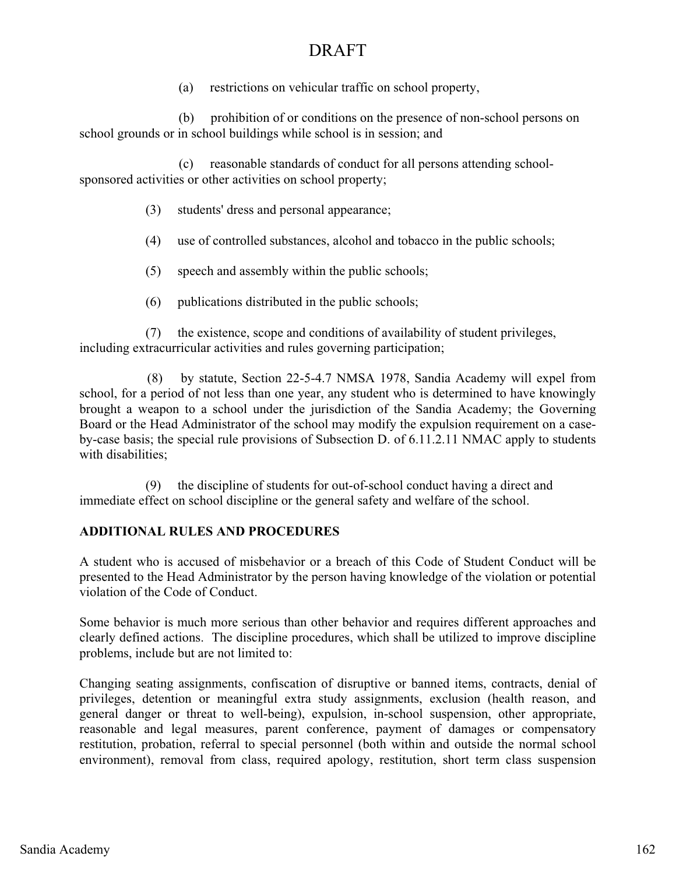(a) restrictions on vehicular traffic on school property,

 (b) prohibition of or conditions on the presence of non-school persons on school grounds or in school buildings while school is in session; and

 (c) reasonable standards of conduct for all persons attending schoolsponsored activities or other activities on school property;

- (3) students' dress and personal appearance;
- (4) use of controlled substances, alcohol and tobacco in the public schools;
- (5) speech and assembly within the public schools;
- (6) publications distributed in the public schools;

 (7) the existence, scope and conditions of availability of student privileges, including extracurricular activities and rules governing participation;

 (8) by statute, Section 22-5-4.7 NMSA 1978, Sandia Academy will expel from school, for a period of not less than one year, any student who is determined to have knowingly brought a weapon to a school under the jurisdiction of the Sandia Academy; the Governing Board or the Head Administrator of the school may modify the expulsion requirement on a caseby-case basis; the special rule provisions of Subsection D. of 6.11.2.11 NMAC apply to students with disabilities:

 (9) the discipline of students for out-of-school conduct having a direct and immediate effect on school discipline or the general safety and welfare of the school.

#### **ADDITIONAL RULES AND PROCEDURES**

A student who is accused of misbehavior or a breach of this Code of Student Conduct will be presented to the Head Administrator by the person having knowledge of the violation or potential violation of the Code of Conduct.

Some behavior is much more serious than other behavior and requires different approaches and clearly defined actions. The discipline procedures, which shall be utilized to improve discipline problems, include but are not limited to:

Changing seating assignments, confiscation of disruptive or banned items, contracts, denial of privileges, detention or meaningful extra study assignments, exclusion (health reason, and general danger or threat to well-being), expulsion, in-school suspension, other appropriate, reasonable and legal measures, parent conference, payment of damages or compensatory restitution, probation, referral to special personnel (both within and outside the normal school environment), removal from class, required apology, restitution, short term class suspension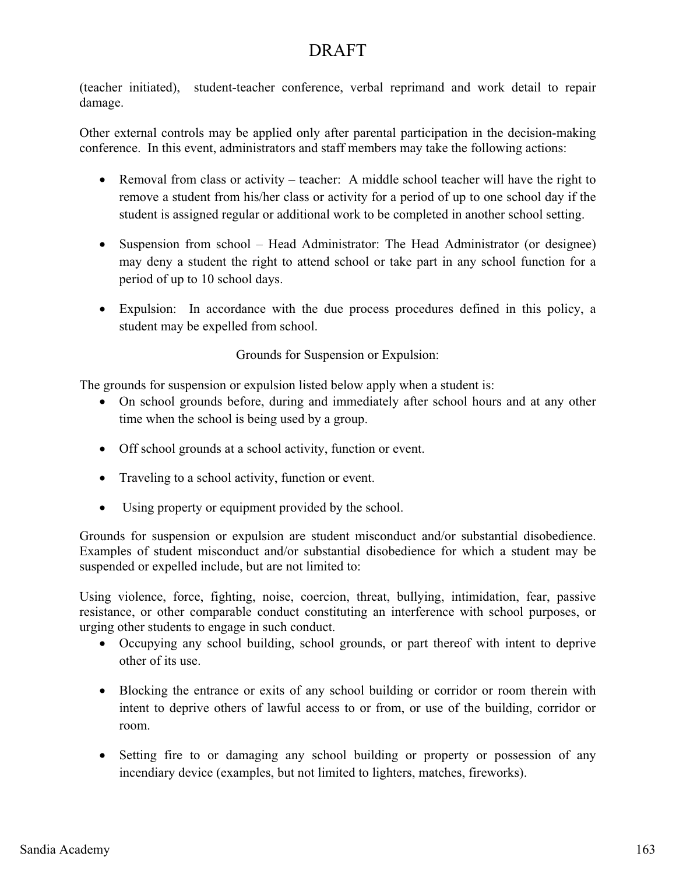(teacher initiated), student-teacher conference, verbal reprimand and work detail to repair damage.

Other external controls may be applied only after parental participation in the decision-making conference. In this event, administrators and staff members may take the following actions:

- Removal from class or activity teacher: A middle school teacher will have the right to remove a student from his/her class or activity for a period of up to one school day if the student is assigned regular or additional work to be completed in another school setting.
- Suspension from school Head Administrator: The Head Administrator (or designee) may deny a student the right to attend school or take part in any school function for a period of up to 10 school days.
- Expulsion: In accordance with the due process procedures defined in this policy, a student may be expelled from school.

Grounds for Suspension or Expulsion:

The grounds for suspension or expulsion listed below apply when a student is:

- On school grounds before, during and immediately after school hours and at any other time when the school is being used by a group.
- Off school grounds at a school activity, function or event.
- Traveling to a school activity, function or event.
- $\bullet$ Using property or equipment provided by the school.

Grounds for suspension or expulsion are student misconduct and/or substantial disobedience. Examples of student misconduct and/or substantial disobedience for which a student may be suspended or expelled include, but are not limited to:

Using violence, force, fighting, noise, coercion, threat, bullying, intimidation, fear, passive resistance, or other comparable conduct constituting an interference with school purposes, or urging other students to engage in such conduct.

- Occupying any school building, school grounds, or part thereof with intent to deprive other of its use.
- Blocking the entrance or exits of any school building or corridor or room therein with intent to deprive others of lawful access to or from, or use of the building, corridor or room.
- Setting fire to or damaging any school building or property or possession of any incendiary device (examples, but not limited to lighters, matches, fireworks).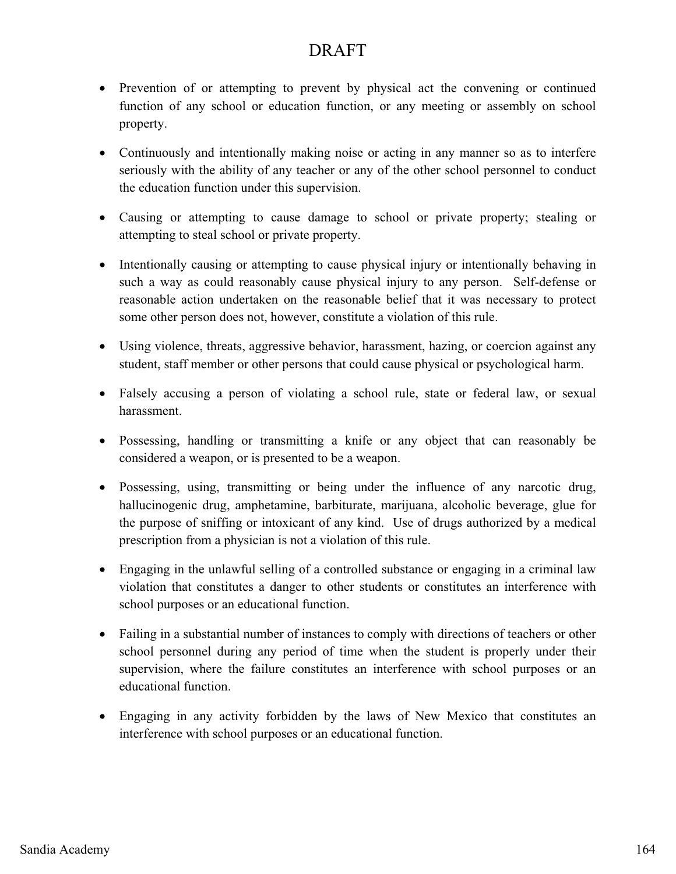- Prevention of or attempting to prevent by physical act the convening or continued function of any school or education function, or any meeting or assembly on school property.
- Continuously and intentionally making noise or acting in any manner so as to interfere seriously with the ability of any teacher or any of the other school personnel to conduct the education function under this supervision.
- Causing or attempting to cause damage to school or private property; stealing or attempting to steal school or private property.
- Intentionally causing or attempting to cause physical injury or intentionally behaving in such a way as could reasonably cause physical injury to any person. Self-defense or reasonable action undertaken on the reasonable belief that it was necessary to protect some other person does not, however, constitute a violation of this rule.
- Using violence, threats, aggressive behavior, harassment, hazing, or coercion against any student, staff member or other persons that could cause physical or psychological harm.
- Falsely accusing a person of violating a school rule, state or federal law, or sexual harassment.
- Possessing, handling or transmitting a knife or any object that can reasonably be considered a weapon, or is presented to be a weapon.
- Possessing, using, transmitting or being under the influence of any narcotic drug, hallucinogenic drug, amphetamine, barbiturate, marijuana, alcoholic beverage, glue for the purpose of sniffing or intoxicant of any kind. Use of drugs authorized by a medical prescription from a physician is not a violation of this rule.
- Engaging in the unlawful selling of a controlled substance or engaging in a criminal law violation that constitutes a danger to other students or constitutes an interference with school purposes or an educational function.
- Failing in a substantial number of instances to comply with directions of teachers or other school personnel during any period of time when the student is properly under their supervision, where the failure constitutes an interference with school purposes or an educational function.
- Engaging in any activity forbidden by the laws of New Mexico that constitutes an interference with school purposes or an educational function.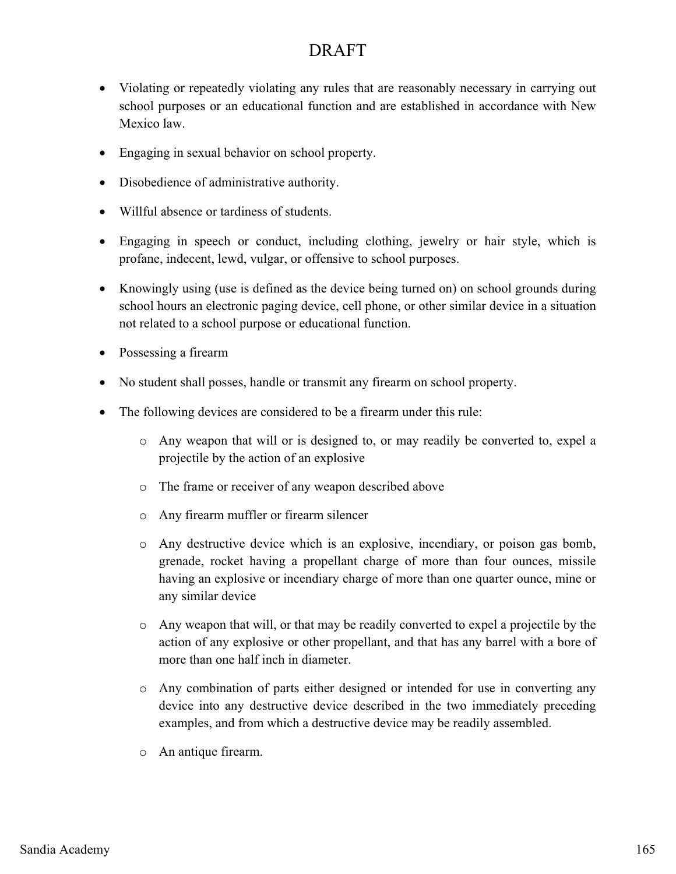- Violating or repeatedly violating any rules that are reasonably necessary in carrying out school purposes or an educational function and are established in accordance with New Mexico law.
- Engaging in sexual behavior on school property.
- Disobedience of administrative authority.
- Willful absence or tardiness of students.
- Engaging in speech or conduct, including clothing, jewelry or hair style, which is profane, indecent, lewd, vulgar, or offensive to school purposes.
- Knowingly using (use is defined as the device being turned on) on school grounds during school hours an electronic paging device, cell phone, or other similar device in a situation not related to a school purpose or educational function.
- Possessing a firearm
- No student shall posses, handle or transmit any firearm on school property.
- The following devices are considered to be a firearm under this rule:
	- o Any weapon that will or is designed to, or may readily be converted to, expel a projectile by the action of an explosive
	- o The frame or receiver of any weapon described above
	- o Any firearm muffler or firearm silencer
	- o Any destructive device which is an explosive, incendiary, or poison gas bomb, grenade, rocket having a propellant charge of more than four ounces, missile having an explosive or incendiary charge of more than one quarter ounce, mine or any similar device
	- o Any weapon that will, or that may be readily converted to expel a projectile by the action of any explosive or other propellant, and that has any barrel with a bore of more than one half inch in diameter.
	- o Any combination of parts either designed or intended for use in converting any device into any destructive device described in the two immediately preceding examples, and from which a destructive device may be readily assembled.
	- o An antique firearm.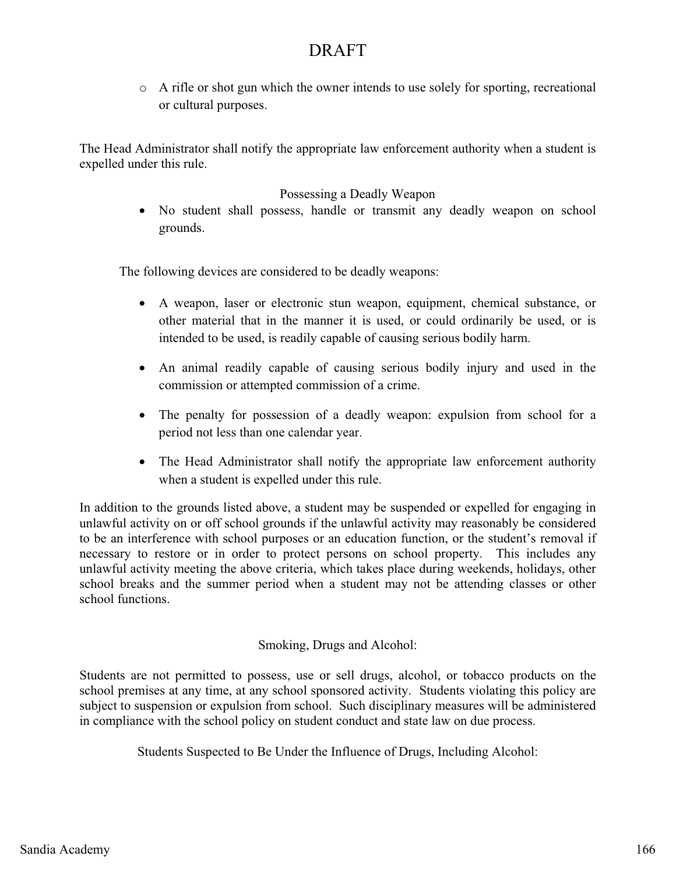$\circ$  A rifle or shot gun which the owner intends to use solely for sporting, recreational or cultural purposes.

The Head Administrator shall notify the appropriate law enforcement authority when a student is expelled under this rule.

#### Possessing a Deadly Weapon

- No student shall possess, handle or transmit any deadly weapon on school grounds.

The following devices are considered to be deadly weapons:

- A weapon, laser or electronic stun weapon, equipment, chemical substance, or other material that in the manner it is used, or could ordinarily be used, or is intended to be used, is readily capable of causing serious bodily harm.
- An animal readily capable of causing serious bodily injury and used in the commission or attempted commission of a crime.
- The penalty for possession of a deadly weapon: expulsion from school for a period not less than one calendar year.
- The Head Administrator shall notify the appropriate law enforcement authority when a student is expelled under this rule.

In addition to the grounds listed above, a student may be suspended or expelled for engaging in unlawful activity on or off school grounds if the unlawful activity may reasonably be considered to be an interference with school purposes or an education function, or the student's removal if necessary to restore or in order to protect persons on school property. This includes any unlawful activity meeting the above criteria, which takes place during weekends, holidays, other school breaks and the summer period when a student may not be attending classes or other school functions.

#### Smoking, Drugs and Alcohol:

Students are not permitted to possess, use or sell drugs, alcohol, or tobacco products on the school premises at any time, at any school sponsored activity. Students violating this policy are subject to suspension or expulsion from school. Such disciplinary measures will be administered in compliance with the school policy on student conduct and state law on due process.

Students Suspected to Be Under the Influence of Drugs, Including Alcohol: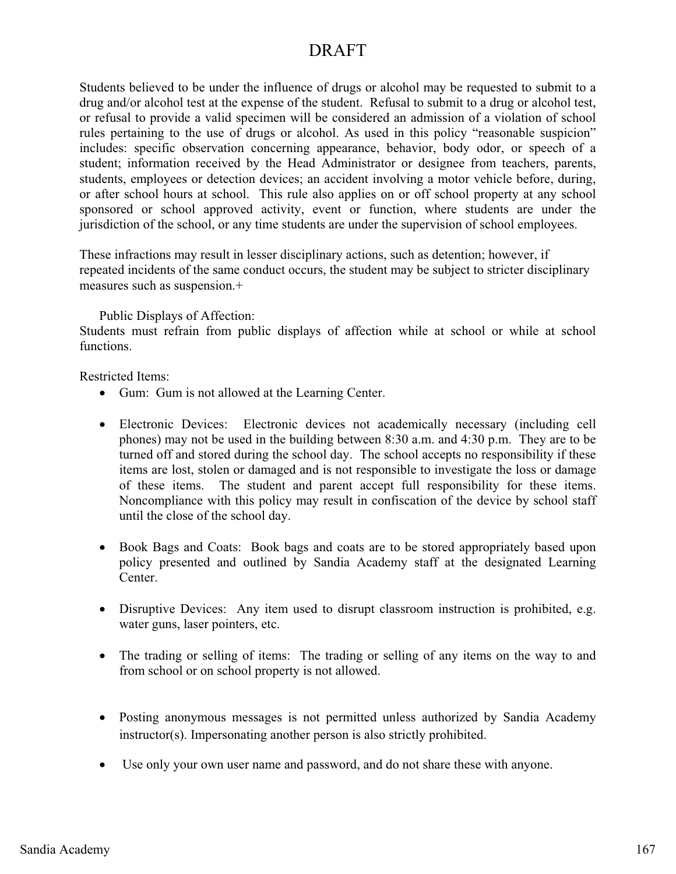Students believed to be under the influence of drugs or alcohol may be requested to submit to a drug and/or alcohol test at the expense of the student. Refusal to submit to a drug or alcohol test, or refusal to provide a valid specimen will be considered an admission of a violation of school rules pertaining to the use of drugs or alcohol. As used in this policy "reasonable suspicion" includes: specific observation concerning appearance, behavior, body odor, or speech of a student; information received by the Head Administrator or designee from teachers, parents, students, employees or detection devices; an accident involving a motor vehicle before, during, or after school hours at school. This rule also applies on or off school property at any school sponsored or school approved activity, event or function, where students are under the jurisdiction of the school, or any time students are under the supervision of school employees.

These infractions may result in lesser disciplinary actions, such as detention; however, if repeated incidents of the same conduct occurs, the student may be subject to stricter disciplinary measures such as suspension.+

Public Displays of Affection:

Students must refrain from public displays of affection while at school or while at school functions.

Restricted Items:

- Gum: Gum is not allowed at the Learning Center.
- Electronic Devices: Electronic devices not academically necessary (including cell phones) may not be used in the building between 8:30 a.m. and 4:30 p.m. They are to be turned off and stored during the school day. The school accepts no responsibility if these items are lost, stolen or damaged and is not responsible to investigate the loss or damage of these items. The student and parent accept full responsibility for these items. Noncompliance with this policy may result in confiscation of the device by school staff until the close of the school day.
- Book Bags and Coats: Book bags and coats are to be stored appropriately based upon policy presented and outlined by Sandia Academy staff at the designated Learning Center.
- Disruptive Devices: Any item used to disrupt classroom instruction is prohibited, e.g. water guns, laser pointers, etc.
- The trading or selling of items: The trading or selling of any items on the way to and from school or on school property is not allowed.
- Posting anonymous messages is not permitted unless authorized by Sandia Academy instructor(s). Impersonating another person is also strictly prohibited.
- Use only your own user name and password, and do not share these with anyone.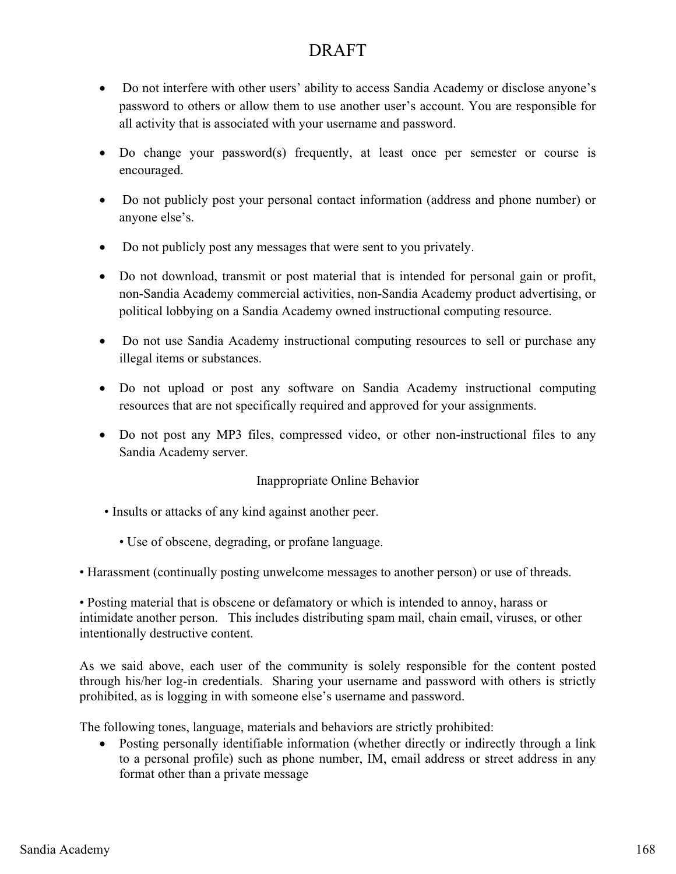- Do not interfere with other users' ability to access Sandia Academy or disclose anyone's password to others or allow them to use another user's account. You are responsible for all activity that is associated with your username and password.
- Do change your password(s) frequently, at least once per semester or course is encouraged.
- Do not publicly post your personal contact information (address and phone number) or anyone else's.
- Do not publicly post any messages that were sent to you privately.
- Do not download, transmit or post material that is intended for personal gain or profit, non-Sandia Academy commercial activities, non-Sandia Academy product advertising, or political lobbying on a Sandia Academy owned instructional computing resource.
- Do not use Sandia Academy instructional computing resources to sell or purchase any illegal items or substances.
- Do not upload or post any software on Sandia Academy instructional computing resources that are not specifically required and approved for your assignments.
- Do not post any MP3 files, compressed video, or other non-instructional files to any Sandia Academy server.

#### Inappropriate Online Behavior

- Insults or attacks of any kind against another peer.
	- Use of obscene, degrading, or profane language.
- Harassment (continually posting unwelcome messages to another person) or use of threads.

• Posting material that is obscene or defamatory or which is intended to annoy, harass or intimidate another person. This includes distributing spam mail, chain email, viruses, or other intentionally destructive content.

As we said above, each user of the community is solely responsible for the content posted through his/her log-in credentials. Sharing your username and password with others is strictly prohibited, as is logging in with someone else's username and password.

The following tones, language, materials and behaviors are strictly prohibited:

- Posting personally identifiable information (whether directly or indirectly through a link to a personal profile) such as phone number, IM, email address or street address in any format other than a private message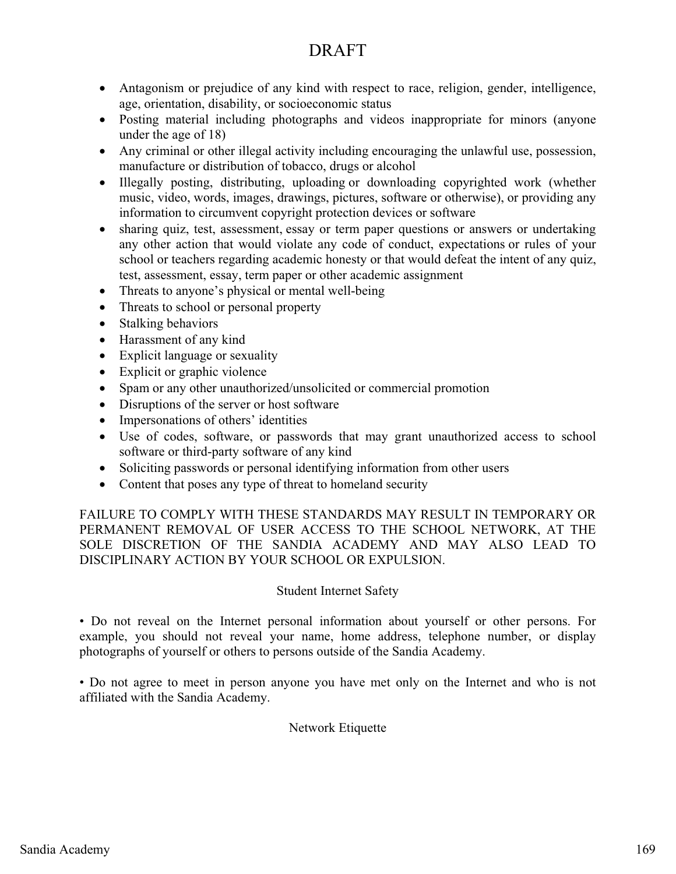- Antagonism or prejudice of any kind with respect to race, religion, gender, intelligence, age, orientation, disability, or socioeconomic status
- Posting material including photographs and videos inappropriate for minors (anyone under the age of 18)
- Any criminal or other illegal activity including encouraging the unlawful use, possession, manufacture or distribution of tobacco, drugs or alcohol
- Illegally posting, distributing, uploading or downloading copyrighted work (whether music, video, words, images, drawings, pictures, software or otherwise), or providing any information to circumvent copyright protection devices or software
- sharing quiz, test, assessment, essay or term paper questions or answers or undertaking any other action that would violate any code of conduct, expectations or rules of your school or teachers regarding academic honesty or that would defeat the intent of any quiz, test, assessment, essay, term paper or other academic assignment
- Threats to anyone's physical or mental well-being
- Threats to school or personal property
- Stalking behaviors
- Harassment of any kind
- Explicit language or sexuality
- Explicit or graphic violence
- Spam or any other unauthorized/unsolicited or commercial promotion
- Disruptions of the server or host software
- Impersonations of others' identities
- Use of codes, software, or passwords that may grant unauthorized access to school software or third-party software of any kind
- Soliciting passwords or personal identifying information from other users
- Content that poses any type of threat to homeland security

FAILURE TO COMPLY WITH THESE STANDARDS MAY RESULT IN TEMPORARY OR PERMANENT REMOVAL OF USER ACCESS TO THE SCHOOL NETWORK, AT THE SOLE DISCRETION OF THE SANDIA ACADEMY AND MAY ALSO LEAD TO DISCIPLINARY ACTION BY YOUR SCHOOL OR EXPULSION.

#### Student Internet Safety

• Do not reveal on the Internet personal information about yourself or other persons. For example, you should not reveal your name, home address, telephone number, or display photographs of yourself or others to persons outside of the Sandia Academy.

• Do not agree to meet in person anyone you have met only on the Internet and who is not affiliated with the Sandia Academy.

#### Network Etiquette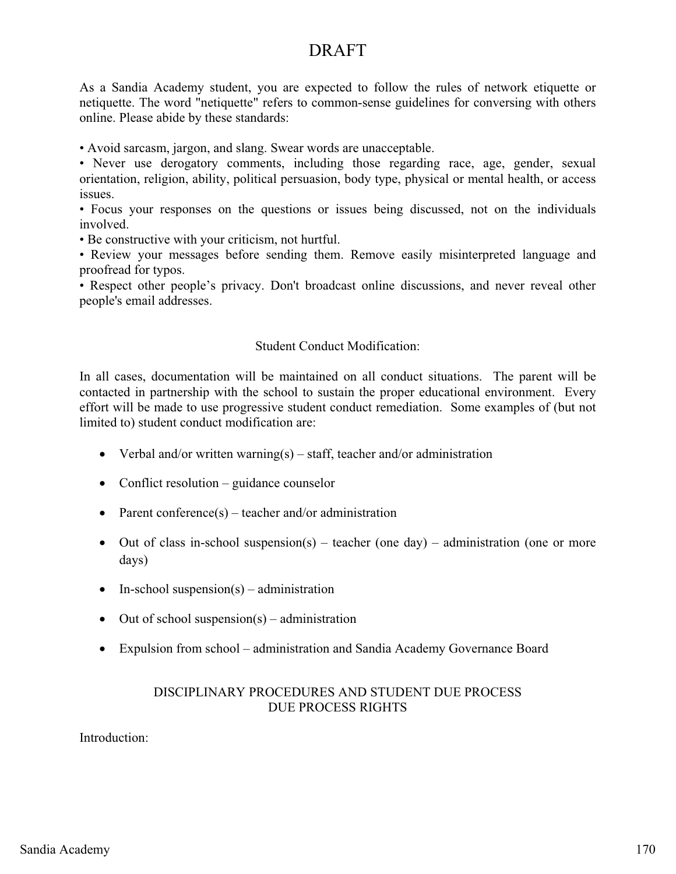As a Sandia Academy student, you are expected to follow the rules of network etiquette or netiquette. The word "netiquette" refers to common-sense guidelines for conversing with others online. Please abide by these standards:

• Avoid sarcasm, jargon, and slang. Swear words are unacceptable.

• Never use derogatory comments, including those regarding race, age, gender, sexual orientation, religion, ability, political persuasion, body type, physical or mental health, or access issues.

• Focus your responses on the questions or issues being discussed, not on the individuals involved.

• Be constructive with your criticism, not hurtful.

• Review your messages before sending them. Remove easily misinterpreted language and proofread for typos.

• Respect other people's privacy. Don't broadcast online discussions, and never reveal other people's email addresses.

#### Student Conduct Modification:

In all cases, documentation will be maintained on all conduct situations. The parent will be contacted in partnership with the school to sustain the proper educational environment. Every effort will be made to use progressive student conduct remediation. Some examples of (but not limited to) student conduct modification are:

- Verbal and/or written warning(s) staff, teacher and/or administration
- Conflict resolution guidance counselor
- Parent conference(s) teacher and/or administration
- Out of class in-school suspension(s) teacher (one day) administration (one or more days)
- In-school suspension(s) administration
- Out of school suspension(s) administration
- Expulsion from school administration and Sandia Academy Governance Board

#### DISCIPLINARY PROCEDURES AND STUDENT DUE PROCESS DUE PROCESS RIGHTS

Introduction: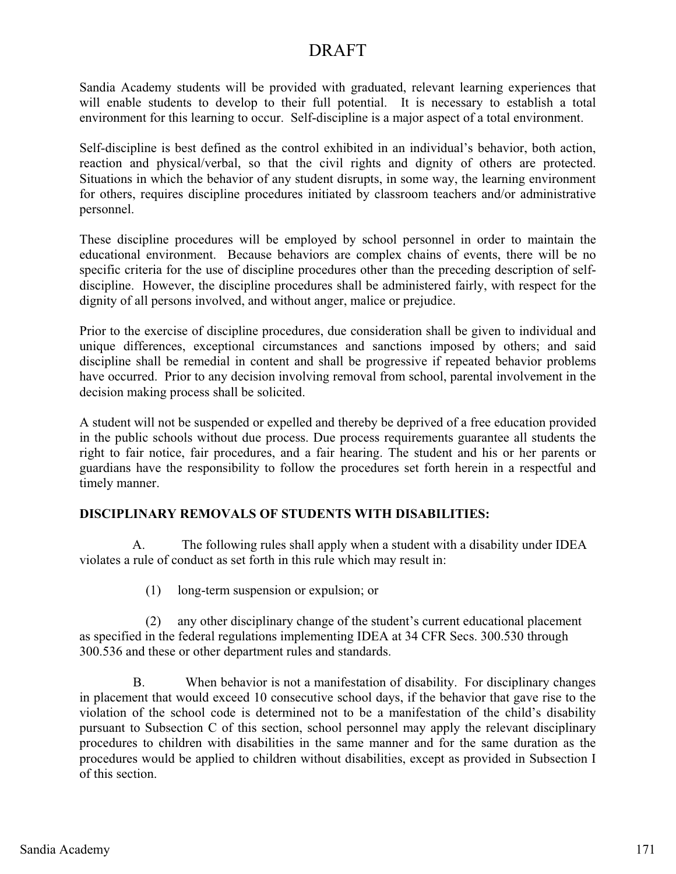Sandia Academy students will be provided with graduated, relevant learning experiences that will enable students to develop to their full potential. It is necessary to establish a total environment for this learning to occur. Self-discipline is a major aspect of a total environment.

Self-discipline is best defined as the control exhibited in an individual's behavior, both action, reaction and physical/verbal, so that the civil rights and dignity of others are protected. Situations in which the behavior of any student disrupts, in some way, the learning environment for others, requires discipline procedures initiated by classroom teachers and/or administrative personnel.

These discipline procedures will be employed by school personnel in order to maintain the educational environment. Because behaviors are complex chains of events, there will be no specific criteria for the use of discipline procedures other than the preceding description of selfdiscipline. However, the discipline procedures shall be administered fairly, with respect for the dignity of all persons involved, and without anger, malice or prejudice.

Prior to the exercise of discipline procedures, due consideration shall be given to individual and unique differences, exceptional circumstances and sanctions imposed by others; and said discipline shall be remedial in content and shall be progressive if repeated behavior problems have occurred. Prior to any decision involving removal from school, parental involvement in the decision making process shall be solicited.

A student will not be suspended or expelled and thereby be deprived of a free education provided in the public schools without due process. Due process requirements guarantee all students the right to fair notice, fair procedures, and a fair hearing. The student and his or her parents or guardians have the responsibility to follow the procedures set forth herein in a respectful and timely manner.

#### **DISCIPLINARY REMOVALS OF STUDENTS WITH DISABILITIES:**

 A. The following rules shall apply when a student with a disability under IDEA violates a rule of conduct as set forth in this rule which may result in:

(1) long-term suspension or expulsion; or

 (2) any other disciplinary change of the student's current educational placement as specified in the federal regulations implementing IDEA at 34 CFR Secs. 300.530 through 300.536 and these or other department rules and standards.

 B. When behavior is not a manifestation of disability. For disciplinary changes in placement that would exceed 10 consecutive school days, if the behavior that gave rise to the violation of the school code is determined not to be a manifestation of the child's disability pursuant to Subsection C of this section, school personnel may apply the relevant disciplinary procedures to children with disabilities in the same manner and for the same duration as the procedures would be applied to children without disabilities, except as provided in Subsection I of this section.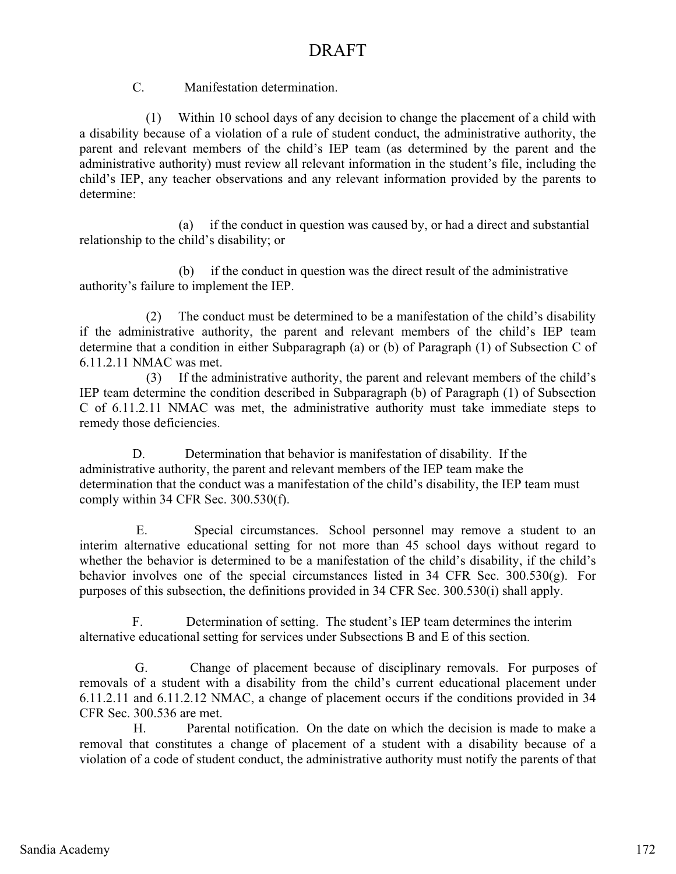C. Manifestation determination.

 (1) Within 10 school days of any decision to change the placement of a child with a disability because of a violation of a rule of student conduct, the administrative authority, the parent and relevant members of the child's IEP team (as determined by the parent and the administrative authority) must review all relevant information in the student's file, including the child's IEP, any teacher observations and any relevant information provided by the parents to determine:

 (a) if the conduct in question was caused by, or had a direct and substantial relationship to the child's disability; or

 (b) if the conduct in question was the direct result of the administrative authority's failure to implement the IEP.

 (2) The conduct must be determined to be a manifestation of the child's disability if the administrative authority, the parent and relevant members of the child's IEP team determine that a condition in either Subparagraph (a) or (b) of Paragraph (1) of Subsection C of 6.11.2.11 NMAC was met.

 (3) If the administrative authority, the parent and relevant members of the child's IEP team determine the condition described in Subparagraph (b) of Paragraph (1) of Subsection C of 6.11.2.11 NMAC was met, the administrative authority must take immediate steps to remedy those deficiencies.

 D. Determination that behavior is manifestation of disability. If the administrative authority, the parent and relevant members of the IEP team make the determination that the conduct was a manifestation of the child's disability, the IEP team must comply within 34 CFR Sec. 300.530(f).

 E. Special circumstances. School personnel may remove a student to an interim alternative educational setting for not more than 45 school days without regard to whether the behavior is determined to be a manifestation of the child's disability, if the child's behavior involves one of the special circumstances listed in 34 CFR Sec. 300.530(g). For purposes of this subsection, the definitions provided in 34 CFR Sec. 300.530(i) shall apply.

 F. Determination of setting. The student's IEP team determines the interim alternative educational setting for services under Subsections B and E of this section.

 G. Change of placement because of disciplinary removals. For purposes of removals of a student with a disability from the child's current educational placement under 6.11.2.11 and 6.11.2.12 NMAC, a change of placement occurs if the conditions provided in 34 CFR Sec. 300.536 are met.

 H. Parental notification. On the date on which the decision is made to make a removal that constitutes a change of placement of a student with a disability because of a violation of a code of student conduct, the administrative authority must notify the parents of that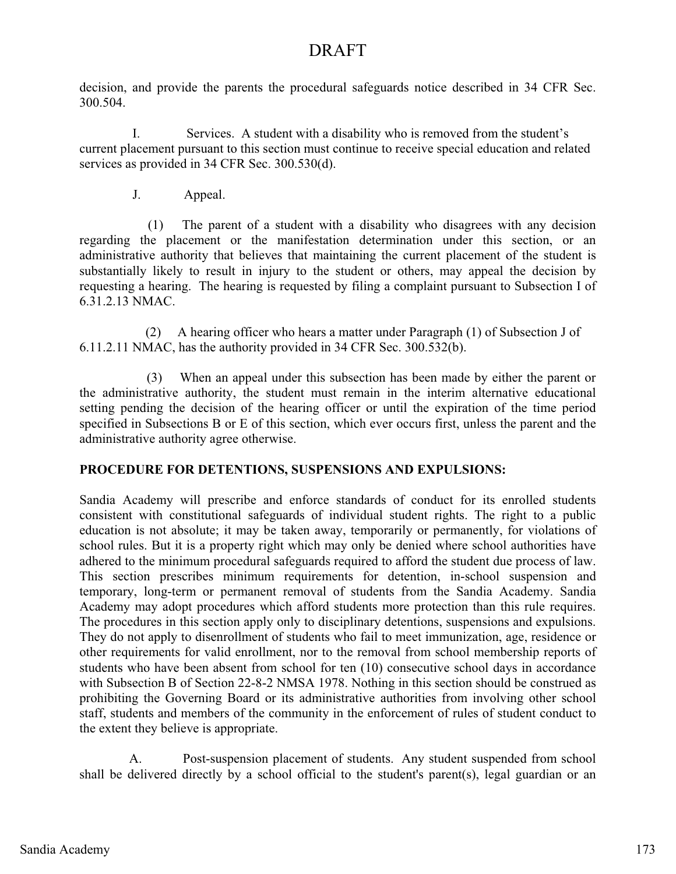decision, and provide the parents the procedural safeguards notice described in 34 CFR Sec. 300.504.

 I. Services. A student with a disability who is removed from the student's current placement pursuant to this section must continue to receive special education and related services as provided in 34 CFR Sec. 300.530(d).

J. Appeal.

 (1) The parent of a student with a disability who disagrees with any decision regarding the placement or the manifestation determination under this section, or an administrative authority that believes that maintaining the current placement of the student is substantially likely to result in injury to the student or others, may appeal the decision by requesting a hearing. The hearing is requested by filing a complaint pursuant to Subsection I of 6.31.2.13 NMAC.

 (2) A hearing officer who hears a matter under Paragraph (1) of Subsection J of 6.11.2.11 NMAC, has the authority provided in 34 CFR Sec. 300.532(b).

 (3) When an appeal under this subsection has been made by either the parent or the administrative authority, the student must remain in the interim alternative educational setting pending the decision of the hearing officer or until the expiration of the time period specified in Subsections B or E of this section, which ever occurs first, unless the parent and the administrative authority agree otherwise.

### **PROCEDURE FOR DETENTIONS, SUSPENSIONS AND EXPULSIONS:**

Sandia Academy will prescribe and enforce standards of conduct for its enrolled students consistent with constitutional safeguards of individual student rights. The right to a public education is not absolute; it may be taken away, temporarily or permanently, for violations of school rules. But it is a property right which may only be denied where school authorities have adhered to the minimum procedural safeguards required to afford the student due process of law. This section prescribes minimum requirements for detention, in-school suspension and temporary, long-term or permanent removal of students from the Sandia Academy. Sandia Academy may adopt procedures which afford students more protection than this rule requires. The procedures in this section apply only to disciplinary detentions, suspensions and expulsions. They do not apply to disenrollment of students who fail to meet immunization, age, residence or other requirements for valid enrollment, nor to the removal from school membership reports of students who have been absent from school for ten (10) consecutive school days in accordance with Subsection B of Section 22-8-2 NMSA 1978. Nothing in this section should be construed as prohibiting the Governing Board or its administrative authorities from involving other school staff, students and members of the community in the enforcement of rules of student conduct to the extent they believe is appropriate.

 A. Post-suspension placement of students. Any student suspended from school shall be delivered directly by a school official to the student's parent(s), legal guardian or an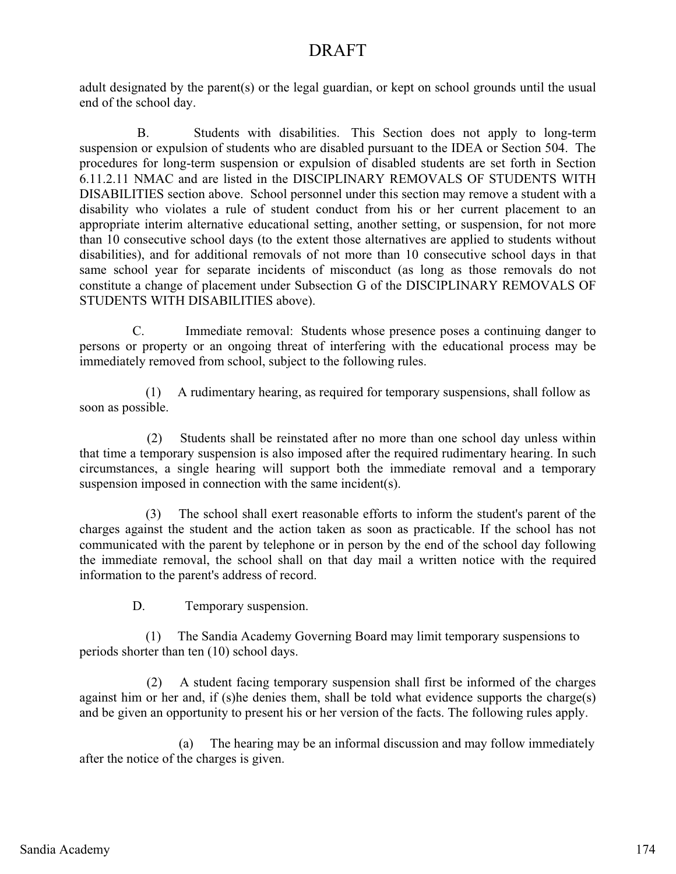adult designated by the parent(s) or the legal guardian, or kept on school grounds until the usual end of the school day.

 B. Students with disabilities. This Section does not apply to long-term suspension or expulsion of students who are disabled pursuant to the IDEA or Section 504. The procedures for long-term suspension or expulsion of disabled students are set forth in Section 6.11.2.11 NMAC and are listed in the DISCIPLINARY REMOVALS OF STUDENTS WITH DISABILITIES section above. School personnel under this section may remove a student with a disability who violates a rule of student conduct from his or her current placement to an appropriate interim alternative educational setting, another setting, or suspension, for not more than 10 consecutive school days (to the extent those alternatives are applied to students without disabilities), and for additional removals of not more than 10 consecutive school days in that same school year for separate incidents of misconduct (as long as those removals do not constitute a change of placement under Subsection G of the DISCIPLINARY REMOVALS OF STUDENTS WITH DISABILITIES above).

 C. Immediate removal: Students whose presence poses a continuing danger to persons or property or an ongoing threat of interfering with the educational process may be immediately removed from school, subject to the following rules.

 (1) A rudimentary hearing, as required for temporary suspensions, shall follow as soon as possible.

 (2) Students shall be reinstated after no more than one school day unless within that time a temporary suspension is also imposed after the required rudimentary hearing. In such circumstances, a single hearing will support both the immediate removal and a temporary suspension imposed in connection with the same incident(s).

 (3) The school shall exert reasonable efforts to inform the student's parent of the charges against the student and the action taken as soon as practicable. If the school has not communicated with the parent by telephone or in person by the end of the school day following the immediate removal, the school shall on that day mail a written notice with the required information to the parent's address of record.

D. Temporary suspension.

 (1) The Sandia Academy Governing Board may limit temporary suspensions to periods shorter than ten (10) school days.

 (2) A student facing temporary suspension shall first be informed of the charges against him or her and, if (s)he denies them, shall be told what evidence supports the charge(s) and be given an opportunity to present his or her version of the facts. The following rules apply.

 (a) The hearing may be an informal discussion and may follow immediately after the notice of the charges is given.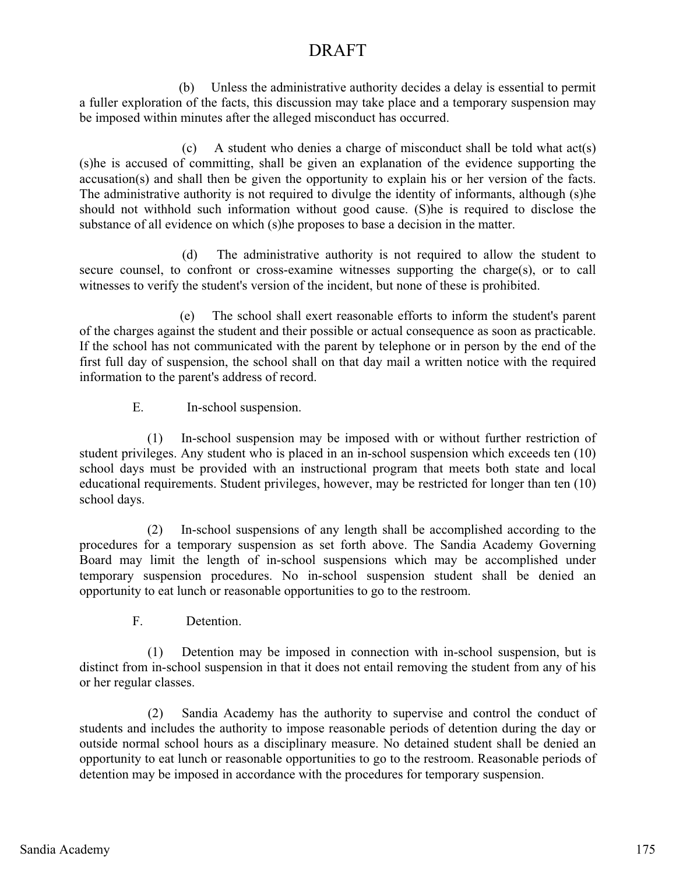(b) Unless the administrative authority decides a delay is essential to permit a fuller exploration of the facts, this discussion may take place and a temporary suspension may be imposed within minutes after the alleged misconduct has occurred.

 (c) A student who denies a charge of misconduct shall be told what act(s) (s)he is accused of committing, shall be given an explanation of the evidence supporting the accusation(s) and shall then be given the opportunity to explain his or her version of the facts. The administrative authority is not required to divulge the identity of informants, although (s)he should not withhold such information without good cause. (S)he is required to disclose the substance of all evidence on which (s)he proposes to base a decision in the matter.

 (d) The administrative authority is not required to allow the student to secure counsel, to confront or cross-examine witnesses supporting the charge(s), or to call witnesses to verify the student's version of the incident, but none of these is prohibited.

 (e) The school shall exert reasonable efforts to inform the student's parent of the charges against the student and their possible or actual consequence as soon as practicable. If the school has not communicated with the parent by telephone or in person by the end of the first full day of suspension, the school shall on that day mail a written notice with the required information to the parent's address of record.

E. In-school suspension.

 (1) In-school suspension may be imposed with or without further restriction of student privileges. Any student who is placed in an in-school suspension which exceeds ten (10) school days must be provided with an instructional program that meets both state and local educational requirements. Student privileges, however, may be restricted for longer than ten (10) school days.

 (2) In-school suspensions of any length shall be accomplished according to the procedures for a temporary suspension as set forth above. The Sandia Academy Governing Board may limit the length of in-school suspensions which may be accomplished under temporary suspension procedures. No in-school suspension student shall be denied an opportunity to eat lunch or reasonable opportunities to go to the restroom.

F. Detention.

 (1) Detention may be imposed in connection with in-school suspension, but is distinct from in-school suspension in that it does not entail removing the student from any of his or her regular classes.

 (2) Sandia Academy has the authority to supervise and control the conduct of students and includes the authority to impose reasonable periods of detention during the day or outside normal school hours as a disciplinary measure. No detained student shall be denied an opportunity to eat lunch or reasonable opportunities to go to the restroom. Reasonable periods of detention may be imposed in accordance with the procedures for temporary suspension.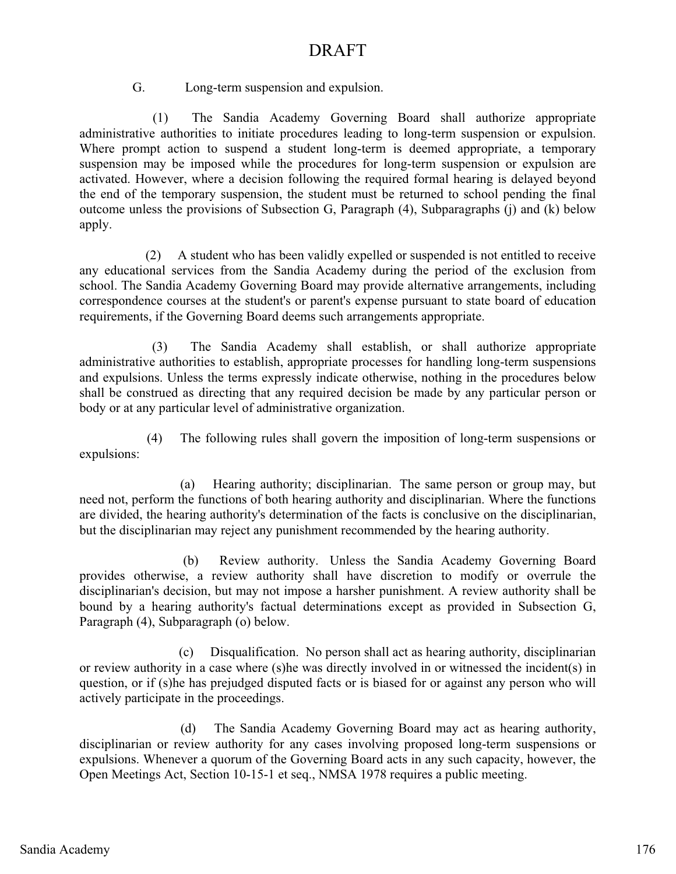G. Long-term suspension and expulsion.

 (1) The Sandia Academy Governing Board shall authorize appropriate administrative authorities to initiate procedures leading to long-term suspension or expulsion. Where prompt action to suspend a student long-term is deemed appropriate, a temporary suspension may be imposed while the procedures for long-term suspension or expulsion are activated. However, where a decision following the required formal hearing is delayed beyond the end of the temporary suspension, the student must be returned to school pending the final outcome unless the provisions of Subsection G, Paragraph (4), Subparagraphs (j) and (k) below apply.

 (2) A student who has been validly expelled or suspended is not entitled to receive any educational services from the Sandia Academy during the period of the exclusion from school. The Sandia Academy Governing Board may provide alternative arrangements, including correspondence courses at the student's or parent's expense pursuant to state board of education requirements, if the Governing Board deems such arrangements appropriate.

 (3) The Sandia Academy shall establish, or shall authorize appropriate administrative authorities to establish, appropriate processes for handling long-term suspensions and expulsions. Unless the terms expressly indicate otherwise, nothing in the procedures below shall be construed as directing that any required decision be made by any particular person or body or at any particular level of administrative organization.

 (4) The following rules shall govern the imposition of long-term suspensions or expulsions:

 (a) Hearing authority; disciplinarian. The same person or group may, but need not, perform the functions of both hearing authority and disciplinarian. Where the functions are divided, the hearing authority's determination of the facts is conclusive on the disciplinarian, but the disciplinarian may reject any punishment recommended by the hearing authority.

 (b) Review authority. Unless the Sandia Academy Governing Board provides otherwise, a review authority shall have discretion to modify or overrule the disciplinarian's decision, but may not impose a harsher punishment. A review authority shall be bound by a hearing authority's factual determinations except as provided in Subsection G, Paragraph (4), Subparagraph (o) below.

 (c) Disqualification. No person shall act as hearing authority, disciplinarian or review authority in a case where (s)he was directly involved in or witnessed the incident(s) in question, or if (s)he has prejudged disputed facts or is biased for or against any person who will actively participate in the proceedings.

 (d) The Sandia Academy Governing Board may act as hearing authority, disciplinarian or review authority for any cases involving proposed long-term suspensions or expulsions. Whenever a quorum of the Governing Board acts in any such capacity, however, the Open Meetings Act, Section 10-15-1 et seq., NMSA 1978 requires a public meeting.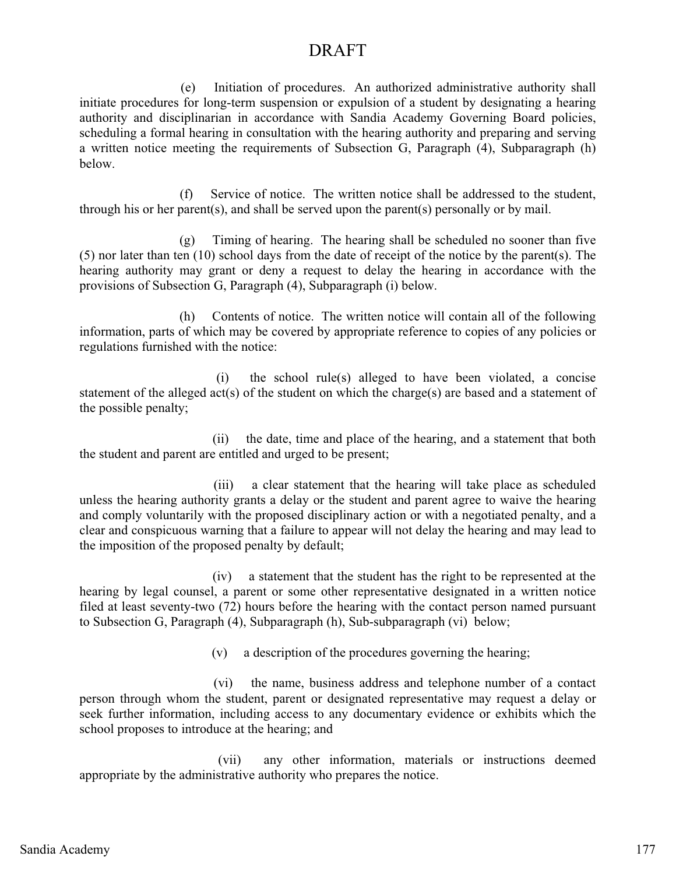(e) Initiation of procedures. An authorized administrative authority shall initiate procedures for long-term suspension or expulsion of a student by designating a hearing authority and disciplinarian in accordance with Sandia Academy Governing Board policies, scheduling a formal hearing in consultation with the hearing authority and preparing and serving a written notice meeting the requirements of Subsection G, Paragraph (4), Subparagraph (h) below.

 (f) Service of notice. The written notice shall be addressed to the student, through his or her parent(s), and shall be served upon the parent(s) personally or by mail.

 (g) Timing of hearing. The hearing shall be scheduled no sooner than five (5) nor later than ten (10) school days from the date of receipt of the notice by the parent(s). The hearing authority may grant or deny a request to delay the hearing in accordance with the provisions of Subsection G, Paragraph (4), Subparagraph (i) below.

 (h) Contents of notice. The written notice will contain all of the following information, parts of which may be covered by appropriate reference to copies of any policies or regulations furnished with the notice:

 (i) the school rule(s) alleged to have been violated, a concise statement of the alleged act(s) of the student on which the charge(s) are based and a statement of the possible penalty;

 (ii) the date, time and place of the hearing, and a statement that both the student and parent are entitled and urged to be present;

 (iii) a clear statement that the hearing will take place as scheduled unless the hearing authority grants a delay or the student and parent agree to waive the hearing and comply voluntarily with the proposed disciplinary action or with a negotiated penalty, and a clear and conspicuous warning that a failure to appear will not delay the hearing and may lead to the imposition of the proposed penalty by default;

 (iv) a statement that the student has the right to be represented at the hearing by legal counsel, a parent or some other representative designated in a written notice filed at least seventy-two (72) hours before the hearing with the contact person named pursuant to Subsection G, Paragraph (4), Subparagraph (h), Sub-subparagraph (vi) below;

(v) a description of the procedures governing the hearing;

 (vi) the name, business address and telephone number of a contact person through whom the student, parent or designated representative may request a delay or seek further information, including access to any documentary evidence or exhibits which the school proposes to introduce at the hearing; and

 (vii) any other information, materials or instructions deemed appropriate by the administrative authority who prepares the notice.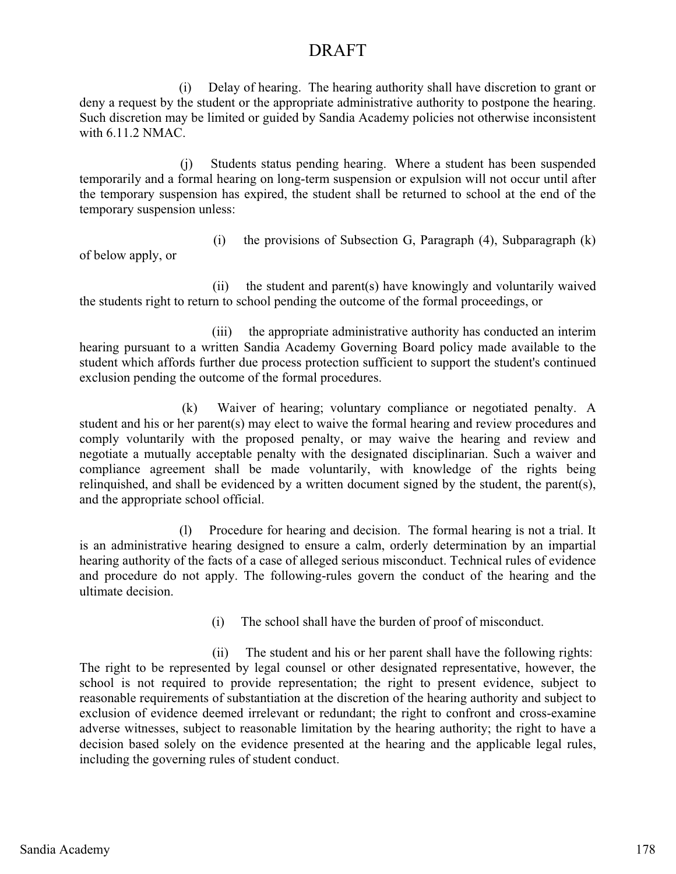(i) Delay of hearing. The hearing authority shall have discretion to grant or deny a request by the student or the appropriate administrative authority to postpone the hearing. Such discretion may be limited or guided by Sandia Academy policies not otherwise inconsistent with 6.11.2 NMAC.

 (j) Students status pending hearing. Where a student has been suspended temporarily and a formal hearing on long-term suspension or expulsion will not occur until after the temporary suspension has expired, the student shall be returned to school at the end of the temporary suspension unless:

(i) the provisions of Subsection G, Paragraph (4), Subparagraph (k)

of below apply, or

 (ii) the student and parent(s) have knowingly and voluntarily waived the students right to return to school pending the outcome of the formal proceedings, or

(iii) the appropriate administrative authority has conducted an interim hearing pursuant to a written Sandia Academy Governing Board policy made available to the student which affords further due process protection sufficient to support the student's continued exclusion pending the outcome of the formal procedures.

 (k) Waiver of hearing; voluntary compliance or negotiated penalty. A student and his or her parent(s) may elect to waive the formal hearing and review procedures and comply voluntarily with the proposed penalty, or may waive the hearing and review and negotiate a mutually acceptable penalty with the designated disciplinarian. Such a waiver and compliance agreement shall be made voluntarily, with knowledge of the rights being relinquished, and shall be evidenced by a written document signed by the student, the parent(s), and the appropriate school official.

 (l) Procedure for hearing and decision. The formal hearing is not a trial. It is an administrative hearing designed to ensure a calm, orderly determination by an impartial hearing authority of the facts of a case of alleged serious misconduct. Technical rules of evidence and procedure do not apply. The following-rules govern the conduct of the hearing and the ultimate decision.

(i) The school shall have the burden of proof of misconduct.

 (ii) The student and his or her parent shall have the following rights: The right to be represented by legal counsel or other designated representative, however, the school is not required to provide representation; the right to present evidence, subject to reasonable requirements of substantiation at the discretion of the hearing authority and subject to exclusion of evidence deemed irrelevant or redundant; the right to confront and cross-examine adverse witnesses, subject to reasonable limitation by the hearing authority; the right to have a decision based solely on the evidence presented at the hearing and the applicable legal rules, including the governing rules of student conduct.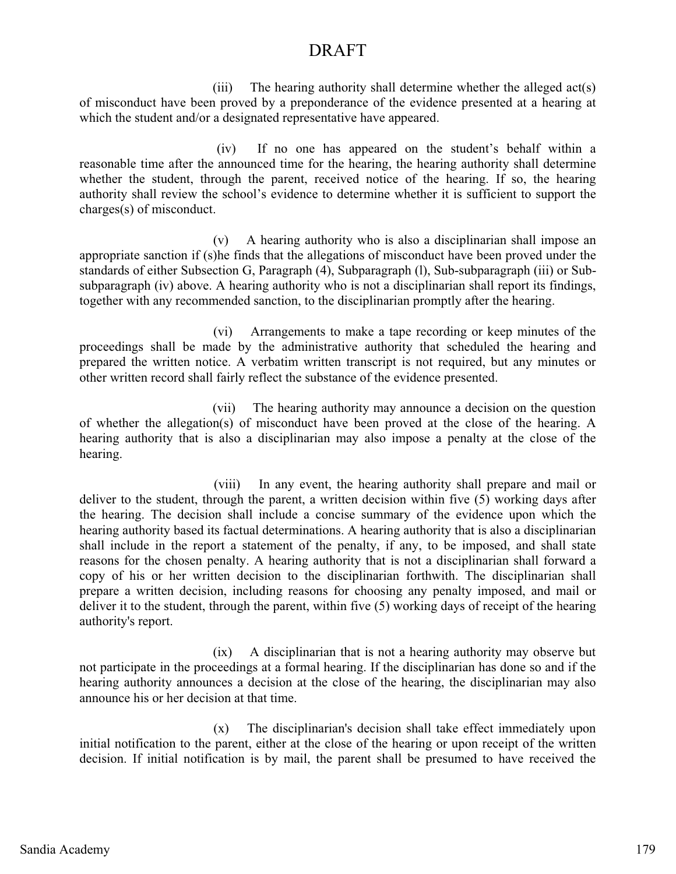(iii) The hearing authority shall determine whether the alleged act(s) of misconduct have been proved by a preponderance of the evidence presented at a hearing at which the student and/or a designated representative have appeared.

 (iv) If no one has appeared on the student's behalf within a reasonable time after the announced time for the hearing, the hearing authority shall determine whether the student, through the parent, received notice of the hearing. If so, the hearing authority shall review the school's evidence to determine whether it is sufficient to support the charges(s) of misconduct.

(v) A hearing authority who is also a disciplinarian shall impose an appropriate sanction if (s)he finds that the allegations of misconduct have been proved under the standards of either Subsection G, Paragraph (4), Subparagraph (l), Sub-subparagraph (iii) or Subsubparagraph (iv) above. A hearing authority who is not a disciplinarian shall report its findings, together with any recommended sanction, to the disciplinarian promptly after the hearing.

 (vi) Arrangements to make a tape recording or keep minutes of the proceedings shall be made by the administrative authority that scheduled the hearing and prepared the written notice. A verbatim written transcript is not required, but any minutes or other written record shall fairly reflect the substance of the evidence presented.

 (vii) The hearing authority may announce a decision on the question of whether the allegation(s) of misconduct have been proved at the close of the hearing. A hearing authority that is also a disciplinarian may also impose a penalty at the close of the hearing.

(viii) In any event, the hearing authority shall prepare and mail or deliver to the student, through the parent, a written decision within five (5) working days after the hearing. The decision shall include a concise summary of the evidence upon which the hearing authority based its factual determinations. A hearing authority that is also a disciplinarian shall include in the report a statement of the penalty, if any, to be imposed, and shall state reasons for the chosen penalty. A hearing authority that is not a disciplinarian shall forward a copy of his or her written decision to the disciplinarian forthwith. The disciplinarian shall prepare a written decision, including reasons for choosing any penalty imposed, and mail or deliver it to the student, through the parent, within five (5) working days of receipt of the hearing authority's report.

 (ix) A disciplinarian that is not a hearing authority may observe but not participate in the proceedings at a formal hearing. If the disciplinarian has done so and if the hearing authority announces a decision at the close of the hearing, the disciplinarian may also announce his or her decision at that time.

(x) The disciplinarian's decision shall take effect immediately upon initial notification to the parent, either at the close of the hearing or upon receipt of the written decision. If initial notification is by mail, the parent shall be presumed to have received the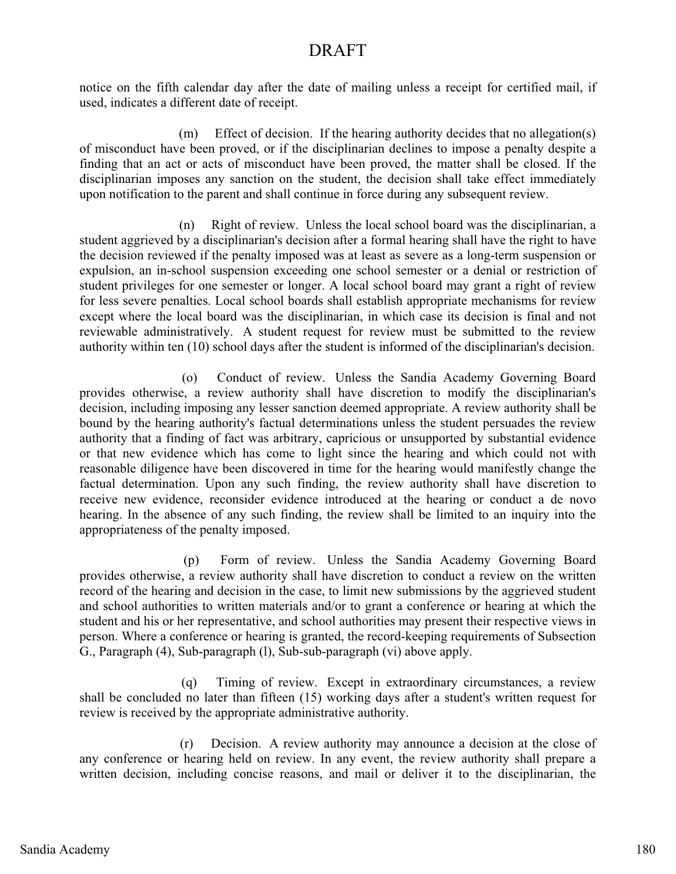notice on the fifth calendar day after the date of mailing unless a receipt for certified mail, if used, indicates a different date of receipt.

 (m) Effect of decision. If the hearing authority decides that no allegation(s) of misconduct have been proved, or if the disciplinarian declines to impose a penalty despite a finding that an act or acts of misconduct have been proved, the matter shall be closed. If the disciplinarian imposes any sanction on the student, the decision shall take effect immediately upon notification to the parent and shall continue in force during any subsequent review.

 (n) Right of review. Unless the local school board was the disciplinarian, a student aggrieved by a disciplinarian's decision after a formal hearing shall have the right to have the decision reviewed if the penalty imposed was at least as severe as a long-term suspension or expulsion, an in-school suspension exceeding one school semester or a denial or restriction of student privileges for one semester or longer. A local school board may grant a right of review for less severe penalties. Local school boards shall establish appropriate mechanisms for review except where the local board was the disciplinarian, in which case its decision is final and not reviewable administratively. A student request for review must be submitted to the review authority within ten (10) school days after the student is informed of the disciplinarian's decision.

 (o) Conduct of review. Unless the Sandia Academy Governing Board provides otherwise, a review authority shall have discretion to modify the disciplinarian's decision, including imposing any lesser sanction deemed appropriate. A review authority shall be bound by the hearing authority's factual determinations unless the student persuades the review authority that a finding of fact was arbitrary, capricious or unsupported by substantial evidence or that new evidence which has come to light since the hearing and which could not with reasonable diligence have been discovered in time for the hearing would manifestly change the factual determination. Upon any such finding, the review authority shall have discretion to receive new evidence, reconsider evidence introduced at the hearing or conduct a de novo hearing. In the absence of any such finding, the review shall be limited to an inquiry into the appropriateness of the penalty imposed.

 (p) Form of review. Unless the Sandia Academy Governing Board provides otherwise, a review authority shall have discretion to conduct a review on the written record of the hearing and decision in the case, to limit new submissions by the aggrieved student and school authorities to written materials and/or to grant a conference or hearing at which the student and his or her representative, and school authorities may present their respective views in person. Where a conference or hearing is granted, the record-keeping requirements of Subsection G., Paragraph (4), Sub-paragraph (l), Sub-sub-paragraph (vi) above apply.

 (q) Timing of review. Except in extraordinary circumstances, a review shall be concluded no later than fifteen (15) working days after a student's written request for review is received by the appropriate administrative authority.

 (r) Decision. A review authority may announce a decision at the close of any conference or hearing held on review. In any event, the review authority shall prepare a written decision, including concise reasons, and mail or deliver it to the disciplinarian, the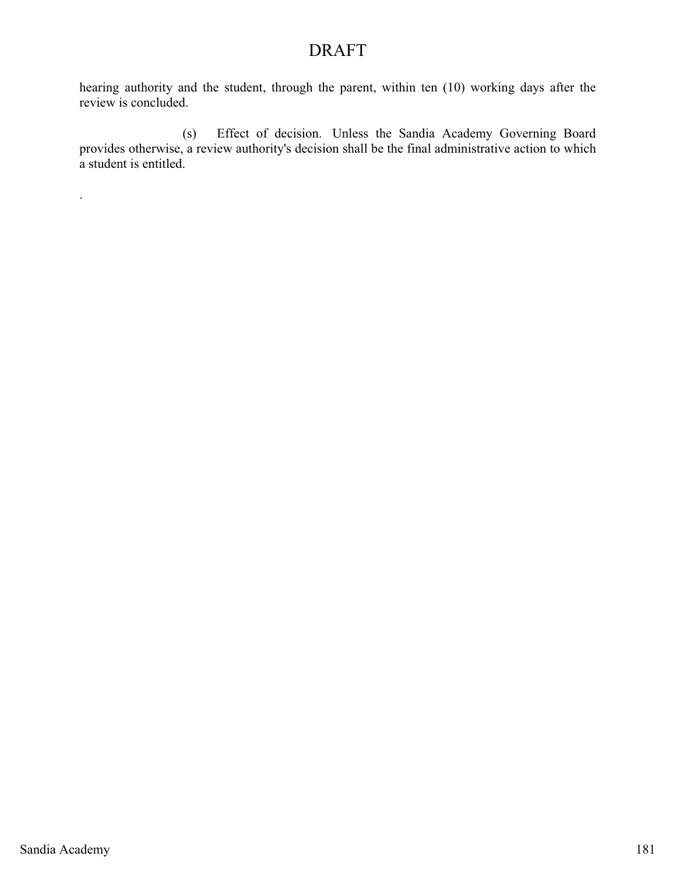hearing authority and the student, through the parent, within ten (10) working days after the review is concluded.

 (s) Effect of decision. Unless the Sandia Academy Governing Board provides otherwise, a review authority's decision shall be the final administrative action to which a student is entitled.

.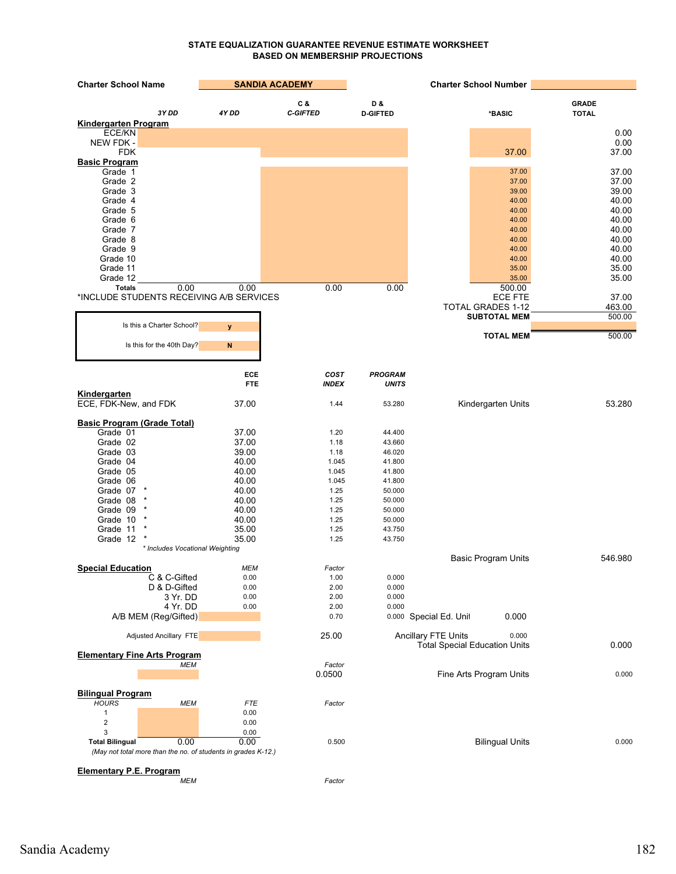#### **STATE EQUALIZATION GUARANTEE REVENUE ESTIMATE WORKSHEET BASED ON MEMBERSHIP PROJECTIONS**

| <b>Charter School Name</b>                                    | <b>SANDIA ACADEMY</b> |                      |                                | <b>Charter School Number</b>         |                |
|---------------------------------------------------------------|-----------------------|----------------------|--------------------------------|--------------------------------------|----------------|
|                                                               |                       | C &                  | D &                            |                                      | <b>GRADE</b>   |
| 3Y DD                                                         | 4Y DD                 | <b>C-GIFTED</b>      | <b>D-GIFTED</b>                | *BASIC                               | <b>TOTAL</b>   |
| Kindergarten Program                                          |                       |                      |                                |                                      |                |
| ECE/KN<br>NEW FDK -                                           |                       |                      |                                |                                      | 0.00<br>0.00   |
| <b>FDK</b>                                                    |                       |                      |                                | 37.00                                | 37.00          |
| <b>Basic Program</b>                                          |                       |                      |                                |                                      |                |
| Grade 1                                                       |                       |                      |                                | 37.00                                | 37.00          |
| Grade 2                                                       |                       |                      |                                | 37.00                                | 37.00          |
| Grade 3                                                       |                       |                      |                                | 39.00                                | 39.00<br>40.00 |
| Grade 4<br>Grade 5                                            |                       |                      |                                | 40.00<br>40.00                       | 40.00          |
| Grade 6                                                       |                       |                      |                                | 40.00                                | 40.00          |
| Grade 7                                                       |                       |                      |                                | 40.00                                | 40.00          |
| Grade 8                                                       |                       |                      |                                | 40.00                                | 40.00          |
| Grade 9                                                       |                       |                      |                                | 40.00                                | 40.00          |
| Grade 10<br>Grade 11                                          |                       |                      |                                | 40.00<br>35.00                       | 40.00<br>35.00 |
| Grade 12                                                      |                       |                      |                                | 35.00                                | 35.00          |
| <b>Totals</b><br>0.00                                         | 0.00                  | 0.00                 | 0.00                           | 500.00                               |                |
| *INCLUDE STUDENTS RECEIVING A/B SERVICES                      |                       |                      |                                | <b>ECE FTE</b>                       | 37.00          |
|                                                               |                       |                      |                                | <b>TOTAL GRADES 1-12</b>             | 463.00         |
|                                                               |                       |                      |                                | <b>SUBTOTAL MEM</b>                  | 500.00         |
| Is this a Charter School?                                     | y                     |                      |                                | <b>TOTAL MEM</b>                     | 500.00         |
| Is this for the 40th Day?                                     | $\mathsf{N}$          |                      |                                |                                      |                |
|                                                               |                       |                      |                                |                                      |                |
|                                                               |                       |                      |                                |                                      |                |
|                                                               | ECE<br><b>FTE</b>     | COST<br><b>INDEX</b> | <b>PROGRAM</b><br><b>UNITS</b> |                                      |                |
| Kindergarten                                                  |                       |                      |                                |                                      |                |
| ECE, FDK-New, and FDK                                         | 37.00                 | 1.44                 | 53.280                         | Kindergarten Units                   | 53.280         |
|                                                               |                       |                      |                                |                                      |                |
| <b>Basic Program (Grade Total)</b>                            |                       |                      |                                |                                      |                |
| Grade 01<br>Grade 02                                          | 37.00                 | 1.20                 | 44.400                         |                                      |                |
| Grade 03                                                      | 37.00<br>39.00        | 1.18<br>1.18         | 43.660<br>46.020               |                                      |                |
| Grade 04                                                      | 40.00                 | 1.045                | 41.800                         |                                      |                |
| Grade 05                                                      | 40.00                 | 1.045                | 41.800                         |                                      |                |
| Grade 06                                                      | 40.00                 | 1.045                | 41.800                         |                                      |                |
| Grade 07                                                      | 40.00                 | 1.25                 | 50.000                         |                                      |                |
| Grade 08                                                      | 40.00                 | 1.25                 | 50.000                         |                                      |                |
| Grade 09<br>Grade 10                                          | 40.00<br>40.00        | 1.25<br>1.25         | 50.000<br>50.000               |                                      |                |
| Grade 11                                                      | 35.00                 | 1.25                 | 43.750                         |                                      |                |
| Grade 12                                                      | 35.00                 | 1.25                 | 43.750                         |                                      |                |
| * Includes Vocational Weighting                               |                       |                      |                                |                                      |                |
|                                                               |                       |                      |                                | <b>Basic Program Units</b>           | 546.980        |
| <b>Special Education</b>                                      | <b>MEM</b>            | Factor               |                                |                                      |                |
| C & C-Gifted<br>D & D-Gifted                                  | 0.00<br>0.00          | 1.00<br>2.00         | 0.000<br>0.000                 |                                      |                |
| 3 Yr. DD                                                      | 0.00                  | 2.00                 | 0.000                          |                                      |                |
| 4 Yr. DD                                                      | 0.00                  | 2.00                 | 0.000                          |                                      |                |
| A/B MEM (Reg/Gifted)                                          |                       | 0.70                 |                                | 0.000<br>0.000 Special Ed. Unit      |                |
|                                                               |                       |                      |                                | <b>Ancillary FTE Units</b><br>0.000  |                |
| <b>Adjusted Ancillary FTE</b>                                 |                       | 25.00                |                                | <b>Total Special Education Units</b> | 0.000          |
| <b>Elementary Fine Arts Program</b>                           |                       |                      |                                |                                      |                |
| MEM                                                           |                       | Factor               |                                |                                      |                |
|                                                               |                       | 0.0500               |                                | Fine Arts Program Units              | 0.000          |
| <b>Bilingual Program</b>                                      |                       |                      |                                |                                      |                |
| <b>HOURS</b><br><b>MEM</b>                                    | <b>FTE</b>            | Factor               |                                |                                      |                |
| $\mathbf{1}$                                                  | 0.00                  |                      |                                |                                      |                |
| $\overline{\mathbf{c}}$                                       | 0.00                  |                      |                                |                                      |                |
| 3                                                             | 0.00                  |                      |                                |                                      |                |
| 0.00<br><b>Total Bilingual</b>                                | 0.00                  | 0.500                |                                | <b>Bilingual Units</b>               | 0.000          |
| (May not total more than the no. of students in grades K-12.) |                       |                      |                                |                                      |                |
| <b>Elementary P.E. Program</b>                                |                       |                      |                                |                                      |                |
| <b>MEM</b>                                                    |                       | Factor               |                                |                                      |                |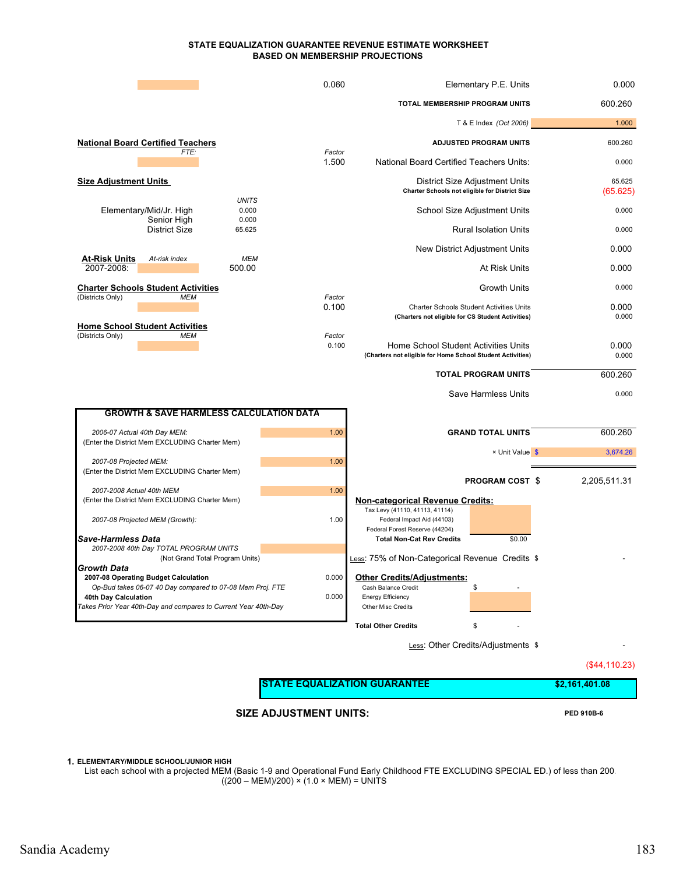#### **STATE EQUALIZATION GUARANTEE REVENUE ESTIMATE WORKSHEET BASED ON MEMBERSHIP PROJECTIONS**

|                                                                                                                                                      | 0.060           | Elementary P.E. Units                                                                                | 0.000               |
|------------------------------------------------------------------------------------------------------------------------------------------------------|-----------------|------------------------------------------------------------------------------------------------------|---------------------|
|                                                                                                                                                      |                 | TOTAL MEMBERSHIP PROGRAM UNITS                                                                       | 600.260             |
|                                                                                                                                                      |                 | T & E Index (Oct 2006)                                                                               | 1.000               |
| <b>National Board Certified Teachers</b><br>FTE:                                                                                                     | Factor          | <b>ADJUSTED PROGRAM UNITS</b>                                                                        | 600.260             |
|                                                                                                                                                      | 1.500           | <b>National Board Certified Teachers Units:</b>                                                      | 0.000               |
| <b>Size Adjustment Units</b>                                                                                                                         |                 | District Size Adjustment Units<br><b>Charter Schools not eligible for District Size</b>              | 65.625<br>(65.625)  |
| <b>UNITS</b><br>0.000<br>Elementary/Mid/Jr. High                                                                                                     |                 | School Size Adjustment Units                                                                         | 0.000               |
| Senior High<br>0.000<br><b>District Size</b><br>65.625                                                                                               |                 | <b>Rural Isolation Units</b>                                                                         | 0.000               |
| At-Risk Units<br><b>MEM</b><br>At-risk index                                                                                                         |                 | New District Adjustment Units                                                                        | 0.000               |
| 2007-2008:<br>500.00                                                                                                                                 |                 | At Risk Units                                                                                        | 0.000               |
| <b>Charter Schools Student Activities</b><br>(Districts Only)<br>MEM                                                                                 | Factor          | <b>Growth Units</b>                                                                                  | 0.000               |
|                                                                                                                                                      | 0.100           | <b>Charter Schools Student Activities Units</b><br>(Charters not eligible for CS Student Activities) | 0.000<br>0.000      |
| <b>Home School Student Activities</b><br>(Districts Only)<br><b>MEM</b>                                                                              | Factor<br>0.100 | Home School Student Activities Units<br>(Charters not eligible for Home School Student Activities)   | 0.000<br>0.000      |
|                                                                                                                                                      |                 | <b>TOTAL PROGRAM UNITS</b>                                                                           | 600.260             |
|                                                                                                                                                      |                 | Save Harmless Units                                                                                  | 0.000               |
| <b>GROWTH &amp; SAVE HARMLESS CALCULATION DATA</b>                                                                                                   |                 |                                                                                                      |                     |
| 2006-07 Actual 40th Day MEM:<br>(Enter the District Mem EXCLUDING Charter Mem)                                                                       | 1.00            | <b>GRAND TOTAL UNITS</b><br>× Unit Value \$                                                          | 600.260<br>3,674.26 |
| 2007-08 Projected MEM:<br>(Enter the District Mem EXCLUDING Charter Mem)                                                                             | 1.00            |                                                                                                      |                     |
| 2007-2008 Actual 40th MEM<br>(Enter the District Mem EXCLUDING Charter Mem)                                                                          | 1.00            | <b>PROGRAM COST \$</b><br><b>Non-categorical Revenue Credits:</b>                                    | 2,205,511.31        |
| 2007-08 Projected MEM (Growth):                                                                                                                      | 1.00            | Tax Levy (41110, 41113, 41114)<br>Federal Impact Aid (44103)<br>Federal Forest Reserve (44204)       |                     |
| Save-Harmless Data<br>2007-2008 40th Day TOTAL PROGRAM UNITS                                                                                         |                 | \$0.00<br><b>Total Non-Cat Rev Credits</b>                                                           |                     |
| (Not Grand Total Program Units)<br>Growth Data<br>2007-08 Operating Budget Calculation                                                               | 0.000           | Less: 75% of Non-Categorical Revenue Credits \$<br><b>Other Credits/Adjustments:</b>                 |                     |
| Op-Bud takes 06-07 40 Day compared to 07-08 Mem Proj. FTE<br>40th Day Calculation<br>Takes Prior Year 40th-Day and compares to Current Year 40th-Day | 0.000           | \$<br>Cash Balance Credit<br><b>Energy Efficiency</b><br>Other Misc Credits                          |                     |
|                                                                                                                                                      |                 | <b>Total Other Credits</b><br>\$                                                                     |                     |
|                                                                                                                                                      |                 | Less: Other Credits/Adjustments \$                                                                   |                     |

(\$44,110.23)

**SIZE ADJUSTMENT UNITS:** PED 910B-6

**1. ELEMENTARY/MIDDLE SCHOOL/JUNIOR HIGH**

List each school with a projected MEM (Basic 1-9 and Operational Fund Early Childhood FTE EXCLUDING SPECIAL ED.) of less than 200. ((200 – MEM)/200) × (1.0 × MEM) = UNITS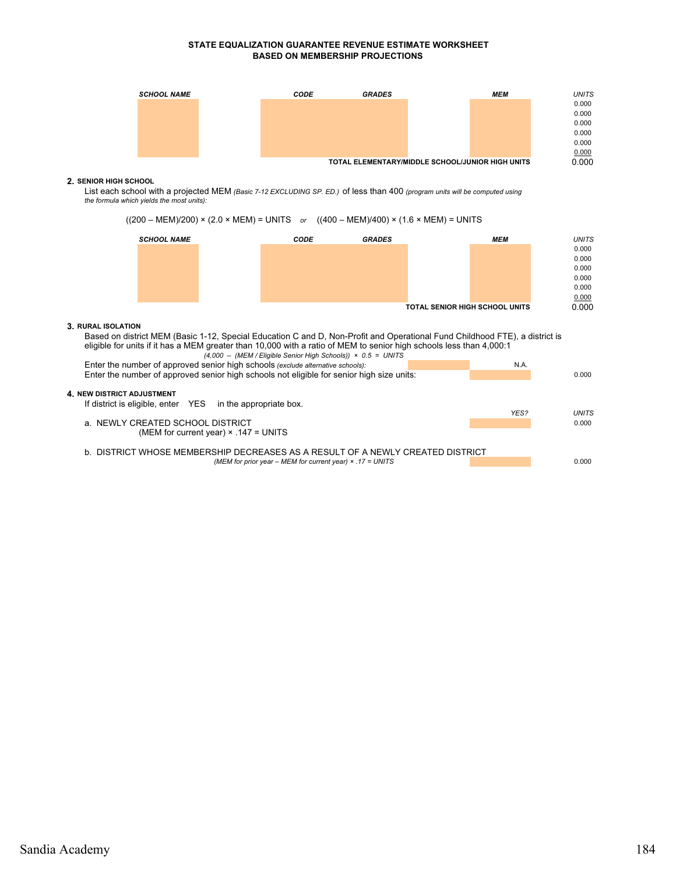#### **STATE EQUALIZATION GUARANTEE REVENUE ESTIMATE WORKSHEET BASED ON MEMBERSHIP PROJECTIONS**



#### **2. SENIOR HIGH SCHOOL**

List each school with a projected MEM *(Basic 7-12 EXCLUDING SP. ED.)* of less than 400 *(program units will be computed using the formula which yields the most units):*

((200 – MEM)/200) × (2.0 × MEM) = UNITS *or* ((400 – MEM)/400) × (1.6 × MEM) = UNITS



#### **3. RURAL ISOLATION**

Based on district MEM (Basic 1-12, Special Education C and D, Non-Profit and Operational Fund Childhood FTE), a district is eligible for units if it has a MEM greater than 10,000 with a ratio of MEM to senior high schools less than 4,000:1 *(4,000 – (MEM / Eligible Senior High Schools)) × 0.5 = UNITS*

| $1.000$ $0.000$ $0.0100$ $0.0000$ $0.0000$                                                |      |              |
|-------------------------------------------------------------------------------------------|------|--------------|
| Enter the number of approved senior high schools (exclude alternative schools):           | N.A. |              |
| Enter the number of approved senior high schools not eligible for senior high size units: |      | 0.000        |
|                                                                                           |      |              |
| 4 NEW DISTRICT ADJUSTMENT                                                                 |      |              |
| If district is eligible, enter YES in the appropriate box.                                |      |              |
|                                                                                           | YES? | <b>UNITS</b> |
| a. NEWLY CREATED SCHOOL DISTRICT                                                          |      | 0.000        |
| (MEM for current year) $\times$ .147 = UNITS                                              |      |              |
|                                                                                           |      |              |
| b. DISTRICT WHOSE MEMBERSHIP DECREASES AS A RESULT OF A NEWLY CREATED DISTRICT            |      |              |
| (MEM for prior year – MEM for current year) $\times$ .17 = UNITS                          |      | 0.000        |
|                                                                                           |      |              |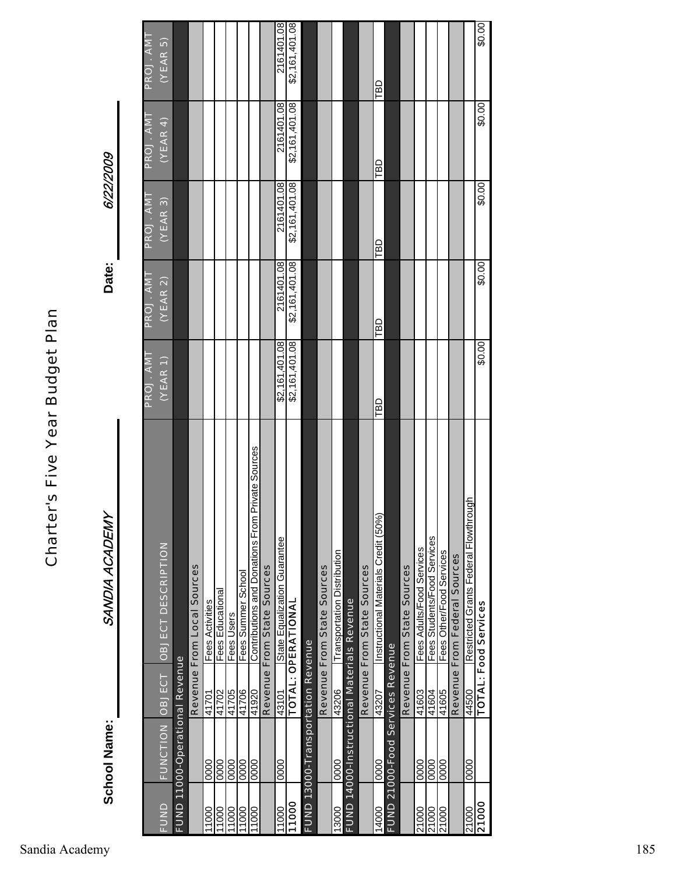SANDIA ACADEMY **School Name:** SANDIA ACADEMY **School Name:** 

6/22/2009 6/22/2009 **Date:**

|             |                                          |       |                                                   | <b>PROJ. AMT</b> | <b>PROJ. AMT</b> | <b>PROJ. AMT</b> | <b>PROJ. AMT</b> | PROJ. AMT      |
|-------------|------------------------------------------|-------|---------------------------------------------------|------------------|------------------|------------------|------------------|----------------|
| <b>BUND</b> | FUNCTION OBJECT                          |       | <b>OBJECT DESCRIPTION</b>                         | (YEAR 1)         | (VEAR 2)         | (VEAR 3)         | (VEAR 4)         | $($ YEAR 5 $)$ |
|             | FUND 11000-Operational Revenue           |       |                                                   |                  |                  |                  |                  |                |
|             |                                          |       | Revenue From Local Sources                        |                  |                  |                  |                  |                |
| 1000        | 0000                                     | 41701 | <b>Fees Activities</b>                            |                  |                  |                  |                  |                |
| 1000        | 0000                                     | 41702 | Fees Educational                                  |                  |                  |                  |                  |                |
| 1000        | 0000                                     | 41705 | Fees Users                                        |                  |                  |                  |                  |                |
| 11000       | 0000                                     | 41706 | Fees Summer School                                |                  |                  |                  |                  |                |
| 11000       | 0000                                     | 41920 | Contributions and Donations From Private Sources  |                  |                  |                  |                  |                |
|             |                                          |       | Revenue From State Sources                        |                  |                  |                  |                  |                |
| 1000        | 0000                                     | 43101 | State Equalization Guarantee                      | \$2,161,401.08   | 2161401.08       | 2161401.08       | 2161401.08       | 2161401.08     |
| 11000       |                                          |       | TOTAL: OPERATIONAI                                | \$2,161,401.08   | \$2,161,401.08   | \$2,161,401.08   | \$2,161,401.08   | \$2,161,401.08 |
|             | <b>FUND 13000-Transportation Revenue</b> |       |                                                   |                  |                  |                  |                  |                |
|             |                                          |       | Revenue From State Sources                        |                  |                  |                  |                  |                |
| 13000       | 0000                                     | 43206 | Transportation Distribution                       |                  |                  |                  |                  |                |
|             |                                          |       | <b>FUND 14000-Instructional Materials Revenue</b> |                  |                  |                  |                  |                |
|             |                                          |       | Revenue From State Sources                        |                  |                  |                  |                  |                |
| 14000       | 0000                                     | 43207 | Instructional Materials Credit (50%)              | TBD              | LBD              | LBD              | ТBD              | TBD            |
|             | FUND 21000-Food Services Revenue         |       |                                                   |                  |                  |                  |                  |                |
|             |                                          |       | Revenue From State Sources                        |                  |                  |                  |                  |                |
| 21000       | 0000                                     | 41603 | Fees Adults/Food Services                         |                  |                  |                  |                  |                |
| 21000       | 0000                                     | 41604 | Fees Students/Food Services                       |                  |                  |                  |                  |                |
| 21000       | 0000                                     | 41605 | Fees Other/Food Services                          |                  |                  |                  |                  |                |
|             |                                          |       | Revenue From Federal Sources                      |                  |                  |                  |                  |                |
| 21000       | 0000                                     | 44500 | Restricted Grants Federal Flowthrough             |                  |                  |                  |                  |                |
| 21000       |                                          |       | <b>TOTAL: Food Services</b>                       | \$0.00           | \$0.00           | \$0.00           | \$0.00           | \$0.00         |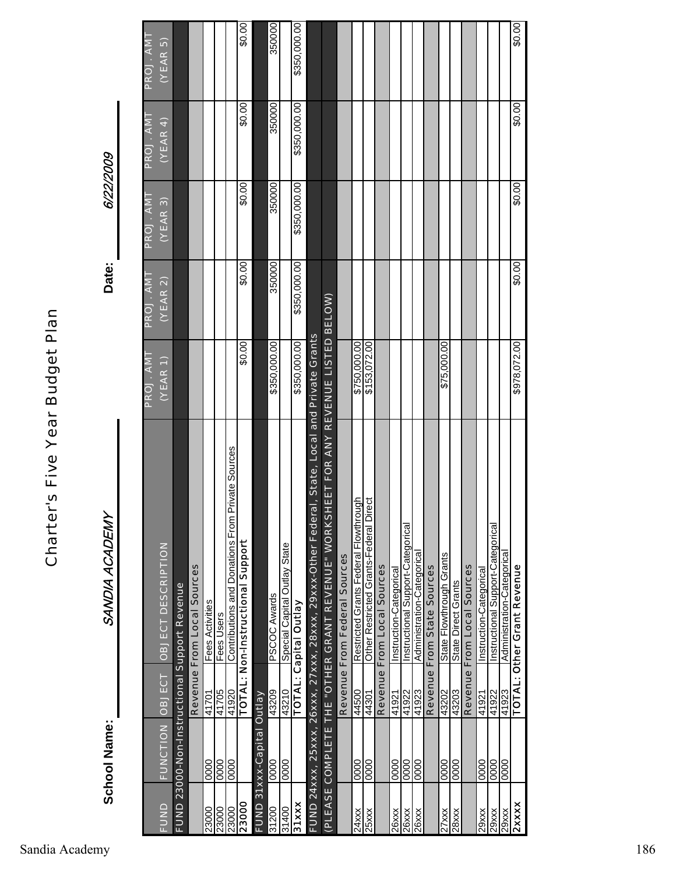SANDIA ACADEMY **School Name:** SANDIA ACADEMY School Name:

6/22/2009 6/22/2009

**Date:**

|              |                           |       |                                                                                                   | PROJ. AMT                                            | <b>PROJ. AMT</b> | <b>PROJ.AMT</b> | PROJ. AMT    | PROJ. AMT    |
|--------------|---------------------------|-------|---------------------------------------------------------------------------------------------------|------------------------------------------------------|------------------|-----------------|--------------|--------------|
| FUND         | FUNCTION OBJECT           |       | <b>OBJECT DESCRIPTION</b>                                                                         | $\overline{\left(\mathsf{YEAR}\left.\right.\right)}$ | (YEAR 2)         | (VEAR 3)        | (NEAR 4)     | (VEAR5)      |
|              |                           |       | <b>FUND 23000-Non-Instructional Support Revenue</b>                                               |                                                      |                  |                 |              |              |
|              |                           |       | Revenue From Local Sources                                                                        |                                                      |                  |                 |              |              |
| 23000        | 0000                      | 41701 | Fees Activities                                                                                   |                                                      |                  |                 |              |              |
| 23000        | $\overline{0000}$         | 41705 | Fees Users                                                                                        |                                                      |                  |                 |              |              |
| 23000        | 0000                      | 41920 | Contributions and Donations From Private Sources                                                  |                                                      |                  |                 |              |              |
| 23000        |                           |       | TOTAL: Non-Instructional Support                                                                  | \$0.00                                               | \$0.00           | \$0.00          | \$0.00       | 00.03        |
|              | FUND 31xxx-Capital Outlay |       |                                                                                                   |                                                      |                  |                 |              |              |
| 31200        | 0000                      | 43209 | <b>PSCOC Awards</b>                                                                               | \$350,000.00                                         | 350000           | 350000          | 350000       | 350000       |
| 31400        | 0000                      | 43210 | Special Capital Outlay State                                                                      |                                                      |                  |                 |              |              |
| 31xxx        |                           |       | <b>TOTAL: Capital Outlay</b>                                                                      | \$350,000.00                                         | \$350,000.00     | \$350,000.00    | \$350,000.00 | \$350,000.00 |
|              |                           |       | eral, State, Local and Private Grants<br>FUND 24xxx, 25xxx, 26xxx, 27xxx, 28xxx, 29xxx-Other Fede |                                                      |                  |                 |              |              |
|              |                           |       | SHEET FOR ANY REVENUE LISTED BELOW)<br>(PLEASE COMPLETE THE "OTHER GRANT REVENUE" WORK            |                                                      |                  |                 |              |              |
|              |                           |       | Revenue From Federal Sources                                                                      |                                                      |                  |                 |              |              |
| 24xxx        | 0000                      | 44500 | Restricted Grants Federal Flowthrough                                                             | \$750,000.00                                         |                  |                 |              |              |
| 25xx         | 0000                      | 44301 | Direct<br>Other Restricted Grants-Federal                                                         | \$153,072.00                                         |                  |                 |              |              |
|              |                           |       | Revenue From Local Sources                                                                        |                                                      |                  |                 |              |              |
| 26xxx        | 0000                      | 41921 | Instruction-Categorical                                                                           |                                                      |                  |                 |              |              |
| <b>26xxx</b> | 0000                      | 41922 | Instructional Support-Categorical                                                                 |                                                      |                  |                 |              |              |
| 26xxx        | 0000                      | 41923 | Administration-Categorical                                                                        |                                                      |                  |                 |              |              |
|              |                           |       | Revenue From State Sources                                                                        |                                                      |                  |                 |              |              |
| 27xx         | 0000                      | 43202 | State Flowthrough Grants                                                                          | \$75,000.00                                          |                  |                 |              |              |
| <b>28xxx</b> | 0000                      | 43203 | State Direct Grants                                                                               |                                                      |                  |                 |              |              |
|              |                           |       | Revenue From Local Sources                                                                        |                                                      |                  |                 |              |              |
| 29xxx        | 0000                      | 41921 | Instruction-Categorical                                                                           |                                                      |                  |                 |              |              |
| 29xxx        | 0000                      | 41922 | Instructional Support-Categorical                                                                 |                                                      |                  |                 |              |              |
| 29xxx        | 0000                      | 41923 | Administration-Categorical                                                                        |                                                      |                  |                 |              |              |
| <b>2xxxx</b> |                           |       | <b>TOTAL: Other Grant Revenue</b>                                                                 | \$978,072.00                                         | \$0.00           | \$0.00          | \$0.00       | \$0.00       |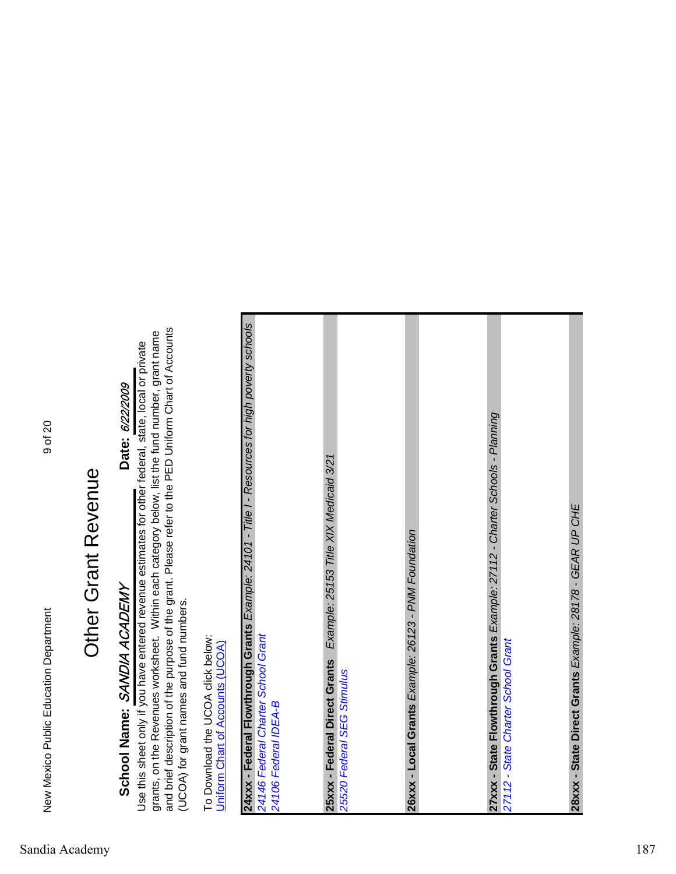# Other Grant Revenue Other Grant Revenue

# School Name: SANDIA ACADEMY SANDIA ACADEMY **School Name:**

# Date: 6/22/2009 **Date:** 6/22/2009

grants, on the Revenues worksheet. Within each category below, list the fund number, grant name<br>and brief description of the purpose of the grant. Please refer to the PED Uniform Chart of Accounts and brief description of the purpose of the grant. Please refer to the PED Uniform Chart of Accounts grants, on the Revenues worksheet. Within each category below, list the fund number, grant name Use this sheet only if you have entered revenue estimates for other federal, state, local or private Use this sheet only if you have entered revenue estimates for other federal, state, local or private (UCOA) for grant names and fund numbers. (UCOA) for grant names and fund numbers.

To Download the UCOA click below: To Download the UCOA click below: Uniform Chart of Accounts (UCOA) Uniform Chart of Accounts (UCOA)

| 24xxx - Federal Flowthrough Grants Example: 24101 - Title I - Resources for high poverty schools | 24146 Federal Charter School Grant | Example: 25153 Title XIX Medicaid 3/21<br>25xxx - Federal Direct Grants |                            | 26xxx - Local Grants Example: 26123 - PNM Foundation | 27xxx - State Flowthrough Grants Example: 27112 - Charter Schools - Planning | 27112 - State Charter School Grant | 28xxx - State Direct Grants Example: 28178 - GEAR UP CHE |
|--------------------------------------------------------------------------------------------------|------------------------------------|-------------------------------------------------------------------------|----------------------------|------------------------------------------------------|------------------------------------------------------------------------------|------------------------------------|----------------------------------------------------------|
|                                                                                                  | 24106 Federal IDEA-B               |                                                                         | 25520 Federal SEG Stimulus |                                                      |                                                                              |                                    |                                                          |
|                                                                                                  |                                    |                                                                         |                            |                                                      |                                                                              |                                    |                                                          |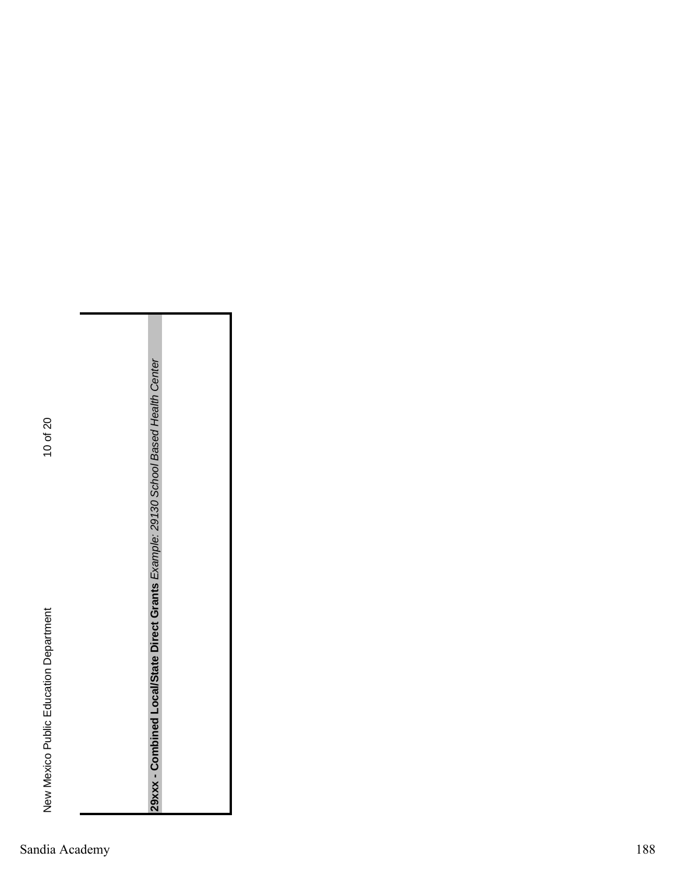**29xxx - Combined Local/State Direct Grants** *Example: 29130 School Based Health Center*

29xxx - Combined Local/State Direct Grants Example: 29130 School Based Health Center

Sandia Academy 188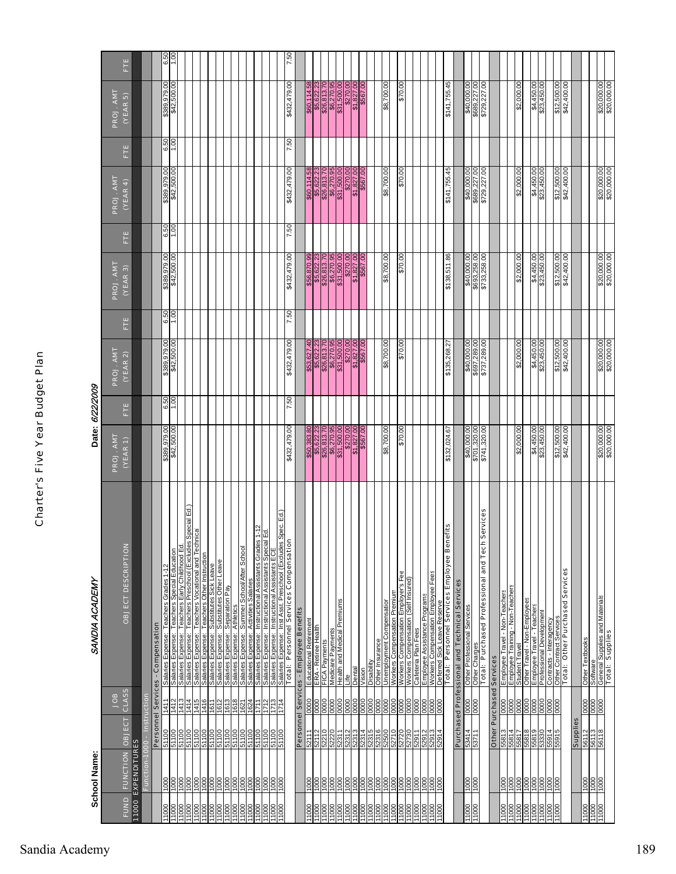|                                                                                | School Name:                 |                          |                          | SANDIA ACADEMY                                                                                                                                                                                   | Date: 6/22/2009                                                                               |      |                                                                                                     |                   |                                                                                                     |      |                                                                                                               |                     |                                                                                                                |                   |
|--------------------------------------------------------------------------------|------------------------------|--------------------------|--------------------------|--------------------------------------------------------------------------------------------------------------------------------------------------------------------------------------------------|-----------------------------------------------------------------------------------------------|------|-----------------------------------------------------------------------------------------------------|-------------------|-----------------------------------------------------------------------------------------------------|------|---------------------------------------------------------------------------------------------------------------|---------------------|----------------------------------------------------------------------------------------------------------------|-------------------|
| <b>FUND</b>                                                                    | <b>FUNCTION</b>              | OBJECT                   | CLASS<br>9OL             | OBJECT DESCRIPTIO                                                                                                                                                                                | PROJ. AMT<br>$($ YEAR $\,$ 1)                                                                 | Ë    | PROJ. AMT<br>(VEAR 2)                                                                               | Ë                 | PROJ. AMT<br>(YEAR 3)                                                                               | Ë    | PROJ. AMT<br>(YEAR 4)                                                                                         | Ë                   | PROJ. AMT<br>(YEAR 5)                                                                                          | Ë                 |
|                                                                                | 11000 EXPENDITURES           |                          |                          |                                                                                                                                                                                                  |                                                                                               |      |                                                                                                     |                   |                                                                                                     |      |                                                                                                               |                     |                                                                                                                |                   |
|                                                                                | Function-                    |                          | Instruction              | Personnel Services - Compensation                                                                                                                                                                |                                                                                               |      |                                                                                                     |                   |                                                                                                     |      |                                                                                                               |                     |                                                                                                                |                   |
| 11000                                                                          | 1000                         | 51100                    | 1411                     |                                                                                                                                                                                                  |                                                                                               | 6.50 |                                                                                                     |                   |                                                                                                     | 6.50 |                                                                                                               |                     |                                                                                                                |                   |
| $\frac{8}{1}$                                                                  |                              | 100                      |                          | <u>Salaries Expense: Teachers Grades 1-12</u><br>Salaries Expense: Teachers Special Education<br>Salaries Expense: Teachers Preschool (Excluded<br>Salaries Expense: Teachers Preschool (Exclude | \$389,979.00                                                                                  |      | \$389,979.00                                                                                        | $rac{6.50}{1.00}$ | \$389,979.00                                                                                        |      | 00.009'259<br>00.626'688\$                                                                                    | $\frac{6.50}{1.00}$ | \$389,979.00                                                                                                   | $rac{6.50}{1.00}$ |
| $\frac{000}{1000}$                                                             | $\frac{000}{1000}$           | 00 PL<br>91 100          | $\frac{147}{1474}$       |                                                                                                                                                                                                  |                                                                                               |      |                                                                                                     |                   |                                                                                                     |      |                                                                                                               |                     |                                                                                                                |                   |
|                                                                                |                              |                          |                          |                                                                                                                                                                                                  |                                                                                               |      |                                                                                                     |                   |                                                                                                     |      |                                                                                                               |                     |                                                                                                                |                   |
| 11000                                                                          | 1000                         | 51100                    | 1415                     |                                                                                                                                                                                                  |                                                                                               |      |                                                                                                     |                   |                                                                                                     |      |                                                                                                               |                     |                                                                                                                |                   |
| 11000<br>11000                                                                 | 8<br>000<br>0001             | 51100<br><b>00 µ µ 9</b> | 1416<br>1611             | La Lucius - Lucius Preschol (Excludes Special Ed.)<br>Salaries Expense: Teachers Vocational and Technical<br>Salaries Expense: Cubertus Otter Instruction                                        |                                                                                               |      |                                                                                                     |                   |                                                                                                     |      |                                                                                                               |                     |                                                                                                                |                   |
| 11000                                                                          |                              |                          |                          |                                                                                                                                                                                                  |                                                                                               |      |                                                                                                     |                   |                                                                                                     |      |                                                                                                               |                     |                                                                                                                |                   |
| )00LI                                                                          | $\frac{000}{1000}$           | 00 L LS                  | 1612                     | <u>Salaries Expense: Substitutes Other Leave<br/>Salaries Expense: Separation Pay<br/>Salaries Expense: Summer School/After School</u>                                                           |                                                                                               |      |                                                                                                     |                   |                                                                                                     |      |                                                                                                               |                     |                                                                                                                |                   |
| 000LI<br>000LI                                                                 | $rac{1000}{1000}$            | 00 LPS<br>00 LPS         | 1618<br>1621             |                                                                                                                                                                                                  |                                                                                               |      |                                                                                                     |                   |                                                                                                     |      |                                                                                                               |                     |                                                                                                                |                   |
|                                                                                |                              |                          |                          |                                                                                                                                                                                                  |                                                                                               |      |                                                                                                     |                   |                                                                                                     |      |                                                                                                               |                     |                                                                                                                |                   |
| 11000<br>11000                                                                 | 1000<br>$\frac{1000}{200}$   | 51100<br>51100           | 1624<br>1711             | Salaries Expense: Activities Salaries                                                                                                                                                            |                                                                                               |      |                                                                                                     |                   |                                                                                                     |      |                                                                                                               |                     |                                                                                                                |                   |
|                                                                                |                              |                          |                          | Salaries Expense: Instructional Assistants Grades 1-12<br>Salaries Expense: Instructional Assistants Special Ed.<br>Salaries Expense: Instructional Assistants ECE                               |                                                                                               |      |                                                                                                     |                   |                                                                                                     |      |                                                                                                               |                     |                                                                                                                |                   |
| 00011<br>00011<br>00011                                                        | $\frac{1000}{1000}$          | 81100<br>51100<br>51100  | $\frac{511}{1712}$       |                                                                                                                                                                                                  |                                                                                               |      |                                                                                                     |                   |                                                                                                     |      |                                                                                                               |                     |                                                                                                                |                   |
|                                                                                | DOC                          |                          |                          | ss Spec. Ed.<br>$\mathsf{s}$<br>Inst Asst. Preschool (Exclude<br>Total: Personnel Services Compensati<br>Salaries Expense                                                                        | \$432,479.00                                                                                  | 7.50 | \$432,479.00                                                                                        | 09'Z              | \$432,479.00                                                                                        | 7.50 | \$432,479.00                                                                                                  | 7.50                | \$432,479.00                                                                                                   | 7.50              |
|                                                                                |                              |                          |                          |                                                                                                                                                                                                  |                                                                                               |      |                                                                                                     |                   |                                                                                                     |      |                                                                                                               |                     |                                                                                                                |                   |
|                                                                                |                              |                          |                          | Personnel Services - Employee Benefits                                                                                                                                                           |                                                                                               |      |                                                                                                     |                   |                                                                                                     |      |                                                                                                               |                     |                                                                                                                |                   |
| 11000                                                                          | 000                          |                          | 880                      | Educational Retirement                                                                                                                                                                           |                                                                                               |      |                                                                                                     |                   |                                                                                                     |      |                                                                                                               |                     |                                                                                                                |                   |
| 000LL<br>000LL<br>000LL                                                        | 000                          | 52112                    | 0000<br>0000             | ERA - Retiree Health                                                                                                                                                                             | $\frac{\$50,383.80}{\$26,822.23}\frac{\$6,622.23}{\$6,270.95}\frac{\$24,500.00}{\$31,500.00}$ |      | $\frac{\$53,627.40}{\$5,622.23}$ $\frac{\$26,813.70}{\$6,270.95}$ $\frac{\$31,500.00}{\$31,500.00}$ |                   | $\begin{array}{r} 456,870.99 \\ 45,622.23 \\ 426,813.70 \\ 426,813.70 \\ 431,500.00 \\ \end{array}$ |      | $\begin{array}{r} 860,114.58 \\ 85,622.23 \\ 826,813.70 \\ 86,270.95 \\ 831,500.00 \\ 831,500.00 \end{array}$ |                     | $\begin{array}{r} 860,114.58 \\ 85,622.23 \\ 826,813.70 \\ 926,813.70 \\ 831,500.00 \\ 831,500.00 \end{array}$ |                   |
|                                                                                |                              | 52220                    | 0000                     | FICA Payments<br>Medicare Payments                                                                                                                                                               |                                                                                               |      |                                                                                                     |                   |                                                                                                     |      |                                                                                                               |                     |                                                                                                                |                   |
|                                                                                | 388                          | 52311                    | 0000                     | <b>Health and Medical Premiums</b>                                                                                                                                                               |                                                                                               |      |                                                                                                     |                   |                                                                                                     |      |                                                                                                               |                     |                                                                                                                |                   |
| 11000                                                                          | $\frac{1000}{200}$           | 2312                     | ooo                      | ≞                                                                                                                                                                                                | \$270.00                                                                                      |      | \$270.00                                                                                            |                   |                                                                                                     |      |                                                                                                               |                     |                                                                                                                |                   |
| 11000<br>11000                                                                 | $\frac{8}{1}$                | 52313                    | $\frac{0000}{0000}$      | Dental                                                                                                                                                                                           | \$1,827.00<br>\$567.00                                                                        |      | \$1,827.00<br>\$567.00                                                                              |                   | \$1,827.00                                                                                          |      | \$1,827.00<br>\$567.00                                                                                        |                     | \$1,827.00                                                                                                     |                   |
|                                                                                | 0001                         | 52314                    |                          | Vision                                                                                                                                                                                           |                                                                                               |      |                                                                                                     |                   |                                                                                                     |      |                                                                                                               |                     |                                                                                                                |                   |
| 000LL<br>000LL                                                                 | 0001<br>0001<br>0001<br>0001 | 52315<br>316             | 0000<br>0000             | Other Insurance<br>Disability                                                                                                                                                                    |                                                                                               |      |                                                                                                     |                   |                                                                                                     |      |                                                                                                               |                     |                                                                                                                |                   |
|                                                                                |                              | 52500                    | 0000                     | Unemployment Compensation                                                                                                                                                                        | \$8,700.00                                                                                    |      | \$8,700.00                                                                                          |                   | \$8,700.00                                                                                          |      | \$8,700.00                                                                                                    |                     | \$8,700.00                                                                                                     |                   |
| $\begin{array}{r}\n 11000 \\  \hline\n 11000 \\  \hline\n 11000\n \end{array}$ |                              | 52710                    | 0000                     | Workers Compensation Premium                                                                                                                                                                     |                                                                                               |      |                                                                                                     |                   |                                                                                                     |      |                                                                                                               |                     |                                                                                                                |                   |
|                                                                                |                              | $\overline{20}$          | 0000                     | Workers Compensation Employer's Fee<br>Workers Compensation (Self Insured)                                                                                                                       | 00.02\$                                                                                       |      | 00'02\$                                                                                             |                   | 00.02\$                                                                                             |      | \$70.00                                                                                                       |                     | 00'02\$                                                                                                        |                   |
| 11000<br>11000                                                                 | 1000                         | 52730<br>52911           | 0000<br>0000             | Cafeteria Plan Fees                                                                                                                                                                              |                                                                                               |      |                                                                                                     |                   |                                                                                                     |      |                                                                                                               |                     |                                                                                                                |                   |
|                                                                                | 1000                         |                          |                          |                                                                                                                                                                                                  |                                                                                               |      |                                                                                                     |                   |                                                                                                     |      |                                                                                                               |                     |                                                                                                                |                   |
| 00011<br>00011<br>00011                                                        | 000 L<br>000 L               | EL629<br>20913           | 0000                     | <u>Employee Assistance Programs<br/>Workers Compensation Employee Fees</u><br><u>Deferred Sick Leave Reserve</u>                                                                                 |                                                                                               |      |                                                                                                     |                   |                                                                                                     |      |                                                                                                               |                     |                                                                                                                |                   |
|                                                                                | $\frac{000}{1000}$           | 52914                    | 0000                     |                                                                                                                                                                                                  |                                                                                               |      |                                                                                                     |                   |                                                                                                     |      |                                                                                                               |                     |                                                                                                                |                   |
|                                                                                |                              |                          |                          | Total: Personnel Services Employee Benefits                                                                                                                                                      | \$132,024.67                                                                                  |      | \$135,268.27                                                                                        |                   | \$138,511.86                                                                                        |      | \$141,755.45                                                                                                  |                     | \$141,755.45                                                                                                   |                   |
|                                                                                |                              |                          |                          | Purchased Professional and Technical Services                                                                                                                                                    |                                                                                               |      |                                                                                                     |                   |                                                                                                     |      |                                                                                                               |                     |                                                                                                                |                   |
| 11000                                                                          | $\frac{8}{2}$                | 53414<br>53711           | 0000                     | Other Professional Services                                                                                                                                                                      |                                                                                               |      |                                                                                                     |                   |                                                                                                     |      |                                                                                                               |                     |                                                                                                                |                   |
| 1000                                                                           | $\overline{1000}$            |                          | 0000                     | h Services<br><u>Other Charges</u><br>Total:  Purchased Professional and Tec                                                                                                                     | \$40,000.00<br>\$701,320.00<br>\$741,320.00                                                   |      | \$40,000.00<br>\$697,289.00<br>\$737,289.00                                                         |                   | \$40,000.00<br>\$693,258.00<br>\$733,258.00                                                         |      | \$40,000.00<br>\$689,227.00<br>\$729,227.00                                                                   |                     | \$40,000.00<br>\$689,227.00<br>\$729,227.00                                                                    |                   |
|                                                                                |                              |                          |                          |                                                                                                                                                                                                  |                                                                                               |      |                                                                                                     |                   |                                                                                                     |      |                                                                                                               |                     |                                                                                                                |                   |
|                                                                                |                              |                          | Other Purchased Services |                                                                                                                                                                                                  |                                                                                               |      |                                                                                                     |                   |                                                                                                     |      |                                                                                                               |                     |                                                                                                                |                   |
| 11000<br>1000                                                                  | $\overline{1000}$            | 55813                    | $\frac{0000}{0000}$      | Employee Travel - Non-Teachers<br>Employee Training - Non-Teacher                                                                                                                                |                                                                                               |      |                                                                                                     |                   |                                                                                                     |      |                                                                                                               |                     |                                                                                                                |                   |
| 1000                                                                           | $\frac{1000}{1000}$          | 55817                    | 0000                     | Student Travel                                                                                                                                                                                   | \$2,000.00                                                                                    |      | \$2,000.00                                                                                          |                   | \$2,000.00                                                                                          |      | \$2,000.00                                                                                                    |                     | \$2,000.00                                                                                                     |                   |
| 11000                                                                          |                              | 55818                    | $\frac{80}{20}$          | Other Travel - Non-Employees                                                                                                                                                                     |                                                                                               |      |                                                                                                     |                   |                                                                                                     |      |                                                                                                               |                     |                                                                                                                |                   |
| 11000                                                                          |                              | 55819                    |                          | Employee Travel - Teachers                                                                                                                                                                       | \$4,450.00                                                                                    |      | \$4,450.00                                                                                          |                   | \$4,450.00                                                                                          |      | \$4,450.00                                                                                                    |                     | \$4,450.00                                                                                                     |                   |
| 00011<br>00011                                                                 | 000                          | 0889                     | $rac{1}{2000}$           | Professional Development                                                                                                                                                                         | \$23,450.00                                                                                   |      | \$23,450.00                                                                                         |                   | \$23,450.00                                                                                         |      | \$23,450.00                                                                                                   |                     | \$23,450.00                                                                                                    |                   |
|                                                                                | 000 L<br>000 L               | 55914                    | $\frac{0000}{0000}$      | Contracts - Interagency                                                                                                                                                                          |                                                                                               |      |                                                                                                     |                   |                                                                                                     |      |                                                                                                               |                     |                                                                                                                |                   |
|                                                                                |                              | 55915                    |                          | <b>Other Contract Services</b><br><b>Total: Other Purchased Services</b>                                                                                                                         | \$12,500.00<br>\$42,400.00                                                                    |      | \$12,500.00                                                                                         |                   | \$12,500.00<br>\$42,400.00                                                                          |      | \$12,500.00                                                                                                   |                     | \$12,500.00                                                                                                    |                   |
|                                                                                |                              |                          |                          |                                                                                                                                                                                                  |                                                                                               |      |                                                                                                     |                   |                                                                                                     |      |                                                                                                               |                     |                                                                                                                |                   |
|                                                                                |                              | Supplies                 |                          |                                                                                                                                                                                                  |                                                                                               |      |                                                                                                     |                   |                                                                                                     |      |                                                                                                               |                     |                                                                                                                |                   |
| 00011<br>00011                                                                 | 000L<br>000L                 | 56112<br>56113<br>56118  | 888                      | Other Textbooks                                                                                                                                                                                  |                                                                                               |      |                                                                                                     |                   |                                                                                                     |      |                                                                                                               |                     |                                                                                                                |                   |
|                                                                                |                              |                          |                          | <u>Software</u><br>General Supplies and Materials<br>Total: Supplies                                                                                                                             |                                                                                               |      |                                                                                                     |                   |                                                                                                     |      |                                                                                                               |                     |                                                                                                                |                   |
|                                                                                |                              |                          |                          |                                                                                                                                                                                                  | \$20,000.00                                                                                   |      | \$20,000.00                                                                                         |                   | \$20,000.00                                                                                         |      | \$20,000.00                                                                                                   |                     | \$20,000.00                                                                                                    |                   |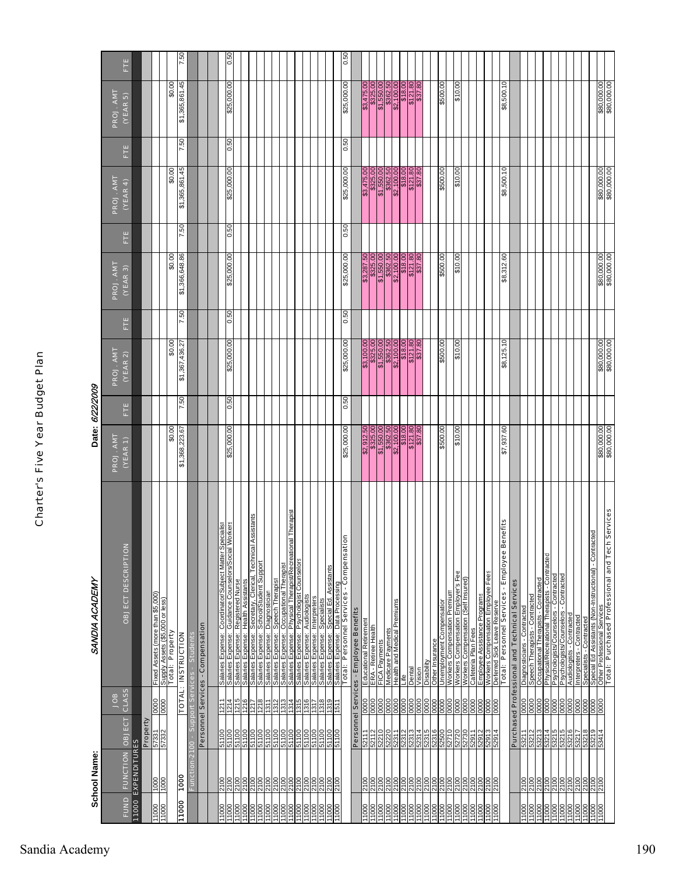|                                  | <b>School Name:</b>           |                                                         | SANDIA ACADEMY                                                                                                                                                                                                                                                                                                                                                    | Date: 6/22/2009                                                                                                                          |                                                                                                                                                                                                                                         |        |                                                                  |        |                                                                                                                                       |        |                                                                  |      |
|----------------------------------|-------------------------------|---------------------------------------------------------|-------------------------------------------------------------------------------------------------------------------------------------------------------------------------------------------------------------------------------------------------------------------------------------------------------------------------------------------------------------------|------------------------------------------------------------------------------------------------------------------------------------------|-----------------------------------------------------------------------------------------------------------------------------------------------------------------------------------------------------------------------------------------|--------|------------------------------------------------------------------|--------|---------------------------------------------------------------------------------------------------------------------------------------|--------|------------------------------------------------------------------|------|
| FUND                             | FUNCTION OBJECT               | CLASS<br>BOL                                            | OBJECT DESCRIPTIO                                                                                                                                                                                                                                                                                                                                                 | ш<br>E<br>ROJ. AMT<br>(YEAR 1)                                                                                                           | PROJ. AMT<br>(VEAR 2)                                                                                                                                                                                                                   | ш<br>E | PROJ. AMT<br>(YEAR 3)                                            | ш<br>E | <b>PROJ. AMT</b><br>(YEAR 4)                                                                                                          | ш<br>E | PROJ. AMT<br>(VEAR 5)                                            | Ë    |
|                                  | 11000 EXPENDITURES            | Property                                                |                                                                                                                                                                                                                                                                                                                                                                   |                                                                                                                                          |                                                                                                                                                                                                                                         |        |                                                                  |        |                                                                                                                                       |        |                                                                  |      |
| 000LL<br>000LL                   | 000L                          | 000<br>57331<br>57332                                   |                                                                                                                                                                                                                                                                                                                                                                   |                                                                                                                                          |                                                                                                                                                                                                                                         |        |                                                                  |        |                                                                                                                                       |        |                                                                  |      |
|                                  |                               | 0000                                                    | Fixed Assets (more than \$5,000)<br>Supply Assets (\$5,000 or less)<br><b>Total: Property</b>                                                                                                                                                                                                                                                                     | \$0.00                                                                                                                                   | \$0.00                                                                                                                                                                                                                                  |        | \$0.00                                                           |        | \$0.00                                                                                                                                |        | \$0.00                                                           |      |
| 11000                            | 1000                          |                                                         | <b>TOTAL: INSTRUCTION</b>                                                                                                                                                                                                                                                                                                                                         | 7.50<br>\$1,368,223.67                                                                                                                   | \$1,367,436.27                                                                                                                                                                                                                          | 7.50   | \$1,366,648.86                                                   | 7.50   | \$1,365,861.45                                                                                                                        | 7.50   | \$1,365,861.45                                                   | 7.50 |
|                                  | Function-2100                 | Support Services -                                      | <b>Students</b>                                                                                                                                                                                                                                                                                                                                                   |                                                                                                                                          |                                                                                                                                                                                                                                         |        |                                                                  |        |                                                                                                                                       |        |                                                                  |      |
|                                  |                               |                                                         | Personnel Services - Compensation                                                                                                                                                                                                                                                                                                                                 |                                                                                                                                          |                                                                                                                                                                                                                                         |        |                                                                  |        |                                                                                                                                       |        |                                                                  |      |
|                                  |                               |                                                         |                                                                                                                                                                                                                                                                                                                                                                   |                                                                                                                                          |                                                                                                                                                                                                                                         |        |                                                                  |        |                                                                                                                                       |        |                                                                  |      |
| 1000                             | 00 <sub>b</sub>               | 1211<br><u>ទៅទី២</u><br>នៅមាន<br><u>ទី២</u>             | Specialist<br>Workers<br>Salaries Expense: Coordinator/Subject Matter                                                                                                                                                                                                                                                                                             | 0.50<br>\$25,000.00                                                                                                                      | \$25,000.00                                                                                                                                                                                                                             | 0.50   | \$25,000.00                                                      | 0.50   | \$25,000.00                                                                                                                           | 0.50   | \$25,000.00                                                      | 0.50 |
| 11000                            | 2100                          | $\frac{1215}{121212}$                                   | <u>Salaries Expense:  Guidance Counselors/Social</u><br>Salaries Expense:  Registered Nurs<br>Salaries Expense:  Secretary, Clerical, Technica<br>Salaries Expense:  Secretary, Clerical, Technica<br>Saiaries Experise: Registered Nurse<br>Salaries Experise: Health Assistants<br>Salaries Experise: School/Stuction, Tech<br>Salaries Experise: Diagnostician |                                                                                                                                          |                                                                                                                                                                                                                                         |        |                                                                  |        |                                                                                                                                       |        |                                                                  |      |
| $\frac{0001}{1000}$              | 2100                          |                                                         | Assistants<br>Technica                                                                                                                                                                                                                                                                                                                                            |                                                                                                                                          |                                                                                                                                                                                                                                         |        |                                                                  |        |                                                                                                                                       |        |                                                                  |      |
| 11000                            | $\frac{2100}{21}$             | 1218<br>51100                                           |                                                                                                                                                                                                                                                                                                                                                                   |                                                                                                                                          |                                                                                                                                                                                                                                         |        |                                                                  |        |                                                                                                                                       |        |                                                                  |      |
| 11000<br>11000                   | 2100<br>2100                  | 1312<br>1311<br>51100<br>51100                          | Salaries Expense: Speech Therapist                                                                                                                                                                                                                                                                                                                                |                                                                                                                                          |                                                                                                                                                                                                                                         |        |                                                                  |        |                                                                                                                                       |        |                                                                  |      |
| 11000                            | 2100                          | 1313<br>51100                                           | Salaries Expense: Occupational Therapist                                                                                                                                                                                                                                                                                                                          |                                                                                                                                          |                                                                                                                                                                                                                                         |        |                                                                  |        |                                                                                                                                       |        |                                                                  |      |
| 11000                            |                               |                                                         | Salaries Expense: Physical Therapist/Recreational Therapist                                                                                                                                                                                                                                                                                                       |                                                                                                                                          |                                                                                                                                                                                                                                         |        |                                                                  |        |                                                                                                                                       |        |                                                                  |      |
|                                  |                               |                                                         |                                                                                                                                                                                                                                                                                                                                                                   |                                                                                                                                          |                                                                                                                                                                                                                                         |        |                                                                  |        |                                                                                                                                       |        |                                                                  |      |
| 000LL<br>000LL<br>000LL          | <u>loid<br/>21962</u><br>2196 | $\frac{1315}{1315}$<br>00119<br>00119<br>01100<br>01100 | <u>Salaries Expense: Psychologist Counselors</u><br>Salaries Expense: Audiologists<br>Salaries Expense: Interpreters                                                                                                                                                                                                                                              |                                                                                                                                          |                                                                                                                                                                                                                                         |        |                                                                  |        |                                                                                                                                       |        |                                                                  |      |
| 11000                            | 2100                          | $\frac{6151}{1319}$<br>51100                            | Salaries Expense: Specialists                                                                                                                                                                                                                                                                                                                                     |                                                                                                                                          |                                                                                                                                                                                                                                         |        |                                                                  |        |                                                                                                                                       |        |                                                                  |      |
| 11000<br>11000                   | 2100<br>2100                  | 1511<br>51100<br>51100                                  | Salaries Expense: Special Ed. Assistants                                                                                                                                                                                                                                                                                                                          |                                                                                                                                          |                                                                                                                                                                                                                                         |        |                                                                  |        |                                                                                                                                       |        |                                                                  |      |
|                                  |                               |                                                         | tion<br>Salaries Expense: Data Processing<br>Total: Personnel Services - Compensat                                                                                                                                                                                                                                                                                | 0.50<br>\$25,000.00                                                                                                                      | \$25,000.00                                                                                                                                                                                                                             | 0.50   | \$25,000.00                                                      | 0.50   | \$25,000.00                                                                                                                           | 0.50   | \$25,000.00                                                      | 0.50 |
|                                  |                               |                                                         | Personnel Services - Employee Benefits                                                                                                                                                                                                                                                                                                                            |                                                                                                                                          |                                                                                                                                                                                                                                         |        |                                                                  |        |                                                                                                                                       |        |                                                                  |      |
| 11000                            | 2100                          | 0000<br>52111                                           | Educational Retirement                                                                                                                                                                                                                                                                                                                                            | $\begin{array}{r} 62.912.50 \\ 4325.00 \\ \hline 91,550.00 \\ 62.100.00 \\ \hline 6362.50 \\ \hline 91,500.00 \\ 9121.80 \\ \end{array}$ |                                                                                                                                                                                                                                         |        |                                                                  |        | $\begin{array}{r} 63,475,00 \\ 8325,00 \\ \hline 91,550,00 \\ 9362,50 \\ \hline 82,100,00 \\ 918,00 \\ \hline 9121,80 \\ \end{array}$ |        | 00'527'6\$                                                       |      |
| 11000                            | 2100                          | 0000                                                    | ERA - Retiree Health                                                                                                                                                                                                                                                                                                                                              |                                                                                                                                          |                                                                                                                                                                                                                                         |        |                                                                  |        |                                                                                                                                       |        |                                                                  |      |
| 11000<br>00011                   | 2100                          | 0000<br>0000<br>52210<br>52220                          | Medicaré Payments<br>FICA Payments                                                                                                                                                                                                                                                                                                                                |                                                                                                                                          | $\begin{array}{r} 100.00 \\ \text{\$325,00} \\ \text{\$1,550.00} \\ \text{\$1,550.00} \\ \text{\$22,100.00} \\ \text{\$18,00} \\ \text{\$121.80} \\ \text{\$121.80} \\ \text{\$1362.50} \\ \text{\$141.80} \\ \text{\$150} \end{array}$ |        | \$3,287.50<br>\$325.00<br>\$1,550.00<br>\$362.50                 |        |                                                                                                                                       |        | \$325.00<br>\$1,550.00<br>\$362.50                               |      |
| 11000                            |                               | 0000<br>52311                                           | Health and Medical Premiums                                                                                                                                                                                                                                                                                                                                       |                                                                                                                                          |                                                                                                                                                                                                                                         |        |                                                                  |        |                                                                                                                                       |        |                                                                  |      |
| 100                              |                               |                                                         |                                                                                                                                                                                                                                                                                                                                                                   |                                                                                                                                          |                                                                                                                                                                                                                                         |        |                                                                  |        |                                                                                                                                       |        |                                                                  |      |
|                                  |                               | $\frac{0000}{0000}$<br><b>2313</b><br>52314             | Jental<br>Dental<br>Vision                                                                                                                                                                                                                                                                                                                                        |                                                                                                                                          |                                                                                                                                                                                                                                         |        | $\begin{array}{r} 62,100.00 \\ 818.00 \\ 8121.80 \\ \end{array}$ |        |                                                                                                                                       |        | $\begin{array}{r} 62,100.00 \\ 818.00 \\ 9121.80 \\ \end{array}$ |      |
| 000LL<br>000LL<br>000LL          | 2100<br>2100<br>2100<br>2100  | 52315                                                   | Disability                                                                                                                                                                                                                                                                                                                                                        |                                                                                                                                          |                                                                                                                                                                                                                                         |        |                                                                  |        |                                                                                                                                       |        |                                                                  |      |
| 11000                            | 2100                          | 0000<br>52316                                           | Other Insurance                                                                                                                                                                                                                                                                                                                                                   |                                                                                                                                          |                                                                                                                                                                                                                                         |        |                                                                  |        |                                                                                                                                       |        |                                                                  |      |
|                                  |                               | 0000<br>01/23                                           | Workers Compensation Premium<br>Unemployment Compensation                                                                                                                                                                                                                                                                                                         | 00.009\$                                                                                                                                 | 00.009\$                                                                                                                                                                                                                                |        | 00.009\$                                                         |        | 00.009\$                                                                                                                              |        | 00.009\$                                                         |      |
|                                  |                               | 0000<br>52730                                           |                                                                                                                                                                                                                                                                                                                                                                   | 00'01\$                                                                                                                                  | 00'01\$                                                                                                                                                                                                                                 |        | 00'01\$                                                          |        | 00'01\$                                                                                                                               |        | 00'01\$                                                          |      |
|                                  |                               | <b>SOOO</b>                                             | Workers Compensation Employer's Fee<br>Workers Compensation (Self Insured)                                                                                                                                                                                                                                                                                        |                                                                                                                                          |                                                                                                                                                                                                                                         |        |                                                                  |        |                                                                                                                                       |        |                                                                  |      |
|                                  |                               | 0000<br>$rac{1}{2}$<br>52911                            | Cafeteria Plan Fees                                                                                                                                                                                                                                                                                                                                               |                                                                                                                                          |                                                                                                                                                                                                                                         |        |                                                                  |        |                                                                                                                                       |        |                                                                  |      |
|                                  |                               | 0000<br>21629                                           | Employee Assistance Programs<br>Workers Compensation Employee Fees                                                                                                                                                                                                                                                                                                |                                                                                                                                          |                                                                                                                                                                                                                                         |        |                                                                  |        |                                                                                                                                       |        |                                                                  |      |
| 0001                             | 2100                          | 0000<br>52914                                           | Deferred Sick Leave Reserve                                                                                                                                                                                                                                                                                                                                       |                                                                                                                                          |                                                                                                                                                                                                                                         |        |                                                                  |        |                                                                                                                                       |        |                                                                  |      |
|                                  |                               |                                                         | Total: Personnel Services - Employee Benefits                                                                                                                                                                                                                                                                                                                     | \$7,937.60                                                                                                                               | \$8,125.10                                                                                                                                                                                                                              |        | \$8,312.60                                                       |        | \$8,500.10                                                                                                                            |        | \$8,500.10                                                       |      |
|                                  |                               |                                                         | Purchased Professional and Technical Services                                                                                                                                                                                                                                                                                                                     |                                                                                                                                          |                                                                                                                                                                                                                                         |        |                                                                  |        |                                                                                                                                       |        |                                                                  |      |
| 11000                            | 2100<br>2100                  | 0000<br>53211<br>53212                                  | Diagnosticians - Contracted<br>Speech Therapists - Contracted                                                                                                                                                                                                                                                                                                     |                                                                                                                                          |                                                                                                                                                                                                                                         |        |                                                                  |        |                                                                                                                                       |        |                                                                  |      |
| 11000                            | 2100                          | 0000<br>0000<br>53213                                   | Occupational Therapists - Contracted                                                                                                                                                                                                                                                                                                                              |                                                                                                                                          |                                                                                                                                                                                                                                         |        |                                                                  |        |                                                                                                                                       |        |                                                                  |      |
| 00011                            | 2100                          | 0000<br>53214                                           | Physical/Recreational Therapists - Contracted                                                                                                                                                                                                                                                                                                                     |                                                                                                                                          |                                                                                                                                                                                                                                         |        |                                                                  |        |                                                                                                                                       |        |                                                                  |      |
| 11000                            |                               | 0000<br>53215                                           | Psychologists/Counselors - Contracted                                                                                                                                                                                                                                                                                                                             |                                                                                                                                          |                                                                                                                                                                                                                                         |        |                                                                  |        |                                                                                                                                       |        |                                                                  |      |
| 11000<br>11000<br>11000<br>11000 | 3100<br>212100<br>21212       | 888<br>53215<br>53216                                   | Psychologists/Counselors - Contracted                                                                                                                                                                                                                                                                                                                             |                                                                                                                                          |                                                                                                                                                                                                                                         |        |                                                                  |        |                                                                                                                                       |        |                                                                  |      |
|                                  |                               | 53217                                                   | Contracted<br>Interpreters - Contracted<br>Audiologists                                                                                                                                                                                                                                                                                                           |                                                                                                                                          |                                                                                                                                                                                                                                         |        |                                                                  |        |                                                                                                                                       |        |                                                                  |      |
|                                  |                               | 0000<br>53218                                           | Specialists - Contracted                                                                                                                                                                                                                                                                                                                                          |                                                                                                                                          |                                                                                                                                                                                                                                         |        |                                                                  |        |                                                                                                                                       |        |                                                                  |      |
| 000LL<br>000LL                   | 00LZ<br>00LZ                  | 000<br>53219<br>53414                                   | acted                                                                                                                                                                                                                                                                                                                                                             |                                                                                                                                          |                                                                                                                                                                                                                                         |        |                                                                  |        |                                                                                                                                       |        |                                                                  |      |
|                                  |                               | 0000                                                    | h Services<br>Special Ed Assistants (Non-Instructional) - Contr<br>Other Professional Services<br><b>Total∶ Purchased Professional and Tec</b>                                                                                                                                                                                                                    | <b>\$80,000.00</b><br>\$80,000.00                                                                                                        | 00.000.08\$<br>\$80,000.00                                                                                                                                                                                                              |        | <b>\$80,000.00</b><br>\$80,000.00                                |        | <b>\$80,000.00</b><br>\$80,000.00                                                                                                     |        | \$80,000.00                                                      |      |
|                                  |                               |                                                         |                                                                                                                                                                                                                                                                                                                                                                   |                                                                                                                                          |                                                                                                                                                                                                                                         |        |                                                                  |        |                                                                                                                                       |        |                                                                  |      |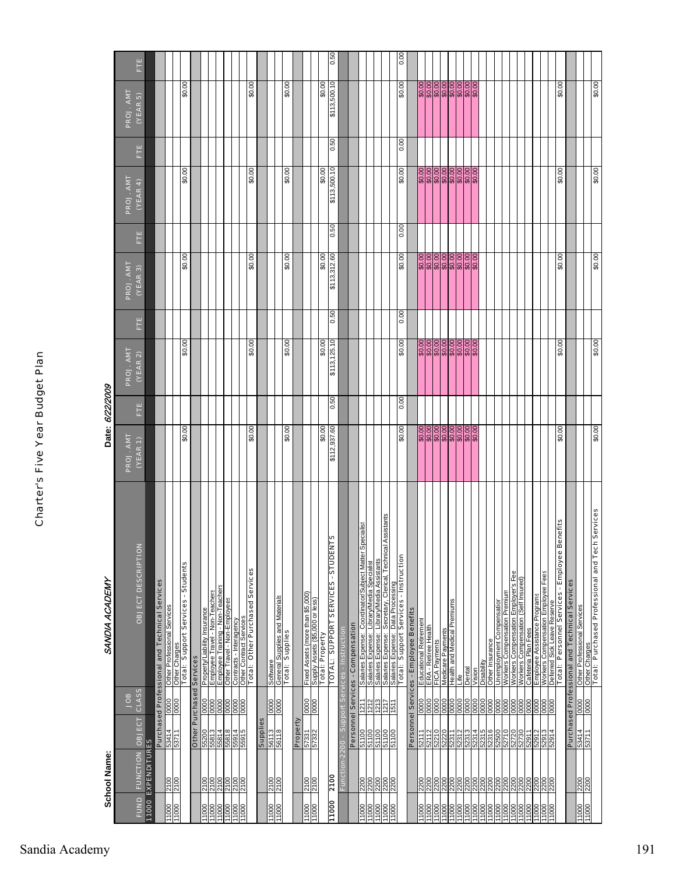|                     | <b>School Name:</b>          |                                      |                                 | SANDIA ACADEMY                                                                                                           |                                | Date: 6/22/2009 |                            |      |              |      |                                              |      |                                                                  |      |
|---------------------|------------------------------|--------------------------------------|---------------------------------|--------------------------------------------------------------------------------------------------------------------------|--------------------------------|-----------------|----------------------------|------|--------------|------|----------------------------------------------|------|------------------------------------------------------------------|------|
|                     |                              |                                      | <b>SOL</b>                      |                                                                                                                          | PROJ. AMT                      |                 | PROJ. AMT                  |      | PROJ. AMT    |      | PROJ. AMT                                    |      | PROJ. AMT                                                        |      |
| <b>FUND</b>         | <b>FUNCTION OBJECT</b>       |                                      | <b>CLASS</b>                    | <b>OBJECT DESCRIPTION</b>                                                                                                | (VER 1)                        | Ë               | (VEAR 2)                   | Ë    | (VEAR 3)     | Ë    | (VEAR 4)                                     | Ë    | (VEAR5)                                                          | Ë    |
|                     | 11000 EXPENDITURES           |                                      |                                 | Purchased Professional and Technical Services                                                                            |                                |                 |                            |      |              |      |                                              |      |                                                                  |      |
| 11000               | 00LZ<br>00LZ                 | 53414                                | 0000                            | Other Professional Services                                                                                              |                                |                 |                            |      |              |      |                                              |      |                                                                  |      |
|                     |                              | 53711                                | 0000                            | Other Charges<br>Total: Support Services - Students<br>Other                                                             | \$0.00                         |                 | \$0.00                     |      | \$0.00       |      | 00'0\$                                       |      | \$0.00                                                           |      |
|                     |                              |                                      | <b>Other Purchased Services</b> |                                                                                                                          |                                |                 |                            |      |              |      |                                              |      |                                                                  |      |
| 11000               | 2100                         | 55200                                | 0000                            | Property/Liability Insurance                                                                                             |                                |                 |                            |      |              |      |                                              |      |                                                                  |      |
| 11000<br>11000      |                              |                                      |                                 | <u>Employee Travel - Non-Teachers</u><br>Employee Training - Non-Teachers                                                |                                |                 |                            |      |              |      |                                              |      |                                                                  |      |
| 11000               | 0012<br>0012<br>0012<br>0012 | $\frac{1489}{14899}$<br>1899<br>1999 | <u>sisisisis</u><br>Sisisisis   | Other Travel - Non-Employees                                                                                             |                                |                 |                            |      |              |      |                                              |      |                                                                  |      |
| 11000               |                              |                                      |                                 |                                                                                                                          |                                |                 |                            |      |              |      |                                              |      |                                                                  |      |
| 1000                |                              | 55915                                |                                 | <b>Contracts - Interagency<br/>Other Contract Services<br/>The Contract Services<br/>Total: Other Purchased Services</b> | \$0.00                         |                 | \$0.00                     |      | 00'0\$       |      | \$0.00                                       |      | \$0.00                                                           |      |
|                     |                              |                                      |                                 |                                                                                                                          |                                |                 |                            |      |              |      |                                              |      |                                                                  |      |
|                     |                              | Supplies                             |                                 | Software                                                                                                                 |                                |                 |                            |      |              |      |                                              |      |                                                                  |      |
| 000LL               | 2100                         | $\frac{56113}{56118}$                | 0000                            |                                                                                                                          |                                |                 |                            |      |              |      |                                              |      |                                                                  |      |
|                     |                              |                                      |                                 | <b>General Supplies and Materials</b><br>Total: Supplies                                                                 | 00'0\$                         |                 | 00'0\$                     |      | 00'0\$       |      | 00'0\$                                       |      | 00'0\$                                                           |      |
|                     |                              | Property                             |                                 |                                                                                                                          |                                |                 |                            |      |              |      |                                              |      |                                                                  |      |
| 000                 | 2100                         | 57331                                | $\frac{0000}{0000}$             | Fixed Assets (more than \$5,000)                                                                                         |                                |                 |                            |      |              |      |                                              |      |                                                                  |      |
| 11000               | 2100                         | 57332                                |                                 | Supply Assets (\$5,000 or less)<br><b>Total: Property</b>                                                                |                                |                 |                            |      |              |      |                                              |      |                                                                  |      |
| 11000               | <b>2100</b>                  |                                      |                                 | TOTAL: SUPPORT SERVICES - STUDENTS                                                                                       | \$0.00<br>\$112,937.60         |                 | \$0.00                     |      | \$0.00       |      | \$0.00                                       |      | \$0.00                                                           |      |
|                     |                              |                                      |                                 |                                                                                                                          |                                | 0.50            | \$113,125.10               | 0.50 | \$113,312.60 | 0.50 | \$113,500.10                                 | 0.50 | \$113,500.10                                                     | 0.50 |
|                     | Functi                       | ā                                    |                                 | Services - Instruction                                                                                                   |                                |                 |                            |      |              |      |                                              |      |                                                                  |      |
|                     |                              |                                      |                                 | Personnel Services - Compensation                                                                                        |                                |                 |                            |      |              |      |                                              |      |                                                                  |      |
| 11000               | 2200                         | 51100<br>51100                       | $\frac{1211}{1212}$             | pecialist<br>Salaries Expense:  Coordinator/Subject Matter Sp<br>Salaries Expense:  Library/Media Specialist             |                                |                 |                            |      |              |      |                                              |      |                                                                  |      |
|                     |                              | 00119                                |                                 | Salaries Expense: Library/Media Assistants                                                                               |                                |                 |                            |      |              |      |                                              |      |                                                                  |      |
| 11000               | 2200<br>2200                 |                                      | $\frac{1213}{1511}$             | Assistants<br>Secretary, Clerical, Technical                                                                             |                                |                 |                            |      |              |      |                                              |      |                                                                  |      |
| 000LL               |                              | 00 LPS<br>00 LPS                     |                                 | Salaries Expense: Data Processing<br>Total: Support Services - Instruction<br>Salaries Expense:<br>Salaries Expense:     |                                |                 |                            |      |              |      |                                              |      |                                                                  |      |
|                     |                              |                                      |                                 |                                                                                                                          | \$0.00                         | 0.00            | \$0.00                     | 0.00 | \$0.00       | 0.00 | \$0.00                                       | 0.00 | \$0.00                                                           | 0.00 |
|                     |                              |                                      |                                 | Personnel Services - Employee Benefits                                                                                   |                                |                 |                            |      |              |      |                                              |      |                                                                  |      |
|                     | 2200                         | 52111                                | 0000                            | Educational Retirement                                                                                                   |                                |                 |                            |      |              |      |                                              |      |                                                                  |      |
| 1000                | 2200                         | 52112<br>52210                       | 0000                            | ERA - Retiree Health<br>FICA Payments                                                                                    | 000000000<br>ଜୟୁକ୍ର ଜୟୁକ୍ର ଜୟୁ |                 | 000000000<br>ଜୟୁକ୍ର ଜୟୁକ୍ର |      |              |      | <u>) ၁၉၂၁ ၁၉၂၁ ၁</u><br>မိန်မိန်မိန်မိန်မြီး |      | <u>୦୦୦୦୦୦୦୦୦</u><br>ଜୁନ୍ନ ଜୁନ୍ନ ଜୁନ୍ନ ଜୁନ୍ନ<br>ଜୁନ୍ନ ଜୁନ୍ନ ଜୁନ୍ନ |      |
| 1000                | 2200                         |                                      |                                 |                                                                                                                          |                                |                 |                            |      |              |      |                                              |      |                                                                  |      |
| 11000<br>11000      | 2200                         | 52220<br>52311                       | 0000                            | Health and Medical Premiums<br>Medicare Payments                                                                         |                                |                 |                            |      |              |      |                                              |      |                                                                  |      |
| 1000                | 2200                         | 52312                                | 0000                            | ≞                                                                                                                        |                                |                 |                            |      |              |      |                                              |      |                                                                  |      |
|                     |                              | 52313                                | 0000                            | Dental                                                                                                                   |                                |                 |                            |      |              |      |                                              |      |                                                                  |      |
| $\frac{800}{11000}$ |                              |                                      |                                 | Vision                                                                                                                   |                                |                 |                            |      |              |      |                                              |      |                                                                  |      |
| 1000                | ន្ត្រីន្ត្រីន្ត្រី           | 52315<br>52316                       | 0000<br>0000                    | (lijqesid                                                                                                                |                                |                 |                            |      |              |      |                                              |      |                                                                  |      |
| 00011<br>11000      | 2200                         | 52500                                | 0000                            | Unemployment Compensation<br>Other Insurance                                                                             |                                |                 |                            |      |              |      |                                              |      |                                                                  |      |
|                     |                              |                                      |                                 |                                                                                                                          |                                |                 |                            |      |              |      |                                              |      |                                                                  |      |
| 11000<br>11000      | 2200<br>2200                 | 0Z725                                | 0000                            | Workers Compensation Premium<br>Workers Compensation Employer's Fee                                                      |                                |                 |                            |      |              |      |                                              |      |                                                                  |      |
| 11000               | 2200                         | 52730                                | 0000                            | Workers Compensation (Self Insured)                                                                                      |                                |                 |                            |      |              |      |                                              |      |                                                                  |      |
| 11000               |                              | 52911                                | 0000                            | Cafeteria Plan Fees<br>Employee Assistance Programs                                                                      |                                |                 |                            |      |              |      |                                              |      |                                                                  |      |
| 11000               | 2200<br>2200                 | 52912<br>£16ZS                       | 0000                            | Workers Compensation Employee Fees                                                                                       |                                |                 |                            |      |              |      |                                              |      |                                                                  |      |
| 11000               | 2200                         | 1629                                 | 0000                            | Deferred Sick Leave Reserve                                                                                              |                                |                 |                            |      |              |      |                                              |      |                                                                  |      |
|                     |                              |                                      |                                 | Total: Personnel Services - Employee Benefits                                                                            | 00.0\$                         |                 | 00.0\$                     |      | 00.0\$       |      | 00.0\$                                       |      | 00.0\$                                                           |      |
|                     |                              |                                      |                                 | <b>Purchased Professional and Technical Services</b>                                                                     |                                |                 |                            |      |              |      |                                              |      |                                                                  |      |
| 00011               | 2200<br>2200                 | 53414                                |                                 | Other Professional Services                                                                                              |                                |                 |                            |      |              |      |                                              |      |                                                                  |      |
| 11000               |                              |                                      | $\frac{0000}{0000}$             | <u>Other Charges</u><br>Other Charges <b>Professional and Tech Services</b>                                              |                                |                 |                            |      |              |      |                                              |      |                                                                  |      |
|                     |                              |                                      |                                 |                                                                                                                          | 00.0\$                         |                 | 00.0\$                     |      | 00.0\$       |      | 00.0\$                                       |      | 00.0\$                                                           |      |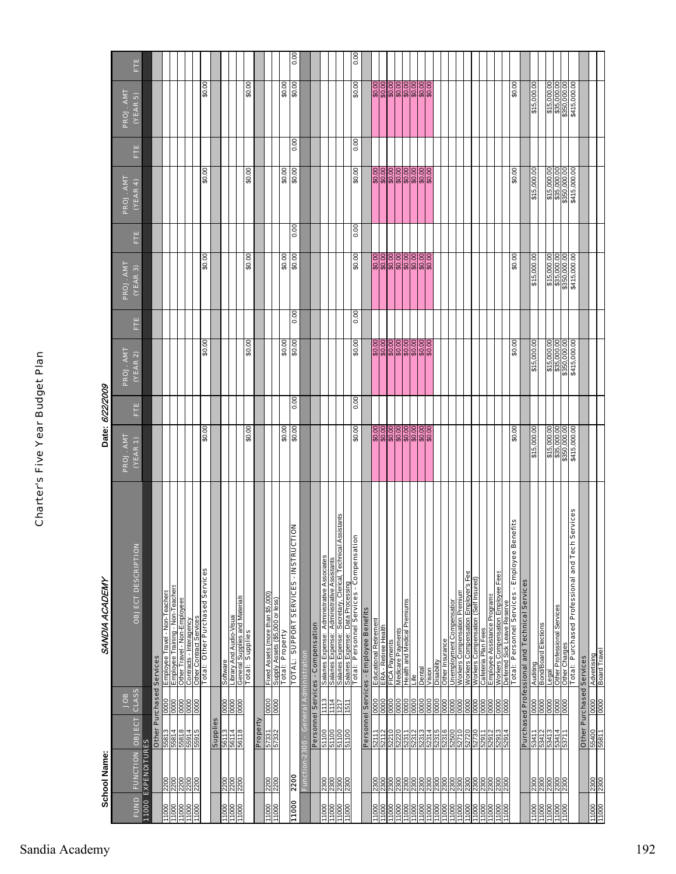|                         | School Name:                         |                              |                                                           | SANDIA ACADEMY                                                                                                                                 | Date: 6/22/2009                                                                     |      |                                                                       |      |                                                                       |      |                                                                                  |      |                                                                                  |                |
|-------------------------|--------------------------------------|------------------------------|-----------------------------------------------------------|------------------------------------------------------------------------------------------------------------------------------------------------|-------------------------------------------------------------------------------------|------|-----------------------------------------------------------------------|------|-----------------------------------------------------------------------|------|----------------------------------------------------------------------------------|------|----------------------------------------------------------------------------------|----------------|
|                         |                                      |                              | gor                                                       |                                                                                                                                                | PROJ. AMT                                                                           |      | PROJ. AMT                                                             |      | PROJ. AMT                                                             |      | PROJ. AMT                                                                        |      | PROJ. AMT                                                                        |                |
| <b>FUND</b>             |                                      | FUNCTION OBJECT              | CLASS                                                     | OBJECT DESCRIPTION                                                                                                                             | $(VEAR_1)$                                                                          | Ë    | (YEAR 2)                                                              | Ë    | (YEAR 3)                                                              | Ë    | (YEAR 4)                                                                         | Ë    | (YEAR 5)                                                                         | Ë              |
|                         | <b>11000 EXPENDITURES</b>            |                              |                                                           | Other Purchased Services                                                                                                                       |                                                                                     |      |                                                                       |      |                                                                       |      |                                                                                  |      |                                                                                  |                |
|                         |                                      |                              |                                                           | Employee Travel - Non-Teachers                                                                                                                 |                                                                                     |      |                                                                       |      |                                                                       |      |                                                                                  |      |                                                                                  |                |
|                         | <u>alalalala</u><br><u>Ranalala</u>  |                              |                                                           | Employee Training - Non-Teachers<br>Other Travel - Non-Employees                                                                               |                                                                                     |      |                                                                       |      |                                                                       |      |                                                                                  |      |                                                                                  |                |
|                         |                                      |                              |                                                           |                                                                                                                                                |                                                                                     |      |                                                                       |      |                                                                       |      |                                                                                  |      |                                                                                  |                |
|                         |                                      |                              |                                                           | <b>Contracts - Interagency<br/>Other Contract Services<br/>Total: Other Purchased Services</b>                                                 |                                                                                     |      |                                                                       |      |                                                                       |      |                                                                                  |      |                                                                                  |                |
|                         |                                      |                              |                                                           |                                                                                                                                                | \$0.00                                                                              |      | \$0.00                                                                |      | \$0.00                                                                |      | \$0.00                                                                           |      | \$0.00                                                                           |                |
|                         |                                      | Supplies                     |                                                           |                                                                                                                                                |                                                                                     |      |                                                                       |      |                                                                       |      |                                                                                  |      |                                                                                  |                |
| 11000                   |                                      | 56113                        | 0000                                                      |                                                                                                                                                |                                                                                     |      |                                                                       |      |                                                                       |      |                                                                                  |      |                                                                                  |                |
| 000LL<br>11000          | 2200<br>2200<br>2200                 | 56114<br>56118               | $\frac{10000}{0000}$                                      |                                                                                                                                                |                                                                                     |      |                                                                       |      |                                                                       |      |                                                                                  |      |                                                                                  |                |
|                         |                                      |                              |                                                           | _Software<br>__Library And Audio-Visual<br>_General Supplies<br>__Total: _Supplies                                                             | \$0.00                                                                              |      | \$0.00                                                                |      | \$0.00                                                                |      | \$0.00                                                                           |      | \$0.00                                                                           |                |
|                         |                                      | Property                     |                                                           |                                                                                                                                                |                                                                                     |      |                                                                       |      |                                                                       |      |                                                                                  |      |                                                                                  |                |
| 11000                   | 2200                                 |                              |                                                           | Fixed Assets (more than \$5,000)                                                                                                               |                                                                                     |      |                                                                       |      |                                                                       |      |                                                                                  |      |                                                                                  |                |
| 00011                   | 0022                                 | 57332<br>57332               | $\begin{array}{c}\n 0000 \\  \hline\n 0000\n \end{array}$ |                                                                                                                                                |                                                                                     |      |                                                                       |      |                                                                       |      |                                                                                  |      |                                                                                  |                |
|                         |                                      |                              |                                                           | Supply Assets (\$5,000 or less)<br>T <b>otal:   Property</b>                                                                                   | 00.0\$                                                                              |      | 00'0\$                                                                |      | 00'0\$                                                                |      | \$0.00                                                                           |      | 00.0\$                                                                           |                |
| 0001                    | 2200                                 |                              |                                                           | TOTAL: SUPPORT SERVICES - INSTRUCTION                                                                                                          | 00'0\$                                                                              | 0.00 | 00'0\$                                                                | 0.00 | \$0.00                                                                | 0.00 | 00.0\$                                                                           | 0.00 | 00.0\$                                                                           | $\frac{8}{10}$ |
|                         | Function-2300                        |                              |                                                           | <b>General Administration</b>                                                                                                                  |                                                                                     |      |                                                                       |      |                                                                       |      |                                                                                  |      |                                                                                  |                |
|                         |                                      |                              |                                                           | Personnel Services - Compensation                                                                                                              |                                                                                     |      |                                                                       |      |                                                                       |      |                                                                                  |      |                                                                                  |                |
| 00011                   |                                      | 51100                        | 1113                                                      | Salaries Expense: Administrative Associates                                                                                                    |                                                                                     |      |                                                                       |      |                                                                       |      |                                                                                  |      |                                                                                  |                |
|                         |                                      |                              |                                                           |                                                                                                                                                |                                                                                     |      |                                                                       |      |                                                                       |      |                                                                                  |      |                                                                                  |                |
|                         |                                      |                              |                                                           | Assistants                                                                                                                                     |                                                                                     |      |                                                                       |      |                                                                       |      |                                                                                  |      |                                                                                  |                |
| 00011<br>00011<br>11000 | $\frac{88888}{23888}$                | 00110<br>01100<br>01100      | $\frac{114}{1217}$                                        | <u>Salaries Expense:  Administrative Assistants</u><br>Salaries Expense:  Secretary, Clerical, Technical<br>Salaries Expense:  Data Processing |                                                                                     |      |                                                                       |      |                                                                       |      |                                                                                  |      |                                                                                  |                |
|                         |                                      |                              |                                                           | έ<br>Total: Personnel Services - Compensati                                                                                                    | \$0.00                                                                              | 0.00 | \$0.00                                                                | 0.00 | \$0.00                                                                | 0.00 | \$0.00                                                                           | 0.00 | \$0.00                                                                           | 0.00           |
|                         |                                      |                              |                                                           | Personnel Services - Employee Benefits                                                                                                         |                                                                                     |      |                                                                       |      |                                                                       |      |                                                                                  |      |                                                                                  |                |
|                         |                                      | היו זי                       |                                                           | Educational Retirement                                                                                                                         |                                                                                     |      |                                                                       |      |                                                                       |      |                                                                                  |      |                                                                                  |                |
| 000LL<br>000LL          |                                      | 52112                        | $\frac{8}{8}$                                             | ERA - Retiree Health                                                                                                                           | \$0.00                                                                              |      | 00.0\$                                                                |      | 00.0\$                                                                |      | 00.0\$                                                                           |      | \$0.00                                                                           |                |
|                         |                                      |                              |                                                           | FICA Payr                                                                                                                                      |                                                                                     |      |                                                                       |      |                                                                       |      |                                                                                  |      |                                                                                  |                |
| 000LL<br>000LL          |                                      | 52220<br>52311               | 0000                                                      | Medicare Payments<br>Health and Medical Premiums                                                                                               |                                                                                     |      |                                                                       |      |                                                                       |      |                                                                                  |      |                                                                                  |                |
| 11000                   |                                      |                              | 0000                                                      |                                                                                                                                                |                                                                                     |      |                                                                       |      |                                                                       |      |                                                                                  |      |                                                                                  |                |
|                         |                                      | 52312                        | 0000                                                      | _ife                                                                                                                                           |                                                                                     |      |                                                                       |      |                                                                       |      |                                                                                  |      |                                                                                  |                |
| 00011<br>00011          |                                      | 52313                        | 0000                                                      | Dental                                                                                                                                         |                                                                                     |      |                                                                       |      |                                                                       |      |                                                                                  |      |                                                                                  |                |
| 11000                   |                                      | 52314                        | 0000                                                      | Disability<br>Vision                                                                                                                           |                                                                                     |      |                                                                       |      |                                                                       |      |                                                                                  |      |                                                                                  |                |
|                         |                                      | 91829                        |                                                           |                                                                                                                                                |                                                                                     |      |                                                                       |      |                                                                       |      |                                                                                  |      |                                                                                  |                |
| 11000<br>11000          |                                      | 52316<br>52500               | 0000                                                      | Other Insurance<br>Unemployment Compensation                                                                                                   |                                                                                     |      |                                                                       |      |                                                                       |      |                                                                                  |      |                                                                                  |                |
| 11000                   |                                      | 52710                        | 0000                                                      | Workers Compensation Premium                                                                                                                   |                                                                                     |      |                                                                       |      |                                                                       |      |                                                                                  |      |                                                                                  |                |
|                         |                                      |                              |                                                           |                                                                                                                                                |                                                                                     |      |                                                                       |      |                                                                       |      |                                                                                  |      |                                                                                  |                |
| 00011<br>00011<br>00011 |                                      | 52730<br>52730               | 880                                                       | Workers Compensation Employer's Fee<br>Workers Compensation (Self Insured)                                                                     |                                                                                     |      |                                                                       |      |                                                                       |      |                                                                                  |      |                                                                                  |                |
|                         |                                      | 52911                        | $rac{000}{0000}$                                          | Cafeteria Plan Fees                                                                                                                            |                                                                                     |      |                                                                       |      |                                                                       |      |                                                                                  |      |                                                                                  |                |
| 11000                   |                                      | 52912                        |                                                           |                                                                                                                                                |                                                                                     |      |                                                                       |      |                                                                       |      |                                                                                  |      |                                                                                  |                |
| $\frac{00011}{11000}$   |                                      | 162913                       | 0000                                                      | <u>Employee Assistance Programs</u><br>Workers Compensation Employee Fees<br>Deferred Sick Leave Reserve                                       |                                                                                     |      |                                                                       |      |                                                                       |      |                                                                                  |      |                                                                                  |                |
|                         |                                      |                              |                                                           |                                                                                                                                                |                                                                                     |      |                                                                       |      |                                                                       |      |                                                                                  |      |                                                                                  |                |
|                         |                                      |                              |                                                           | Total: Personnel Services - Employee Benefits                                                                                                  | \$0.00                                                                              |      | \$0.00                                                                |      | \$0.00                                                                |      | \$0.00                                                                           |      | \$0.00                                                                           |                |
|                         |                                      |                              |                                                           | Purchased Professional and Technical Services                                                                                                  |                                                                                     |      |                                                                       |      |                                                                       |      |                                                                                  |      |                                                                                  |                |
| 000LL<br>000LL          |                                      | 53411                        |                                                           | Auditing                                                                                                                                       | \$15,000.00                                                                         |      | \$15,000.00                                                           |      | \$15,000.00                                                           |      | \$15,000.00                                                                      |      | \$15,000.00                                                                      |                |
|                         |                                      | 53412                        |                                                           | <b>Bond/Board Elections</b>                                                                                                                    |                                                                                     |      |                                                                       |      |                                                                       |      |                                                                                  |      |                                                                                  |                |
|                         |                                      | 53413                        |                                                           | Legal                                                                                                                                          |                                                                                     |      |                                                                       |      |                                                                       |      |                                                                                  |      |                                                                                  |                |
| 000LL<br>000LL          | <u>sisisisis</u><br><u>Sisisisis</u> | 53414<br>53711               | <u>sisisisis</u><br><u>sisisis</u> is                     | Other Professional Services<br>Other Charges                                                                                                   |                                                                                     |      | $\begin{array}{r} 15,000.00 \\ 335,000.00 \\ 3350,000.00 \end{array}$ |      | $\begin{array}{r} 15,000.00 \\ 335,000.00 \\ 3350,000.00 \end{array}$ |      |                                                                                  |      |                                                                                  |                |
|                         |                                      |                              |                                                           |                                                                                                                                                |                                                                                     |      |                                                                       |      |                                                                       |      |                                                                                  |      |                                                                                  |                |
|                         |                                      |                              |                                                           | 1 Services<br>Total: Purchased Professional and Tech                                                                                           | $\begin{array}{r} 15,000.00 \\ 435,000.00 \\ 3360,000.00 \\ 415,000.00 \end{array}$ |      | \$415,000.00                                                          |      | \$415,000.00                                                          |      | $\begin{array}{r} 15,000.00\\ 335,000.00\\ 3350,000.00\\ 415,000.00 \end{array}$ |      | $\begin{array}{r} 15,000.00\\ 335,000.00\\ 3350,000.00\\ 415,000.00 \end{array}$ |                |
|                         |                                      |                              |                                                           | <b>Other Purchased Services</b>                                                                                                                |                                                                                     |      |                                                                       |      |                                                                       |      |                                                                                  |      |                                                                                  |                |
| 000LL<br>000LL          | 2300                                 | <b>LP859</b><br>2019<br>2019 | $\frac{0000}{0000}$                                       | Advertising<br>Board Travel                                                                                                                    |                                                                                     |      |                                                                       |      |                                                                       |      |                                                                                  |      |                                                                                  |                |
|                         |                                      |                              |                                                           |                                                                                                                                                |                                                                                     |      |                                                                       |      |                                                                       |      |                                                                                  |      |                                                                                  |                |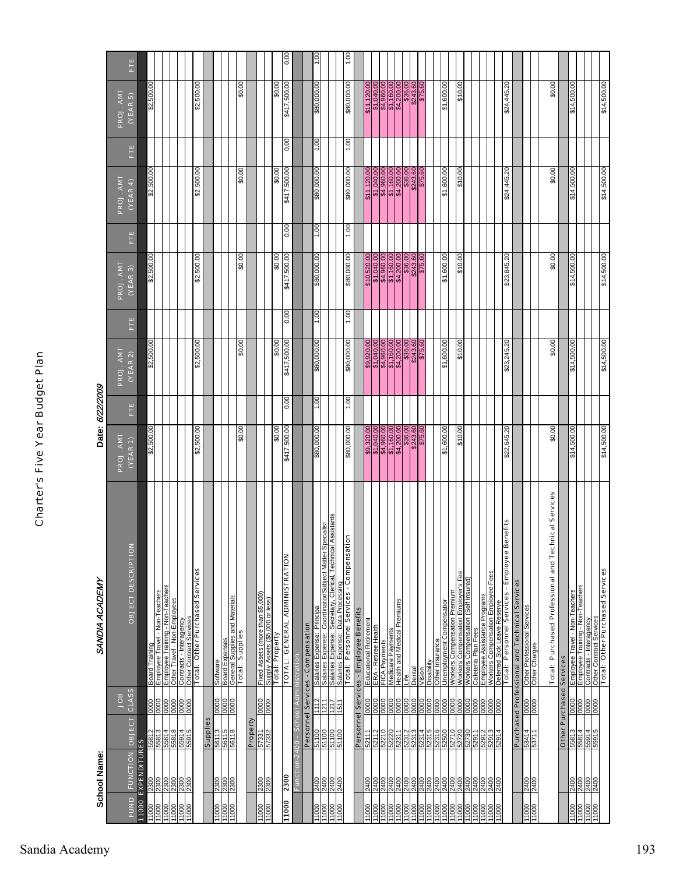|                         | <b>School Name:</b>               |                          |                      | SANDIA ACADEMY                                                                                                                                                                    |                                                                                                                                                                                                 | Date: 6/22/2009 |                                                                                                                                                                                                 |      |                                                                                                                                                                                |               |                                                                                                                                                                                                                                                  |               |                                                                                                                                                                                                                                                                                             |        |
|-------------------------|-----------------------------------|--------------------------|----------------------|-----------------------------------------------------------------------------------------------------------------------------------------------------------------------------------|-------------------------------------------------------------------------------------------------------------------------------------------------------------------------------------------------|-----------------|-------------------------------------------------------------------------------------------------------------------------------------------------------------------------------------------------|------|--------------------------------------------------------------------------------------------------------------------------------------------------------------------------------|---------------|--------------------------------------------------------------------------------------------------------------------------------------------------------------------------------------------------------------------------------------------------|---------------|---------------------------------------------------------------------------------------------------------------------------------------------------------------------------------------------------------------------------------------------------------------------------------------------|--------|
| <b>FUND</b>             | <b>FUNCTION OBJECT</b>            |                          | <b>CLASS</b><br>BOL  | <b>OBJECT DESCRIPTION</b>                                                                                                                                                         | PROJ. AMT<br>(VERT)                                                                                                                                                                             | Ë               | PROJ. AMT<br>(VEAR 2)                                                                                                                                                                           | Ë    | PROJ. AMT<br>(VEAR 3)                                                                                                                                                          | Ë             | PROJ. AMT<br>(VERA)                                                                                                                                                                                                                              | Ë             | PROJ. AMT<br>(VEAR5)                                                                                                                                                                                                                                                                        | Ë      |
| 11000                   | <b>EXPENDITURES</b>               |                          |                      |                                                                                                                                                                                   |                                                                                                                                                                                                 |                 |                                                                                                                                                                                                 |      |                                                                                                                                                                                |               |                                                                                                                                                                                                                                                  |               |                                                                                                                                                                                                                                                                                             |        |
| $\frac{1000}{200}$      |                                   |                          | 0000                 | Employee Travel - Non-Teachers<br>Board Training                                                                                                                                  | 8<br>\$2,500                                                                                                                                                                                    |                 | \$2,500.00                                                                                                                                                                                      |      | S<br>\$2,500                                                                                                                                                                   |               | 8<br>.500.<br>\$2,                                                                                                                                                                                                                               |               | 8<br>.500.<br>\$2,                                                                                                                                                                                                                                                                          |        |
| 000LL<br>000LL<br>000LL | <u>lalalala</u><br><u>Rialala</u> | $\frac{1684}{16844}$     | 8888                 | Employee Training - Non-Teachers<br>Other Travel - Non-Employees                                                                                                                  |                                                                                                                                                                                                 |                 |                                                                                                                                                                                                 |      |                                                                                                                                                                                |               |                                                                                                                                                                                                                                                  |               |                                                                                                                                                                                                                                                                                             |        |
|                         | 2300                              |                          |                      | Contracts - Interagency                                                                                                                                                           |                                                                                                                                                                                                 |                 |                                                                                                                                                                                                 |      |                                                                                                                                                                                |               |                                                                                                                                                                                                                                                  |               |                                                                                                                                                                                                                                                                                             |        |
| 11000                   |                                   | 91699                    | 0000                 | <b>Total: Other Purchased Services</b><br>Other Contract Services                                                                                                                 | \$2,500.00                                                                                                                                                                                      |                 | \$2,500.00                                                                                                                                                                                      |      | ,500.00<br>\$2,                                                                                                                                                                |               | \$2,500.00                                                                                                                                                                                                                                       |               | ,500.00<br>\$2                                                                                                                                                                                                                                                                              |        |
|                         |                                   | Supplies                 |                      |                                                                                                                                                                                   |                                                                                                                                                                                                 |                 |                                                                                                                                                                                                 |      |                                                                                                                                                                                |               |                                                                                                                                                                                                                                                  |               |                                                                                                                                                                                                                                                                                             |        |
|                         |                                   | 56113<br>56115           | 888                  |                                                                                                                                                                                   |                                                                                                                                                                                                 |                 |                                                                                                                                                                                                 |      |                                                                                                                                                                                |               |                                                                                                                                                                                                                                                  |               |                                                                                                                                                                                                                                                                                             |        |
| 000LL<br>000LL<br>000LL | 3800<br>2300<br>2300              | 56118                    |                      |                                                                                                                                                                                   |                                                                                                                                                                                                 |                 |                                                                                                                                                                                                 |      |                                                                                                                                                                                |               |                                                                                                                                                                                                                                                  |               |                                                                                                                                                                                                                                                                                             |        |
|                         |                                   |                          |                      | Software<br>Board Expenses<br>General Supplies<br>Total: Supplies                                                                                                                 | \$0.00                                                                                                                                                                                          |                 | \$0.00                                                                                                                                                                                          |      | \$0.00                                                                                                                                                                         |               | \$0.00                                                                                                                                                                                                                                           |               | \$0.00                                                                                                                                                                                                                                                                                      |        |
|                         |                                   | Property                 |                      |                                                                                                                                                                                   |                                                                                                                                                                                                 |                 |                                                                                                                                                                                                 |      |                                                                                                                                                                                |               |                                                                                                                                                                                                                                                  |               |                                                                                                                                                                                                                                                                                             |        |
| 00011                   | 2300<br>0082                      | EE2331                   | 0000                 | Fixed Assets (more than \$5,000)                                                                                                                                                  |                                                                                                                                                                                                 |                 |                                                                                                                                                                                                 |      |                                                                                                                                                                                |               |                                                                                                                                                                                                                                                  |               |                                                                                                                                                                                                                                                                                             |        |
|                         |                                   |                          | 0000                 | Supply Assets (\$5,000 or less)<br>Total: Property                                                                                                                                | \$0.00                                                                                                                                                                                          |                 | \$0.00                                                                                                                                                                                          |      | \$0.00                                                                                                                                                                         |               | \$0.00                                                                                                                                                                                                                                           |               | \$0.00                                                                                                                                                                                                                                                                                      |        |
| 000LL                   | 2300                              |                          |                      | TOTAL: GENERAL ADMINISTRATION                                                                                                                                                     | \$417,500.00                                                                                                                                                                                    | 0.00            | \$417,500.00                                                                                                                                                                                    | 0.00 | \$417,500.00                                                                                                                                                                   | 0.00          | \$417,500.00                                                                                                                                                                                                                                     | 0.00          | \$417,500.00                                                                                                                                                                                                                                                                                | 0.00   |
|                         | Function-2400                     |                          |                      | <b>School Administration</b>                                                                                                                                                      |                                                                                                                                                                                                 |                 |                                                                                                                                                                                                 |      |                                                                                                                                                                                |               |                                                                                                                                                                                                                                                  |               |                                                                                                                                                                                                                                                                                             |        |
|                         |                                   |                          |                      | Personnel Services - Compensation                                                                                                                                                 |                                                                                                                                                                                                 |                 |                                                                                                                                                                                                 |      |                                                                                                                                                                                |               |                                                                                                                                                                                                                                                  |               |                                                                                                                                                                                                                                                                                             |        |
| 11000                   | 2400                              | 51100                    | 112                  |                                                                                                                                                                                   | \$80,000.00                                                                                                                                                                                     | 1.00            | \$80,000.00                                                                                                                                                                                     | 1.00 | \$80,000.00                                                                                                                                                                    | 1.00          | \$80,000.00                                                                                                                                                                                                                                      | 1.00          | \$80,000.00                                                                                                                                                                                                                                                                                 | 1.00   |
| 11000<br>11000<br>11000 |                                   | 51100<br>51100<br>51100  |                      | pecialist<br><u>Salaries Expense: Principal</u><br>Salaries Expense: Coordinato/Subject Matter S<br>Salaries Expense: Data Processing<br><u>Salaries Expense: Data Processing</u> |                                                                                                                                                                                                 |                 |                                                                                                                                                                                                 |      |                                                                                                                                                                                |               |                                                                                                                                                                                                                                                  |               |                                                                                                                                                                                                                                                                                             |        |
|                         | 00<br>2400<br>2400                |                          | $\frac{1217}{1517}$  | Assistants                                                                                                                                                                        |                                                                                                                                                                                                 |                 |                                                                                                                                                                                                 |      |                                                                                                                                                                                |               |                                                                                                                                                                                                                                                  |               |                                                                                                                                                                                                                                                                                             |        |
|                         |                                   |                          |                      | ē<br>Total: Personnel Services - Compensat                                                                                                                                        | \$80,000.00                                                                                                                                                                                     | $\frac{8}{1}$   | \$80,000.00                                                                                                                                                                                     | 00.1 | \$80,000.00                                                                                                                                                                    | $\frac{8}{1}$ | \$80,000.00                                                                                                                                                                                                                                      | $\frac{8}{1}$ | \$80,000.00                                                                                                                                                                                                                                                                                 | 0.1,00 |
|                         |                                   |                          |                      | Personnel Services - Employee Benefits                                                                                                                                            |                                                                                                                                                                                                 |                 |                                                                                                                                                                                                 |      |                                                                                                                                                                                |               |                                                                                                                                                                                                                                                  |               |                                                                                                                                                                                                                                                                                             |        |
|                         | 2400                              | וו וז                    | 0000                 | Educational Retirement                                                                                                                                                            | \$9,320.00                                                                                                                                                                                      |                 | \$9,920.00                                                                                                                                                                                      |      | \$10,520.00                                                                                                                                                                    |               | \$11,120.00                                                                                                                                                                                                                                      |               | \$11,120.00                                                                                                                                                                                                                                                                                 |        |
|                         | 2400                              | 52112                    | 0000                 | ERA - Retiree Health                                                                                                                                                              |                                                                                                                                                                                                 |                 |                                                                                                                                                                                                 |      |                                                                                                                                                                                |               |                                                                                                                                                                                                                                                  |               |                                                                                                                                                                                                                                                                                             |        |
|                         |                                   | 52210                    |                      | FICA Pa                                                                                                                                                                           |                                                                                                                                                                                                 |                 |                                                                                                                                                                                                 |      |                                                                                                                                                                                |               |                                                                                                                                                                                                                                                  |               |                                                                                                                                                                                                                                                                                             |        |
|                         | 2400<br>2400                      | 52220<br>52311           | $\frac{000}{0000}$   | Medicare Payments<br>Health and Medical Premiums                                                                                                                                  | $\begin{array}{r} \hline {\bf 51.040.00} \\ \hline {\bf 94.960.00} \\ \hline {\bf 94.160.00} \\ \hline {\bf 94.200.00} \\ \hline {\bf 94.360.00} \\ \hline {\bf 9243.60} \\ \hline \end{array}$ |                 | $\begin{array}{r} \hline {\bf 51.040.00} \\ \hline {\bf 94.960.00} \\ \hline {\bf 94.160.00} \\ \hline {\bf 94.200.00} \\ \hline {\bf 94.360.00} \\ \hline {\bf 9243.60} \\ \hline \end{array}$ |      | $\begin{array}{r l} \hline {\bf 51,040.00} \\\hline {\bf 64,160.00} \\\hline {\bf 64,160.00} \\\hline {\bf 84,200.00} \\\hline {\bf 854,00} \\\hline {\bf 875,60} \end{array}$ |               | $\begin{array}{r l} \hline {\color{red} 81.040.00} \\ \hline {\color{red} 94.160.00} \\ \hline {\color{red} 94.160.00} \\ \hline {\color{red} 94.200.00} \\ \hline {\color{red} 94.200.00} \\ \hline {\color{red} 94.860} \\ \hline \end{array}$ |               | $\begin{array}{r} \hline {\mathfrak{so}}(30,0) \\ \hline {\mathfrak{so}}(30,0) \\ \hline {\mathfrak{so}}(4,1) \\ \hline {\mathfrak{so}}(30,0) \\ \hline {\mathfrak{so}}(4,2) \\ \hline {\mathfrak{so}}(30) \\ \hline {\mathfrak{so}}(4) \\ \hline {\mathfrak{so}}(6) \\ \hline \end{array}$ |        |
| 11000                   | 2400                              | 21829                    | 0000                 | Life                                                                                                                                                                              |                                                                                                                                                                                                 |                 |                                                                                                                                                                                                 |      |                                                                                                                                                                                |               |                                                                                                                                                                                                                                                  |               |                                                                                                                                                                                                                                                                                             |        |
| 11000                   | 2400                              | 52313                    | 0000                 | Dental                                                                                                                                                                            |                                                                                                                                                                                                 |                 |                                                                                                                                                                                                 |      |                                                                                                                                                                                |               |                                                                                                                                                                                                                                                  |               |                                                                                                                                                                                                                                                                                             |        |
| $\frac{000}{11000}$     | 00122                             | 52314                    | 0000                 | Vision                                                                                                                                                                            |                                                                                                                                                                                                 |                 |                                                                                                                                                                                                 |      |                                                                                                                                                                                |               |                                                                                                                                                                                                                                                  |               |                                                                                                                                                                                                                                                                                             |        |
|                         |                                   |                          |                      | Other Insurance<br>Disability                                                                                                                                                     |                                                                                                                                                                                                 |                 |                                                                                                                                                                                                 |      |                                                                                                                                                                                |               |                                                                                                                                                                                                                                                  |               |                                                                                                                                                                                                                                                                                             |        |
|                         |                                   | 52316<br>52500           |                      | <b>Unemployment Compensation</b>                                                                                                                                                  | \$1,600.00                                                                                                                                                                                      |                 | \$1,600.00                                                                                                                                                                                      |      | \$1,600.00                                                                                                                                                                     |               | \$1,600.00                                                                                                                                                                                                                                       |               | \$1,600.00                                                                                                                                                                                                                                                                                  |        |
| 00011<br>00011<br>00011 |                                   | 52710                    |                      | Compensation Premiu<br>Workers                                                                                                                                                    |                                                                                                                                                                                                 |                 |                                                                                                                                                                                                 |      |                                                                                                                                                                                |               |                                                                                                                                                                                                                                                  |               |                                                                                                                                                                                                                                                                                             |        |
|                         | 2400<br>2400<br>2400<br>2400      | 52720<br>52730           |                      | Workers Compensation Employer's Fee                                                                                                                                               | 00'01\$                                                                                                                                                                                         |                 | 00'01\$                                                                                                                                                                                         |      | 00'01\$                                                                                                                                                                        |               | 00'01\$                                                                                                                                                                                                                                          |               | 00'01\$                                                                                                                                                                                                                                                                                     |        |
| 11000                   |                                   | 52911                    | 0000<br>88           | Workers Compensation (Self Insured)<br>Cafeteria Plan Fees                                                                                                                        |                                                                                                                                                                                                 |                 |                                                                                                                                                                                                 |      |                                                                                                                                                                                |               |                                                                                                                                                                                                                                                  |               |                                                                                                                                                                                                                                                                                             |        |
| 000LL                   | 0072                              | 52912                    |                      | Employee Assistance Programs                                                                                                                                                      |                                                                                                                                                                                                 |                 |                                                                                                                                                                                                 |      |                                                                                                                                                                                |               |                                                                                                                                                                                                                                                  |               |                                                                                                                                                                                                                                                                                             |        |
|                         |                                   |                          | 0000                 | <b>Workers Compensation Employee Fees</b>                                                                                                                                         |                                                                                                                                                                                                 |                 |                                                                                                                                                                                                 |      |                                                                                                                                                                                |               |                                                                                                                                                                                                                                                  |               |                                                                                                                                                                                                                                                                                             |        |
| 000LL<br>11000          | 2400<br>2400                      | 52913                    | 0000                 | Deferred Sick Leave Reserve                                                                                                                                                       |                                                                                                                                                                                                 |                 |                                                                                                                                                                                                 |      |                                                                                                                                                                                |               |                                                                                                                                                                                                                                                  |               |                                                                                                                                                                                                                                                                                             |        |
|                         |                                   |                          |                      | enefits<br>Total: Personnel Services - Employee B                                                                                                                                 | \$22,645.20                                                                                                                                                                                     |                 | \$23,245.20                                                                                                                                                                                     |      | \$23,845.20                                                                                                                                                                    |               | \$24,445.20                                                                                                                                                                                                                                      |               | \$24,445.20                                                                                                                                                                                                                                                                                 |        |
|                         |                                   |                          |                      | Purchased Professional and Technical Services                                                                                                                                     |                                                                                                                                                                                                 |                 |                                                                                                                                                                                                 |      |                                                                                                                                                                                |               |                                                                                                                                                                                                                                                  |               |                                                                                                                                                                                                                                                                                             |        |
|                         |                                   |                          |                      | Other Professional Services                                                                                                                                                       |                                                                                                                                                                                                 |                 |                                                                                                                                                                                                 |      |                                                                                                                                                                                |               |                                                                                                                                                                                                                                                  |               |                                                                                                                                                                                                                                                                                             |        |
| 00011                   | 2400                              | $\frac{53414}{53711}$    | $\frac{8}{100}$      | <b>Other Charges</b>                                                                                                                                                              |                                                                                                                                                                                                 |                 |                                                                                                                                                                                                 |      |                                                                                                                                                                                |               |                                                                                                                                                                                                                                                  |               |                                                                                                                                                                                                                                                                                             |        |
|                         |                                   |                          |                      |                                                                                                                                                                                   |                                                                                                                                                                                                 |                 |                                                                                                                                                                                                 |      |                                                                                                                                                                                |               |                                                                                                                                                                                                                                                  |               |                                                                                                                                                                                                                                                                                             |        |
|                         |                                   |                          |                      | Total: Purchased Professional and Technical Services                                                                                                                              | \$0.00                                                                                                                                                                                          |                 | \$0.00                                                                                                                                                                                          |      | \$0.00                                                                                                                                                                         |               | \$0.00                                                                                                                                                                                                                                           |               | \$0.00                                                                                                                                                                                                                                                                                      |        |
|                         |                                   | Other Purchased Services |                      |                                                                                                                                                                                   |                                                                                                                                                                                                 |                 |                                                                                                                                                                                                 |      |                                                                                                                                                                                |               |                                                                                                                                                                                                                                                  |               |                                                                                                                                                                                                                                                                                             |        |
| 11000                   | 2400<br>2400<br>2400              | $\frac{14699}{14899}$    | 0000<br>0000<br>0000 | Employee Training - Non-Teachers<br>Employee Travel - Non-Teachers                                                                                                                | \$14,500.00                                                                                                                                                                                     |                 | \$14,500.00                                                                                                                                                                                     |      | \$14,500.00                                                                                                                                                                    |               | \$14,500.00                                                                                                                                                                                                                                      |               | \$14,500.00                                                                                                                                                                                                                                                                                 |        |
| $\frac{00011}{11000}$   |                                   |                          |                      |                                                                                                                                                                                   |                                                                                                                                                                                                 |                 |                                                                                                                                                                                                 |      |                                                                                                                                                                                |               |                                                                                                                                                                                                                                                  |               |                                                                                                                                                                                                                                                                                             |        |
| 0001                    | 2400                              | 91699                    | 0000                 | Total: Other Purchased Services<br>Other Contrad Services<br>Ontracts - Interagency                                                                                               |                                                                                                                                                                                                 |                 |                                                                                                                                                                                                 |      |                                                                                                                                                                                |               |                                                                                                                                                                                                                                                  |               |                                                                                                                                                                                                                                                                                             |        |
|                         |                                   |                          |                      |                                                                                                                                                                                   | \$14,500.00                                                                                                                                                                                     |                 | \$14,500.00                                                                                                                                                                                     |      | \$14,500.00                                                                                                                                                                    |               | \$14,500.00                                                                                                                                                                                                                                      |               | \$14,500.00                                                                                                                                                                                                                                                                                 |        |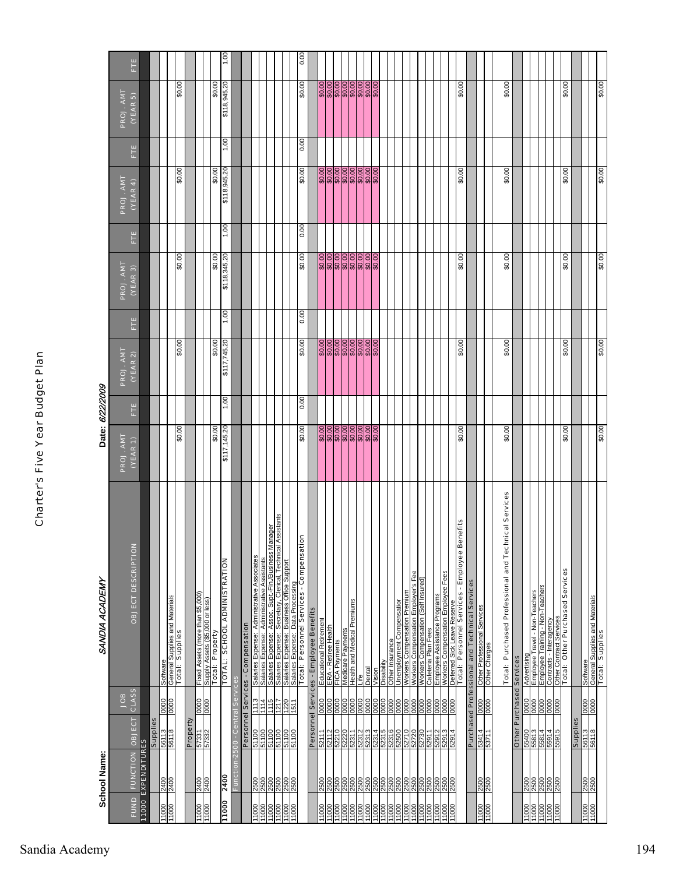|                                               | School Name:                          |                          |                         | SANDIA ACADEMY                                                                                                                                                                                                                                              |                                                               | Date: 6/22/2009 |                                                  |      |                                      |      |                        |      |                        |      |
|-----------------------------------------------|---------------------------------------|--------------------------|-------------------------|-------------------------------------------------------------------------------------------------------------------------------------------------------------------------------------------------------------------------------------------------------------|---------------------------------------------------------------|-----------------|--------------------------------------------------|------|--------------------------------------|------|------------------------|------|------------------------|------|
|                                               |                                       |                          | <b>SOF</b>              |                                                                                                                                                                                                                                                             | PROJ. AMT                                                     |                 | PROJ. AMT                                        |      | PROJ. AMT                            |      | PROJ. AMT              |      | PROJ. AMT              |      |
| <b>FUND</b>                                   | FUNCTION OBJECT<br>11000 EXPENDITURES |                          | <b>CLASS</b>            | OBJECT DESCRIPTION                                                                                                                                                                                                                                          | (YEAR 1)                                                      | Ë               | (VEAR 2)                                         | Ë    | (VEAR 3)                             | Ë    | (YEAR 4)               | Ë    | (VEAR5)                | Ë    |
|                                               |                                       | <b>Supplies</b>          |                         |                                                                                                                                                                                                                                                             |                                                               |                 |                                                  |      |                                      |      |                        |      |                        |      |
| 000LL                                         | 2400                                  | 56113                    | 0000                    | Software                                                                                                                                                                                                                                                    |                                                               |                 |                                                  |      |                                      |      |                        |      |                        |      |
|                                               | 2400                                  | 56118                    | 0000                    | General Supplies and Materials<br>Total: Supplies                                                                                                                                                                                                           | 00.0\$                                                        |                 | \$0.00                                           |      | 00.0\$                               |      | 00.0\$                 |      | 00.0\$                 |      |
|                                               |                                       | Property                 |                         |                                                                                                                                                                                                                                                             |                                                               |                 |                                                  |      |                                      |      |                        |      |                        |      |
| 000LL                                         | 0072                                  | <b>22331</b><br>22325    | 0000                    |                                                                                                                                                                                                                                                             |                                                               |                 |                                                  |      |                                      |      |                        |      |                        |      |
|                                               |                                       |                          |                         | Fixed Assets (more than \$5,000)<br>Supply Assets (\$5,000 or less)<br><b>Total: Property</b>                                                                                                                                                               |                                                               |                 |                                                  |      |                                      |      |                        |      |                        |      |
| 11000                                         | 2400                                  |                          |                         | TOTAL: SCHOOL ADMINISTRATION                                                                                                                                                                                                                                | \$0.00<br>\$117,145.20                                        | 1.00            | \$0.00<br>\$117,745.20                           | 1.00 | \$0.00<br>\$118,345.20               | 1.00 | \$0.00<br>\$118,945.20 | 1.00 | \$0.00<br>\$118,945.20 | 1,00 |
|                                               | Function-2500 -                       |                          | <b>Central Services</b> |                                                                                                                                                                                                                                                             |                                                               |                 |                                                  |      |                                      |      |                        |      |                        |      |
|                                               |                                       |                          |                         |                                                                                                                                                                                                                                                             |                                                               |                 |                                                  |      |                                      |      |                        |      |                        |      |
|                                               |                                       |                          |                         | Personnel Services - Compensation                                                                                                                                                                                                                           |                                                               |                 |                                                  |      |                                      |      |                        |      |                        |      |
|                                               | 2500<br>2500                          | 51100<br>51100           | 1114<br>113             |                                                                                                                                                                                                                                                             |                                                               |                 |                                                  |      |                                      |      |                        |      |                        |      |
|                                               |                                       |                          |                         |                                                                                                                                                                                                                                                             |                                                               |                 |                                                  |      |                                      |      |                        |      |                        |      |
|                                               | 2500<br>2500                          | 00 LVS                   | FRRE                    | <i>l</i> lanager<br>I Assistants                                                                                                                                                                                                                            |                                                               |                 |                                                  |      |                                      |      |                        |      |                        |      |
| $\frac{00011}{11000}$                         | 2500<br>2500                          | 51100<br>51100           |                         |                                                                                                                                                                                                                                                             |                                                               |                 |                                                  |      |                                      |      |                        |      |                        |      |
|                                               |                                       |                          |                         | $\frac{5}{2}$<br>Salaries Expense: Administrative Associates<br>Salaries Expense: Asmo.istrat. Fin/Blasiness<br>Salaries Expense: Secretary. Clerical. Technical As<br>Salaries Expense: Business Office Support<br>Salaries Expense: Business Office Suppo | 00'0\$                                                        | 0.00            | 00'0\$                                           | 0.00 | 00'0\$                               | 0.00 | 00'0\$                 | 0.00 | 00'0\$                 | 0.00 |
|                                               |                                       |                          |                         |                                                                                                                                                                                                                                                             |                                                               |                 |                                                  |      |                                      |      |                        |      |                        |      |
|                                               |                                       |                          |                         | Personnel Services - Employee Benefits                                                                                                                                                                                                                      |                                                               |                 |                                                  |      |                                      |      |                        |      |                        |      |
| 000 1000 1000<br>11000 1000 1100<br>1100 1100 | 2500<br>2500                          | 52111<br>52112           | $rac{1}{\sqrt{2000}}$   | Educational Retirement<br>  ERA - Retiree Health<br>  FICA Payments                                                                                                                                                                                         |                                                               |                 |                                                  |      |                                      |      |                        |      |                        |      |
|                                               | 2500                                  | 52210                    | 0000                    |                                                                                                                                                                                                                                                             |                                                               |                 |                                                  |      |                                      |      |                        |      |                        |      |
|                                               | 2500                                  | 52220<br>52311           |                         |                                                                                                                                                                                                                                                             |                                                               |                 |                                                  |      |                                      |      |                        |      |                        |      |
|                                               |                                       |                          | 8000                    | Medicaré Payments<br>Health and Medical Premiums<br>Life                                                                                                                                                                                                    | <u><br/>  8  8  8  8  8  8  8  8</u><br>  8  8  8  8  8  8  8 |                 | 0000000000<br>ଜଣ୍ଡା ଜାନ୍ତା<br>ଜୁନ୍ନ ଜ୍ୟୁକ୍ର ଜ୍ୟୁ |      | <u>)<br/>၁၁၁၁၁၁၁၁၁၁</u><br>၁၁၁၁၁၁၁၁၁ |      |                        |      |                        |      |
|                                               | 2500                                  | 52312                    |                         |                                                                                                                                                                                                                                                             |                                                               |                 |                                                  |      |                                      |      |                        |      |                        |      |
| 11000<br>11000                                | 3500<br>$\frac{500}{2}$               | 52313<br>52314           | 0000<br>0000            | Dental<br>Vision                                                                                                                                                                                                                                            |                                                               |                 |                                                  |      |                                      |      |                        |      |                        |      |
|                                               |                                       |                          |                         |                                                                                                                                                                                                                                                             |                                                               |                 |                                                  |      |                                      |      |                        |      |                        |      |
| 11000<br>11000                                | 2500                                  |                          | 0000                    | Disability<br>Other Insurance                                                                                                                                                                                                                               |                                                               |                 |                                                  |      |                                      |      |                        |      |                        |      |
|                                               | 500                                   |                          | 0000                    | Unemployment Compensation                                                                                                                                                                                                                                   |                                                               |                 |                                                  |      |                                      |      |                        |      |                        |      |
| 11000<br>11000                                | 2500                                  |                          | 0000                    | Workers Compensation Premium                                                                                                                                                                                                                                |                                                               |                 |                                                  |      |                                      |      |                        |      |                        |      |
| 11000<br>11000                                | 2500<br>2500                          | 52720<br>52730           | 0000                    | Workers Compensation Employer's Fee<br>Workers Compensation (Self Insured)<br>Workers                                                                                                                                                                       |                                                               |                 |                                                  |      |                                      |      |                        |      |                        |      |
| 11000                                         | 2500                                  | 52911                    |                         | Cafeteria Plan Fees                                                                                                                                                                                                                                         |                                                               |                 |                                                  |      |                                      |      |                        |      |                        |      |
| 11000                                         |                                       |                          | 0000                    |                                                                                                                                                                                                                                                             |                                                               |                 |                                                  |      |                                      |      |                        |      |                        |      |
|                                               |                                       | 11629<br>2002<br>2003    |                         |                                                                                                                                                                                                                                                             |                                                               |                 |                                                  |      |                                      |      |                        |      |                        |      |
| 000LL                                         | 2500<br>2500<br>2500                  |                          | $\frac{0000}{0000}$     | <u>Employee Assistance Programs<br/>Workers Compensation Employee Fees</u><br><u>Deferred Sick Leave Reserve</u>                                                                                                                                            |                                                               |                 |                                                  |      |                                      |      |                        |      |                        |      |
|                                               |                                       |                          |                         | Total: Personnel Services - Employee Benefits                                                                                                                                                                                                               | \$0.00                                                        |                 | \$0.00                                           |      | \$0.00                               |      | \$0.00                 |      | \$0.00                 |      |
|                                               |                                       |                          |                         | Purchased Professional and Technical Services                                                                                                                                                                                                               |                                                               |                 |                                                  |      |                                      |      |                        |      |                        |      |
| 000LL                                         | 2500<br>2500                          | 53414<br>53711           | $rac{80}{3000}$         | Other Professional Services<br>Other Charges                                                                                                                                                                                                                |                                                               |                 |                                                  |      |                                      |      |                        |      |                        |      |
|                                               |                                       |                          |                         |                                                                                                                                                                                                                                                             |                                                               |                 |                                                  |      |                                      |      |                        |      |                        |      |
|                                               |                                       |                          |                         | Total: Purchased Professional and Technical Services                                                                                                                                                                                                        | \$0.00                                                        |                 | \$0.00                                           |      | \$0.00                               |      | \$0.00                 |      | \$0.00                 |      |
|                                               |                                       | Other Purchased Services |                         |                                                                                                                                                                                                                                                             |                                                               |                 |                                                  |      |                                      |      |                        |      |                        |      |
|                                               |                                       |                          |                         |                                                                                                                                                                                                                                                             |                                                               |                 |                                                  |      |                                      |      |                        |      |                        |      |
| 11000<br>11000<br>11000                       | $\frac{2500}{2500}$                   | EP899                    | 88888<br>88888          | Advertising<br>Employee Travel - Non-Teachers                                                                                                                                                                                                               |                                                               |                 |                                                  |      |                                      |      |                        |      |                        |      |
|                                               | 2500                                  | 71899                    |                         | Employee Training - Non-Teachers                                                                                                                                                                                                                            |                                                               |                 |                                                  |      |                                      |      |                        |      |                        |      |
|                                               |                                       |                          |                         | Contracts - Interagency                                                                                                                                                                                                                                     |                                                               |                 |                                                  |      |                                      |      |                        |      |                        |      |
| 00011                                         | 2500<br>2500                          | 55914                    |                         | ract Servi<br>Other Cont                                                                                                                                                                                                                                    |                                                               |                 |                                                  |      |                                      |      |                        |      |                        |      |
|                                               |                                       |                          |                         | <b>Total: Other Purchased Services</b>                                                                                                                                                                                                                      | \$0.00                                                        |                 | \$0.00                                           |      | \$0.00                               |      | \$0.00                 |      | \$0.00                 |      |
|                                               |                                       | Supplies                 |                         |                                                                                                                                                                                                                                                             |                                                               |                 |                                                  |      |                                      |      |                        |      |                        |      |
|                                               |                                       |                          |                         |                                                                                                                                                                                                                                                             |                                                               |                 |                                                  |      |                                      |      |                        |      |                        |      |
| 00011                                         | 2500                                  | 56113<br>56118           | $\frac{0000}{0000}$     |                                                                                                                                                                                                                                                             |                                                               |                 |                                                  |      |                                      |      |                        |      |                        |      |
|                                               |                                       |                          |                         | <u>Software</u><br>General Supplies and Materials<br>Total: Supplies                                                                                                                                                                                        | \$0.00                                                        |                 | 00.0\$                                           |      | \$0.00                               |      | 00.0\$                 |      | 00.0\$                 |      |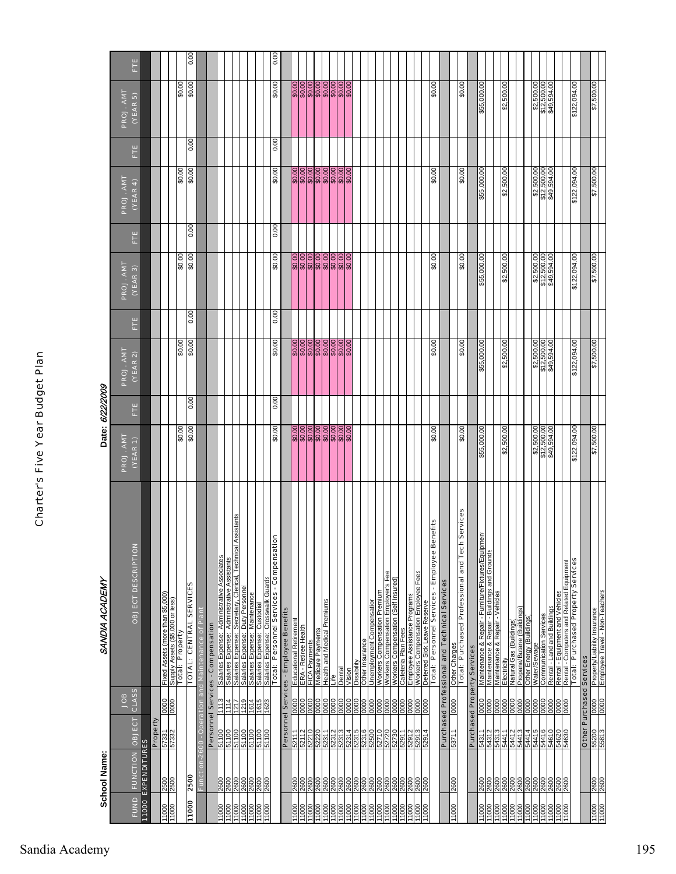|                         | School Name:         |                                                     |                      | SANDIA ACADEMY                                                                                                |                                          | Date: 6/22/2009 |                                          |      |                                          |      |                                          |      |                                          |      |
|-------------------------|----------------------|-----------------------------------------------------|----------------------|---------------------------------------------------------------------------------------------------------------|------------------------------------------|-----------------|------------------------------------------|------|------------------------------------------|------|------------------------------------------|------|------------------------------------------|------|
|                         |                      |                                                     | <b>SOL</b>           |                                                                                                               | PROJ. AMT                                |                 | PROJ. AMT                                |      | PROJ. AMT                                |      | PROJ. AMT                                |      | PROJ. AMT                                |      |
| <b>FUND</b>             | 11000 EXPENDITURES   | <b>FUNCTION OBJECT</b>                              | <b>CLASS</b>         | OBJECT DESCRIPTION                                                                                            | (YEAR 1)                                 | E               | (YEAR 2)                                 | Ë    | (YEAR 3)                                 | Ë    | (YEAR 4)                                 | Ë    | (YEAR 5)                                 | Ë    |
|                         |                      | Property                                            |                      |                                                                                                               |                                          |                 |                                          |      |                                          |      |                                          |      |                                          |      |
| 11000<br>11000          | 2500<br>2500         | 57332                                               | 0000<br>0000         | Fixed Assets (more than \$5,000)<br>Supply Assets (\$5,000 or less)                                           |                                          |                 |                                          |      |                                          |      |                                          |      |                                          |      |
|                         |                      |                                                     |                      | Total: Property                                                                                               | \$0.00                                   |                 | \$0.00                                   |      | \$0.00                                   |      | \$0.00                                   |      | \$0.00                                   |      |
| 11000                   | 2500                 |                                                     |                      | <b>TOTAL: CENTRAL SERVICES</b>                                                                                | \$0.00                                   | 0.00            | \$0.00                                   | 0.00 | \$0.00                                   | 0.00 | \$0.00                                   | 0.00 | \$0.00                                   | 0.00 |
|                         | Functi               | <b>Ped</b><br>$-2600 -$                             |                      | on and Maintenance of Plant                                                                                   |                                          |                 |                                          |      |                                          |      |                                          |      |                                          |      |
|                         |                      |                                                     |                      | Personnel Services - Compensation                                                                             |                                          |                 |                                          |      |                                          |      |                                          |      |                                          |      |
| 11000                   | 2600                 | 51100                                               | 1113                 | Salaries Expense: Administrative Associates                                                                   |                                          |                 |                                          |      |                                          |      |                                          |      |                                          |      |
|                         |                      | 00119<br>20119                                      | 1114                 | Assistants<br>Salaries Expense: Secretary, Clerical, Technical<br>Salaries Expense: Administrative Assistants |                                          |                 |                                          |      |                                          |      |                                          |      |                                          |      |
| 11000<br>11000          | 2600<br>2600         | 51100                                               | 1219<br>1217         | Salaries Expense: Duty Personnel                                                                              |                                          |                 |                                          |      |                                          |      |                                          |      |                                          |      |
| 11000                   | 2600                 |                                                     | 1614                 | Salaries Expense: Maintenance                                                                                 |                                          |                 |                                          |      |                                          |      |                                          |      |                                          |      |
| 000LL                   | 2600<br>2600         | <mark>នុងទី</mark><br><u>ខ្មែរ និង</u><br>ខ្មែរ និង | 1615<br>1623         | Salaries Expense: Custodial<br>Salaries Expense: Crosswalk Guards                                             |                                          |                 |                                          |      |                                          |      |                                          |      |                                          |      |
|                         |                      |                                                     |                      | $\overline{5}$<br>Total: Personnel Services - Compensati                                                      | \$0.00                                   | 0.00            | \$0.00                                   | 0.00 | \$0.00                                   | 0.00 | \$0.00                                   | 0.00 | 00'0\$                                   | 0.00 |
|                         |                      |                                                     |                      | Personnel Services - Employee Benefits                                                                        |                                          |                 |                                          |      |                                          |      |                                          |      |                                          |      |
| 000LL                   | 2600                 | 52111                                               |                      | Educational Retirement                                                                                        | \$0.00                                   |                 | \$0.00                                   |      | \$0.00                                   |      | \$0.00                                   |      | \$0.00                                   |      |
|                         |                      |                                                     | 0000<br>0000<br>0000 | ERA - Retiree Health                                                                                          |                                          |                 |                                          |      |                                          |      |                                          |      |                                          |      |
| 1000                    | 2600                 | 52210                                               |                      | FICA Payments                                                                                                 |                                          |                 |                                          |      |                                          |      |                                          |      |                                          |      |
| $\frac{0001}{1}$        | 2600                 | 52220                                               |                      | <b>Health and Medical Premiums</b><br>Medicare Payments                                                       | <u>. 8888888</u><br>888888               |                 |                                          |      |                                          |      |                                          |      |                                          |      |
|                         |                      |                                                     |                      | ⊩أأ                                                                                                           |                                          |                 |                                          |      |                                          |      |                                          |      |                                          |      |
| 11000<br>11000<br>11000 | 2600<br>2600         | 52311<br>52312<br>52313                             | 0000<br>0000         | Dental                                                                                                        |                                          |                 |                                          |      |                                          |      |                                          |      |                                          |      |
| 11000                   | 2600                 | 52314                                               | 0000                 | Vision                                                                                                        |                                          |                 |                                          |      |                                          |      |                                          |      |                                          |      |
| 1000                    | 2600                 | 52315                                               | $\frac{0000}{0000}$  | Disability                                                                                                    |                                          |                 |                                          |      |                                          |      |                                          |      |                                          |      |
| $\frac{100}{2}$         | 2600                 | 52316                                               |                      | Other Insurance                                                                                               |                                          |                 |                                          |      |                                          |      |                                          |      |                                          |      |
| 11000                   |                      | 52500                                               |                      | Unemployment Compensation                                                                                     |                                          |                 |                                          |      |                                          |      |                                          |      |                                          |      |
| $\frac{800}{1000}$      | 2600<br>2600         | 52710                                               | 0000                 | Workers Compensation Employer's Fee<br>Workers Compensation Premium                                           |                                          |                 |                                          |      |                                          |      |                                          |      |                                          |      |
| 11000                   | 2600                 | LL625<br>0825<br>0225                               | 0000<br>0000<br>0000 | <b>Norkers Compensation (Self Insured)</b>                                                                    |                                          |                 |                                          |      |                                          |      |                                          |      |                                          |      |
| 11000                   | 2600                 |                                                     |                      | Cafeteria Plan Fees                                                                                           |                                          |                 |                                          |      |                                          |      |                                          |      |                                          |      |
| 11000                   | 2600                 | 52912                                               | 0000                 | Employee Assistance Programs                                                                                  |                                          |                 |                                          |      |                                          |      |                                          |      |                                          |      |
| 11000                   | 0092                 | 52913<br>52914                                      | 0000                 | Workers Compensation Employee Fees<br>Deferred Sick Leave Reserve                                             |                                          |                 |                                          |      |                                          |      |                                          |      |                                          |      |
|                         |                      |                                                     |                      | enefits<br>Total: Personnel Services - Employee B                                                             | \$0.00                                   |                 | \$0.00                                   |      | \$0.00                                   |      | \$0.00                                   |      | \$0.00                                   |      |
|                         |                      |                                                     |                      | Purchased Professional and Technical Services                                                                 |                                          |                 |                                          |      |                                          |      |                                          |      |                                          |      |
| 11000                   | 0092                 | 53711                                               | 0000                 | Other Charges                                                                                                 |                                          |                 |                                          |      |                                          |      |                                          |      |                                          |      |
|                         |                      |                                                     |                      | Total: Purchased Professional and Tech Services                                                               | \$0.00                                   |                 | \$0.00                                   |      | \$0.00                                   |      | \$0.00                                   |      | \$0.00                                   |      |
|                         |                      |                                                     |                      | <b>Purchased Property Services</b>                                                                            |                                          |                 |                                          |      |                                          |      |                                          |      |                                          |      |
| 11000                   | 2600                 | 54311                                               | 0000                 | Maintenance & Repair - Furniture/Fixtures/Equipment                                                           | \$55,000.00                              |                 | \$55,000.00                              |      | \$55,000.00                              |      | \$55,000.00                              |      | \$55,000.00                              |      |
| 1000                    | 2600<br>2600         | 54312<br>54313<br>54411                             |                      | Maintenance & Repair - Buildings and Grounds<br>Maintenance & Repair - Vehicles                               |                                          |                 |                                          |      |                                          |      |                                          |      |                                          |      |
|                         |                      |                                                     |                      | Electricity                                                                                                   | \$2,500.00                               |                 | \$2,500.00                               |      | \$2,500.00                               |      | \$2,500.00                               |      | \$2,500.00                               |      |
| 88811                   | 2600<br>2600<br>2600 | 54413<br>54413<br>54414                             |                      | Natural Gas (Buildings)                                                                                       |                                          |                 |                                          |      |                                          |      |                                          |      |                                          |      |
| 1000                    |                      |                                                     |                      | Propane/Butane (Buildings)<br>Other Energy (Buildings)                                                        |                                          |                 |                                          |      |                                          |      |                                          |      |                                          |      |
| 1000                    | 2600                 | 54415                                               |                      | Water/Sewage                                                                                                  |                                          |                 |                                          |      |                                          |      |                                          |      |                                          |      |
|                         |                      | 54416                                               |                      | <b>Communication Services</b>                                                                                 |                                          |                 |                                          |      |                                          |      |                                          |      |                                          |      |
|                         | 2600<br>2600         |                                                     |                      |                                                                                                               | \$2,500.00<br>\$12,500.00<br>\$49,594.00 |                 | \$2,500.00<br>\$12,500.00<br>\$49,594.00 |      | \$2,500.00<br>\$12,500.00<br>\$49,594.00 |      | \$2,500.00<br>\$12,500.00<br>\$49,594.00 |      | \$2,500.00<br>\$12,500.00<br>\$49,594.00 |      |
| 11000<br>11000          |                      | 07975<br>01975                                      |                      | Rental - Land and Buildings<br>Rental - Equipment and Vehicles                                                |                                          |                 |                                          |      |                                          |      |                                          |      |                                          |      |
| 11000                   | 2600                 | 54630                                               | 0000                 | Rental - Computers and Related Equipment<br>Total: Purchased Property Services                                |                                          |                 |                                          |      |                                          |      |                                          |      |                                          |      |
|                         |                      |                                                     |                      |                                                                                                               | \$122,094.00                             |                 | \$122,094.00                             |      | \$122,094.00                             |      | \$122,094.00                             |      | \$122,094.00                             |      |
|                         |                      |                                                     |                      | <b>Other Purchased Services</b>                                                                               |                                          |                 |                                          |      |                                          |      |                                          |      |                                          |      |
| 000LL<br>11000          | 2600                 | 55200<br>55813                                      |                      | Property/Liability Insurance<br>Employee Travel - Non-Teachers                                                | \$7,500.00                               |                 | \$7,500.00                               |      | \$7,500.00                               |      | \$7,500.00                               |      | \$7,500.00                               |      |
|                         |                      |                                                     |                      |                                                                                                               |                                          |                 |                                          |      |                                          |      |                                          |      |                                          |      |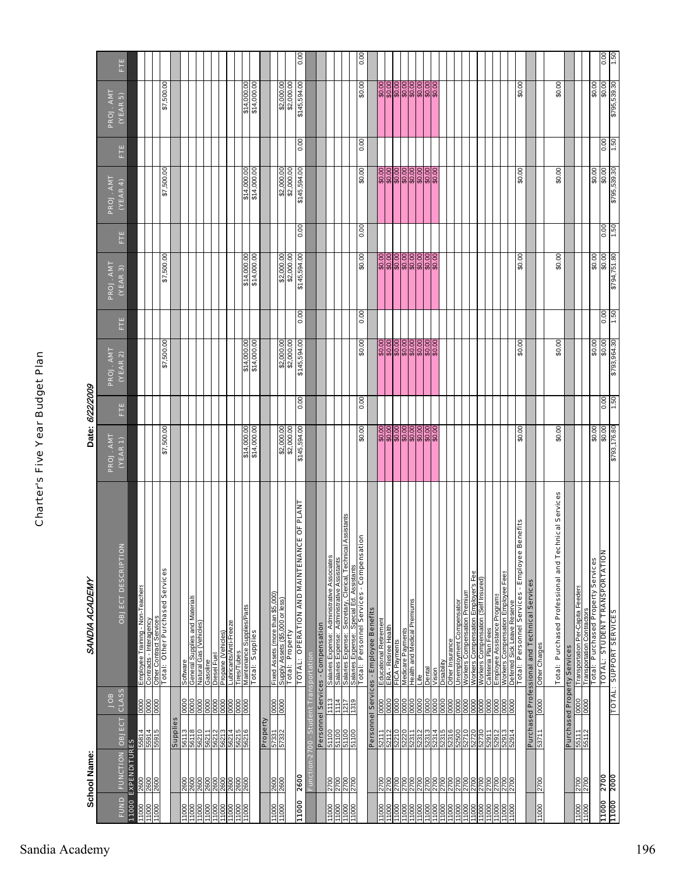|                             | School Name:                                  |                                                                             |       | SANDIA ACADEMY                                                                                                                                                    |              | Date: 6/22/2009 |                               |      |                  |      |                               |      |                  |      |
|-----------------------------|-----------------------------------------------|-----------------------------------------------------------------------------|-------|-------------------------------------------------------------------------------------------------------------------------------------------------------------------|--------------|-----------------|-------------------------------|------|------------------|------|-------------------------------|------|------------------|------|
|                             |                                               |                                                                             | BOL   |                                                                                                                                                                   | PROJ. AMT    |                 | PROJ. AMT                     |      | PROJ. AMT        |      | PROJ. AMT                     |      | PROJ. AMT        |      |
| FUND<br>11000               | <b>FUNCTION OBJECT</b><br><b>EXPENDITURES</b> |                                                                             | CLASS | z<br>OBJECT DESCRIPTIO                                                                                                                                            | (YEAR 1)     | Ë               | (YEAR 2)                      | Ë    | (YEAR 3)         | Ë    | (YEAR 4)                      | Ë    | (YEAR 5)         | Ë    |
| 11000                       | 2600                                          | 0000<br>55814                                                               |       | Employee Training - Non-Teachers                                                                                                                                  |              |                 |                               |      |                  |      |                               |      |                  |      |
| 00011                       | 2600                                          | 0000<br>0000<br>55914<br>55915                                              |       | Contracts - Interagency                                                                                                                                           |              |                 |                               |      |                  |      |                               |      |                  |      |
|                             |                                               |                                                                             |       | Other Contract Services<br>Total: Other Purchased Services                                                                                                        | \$7,500.00   |                 | \$7,500.00                    |      | \$7,500.00       |      | \$7,500.00                    |      | \$7,500.00       |      |
|                             |                                               | Supplies                                                                    |       |                                                                                                                                                                   |              |                 |                               |      |                  |      |                               |      |                  |      |
| 00011                       | 2600                                          | 0000<br>56113                                                               |       | Supplies and Materials<br>Software<br>General Supplies and M<br>Natural Gas (Vehides)                                                                             |              |                 |                               |      |                  |      |                               |      |                  |      |
| $\frac{00011}{11000}$       | 2600<br>2600<br>2600                          | $\begin{array}{c}\n 0000 \\  \hline\n 0000\n \end{array}$<br>LL299<br>0L799 |       |                                                                                                                                                                   |              |                 |                               |      |                  |      |                               |      |                  |      |
| 11000                       | 2600                                          | 0000<br>56212                                                               |       | Diesel Fuel<br>Gasoline                                                                                                                                           |              |                 |                               |      |                  |      |                               |      |                  |      |
| 11000<br>11000              | 2600                                          | 0000<br>56213<br>56214                                                      |       | Propane (Vehicles)<br>Lubricants/Anti-Freeze                                                                                                                      |              |                 |                               |      |                  |      |                               |      |                  |      |
| 11000                       |                                               | 0000<br>56215                                                               |       | <b>Tires/Tubes</b>                                                                                                                                                |              |                 |                               |      |                  |      |                               |      |                  |      |
|                             | 2600                                          | 000                                                                         |       | Maintenance Supplies/Parts                                                                                                                                        | \$14         |                 | 8<br>\$14                     |      | 8<br>coc<br>\$14 |      | 8<br>Š<br>\$14                |      | 8<br>coo<br>\$14 |      |
|                             |                                               |                                                                             |       | Total: Supplies                                                                                                                                                   | \$14,000.00  |                 | \$14,000.00                   |      | \$14,000.00      |      | \$14,000.00                   |      | \$14,000.00      |      |
|                             |                                               | Property                                                                    |       |                                                                                                                                                                   |              |                 |                               |      |                  |      |                               |      |                  |      |
| $\frac{1000}{1000}$<br>1000 | 2600<br>2600                                  | 0000<br>0000<br>252.45<br>155.25                                            |       | Fixed Assets (more than \$5,000)<br>Supply Assets (\$5,000 or less)                                                                                               |              |                 |                               |      |                  |      |                               |      |                  |      |
|                             |                                               |                                                                             |       | Supply Assers way                                                                                                                                                 | \$2,000.00   |                 | $\frac{$2,000.00}{$2,000.00}$ |      | \$2,000.00       |      | $\frac{$2,000.00}{$2,000.00}$ |      | \$2,000.00       |      |
| 11000                       | 2600                                          |                                                                             |       | CE OF PLANT<br>TOTAL: OPERATION AND MAINTENAN                                                                                                                     | \$145,594.00 | 0.00            | \$145,594.00                  | 0.00 | \$145,594.00     | 0.00 | \$145,594.00                  | 0.00 | \$145,594.00     | 0.00 |
|                             | Functi                                        | on-2700 - Student                                                           |       | ransportation                                                                                                                                                     |              |                 |                               |      |                  |      |                               |      |                  |      |
|                             |                                               |                                                                             |       | Personnel Services - Compensation                                                                                                                                 |              |                 |                               |      |                  |      |                               |      |                  |      |
| 11000                       | 2700                                          | Ë<br>51100                                                                  |       | Salaries Expense: Administrative Associates                                                                                                                       |              |                 |                               |      |                  |      |                               |      |                  |      |
| 11000                       |                                               | 1114<br>00119                                                               |       | Salaries Expense: Administrative Assistants                                                                                                                       |              |                 |                               |      |                  |      |                               |      |                  |      |
| 00011                       | 0022                                          | 61.81<br>ZIZI<br>00 L L L S                                                 |       | <u>Salaries Expense: Secretary, Clerical, Technical Assistants</u><br>Salaries Expense: Special Ed. Assistants<br><b>Total: Personnel Services - Compensation</b> |              |                 |                               |      |                  |      |                               |      |                  |      |
|                             |                                               |                                                                             |       |                                                                                                                                                                   | 00'0\$       | 0.00            | \$0.00                        | 0.00 | \$0.00           | 0.00 | \$0.00                        | 00.0 | \$0.00           | 0.00 |
|                             |                                               |                                                                             |       | Personnel Services - Employee Benefits                                                                                                                            |              |                 |                               |      |                  |      |                               |      |                  |      |
|                             | 2700                                          | 0000<br>52111                                                               |       |                                                                                                                                                                   |              |                 |                               |      |                  |      |                               |      |                  |      |
| 11000<br>11000              |                                               | $\frac{1}{2}$                                                               |       | <u>Educational Retirement</u><br>ERA - Retiree Health                                                                                                             |              |                 | 0000000000<br>88888888        |      |                  |      | 0000000000<br>88888888        |      |                  |      |
|                             | 00Z                                           | 0000<br>52210                                                               |       | FICA Payments                                                                                                                                                     |              |                 |                               |      |                  |      |                               |      |                  |      |
| 000LL<br>000LL              | 2700                                          | $\frac{80}{20}$<br>0000<br>52220                                            |       | Medicare Payments<br>Health and Medical Premiums                                                                                                                  |              |                 |                               |      |                  |      |                               |      |                  |      |
|                             |                                               |                                                                             |       | .lfe                                                                                                                                                              |              |                 |                               |      |                  |      |                               |      |                  |      |
| 000LL<br>000LL<br>000LL     |                                               | 52312<br>52314<br>52314                                                     |       | Dental                                                                                                                                                            |              |                 |                               |      |                  |      |                               |      |                  |      |
|                             |                                               |                                                                             |       | ision                                                                                                                                                             |              |                 |                               |      |                  |      |                               |      |                  |      |
| $\frac{1000}{1000}$         | 270002700                                     | 0000<br>00000<br>0000<br>52315<br>52316                                     |       | Other Insurance<br>Disabili                                                                                                                                       |              |                 |                               |      |                  |      |                               |      |                  |      |
| 11000                       | 2700                                          | 0000<br>52500                                                               |       | Unemployment Compensation                                                                                                                                         |              |                 |                               |      |                  |      |                               |      |                  |      |
| 11000                       | $\frac{500}{500}$                             | 88<br>52710                                                                 |       | Workers Compensation Premium                                                                                                                                      |              |                 |                               |      |                  |      |                               |      |                  |      |
| 1000                        |                                               | 000<br>06/25<br>2730                                                        |       | Workers Compensation Employer's Fee<br>Workers Compensation (Self Insured)                                                                                        |              |                 |                               |      |                  |      |                               |      |                  |      |
| 00011<br>00011<br>00011     |                                               | 0000<br>000<br>52911                                                        |       | Cafeteria Plan Fees                                                                                                                                               |              |                 |                               |      |                  |      |                               |      |                  |      |
|                             |                                               |                                                                             |       |                                                                                                                                                                   |              |                 |                               |      |                  |      |                               |      |                  |      |
|                             |                                               | 0000<br>52913                                                               |       | Employee Assistance Programs<br>Workers Compensation Employee Fees                                                                                                |              |                 |                               |      |                  |      |                               |      |                  |      |
| 11000                       | 2700                                          | 0000<br>52914                                                               |       | Deferred Sick Leave Reserve                                                                                                                                       |              |                 |                               |      |                  |      |                               |      |                  |      |
|                             |                                               |                                                                             |       | Benefits<br>Total: Personnel Services - Employee                                                                                                                  | \$0.00       |                 | \$0.00                        |      | 00'0\$           |      | \$0.00                        |      | 00'0\$           |      |
|                             |                                               |                                                                             |       | Purchased Professional and Technical Services                                                                                                                     |              |                 |                               |      |                  |      |                               |      |                  |      |
| 11000                       | 0022                                          | 0000<br>11/25                                                               |       | Other Charges                                                                                                                                                     |              |                 |                               |      |                  |      |                               |      |                  |      |
|                             |                                               |                                                                             |       | Total: Purchased Professional and Technical Services                                                                                                              | \$0.00       |                 | \$0.00                        |      | \$0.00           |      | \$0.00                        |      | \$0.00           |      |
|                             |                                               | <b>Purchased Property Services</b>                                          |       |                                                                                                                                                                   |              |                 |                               |      |                  |      |                               |      |                  |      |
|                             |                                               | 0000                                                                        |       | Transportation Per-Capita Feeders                                                                                                                                 |              |                 |                               |      |                  |      |                               |      |                  |      |
| 000LI<br>000LI              | 2700                                          | 0000<br>ZLL99<br>11199                                                      |       |                                                                                                                                                                   |              |                 |                               |      |                  |      |                               |      |                  |      |
|                             |                                               |                                                                             |       | <b>Transportation Contractors</b><br>Total: Purchased Property Services                                                                                           | \$0.00       |                 | \$0.00                        |      | \$0.00           |      | \$0.00                        |      | \$0.00           |      |
| 11000                       | 2700                                          |                                                                             |       | TOTAL: STUDENT TRANSPORTATION                                                                                                                                     | 00.0\$       | 0.00            | 00.0\$                        | 00:0 | 00.0\$           | 00:0 | 00.0\$                        | 00:0 | 00.0\$           | 0.00 |
| 11000                       | 2000                                          |                                                                             |       | <b>LOLAT: SUPPORT SERVICES</b>                                                                                                                                    | \$793,176.80 | 09'L            | \$793,964.30                  | 09'L | \$794,751.80     | 09'L | \$795,539.30                  | 1.50 | \$795,589.30     | 1.50 |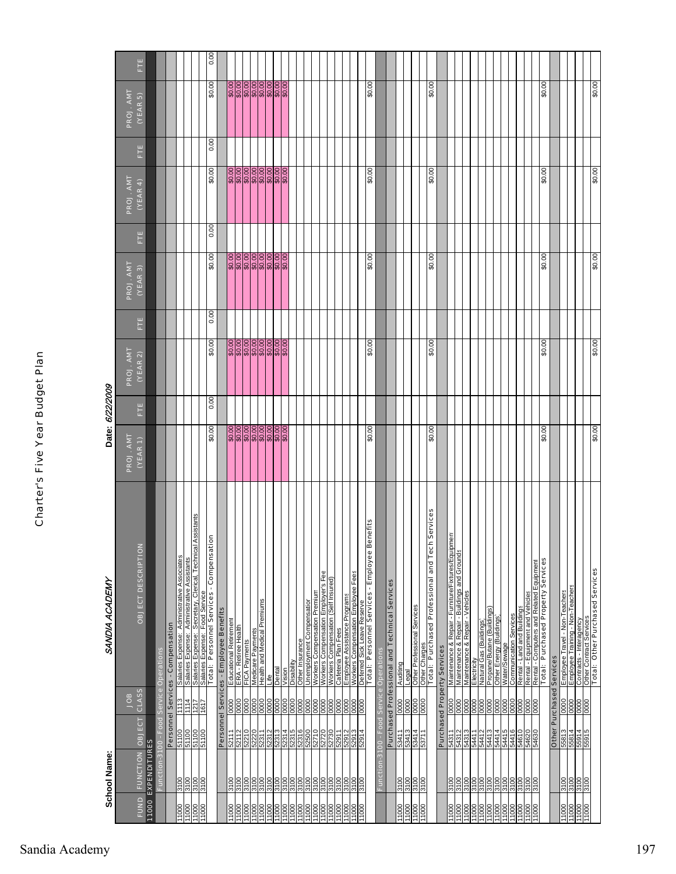| ŕ |
|---|
|   |
|   |
|   |
|   |
| ١ |
|   |
|   |
| ŕ |
|   |
|   |
|   |
|   |
| í |
|   |
| ı |
|   |
|   |
| I |
|   |
|   |
| ı |
|   |
| i |
|   |
|   |
|   |
|   |
|   |
|   |
|   |
| c |
|   |
|   |

|                                     | School Name:                 |                        |                     | SANDIA ACADEMY                                                                                                               |                         | Date: 6/22/2009 |                       |                   |                                                   |      |                       |                   |                      |      |
|-------------------------------------|------------------------------|------------------------|---------------------|------------------------------------------------------------------------------------------------------------------------------|-------------------------|-----------------|-----------------------|-------------------|---------------------------------------------------|------|-----------------------|-------------------|----------------------|------|
| FUND                                | <b>FUNCTION OBJECT</b>       |                        | CLASS<br><b>SOL</b> | OBJECT DESCRIPTION                                                                                                           | PROJ. AMT<br>$(VEAR_1)$ | Ë               | PROJ. AMT<br>(YEAR 2) | E                 | PROJ. AMT<br>(VEAR 3)                             | Ė    | PROJ. AMT<br>(YEAR 4) | Ë                 | PROJ. AMT<br>(VEAR5) | Ė    |
|                                     | <b>11000 EXPENDITURES</b>    |                        |                     |                                                                                                                              |                         |                 |                       |                   |                                                   |      |                       |                   |                      |      |
|                                     | Function-3100 -              |                        |                     | Food Service Operations                                                                                                      |                         |                 |                       |                   |                                                   |      |                       |                   |                      |      |
|                                     |                              |                        |                     | Personnel Services - Compensation                                                                                            |                         |                 |                       |                   |                                                   |      |                       |                   |                      |      |
| 11000                               | 3100                         | 51100                  | 113                 | Salaries Expense: Administrative Associates                                                                                  |                         |                 |                       |                   |                                                   |      |                       |                   |                      |      |
| 11000<br>1000                       | 0015<br>0015                 | 51100                  | 1114                | Assistants<br>Salaries Expense: Administrative Assistants                                                                    |                         |                 |                       |                   |                                                   |      |                       |                   |                      |      |
| 11000                               | 3100                         | 51100<br>51100         | <u>1217</u><br>2121 | Total: Personnel Services - Compensati<br>Salaries Expense: Secretary, Clerical, Technical<br>Salaries Expense: Food Service |                         |                 |                       |                   |                                                   |      |                       |                   |                      |      |
|                                     |                              |                        |                     | Įξ                                                                                                                           | \$0.00                  | 0.00            | \$0.00                | $\overline{0.00}$ | \$0.00                                            | 0.00 | \$0.00                | $\overline{0.00}$ | \$0.00               | 0.00 |
|                                     |                              |                        |                     | Personnel Services - Employee Benefits                                                                                       |                         |                 |                       |                   |                                                   |      |                       |                   |                      |      |
| 11000                               | 3100                         | 52111                  | $\frac{8}{8}$       | Educational Retirement                                                                                                       |                         |                 |                       |                   | \$0.00<br>\$0.00 00 00 00<br>\$0.00 \$0.00 \$0.00 |      |                       |                   |                      |      |
| $\frac{80}{20}$<br>$\frac{1000}{2}$ | 3100<br>3100                 | 52210<br>52112         | 0000                | ERA - Retiree Health<br>FICA Payments                                                                                        |                         |                 |                       |                   |                                                   |      |                       |                   |                      |      |
| 11000                               | 3100                         |                        |                     |                                                                                                                              |                         |                 |                       |                   |                                                   |      |                       |                   |                      |      |
| 1000                                | 3100                         | 211239<br>2023<br>2023 | 0000<br>0000        | Medicare Payments<br>Health and Medical Premiums                                                                             |                         |                 |                       |                   |                                                   |      |                       |                   |                      |      |
| $\frac{0001}{1}$                    | 3100                         |                        |                     | Life                                                                                                                         |                         |                 |                       |                   |                                                   |      |                       |                   |                      |      |
| 11000                               | 3100                         | 52313                  | 0000                | Dental                                                                                                                       |                         |                 |                       |                   |                                                   |      |                       |                   |                      |      |
| 11000                               | 3100<br>의                    | 52314<br>52315         | 0000<br>0000        |                                                                                                                              |                         |                 |                       |                   |                                                   |      |                       |                   |                      |      |
| 11000                               | 3100                         | 52316                  | 0000                | Other Insurance<br>Disability                                                                                                |                         |                 |                       |                   |                                                   |      |                       |                   |                      |      |
|                                     |                              |                        |                     | <b>Jnemployment Compensation</b>                                                                                             |                         |                 |                       |                   |                                                   |      |                       |                   |                      |      |
| 000LI                               | 0015<br>0015                 | 0/225                  | 0000<br>0000        | Workers Compensation Premium                                                                                                 |                         |                 |                       |                   |                                                   |      |                       |                   |                      |      |
| $\frac{000}{100}$                   | 3100                         | 52720<br>52730         | 0000                | Workers Compensation Employer's Fee                                                                                          |                         |                 |                       |                   |                                                   |      |                       |                   |                      |      |
| 11000<br>$\frac{000}{000}$          | 3100<br>\$100                |                        | 0000                | Workers Compensation (Self Insured)<br>Cafeteria Plan Fees                                                                   |                         |                 |                       |                   |                                                   |      |                       |                   |                      |      |
| 11000                               | 3100                         | 52911<br>52912         | 0000<br>0000        | Employee Assistance Programs                                                                                                 |                         |                 |                       |                   |                                                   |      |                       |                   |                      |      |
| 11000                               | 3100                         | 52913                  |                     | Workers Compensation Employee Fees                                                                                           |                         |                 |                       |                   |                                                   |      |                       |                   |                      |      |
| 000                                 | 3100                         | 52914                  | 0000                | Deferred Sick Leave Reserve<br>Total: Personnel Services - Employee B                                                        |                         |                 |                       |                   |                                                   |      |                       |                   |                      |      |
|                                     |                              |                        |                     | enefits                                                                                                                      | \$0.00                  |                 | \$0.00                |                   | \$0.00                                            |      | \$0.00                |                   | \$0.00               |      |
|                                     | Function-3100 - Food Service |                        |                     | <b>Operations</b>                                                                                                            |                         |                 |                       |                   |                                                   |      |                       |                   |                      |      |
|                                     |                              |                        |                     | Purchased Professional and Technical Services                                                                                |                         |                 |                       |                   |                                                   |      |                       |                   |                      |      |
| 1000                                | 3100                         | 53411                  | 0000                | Auditing                                                                                                                     |                         |                 |                       |                   |                                                   |      |                       |                   |                      |      |
| 000                                 | 00LE<br>012                  | 53413<br>53414         | 0000                | Other Professional Services<br>Legal                                                                                         |                         |                 |                       |                   |                                                   |      |                       |                   |                      |      |
| 11000                               |                              |                        |                     |                                                                                                                              |                         |                 |                       |                   |                                                   |      |                       |                   |                      |      |
| 11000                               | 3100                         | 53711                  | 0000                | h Services<br>Other Charges<br>Total: Purchased Professional and Tec                                                         | \$0.00                  |                 | \$0.00                |                   | \$0.00                                            |      | \$0.00                |                   | \$0.00               |      |
|                                     |                              |                        |                     |                                                                                                                              |                         |                 |                       |                   |                                                   |      |                       |                   |                      |      |
|                                     |                              |                        |                     | <b>Purchased Property Services</b>                                                                                           |                         |                 |                       |                   |                                                   |      |                       |                   |                      |      |
| 11000<br>1000                       | 3100<br>3100                 | 54312<br>54311         | $\frac{0000}{0000}$ | Maintenance & Repair - Furniture/Fixtures/Equipment<br>Maintenance & Repair - Buildings and Grounds                          |                         |                 |                       |                   |                                                   |      |                       |                   |                      |      |
| $\frac{8}{100}$                     | 3100                         | 54313                  |                     | Maintenance & Repair - Vehicles                                                                                              |                         |                 |                       |                   |                                                   |      |                       |                   |                      |      |
| 1000                                | 3100                         | 11779                  |                     | Electricity                                                                                                                  |                         |                 |                       |                   |                                                   |      |                       |                   |                      |      |
| 1000                                |                              | 54412                  |                     | Natural Gas (Buildings)                                                                                                      |                         |                 |                       |                   |                                                   |      |                       |                   |                      |      |
| 11000                               | 3100                         | 54413                  | 0000                | Propane/Butane (Buildings)<br>Other Energy (Buildings)                                                                       |                         |                 |                       |                   |                                                   |      |                       |                   |                      |      |
| 000 L<br>000 L                      |                              | 54414                  |                     | Water/Sewage                                                                                                                 |                         |                 |                       |                   |                                                   |      |                       |                   |                      |      |
| 11000                               | 3160<br>2016<br>2016         | 91112<br>91119         | 888                 | <b>Communication Services</b>                                                                                                |                         |                 |                       |                   |                                                   |      |                       |                   |                      |      |
| $\frac{1000}{1000}$                 |                              | 01975                  |                     | Rental - Land and Buildings                                                                                                  |                         |                 |                       |                   |                                                   |      |                       |                   |                      |      |
| $\frac{000}{1000}$                  | 00LE<br>00LE                 | 0C9FS<br>0Z9FS         | 0000<br>0000        | <u> Rental - Equipment and Vehicles</u><br>Rental - Computers and Related Equipment<br>Total :   Purchased Property Services |                         |                 |                       |                   |                                                   |      |                       |                   |                      |      |
|                                     |                              |                        |                     |                                                                                                                              |                         |                 |                       |                   |                                                   |      |                       |                   |                      |      |
|                                     |                              |                        |                     |                                                                                                                              | \$0.00                  |                 | \$0.00                |                   | \$0.00                                            |      | \$0.00                |                   | \$0.00               |      |
|                                     |                              |                        |                     | Other Purchased Services                                                                                                     |                         |                 |                       |                   |                                                   |      |                       |                   |                      |      |
| 000LL<br>000LL<br>000LL             | $\frac{3100}{3100}$          |                        | $\frac{800}{1000}$  | Employee Travel - Non-Teachers<br>Employee Training - Non-Teachers                                                           |                         |                 |                       |                   |                                                   |      |                       |                   |                      |      |
|                                     |                              |                        |                     |                                                                                                                              |                         |                 |                       |                   |                                                   |      |                       |                   |                      |      |
| 11000                               | 3100                         | $\frac{5534}{5534}$    | 0000                | Contracts - Interagency                                                                                                      |                         |                 |                       |                   |                                                   |      |                       |                   |                      |      |
|                                     |                              |                        |                     | Other Contract Services<br>Total: Other Purchased Services                                                                   | 00.0\$                  |                 | \$0.00                |                   | 00.0\$                                            |      | 00.0\$                |                   | 00.0\$               |      |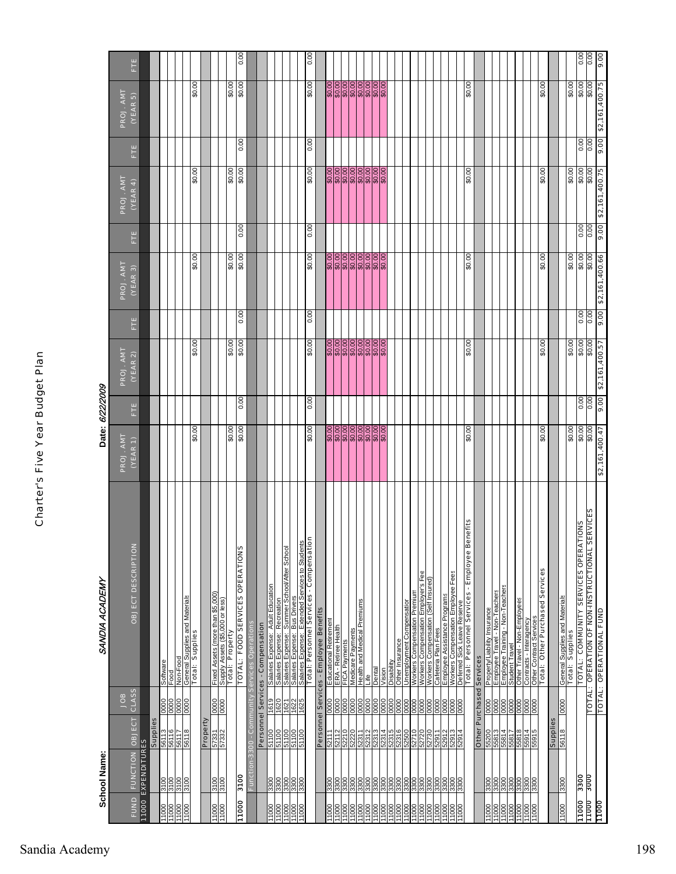|                                  | School Name:                          |                                 |                       | SANDIA ACADEMY                                                                                                       |                                                                                                     | Date: 6/22/2009 |                                                                         |                    |                      |                     |                               |                 |                                                                       |                  |
|----------------------------------|---------------------------------------|---------------------------------|-----------------------|----------------------------------------------------------------------------------------------------------------------|-----------------------------------------------------------------------------------------------------|-----------------|-------------------------------------------------------------------------|--------------------|----------------------|---------------------|-------------------------------|-----------------|-----------------------------------------------------------------------|------------------|
|                                  |                                       |                                 | CLASS<br><b>apor</b>  |                                                                                                                      | PROJ. ANT<br>$(VEAR_1)$                                                                             |                 | PROJ. AMT                                                               |                    | PROJ. AMT<br>(VER 3) |                     | PROJ. AMT                     |                 | PROJ. AMT<br>(YEAR 5)                                                 |                  |
| <b>FUND</b>                      | FUNCTION OBJECT<br>11000 EXPENDITURES |                                 |                       | <b>OBJECT DESCRIPTION</b>                                                                                            |                                                                                                     | E.              | (YEAR 2)                                                                | Ë                  |                      | Ë                   | (YEAR 4)                      | Ē.              |                                                                       | Ē.               |
|                                  |                                       | Supplies                        |                       |                                                                                                                      |                                                                                                     |                 |                                                                         |                    |                      |                     |                               |                 |                                                                       |                  |
|                                  | <b>SOLE</b>                           |                                 |                       | Software                                                                                                             |                                                                                                     |                 |                                                                         |                    |                      |                     |                               |                 |                                                                       |                  |
| 1000<br>100011<br>11000<br>11000 | 3100                                  | $\frac{11}{100}$                | <b><u>SSSSS</u></b>   | Non-Food<br>Food                                                                                                     |                                                                                                     |                 |                                                                         |                    |                      |                     |                               |                 |                                                                       |                  |
|                                  | 3100                                  | 56118                           |                       |                                                                                                                      |                                                                                                     |                 |                                                                         |                    |                      |                     |                               |                 |                                                                       |                  |
|                                  |                                       |                                 |                       | General Supplies and Materials<br>Total: Supplies                                                                    | \$0.00                                                                                              |                 | \$0.00                                                                  |                    | \$0.00               |                     | \$0.00                        |                 | \$0.00                                                                |                  |
|                                  |                                       | Property                        |                       |                                                                                                                      |                                                                                                     |                 |                                                                         |                    |                      |                     |                               |                 |                                                                       |                  |
| 000LL                            | 3100                                  | 57332                           | $\frac{0000}{0000}$   | Fixed Assets (more than \$5,000)                                                                                     |                                                                                                     |                 |                                                                         |                    |                      |                     |                               |                 |                                                                       |                  |
|                                  | 3100                                  |                                 |                       | Supply Assets (\$5,000 or less)<br>Total: Property                                                                   |                                                                                                     |                 |                                                                         |                    |                      |                     |                               |                 |                                                                       |                  |
| 11000                            | 3100                                  |                                 |                       | <b>TOTAL: FOOD SERVICES OPERATIONS</b>                                                                               | $60.00$<br>$60.00$                                                                                  | 0.00            | 60.00                                                                   | 0.00               | 60.00                | $\overline{0}$      | 60.00                         | 0.00            | 60.00                                                                 | 0.00             |
|                                  | Function-3300 - Community             |                                 |                       | Services Operations                                                                                                  |                                                                                                     |                 |                                                                         |                    |                      |                     |                               |                 |                                                                       |                  |
|                                  |                                       |                                 |                       | Personnel Services - Compensation                                                                                    |                                                                                                     |                 |                                                                         |                    |                      |                     |                               |                 |                                                                       |                  |
| 11000                            | 3300                                  |                                 | 1619                  | Salaries Expense: Adult Education                                                                                    |                                                                                                     |                 |                                                                         |                    |                      |                     |                               |                 |                                                                       |                  |
| 000                              |                                       | 00119<br>11100                  |                       |                                                                                                                      |                                                                                                     |                 |                                                                         |                    |                      |                     |                               |                 |                                                                       |                  |
|                                  |                                       | 51100<br>51100                  |                       | <u>Salaries Expense: Recreation</u><br>Salaries Expense: Summer School/Atter School<br>Salaries Expense: Bus Drivers |                                                                                                     |                 |                                                                         |                    |                      |                     |                               |                 |                                                                       |                  |
| 11000<br>11000<br>11000          | <u> ခြချချချ</u><br><u>ကြီးကြီး</u>   | 51100                           | 1621<br>1621<br>1621  |                                                                                                                      |                                                                                                     |                 |                                                                         |                    |                      |                     |                               |                 |                                                                       |                  |
|                                  |                                       |                                 |                       | Salaries Expense: Extended Services to Students<br>Total: Personnel Services - Compensation                          | 00'0\$                                                                                              | 0.00            | 00'0\$                                                                  | 0.00               | 00'0\$               | 0.00                | 00'0\$                        | 0.00            | 00'0\$                                                                | 0.00             |
|                                  |                                       |                                 |                       | Personnel Services - Employee Benefits                                                                               |                                                                                                     |                 |                                                                         |                    |                      |                     |                               |                 |                                                                       |                  |
|                                  | 3300                                  | 52111                           |                       |                                                                                                                      |                                                                                                     |                 |                                                                         |                    |                      |                     |                               |                 |                                                                       |                  |
| 000LI<br>000LI                   |                                       |                                 |                       | Educational Retirement<br>ERA - Retiree Health<br>FICA Payments                                                      |                                                                                                     |                 |                                                                         |                    |                      |                     |                               |                 |                                                                       |                  |
|                                  | $\frac{888}{330}$                     | 52210                           |                       |                                                                                                                      |                                                                                                     |                 |                                                                         |                    |                      |                     |                               |                 |                                                                       |                  |
|                                  |                                       | 02229<br>$\frac{12371}{22311}$  |                       | Medicare Payments                                                                                                    |                                                                                                     |                 |                                                                         |                    |                      |                     |                               |                 |                                                                       |                  |
|                                  | 3300<br>3300                          | 2312                            |                       | Health and Medical Premiums<br>Life                                                                                  |                                                                                                     |                 |                                                                         |                    |                      |                     |                               |                 |                                                                       |                  |
|                                  |                                       | ELEZS                           | 888888888             | Dental                                                                                                               |                                                                                                     |                 |                                                                         |                    |                      |                     |                               |                 |                                                                       |                  |
|                                  | 3300                                  | 71829                           |                       | Vision                                                                                                               |                                                                                                     |                 |                                                                         |                    |                      |                     |                               |                 |                                                                       |                  |
| 1000<br>1000                     | 3300                                  | 52315<br>52316                  | 0000                  | Other Insurance<br>Disabili                                                                                          |                                                                                                     |                 |                                                                         |                    |                      |                     |                               |                 |                                                                       |                  |
| 1000                             | 3300                                  | 52500                           |                       | Unemployment Compensation                                                                                            |                                                                                                     |                 |                                                                         |                    |                      |                     |                               |                 |                                                                       |                  |
| 1000                             | 3300                                  | 52710                           | $\frac{10000}{10000}$ | Workers Compensation Premium                                                                                         |                                                                                                     |                 |                                                                         |                    |                      |                     |                               |                 |                                                                       |                  |
| 1000<br>1000                     | 3300                                  | 52730<br>52730                  |                       | "s Fee<br>Workers Compensation Employer's Fi<br>Workers Compensation (Self Insured)<br>Workers                       |                                                                                                     |                 |                                                                         |                    |                      |                     |                               |                 |                                                                       |                  |
|                                  |                                       |                                 | 0000                  |                                                                                                                      |                                                                                                     |                 |                                                                         |                    |                      |                     |                               |                 |                                                                       |                  |
| 11000                            | 3300                                  | 52911                           |                       | Employee Assistance Programs<br>Cafeteria Plan Fees                                                                  |                                                                                                     |                 |                                                                         |                    |                      |                     |                               |                 |                                                                       |                  |
| 1000<br>11000                    | $\frac{8888}{3300}$                   | 52913<br>52913<br>52914         | $\frac{88888}{8880}$  | Workers Compensation Employee Fees<br>Deferred Sick Leave Reserve<br>Total:  Personnel Services  - Employee Benefits |                                                                                                     |                 |                                                                         |                    |                      |                     |                               |                 |                                                                       |                  |
|                                  |                                       |                                 |                       |                                                                                                                      |                                                                                                     |                 |                                                                         |                    |                      |                     |                               |                 |                                                                       |                  |
|                                  |                                       |                                 |                       |                                                                                                                      | \$0.00                                                                                              |                 | \$0.00                                                                  |                    | \$0.00               |                     | \$0.00                        |                 | \$0.00                                                                |                  |
|                                  |                                       | <b>Other Purchased Services</b> |                       |                                                                                                                      |                                                                                                     |                 |                                                                         |                    |                      |                     |                               |                 |                                                                       |                  |
| 11000<br>11000<br>11000          | 008E                                  | 55200<br>55813                  |                       | Property/Liability Insurance                                                                                         |                                                                                                     |                 |                                                                         |                    |                      |                     |                               |                 |                                                                       |                  |
|                                  |                                       |                                 |                       | Employee Travel - Non-Teachers                                                                                       |                                                                                                     |                 |                                                                         |                    |                      |                     |                               |                 |                                                                       |                  |
|                                  | 3300                                  | 55814<br>55817                  |                       | <u>Employee Training - Non-Teachers</u><br>Student Travel                                                            |                                                                                                     |                 |                                                                         |                    |                      |                     |                               |                 |                                                                       |                  |
|                                  |                                       |                                 | 8888888               | Other Travel - Non-Employees                                                                                         |                                                                                                     |                 |                                                                         |                    |                      |                     |                               |                 |                                                                       |                  |
| 11000<br>11000                   | 3300                                  | 55814<br>55914<br>55915         |                       | Contracts - Interagency                                                                                              |                                                                                                     |                 |                                                                         |                    |                      |                     |                               |                 |                                                                       |                  |
| 1000                             | 3300                                  |                                 | 0000                  | <b>Other Contract Services</b><br>Total: Other Purchased Services                                                    |                                                                                                     |                 |                                                                         |                    |                      |                     |                               |                 |                                                                       |                  |
|                                  |                                       |                                 |                       |                                                                                                                      | 00.0\$                                                                                              |                 | 00.0\$                                                                  |                    | 00:0\$               |                     | 00.0\$                        |                 | 00:0\$                                                                |                  |
|                                  |                                       | Supplies                        |                       |                                                                                                                      |                                                                                                     |                 |                                                                         |                    |                      |                     |                               |                 |                                                                       |                  |
| 0001                             | 3300                                  | 56118                           | 0000                  | General Supplies and Materials<br>Total: Supplies                                                                    |                                                                                                     |                 |                                                                         |                    |                      |                     |                               |                 |                                                                       |                  |
|                                  |                                       |                                 |                       |                                                                                                                      | $\begin{array}{c c} \hline 0.00 \\ \hline 0.00 \\ \hline 0.00 \\ \hline 0.00 \\ \hline \end{array}$ |                 |                                                                         |                    | $60.00$<br>$60.00$   |                     | 00'0\$                        |                 | 00'0\$                                                                |                  |
| 11000                            | 3300                                  |                                 |                       | <b>TOTAL: COMMUNITY SERVICES OPERATIONS</b>                                                                          |                                                                                                     | 0.00            |                                                                         |                    |                      | $\frac{0.00}{0.00}$ |                               | 0.00            |                                                                       |                  |
| 11000                            | 3000                                  |                                 | <b>TOTAL:</b>         | <b>SERVICES</b><br><b>OPERATION OF NON-INSTRUCTIONAL</b>                                                             |                                                                                                     |                 | $\begin{array}{r}\n 160000 \\  00008 \\  00008 \\  00008\n \end{array}$ | $\frac{1000}{000}$ |                      |                     | $[00,06]$ $[00,08]$ $[00,08]$ |                 | $\begin{array}{c}\n 30.00 \\  30.00 \\  \hline\n 30.00\n \end{array}$ | $rac{100}{0.00}$ |
| <u>aaqli.</u>                    |                                       |                                 |                       | TOTAL: OPERATIONAL FUND                                                                                              | \$2,161,400.47                                                                                      | $\frac{1}{200}$ |                                                                         |                    | \$2,161,400.66       | $\frac{1}{200}$     |                               | $\frac{1}{200}$ |                                                                       |                  |